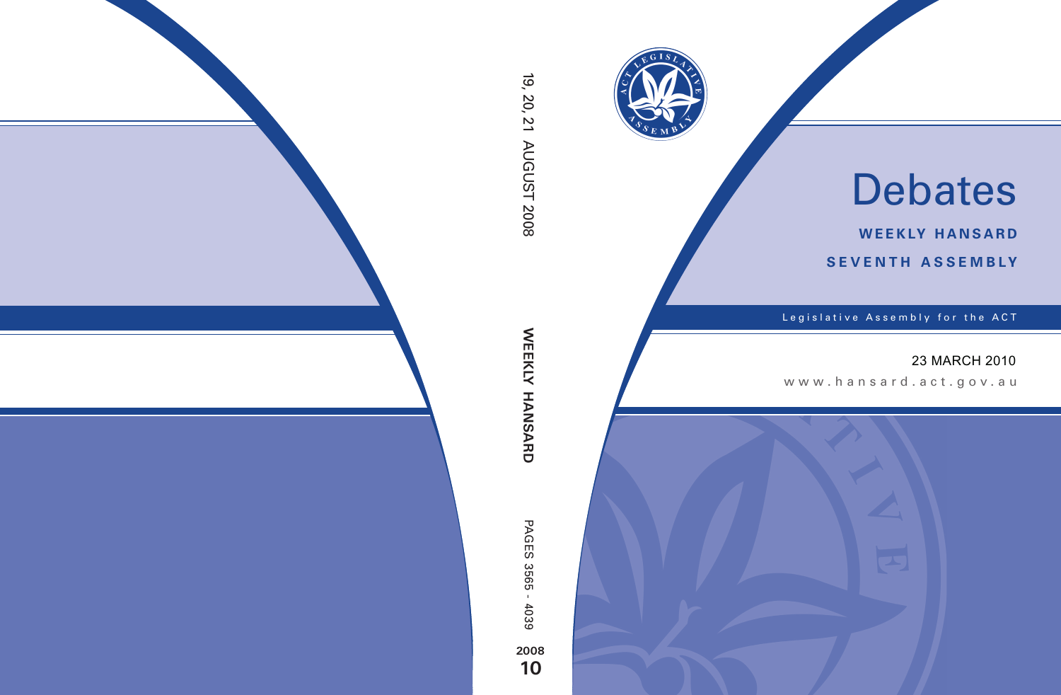

# Debates

**weekly hansard seventh asseMBly**

Legislative Assembly for the ACT

## 23 MARCH 2010

www .hansard.act.go v.au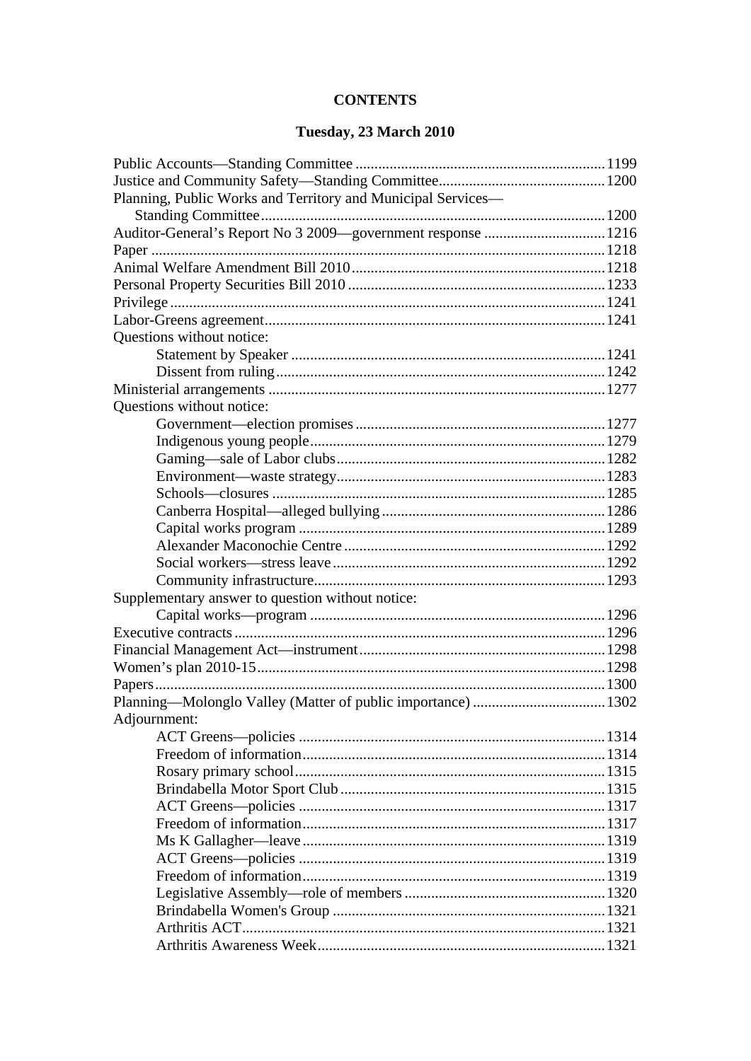#### **CONTENTS**

#### Tuesday, 23 March 2010

| Planning, Public Works and Territory and Municipal Services— |  |
|--------------------------------------------------------------|--|
|                                                              |  |
| Auditor-General's Report No 3 2009—government response  1216 |  |
|                                                              |  |
|                                                              |  |
|                                                              |  |
|                                                              |  |
|                                                              |  |
| Questions without notice:                                    |  |
|                                                              |  |
|                                                              |  |
|                                                              |  |
| Questions without notice:                                    |  |
|                                                              |  |
|                                                              |  |
|                                                              |  |
|                                                              |  |
|                                                              |  |
|                                                              |  |
|                                                              |  |
|                                                              |  |
|                                                              |  |
|                                                              |  |
| Supplementary answer to question without notice:             |  |
|                                                              |  |
|                                                              |  |
|                                                              |  |
|                                                              |  |
|                                                              |  |
|                                                              |  |
| Adjournment:                                                 |  |
|                                                              |  |
|                                                              |  |
|                                                              |  |
|                                                              |  |
|                                                              |  |
|                                                              |  |
|                                                              |  |
|                                                              |  |
|                                                              |  |
|                                                              |  |
|                                                              |  |
|                                                              |  |
|                                                              |  |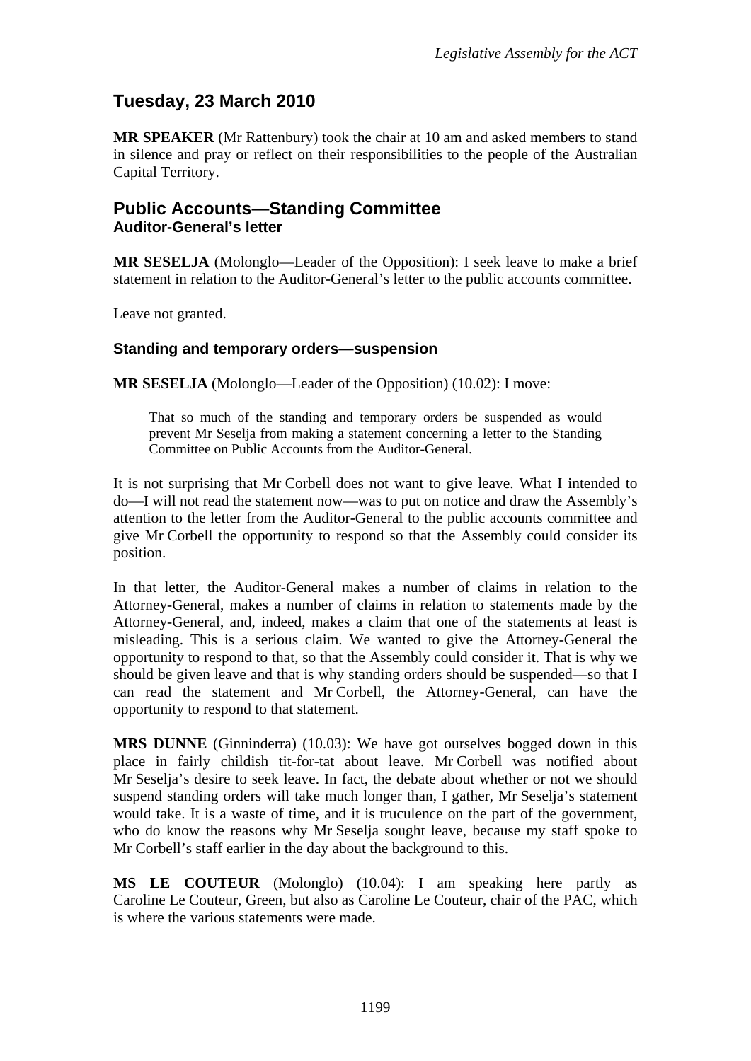# **Tuesday, 23 March 2010**

**MR SPEAKER** (Mr Rattenbury) took the chair at 10 am and asked members to stand in silence and pray or reflect on their responsibilities to the people of the Australian Capital Territory.

#### <span id="page-2-0"></span>**Public Accounts—Standing Committee Auditor-General's letter**

**MR SESELJA** (Molonglo—Leader of the Opposition): I seek leave to make a brief statement in relation to the Auditor-General's letter to the public accounts committee.

Leave not granted.

#### **Standing and temporary orders—suspension**

**MR SESELJA** (Molonglo—Leader of the Opposition) (10.02): I move:

That so much of the standing and temporary orders be suspended as would prevent Mr Seselja from making a statement concerning a letter to the Standing Committee on Public Accounts from the Auditor-General.

It is not surprising that Mr Corbell does not want to give leave. What I intended to do—I will not read the statement now—was to put on notice and draw the Assembly's attention to the letter from the Auditor-General to the public accounts committee and give Mr Corbell the opportunity to respond so that the Assembly could consider its position.

In that letter, the Auditor-General makes a number of claims in relation to the Attorney-General, makes a number of claims in relation to statements made by the Attorney-General, and, indeed, makes a claim that one of the statements at least is misleading. This is a serious claim. We wanted to give the Attorney-General the opportunity to respond to that, so that the Assembly could consider it. That is why we should be given leave and that is why standing orders should be suspended—so that I can read the statement and Mr Corbell, the Attorney-General, can have the opportunity to respond to that statement.

**MRS DUNNE** (Ginninderra) (10.03): We have got ourselves bogged down in this place in fairly childish tit-for-tat about leave. Mr Corbell was notified about Mr Seselja's desire to seek leave. In fact, the debate about whether or not we should suspend standing orders will take much longer than, I gather, Mr Seselja's statement would take. It is a waste of time, and it is truculence on the part of the government, who do know the reasons why Mr Seselja sought leave, because my staff spoke to Mr Corbell's staff earlier in the day about the background to this.

**MS LE COUTEUR** (Molonglo) (10.04): I am speaking here partly as Caroline Le Couteur, Green, but also as Caroline Le Couteur, chair of the PAC, which is where the various statements were made.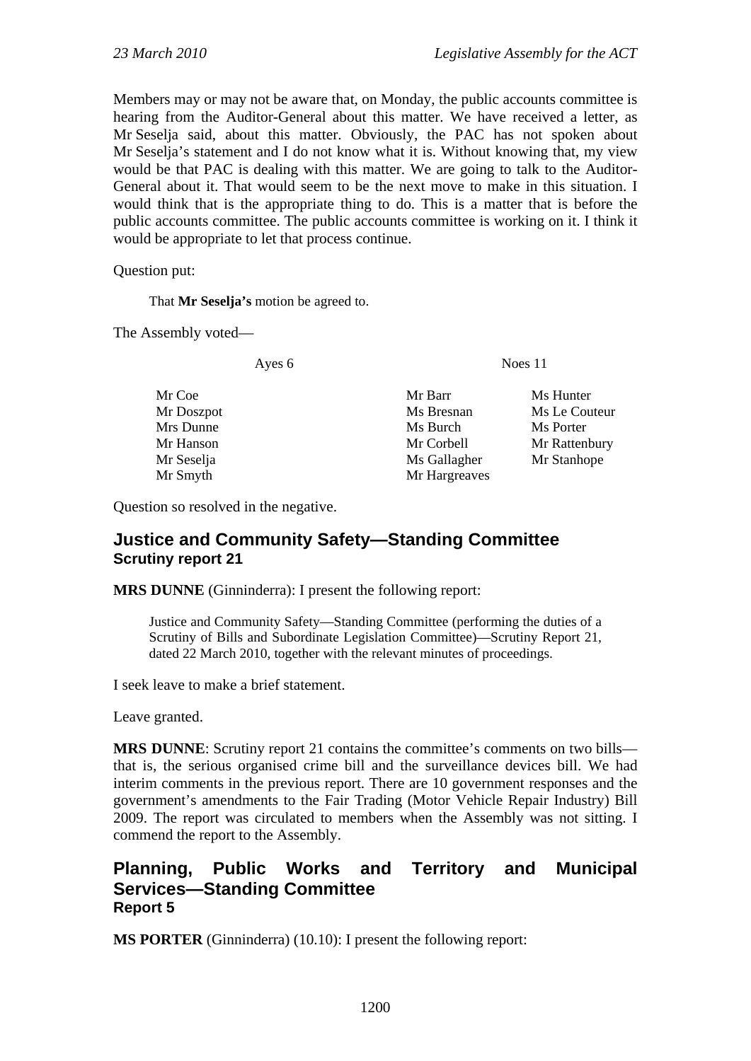Members may or may not be aware that, on Monday, the public accounts committee is hearing from the Auditor-General about this matter. We have received a letter, as Mr Seselja said, about this matter. Obviously, the PAC has not spoken about Mr Seselja's statement and I do not know what it is. Without knowing that, my view would be that PAC is dealing with this matter. We are going to talk to the Auditor-General about it. That would seem to be the next move to make in this situation. I would think that is the appropriate thing to do. This is a matter that is before the public accounts committee. The public accounts committee is working on it. I think it would be appropriate to let that process continue.

Question put:

That **Mr Seselja's** motion be agreed to.

The Assembly voted—

Ayes 6 Noes 11

Mrs Dunne Ms Burch Ms Burch Ms Porter Mr Seselja Ms Gallagher Mr Stanhope Mr Smyth Mr Hargreaves

Mr Coe Mr Barr Ms Hunter Mr Doszpot Ms Bresnan Ms Le Couteur Mr Hanson Mr Corbell Mr Rattenbury

Question so resolved in the negative.

#### <span id="page-3-0"></span>**Justice and Community Safety—Standing Committee Scrutiny report 21**

**MRS DUNNE** (Ginninderra): I present the following report:

Justice and Community Safety—Standing Committee (performing the duties of a Scrutiny of Bills and Subordinate Legislation Committee)—Scrutiny Report 21*,*  dated 22 March 2010, together with the relevant minutes of proceedings.

I seek leave to make a brief statement.

Leave granted.

**MRS DUNNE**: Scrutiny report 21 contains the committee's comments on two bills that is, the serious organised crime bill and the surveillance devices bill. We had interim comments in the previous report. There are 10 government responses and the government's amendments to the Fair Trading (Motor Vehicle Repair Industry) Bill 2009. The report was circulated to members when the Assembly was not sitting. I commend the report to the Assembly.

#### <span id="page-3-1"></span>**Planning, Public Works and Territory and Municipal Services—Standing Committee Report 5**

**MS PORTER** (Ginninderra) (10.10): I present the following report: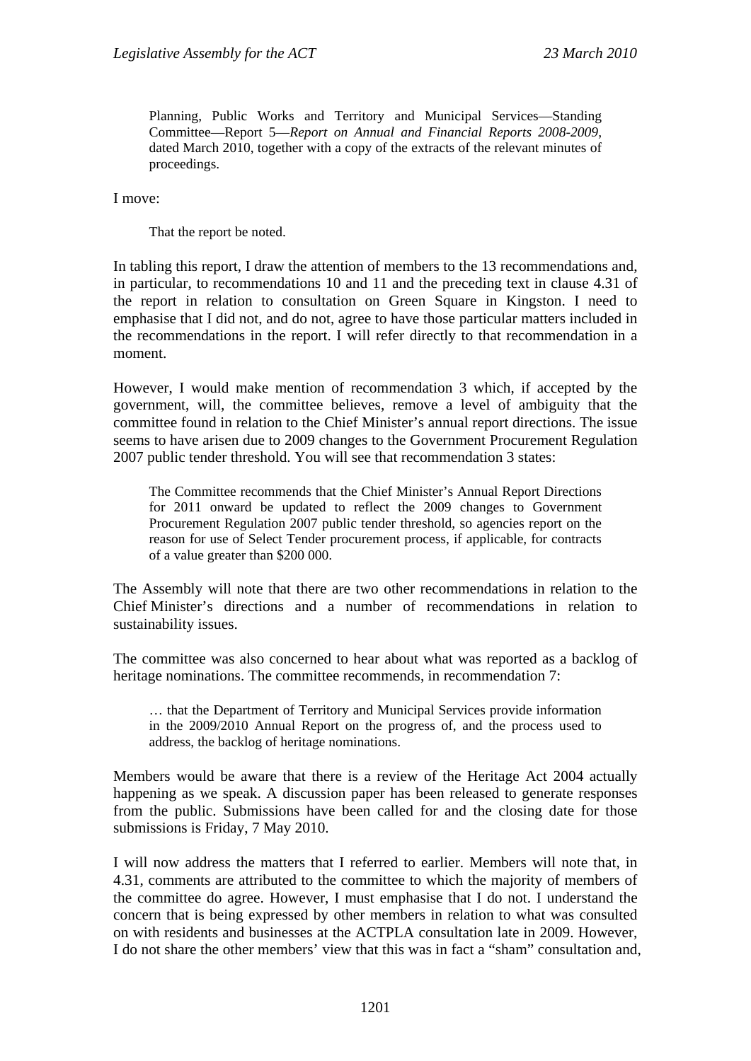Planning, Public Works and Territory and Municipal Services—Standing Committee—Report 5—*Report on Annual and Financial Reports 2008-2009,*  dated March 2010, together with a copy of the extracts of the relevant minutes of proceedings.

I move:

That the report be noted.

In tabling this report, I draw the attention of members to the 13 recommendations and, in particular, to recommendations 10 and 11 and the preceding text in clause 4.31 of the report in relation to consultation on Green Square in Kingston. I need to emphasise that I did not, and do not, agree to have those particular matters included in the recommendations in the report. I will refer directly to that recommendation in a moment.

However, I would make mention of recommendation 3 which, if accepted by the government, will, the committee believes, remove a level of ambiguity that the committee found in relation to the Chief Minister's annual report directions. The issue seems to have arisen due to 2009 changes to the Government Procurement Regulation 2007 public tender threshold. You will see that recommendation 3 states:

The Committee recommends that the Chief Minister's Annual Report Directions for 2011 onward be updated to reflect the 2009 changes to Government Procurement Regulation 2007 public tender threshold, so agencies report on the reason for use of Select Tender procurement process, if applicable, for contracts of a value greater than \$200 000.

The Assembly will note that there are two other recommendations in relation to the Chief Minister's directions and a number of recommendations in relation to sustainability issues.

The committee was also concerned to hear about what was reported as a backlog of heritage nominations. The committee recommends, in recommendation 7:

… that the Department of Territory and Municipal Services provide information in the 2009/2010 Annual Report on the progress of, and the process used to address, the backlog of heritage nominations.

Members would be aware that there is a review of the Heritage Act 2004 actually happening as we speak. A discussion paper has been released to generate responses from the public. Submissions have been called for and the closing date for those submissions is Friday, 7 May 2010.

I will now address the matters that I referred to earlier. Members will note that, in 4.31, comments are attributed to the committee to which the majority of members of the committee do agree. However, I must emphasise that I do not. I understand the concern that is being expressed by other members in relation to what was consulted on with residents and businesses at the ACTPLA consultation late in 2009. However, I do not share the other members' view that this was in fact a "sham" consultation and,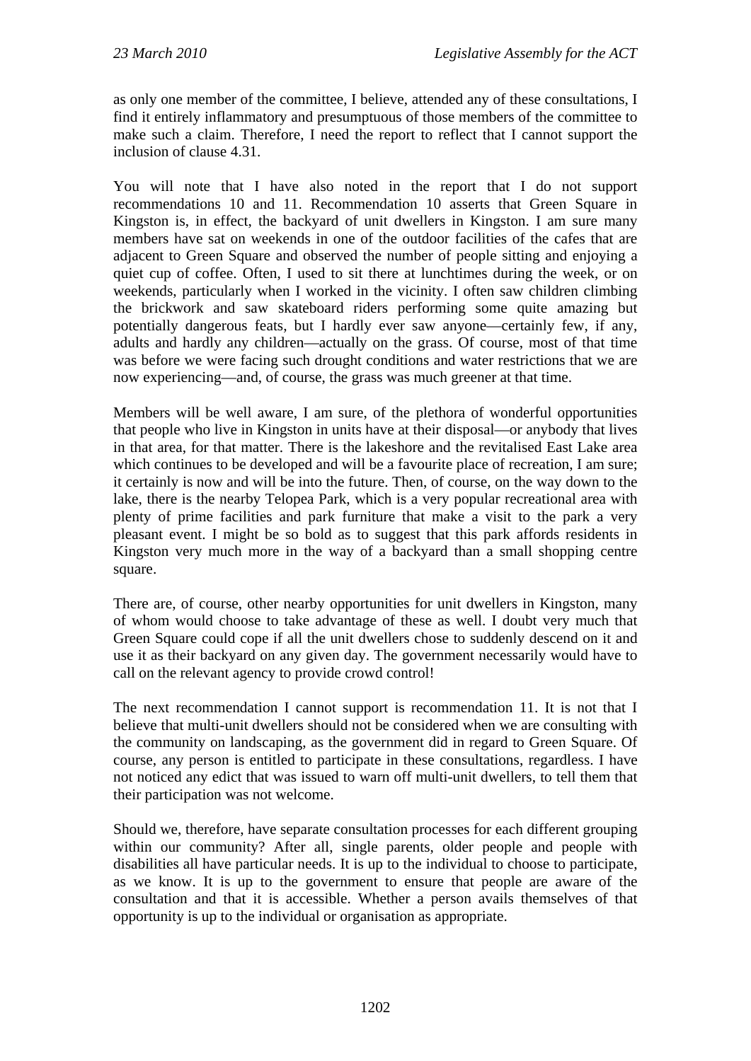as only one member of the committee, I believe, attended any of these consultations, I find it entirely inflammatory and presumptuous of those members of the committee to make such a claim. Therefore, I need the report to reflect that I cannot support the inclusion of clause 4.31.

You will note that I have also noted in the report that I do not support recommendations 10 and 11. Recommendation 10 asserts that Green Square in Kingston is, in effect, the backyard of unit dwellers in Kingston. I am sure many members have sat on weekends in one of the outdoor facilities of the cafes that are adjacent to Green Square and observed the number of people sitting and enjoying a quiet cup of coffee. Often, I used to sit there at lunchtimes during the week, or on weekends, particularly when I worked in the vicinity. I often saw children climbing the brickwork and saw skateboard riders performing some quite amazing but potentially dangerous feats, but I hardly ever saw anyone—certainly few, if any, adults and hardly any children—actually on the grass. Of course, most of that time was before we were facing such drought conditions and water restrictions that we are now experiencing—and, of course, the grass was much greener at that time.

Members will be well aware, I am sure, of the plethora of wonderful opportunities that people who live in Kingston in units have at their disposal—or anybody that lives in that area, for that matter. There is the lakeshore and the revitalised East Lake area which continues to be developed and will be a favourite place of recreation, I am sure; it certainly is now and will be into the future. Then, of course, on the way down to the lake, there is the nearby Telopea Park, which is a very popular recreational area with plenty of prime facilities and park furniture that make a visit to the park a very pleasant event. I might be so bold as to suggest that this park affords residents in Kingston very much more in the way of a backyard than a small shopping centre square.

There are, of course, other nearby opportunities for unit dwellers in Kingston, many of whom would choose to take advantage of these as well. I doubt very much that Green Square could cope if all the unit dwellers chose to suddenly descend on it and use it as their backyard on any given day. The government necessarily would have to call on the relevant agency to provide crowd control!

The next recommendation I cannot support is recommendation 11. It is not that I believe that multi-unit dwellers should not be considered when we are consulting with the community on landscaping, as the government did in regard to Green Square. Of course, any person is entitled to participate in these consultations, regardless. I have not noticed any edict that was issued to warn off multi-unit dwellers, to tell them that their participation was not welcome.

Should we, therefore, have separate consultation processes for each different grouping within our community? After all, single parents, older people and people with disabilities all have particular needs. It is up to the individual to choose to participate, as we know. It is up to the government to ensure that people are aware of the consultation and that it is accessible. Whether a person avails themselves of that opportunity is up to the individual or organisation as appropriate.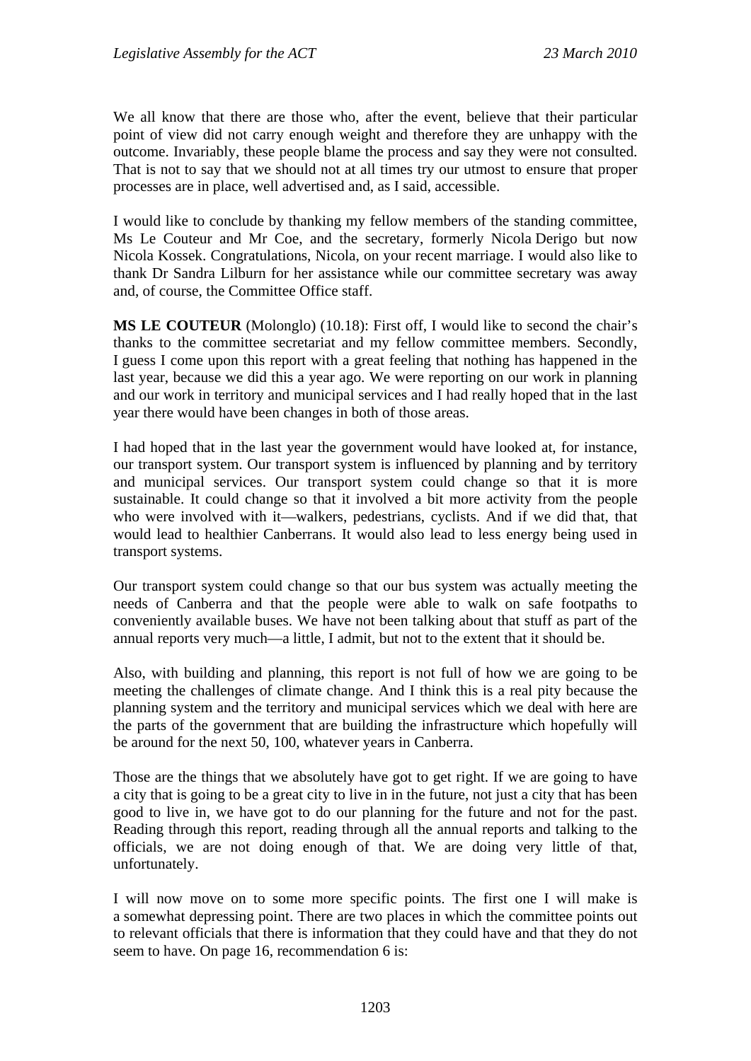We all know that there are those who, after the event, believe that their particular point of view did not carry enough weight and therefore they are unhappy with the outcome. Invariably, these people blame the process and say they were not consulted. That is not to say that we should not at all times try our utmost to ensure that proper processes are in place, well advertised and, as I said, accessible.

I would like to conclude by thanking my fellow members of the standing committee, Ms Le Couteur and Mr Coe, and the secretary, formerly Nicola Derigo but now Nicola Kossek. Congratulations, Nicola, on your recent marriage. I would also like to thank Dr Sandra Lilburn for her assistance while our committee secretary was away and, of course, the Committee Office staff.

**MS LE COUTEUR** (Molonglo) (10.18): First off, I would like to second the chair's thanks to the committee secretariat and my fellow committee members. Secondly, I guess I come upon this report with a great feeling that nothing has happened in the last year, because we did this a year ago. We were reporting on our work in planning and our work in territory and municipal services and I had really hoped that in the last year there would have been changes in both of those areas.

I had hoped that in the last year the government would have looked at, for instance, our transport system. Our transport system is influenced by planning and by territory and municipal services. Our transport system could change so that it is more sustainable. It could change so that it involved a bit more activity from the people who were involved with it—walkers, pedestrians, cyclists. And if we did that, that would lead to healthier Canberrans. It would also lead to less energy being used in transport systems.

Our transport system could change so that our bus system was actually meeting the needs of Canberra and that the people were able to walk on safe footpaths to conveniently available buses. We have not been talking about that stuff as part of the annual reports very much—a little, I admit, but not to the extent that it should be.

Also, with building and planning, this report is not full of how we are going to be meeting the challenges of climate change. And I think this is a real pity because the planning system and the territory and municipal services which we deal with here are the parts of the government that are building the infrastructure which hopefully will be around for the next 50, 100, whatever years in Canberra.

Those are the things that we absolutely have got to get right. If we are going to have a city that is going to be a great city to live in in the future, not just a city that has been good to live in, we have got to do our planning for the future and not for the past. Reading through this report, reading through all the annual reports and talking to the officials, we are not doing enough of that. We are doing very little of that, unfortunately.

I will now move on to some more specific points. The first one I will make is a somewhat depressing point. There are two places in which the committee points out to relevant officials that there is information that they could have and that they do not seem to have. On page 16, recommendation 6 is: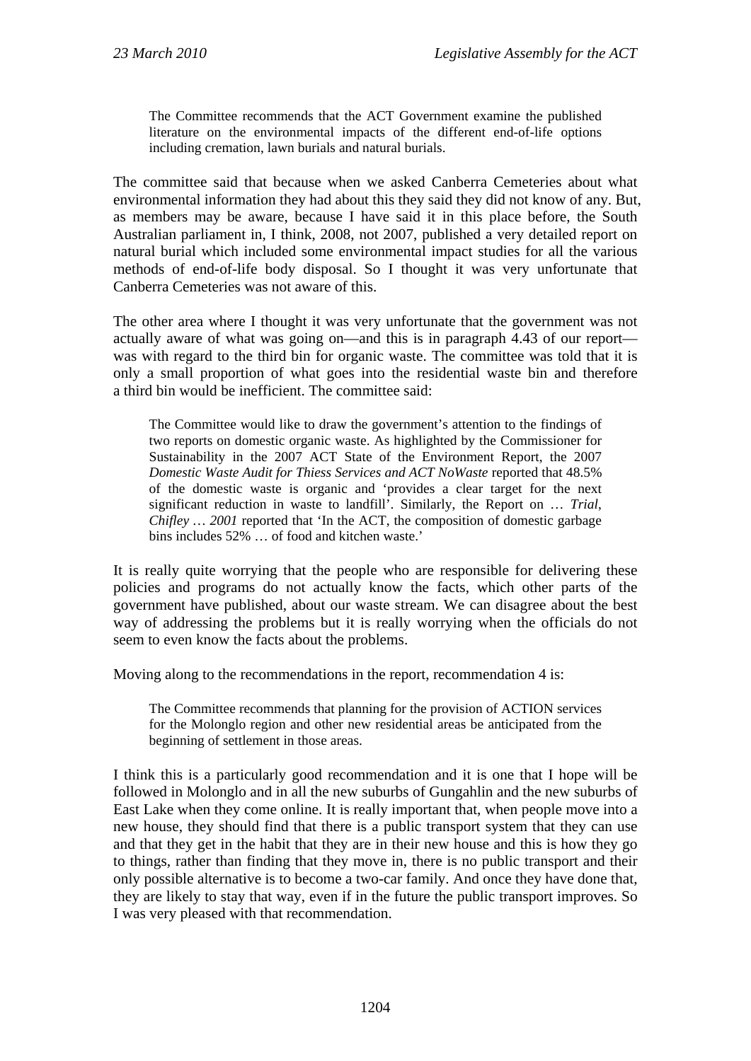The Committee recommends that the ACT Government examine the published literature on the environmental impacts of the different end-of-life options including cremation, lawn burials and natural burials.

The committee said that because when we asked Canberra Cemeteries about what environmental information they had about this they said they did not know of any. But, as members may be aware, because I have said it in this place before, the South Australian parliament in, I think, 2008, not 2007, published a very detailed report on natural burial which included some environmental impact studies for all the various methods of end-of-life body disposal. So I thought it was very unfortunate that Canberra Cemeteries was not aware of this.

The other area where I thought it was very unfortunate that the government was not actually aware of what was going on—and this is in paragraph 4.43 of our report was with regard to the third bin for organic waste. The committee was told that it is only a small proportion of what goes into the residential waste bin and therefore a third bin would be inefficient. The committee said:

The Committee would like to draw the government's attention to the findings of two reports on domestic organic waste. As highlighted by the Commissioner for Sustainability in the 2007 ACT State of the Environment Report, the 2007 *Domestic Waste Audit for Thiess Services and ACT NoWaste* reported that 48.5% of the domestic waste is organic and 'provides a clear target for the next significant reduction in waste to landfill'. Similarly, the Report on … *Trial*, *Chifley ...* 2001 reported that 'In the ACT, the composition of domestic garbage bins includes 52% … of food and kitchen waste.'

It is really quite worrying that the people who are responsible for delivering these policies and programs do not actually know the facts, which other parts of the government have published, about our waste stream. We can disagree about the best way of addressing the problems but it is really worrying when the officials do not seem to even know the facts about the problems.

Moving along to the recommendations in the report, recommendation 4 is:

The Committee recommends that planning for the provision of ACTION services for the Molonglo region and other new residential areas be anticipated from the beginning of settlement in those areas.

I think this is a particularly good recommendation and it is one that I hope will be followed in Molonglo and in all the new suburbs of Gungahlin and the new suburbs of East Lake when they come online. It is really important that, when people move into a new house, they should find that there is a public transport system that they can use and that they get in the habit that they are in their new house and this is how they go to things, rather than finding that they move in, there is no public transport and their only possible alternative is to become a two-car family. And once they have done that, they are likely to stay that way, even if in the future the public transport improves. So I was very pleased with that recommendation.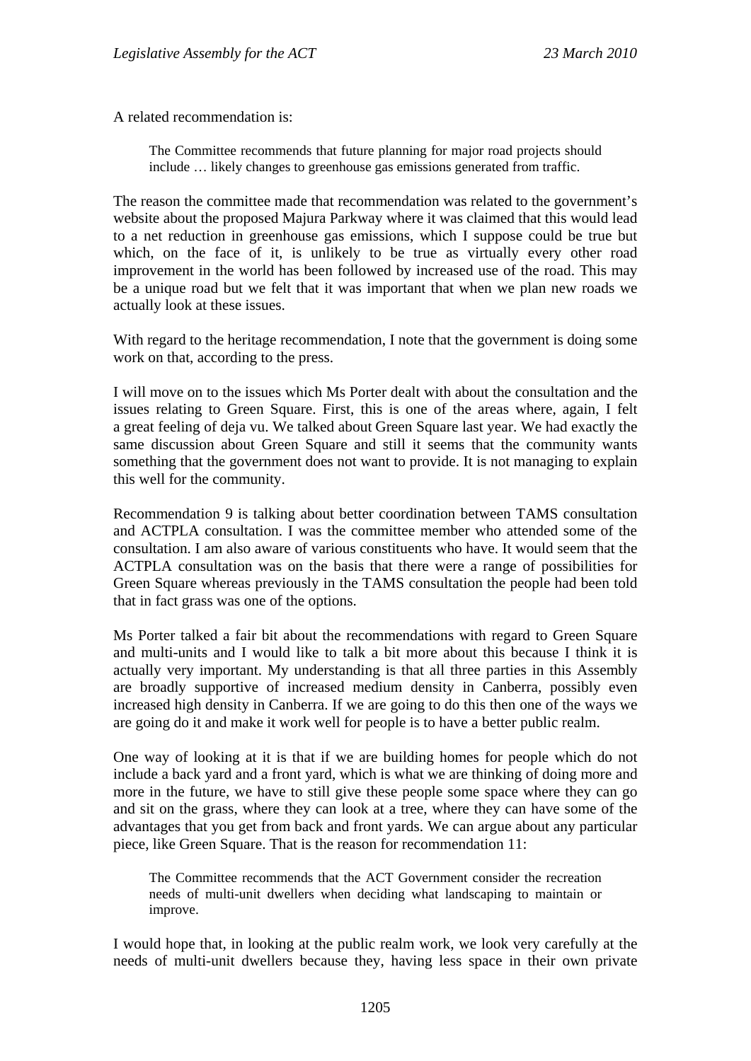A related recommendation is:

The Committee recommends that future planning for major road projects should include … likely changes to greenhouse gas emissions generated from traffic.

The reason the committee made that recommendation was related to the government's website about the proposed Majura Parkway where it was claimed that this would lead to a net reduction in greenhouse gas emissions, which I suppose could be true but which, on the face of it, is unlikely to be true as virtually every other road improvement in the world has been followed by increased use of the road. This may be a unique road but we felt that it was important that when we plan new roads we actually look at these issues.

With regard to the heritage recommendation, I note that the government is doing some work on that, according to the press.

I will move on to the issues which Ms Porter dealt with about the consultation and the issues relating to Green Square. First, this is one of the areas where, again, I felt a great feeling of deja vu. We talked about Green Square last year. We had exactly the same discussion about Green Square and still it seems that the community wants something that the government does not want to provide. It is not managing to explain this well for the community.

Recommendation 9 is talking about better coordination between TAMS consultation and ACTPLA consultation. I was the committee member who attended some of the consultation. I am also aware of various constituents who have. It would seem that the ACTPLA consultation was on the basis that there were a range of possibilities for Green Square whereas previously in the TAMS consultation the people had been told that in fact grass was one of the options.

Ms Porter talked a fair bit about the recommendations with regard to Green Square and multi-units and I would like to talk a bit more about this because I think it is actually very important. My understanding is that all three parties in this Assembly are broadly supportive of increased medium density in Canberra, possibly even increased high density in Canberra. If we are going to do this then one of the ways we are going do it and make it work well for people is to have a better public realm.

One way of looking at it is that if we are building homes for people which do not include a back yard and a front yard, which is what we are thinking of doing more and more in the future, we have to still give these people some space where they can go and sit on the grass, where they can look at a tree, where they can have some of the advantages that you get from back and front yards. We can argue about any particular piece, like Green Square. That is the reason for recommendation 11:

The Committee recommends that the ACT Government consider the recreation needs of multi-unit dwellers when deciding what landscaping to maintain or improve.

I would hope that, in looking at the public realm work, we look very carefully at the needs of multi-unit dwellers because they, having less space in their own private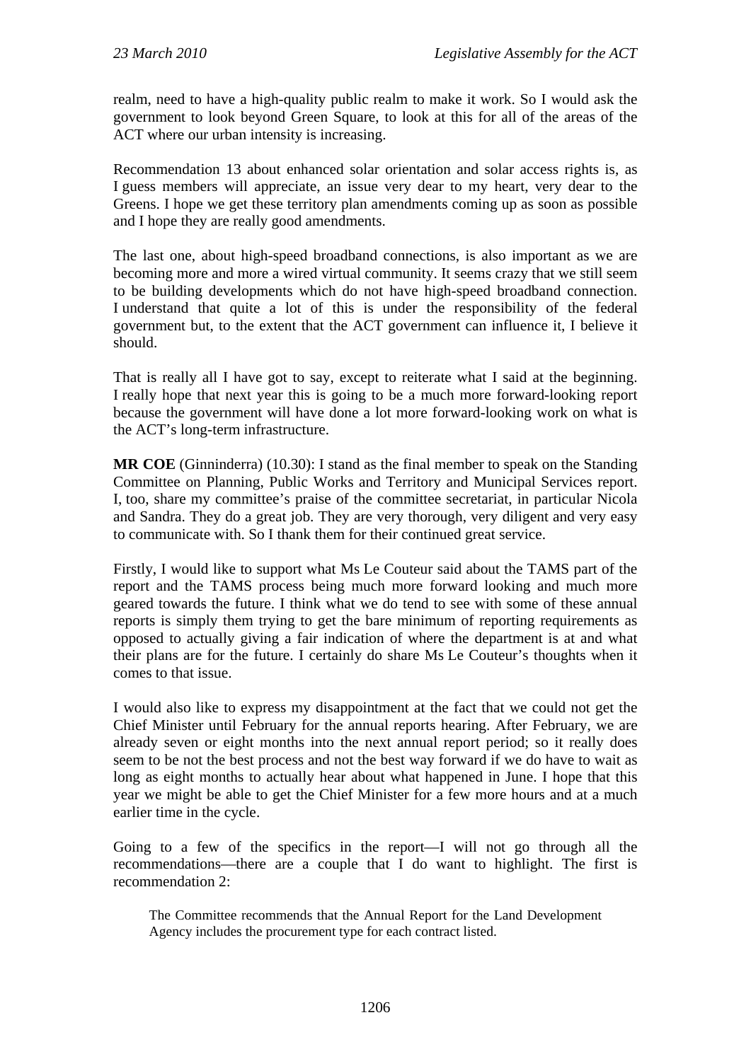realm, need to have a high-quality public realm to make it work. So I would ask the government to look beyond Green Square, to look at this for all of the areas of the ACT where our urban intensity is increasing.

Recommendation 13 about enhanced solar orientation and solar access rights is, as I guess members will appreciate, an issue very dear to my heart, very dear to the Greens. I hope we get these territory plan amendments coming up as soon as possible and I hope they are really good amendments.

The last one, about high-speed broadband connections, is also important as we are becoming more and more a wired virtual community. It seems crazy that we still seem to be building developments which do not have high-speed broadband connection. I understand that quite a lot of this is under the responsibility of the federal government but, to the extent that the ACT government can influence it, I believe it should.

That is really all I have got to say, except to reiterate what I said at the beginning. I really hope that next year this is going to be a much more forward-looking report because the government will have done a lot more forward-looking work on what is the ACT's long-term infrastructure.

**MR COE** (Ginninderra) (10.30): I stand as the final member to speak on the Standing Committee on Planning, Public Works and Territory and Municipal Services report. I, too, share my committee's praise of the committee secretariat, in particular Nicola and Sandra. They do a great job. They are very thorough, very diligent and very easy to communicate with. So I thank them for their continued great service.

Firstly, I would like to support what Ms Le Couteur said about the TAMS part of the report and the TAMS process being much more forward looking and much more geared towards the future. I think what we do tend to see with some of these annual reports is simply them trying to get the bare minimum of reporting requirements as opposed to actually giving a fair indication of where the department is at and what their plans are for the future. I certainly do share Ms Le Couteur's thoughts when it comes to that issue.

I would also like to express my disappointment at the fact that we could not get the Chief Minister until February for the annual reports hearing. After February, we are already seven or eight months into the next annual report period; so it really does seem to be not the best process and not the best way forward if we do have to wait as long as eight months to actually hear about what happened in June. I hope that this year we might be able to get the Chief Minister for a few more hours and at a much earlier time in the cycle.

Going to a few of the specifics in the report—I will not go through all the recommendations—there are a couple that I do want to highlight. The first is recommendation 2:

The Committee recommends that the Annual Report for the Land Development Agency includes the procurement type for each contract listed.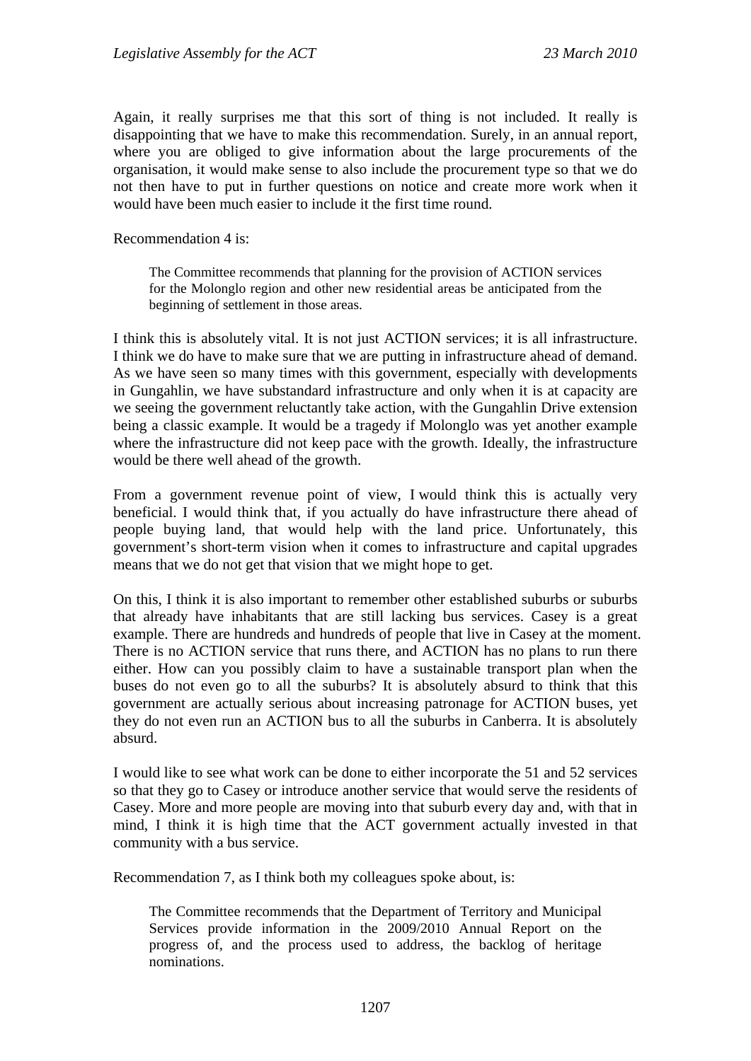Again, it really surprises me that this sort of thing is not included. It really is disappointing that we have to make this recommendation. Surely, in an annual report, where you are obliged to give information about the large procurements of the organisation, it would make sense to also include the procurement type so that we do not then have to put in further questions on notice and create more work when it would have been much easier to include it the first time round.

Recommendation 4 is:

The Committee recommends that planning for the provision of ACTION services for the Molonglo region and other new residential areas be anticipated from the beginning of settlement in those areas.

I think this is absolutely vital. It is not just ACTION services; it is all infrastructure. I think we do have to make sure that we are putting in infrastructure ahead of demand. As we have seen so many times with this government, especially with developments in Gungahlin, we have substandard infrastructure and only when it is at capacity are we seeing the government reluctantly take action, with the Gungahlin Drive extension being a classic example. It would be a tragedy if Molonglo was yet another example where the infrastructure did not keep pace with the growth. Ideally, the infrastructure would be there well ahead of the growth.

From a government revenue point of view, I would think this is actually very beneficial. I would think that, if you actually do have infrastructure there ahead of people buying land, that would help with the land price. Unfortunately, this government's short-term vision when it comes to infrastructure and capital upgrades means that we do not get that vision that we might hope to get.

On this, I think it is also important to remember other established suburbs or suburbs that already have inhabitants that are still lacking bus services. Casey is a great example. There are hundreds and hundreds of people that live in Casey at the moment. There is no ACTION service that runs there, and ACTION has no plans to run there either. How can you possibly claim to have a sustainable transport plan when the buses do not even go to all the suburbs? It is absolutely absurd to think that this government are actually serious about increasing patronage for ACTION buses, yet they do not even run an ACTION bus to all the suburbs in Canberra. It is absolutely absurd.

I would like to see what work can be done to either incorporate the 51 and 52 services so that they go to Casey or introduce another service that would serve the residents of Casey. More and more people are moving into that suburb every day and, with that in mind, I think it is high time that the ACT government actually invested in that community with a bus service.

Recommendation 7, as I think both my colleagues spoke about, is:

The Committee recommends that the Department of Territory and Municipal Services provide information in the 2009/2010 Annual Report on the progress of, and the process used to address, the backlog of heritage nominations.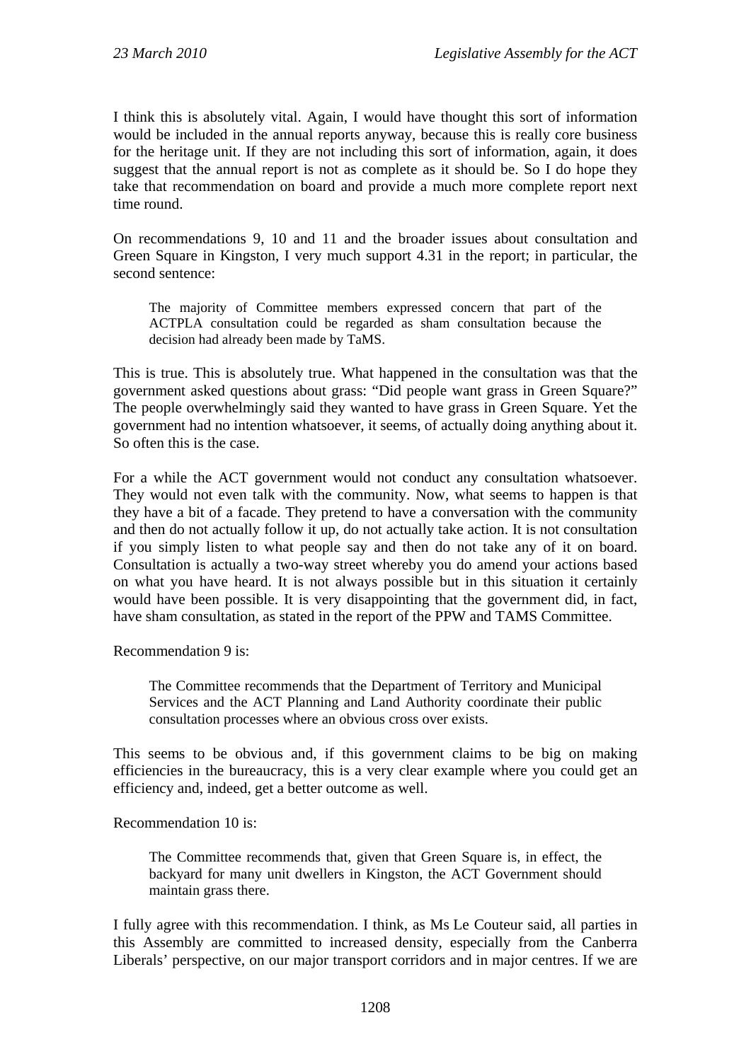I think this is absolutely vital. Again, I would have thought this sort of information would be included in the annual reports anyway, because this is really core business for the heritage unit. If they are not including this sort of information, again, it does suggest that the annual report is not as complete as it should be. So I do hope they take that recommendation on board and provide a much more complete report next time round.

On recommendations 9, 10 and 11 and the broader issues about consultation and Green Square in Kingston, I very much support 4.31 in the report; in particular, the second sentence:

The majority of Committee members expressed concern that part of the ACTPLA consultation could be regarded as sham consultation because the decision had already been made by TaMS.

This is true. This is absolutely true. What happened in the consultation was that the government asked questions about grass: "Did people want grass in Green Square?" The people overwhelmingly said they wanted to have grass in Green Square. Yet the government had no intention whatsoever, it seems, of actually doing anything about it. So often this is the case.

For a while the ACT government would not conduct any consultation whatsoever. They would not even talk with the community. Now, what seems to happen is that they have a bit of a facade. They pretend to have a conversation with the community and then do not actually follow it up, do not actually take action. It is not consultation if you simply listen to what people say and then do not take any of it on board. Consultation is actually a two-way street whereby you do amend your actions based on what you have heard. It is not always possible but in this situation it certainly would have been possible. It is very disappointing that the government did, in fact, have sham consultation, as stated in the report of the PPW and TAMS Committee.

Recommendation 9 is:

The Committee recommends that the Department of Territory and Municipal Services and the ACT Planning and Land Authority coordinate their public consultation processes where an obvious cross over exists.

This seems to be obvious and, if this government claims to be big on making efficiencies in the bureaucracy, this is a very clear example where you could get an efficiency and, indeed, get a better outcome as well.

Recommendation 10 is:

The Committee recommends that, given that Green Square is, in effect, the backyard for many unit dwellers in Kingston, the ACT Government should maintain grass there.

I fully agree with this recommendation. I think, as Ms Le Couteur said, all parties in this Assembly are committed to increased density, especially from the Canberra Liberals' perspective, on our major transport corridors and in major centres. If we are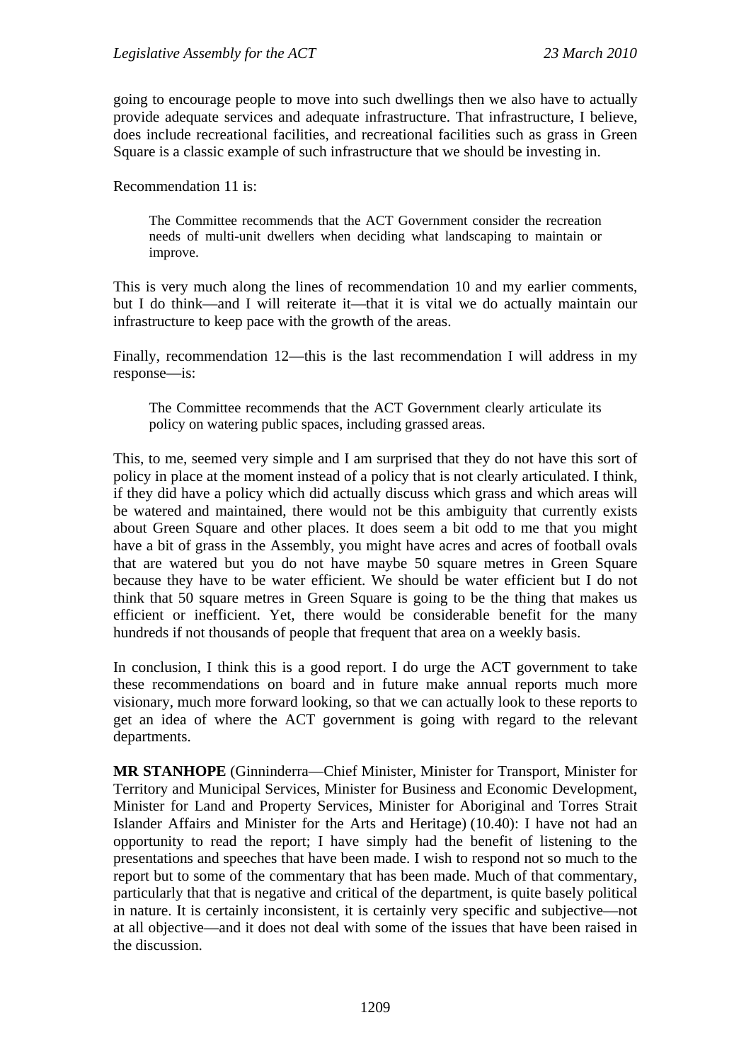going to encourage people to move into such dwellings then we also have to actually provide adequate services and adequate infrastructure. That infrastructure, I believe, does include recreational facilities, and recreational facilities such as grass in Green Square is a classic example of such infrastructure that we should be investing in.

Recommendation 11 is:

The Committee recommends that the ACT Government consider the recreation needs of multi-unit dwellers when deciding what landscaping to maintain or improve.

This is very much along the lines of recommendation 10 and my earlier comments, but I do think—and I will reiterate it—that it is vital we do actually maintain our infrastructure to keep pace with the growth of the areas.

Finally, recommendation 12—this is the last recommendation I will address in my response—is:

The Committee recommends that the ACT Government clearly articulate its policy on watering public spaces, including grassed areas.

This, to me, seemed very simple and I am surprised that they do not have this sort of policy in place at the moment instead of a policy that is not clearly articulated. I think, if they did have a policy which did actually discuss which grass and which areas will be watered and maintained, there would not be this ambiguity that currently exists about Green Square and other places. It does seem a bit odd to me that you might have a bit of grass in the Assembly, you might have acres and acres of football ovals that are watered but you do not have maybe 50 square metres in Green Square because they have to be water efficient. We should be water efficient but I do not think that 50 square metres in Green Square is going to be the thing that makes us efficient or inefficient. Yet, there would be considerable benefit for the many hundreds if not thousands of people that frequent that area on a weekly basis.

In conclusion, I think this is a good report. I do urge the ACT government to take these recommendations on board and in future make annual reports much more visionary, much more forward looking, so that we can actually look to these reports to get an idea of where the ACT government is going with regard to the relevant departments.

**MR STANHOPE** (Ginninderra—Chief Minister, Minister for Transport, Minister for Territory and Municipal Services, Minister for Business and Economic Development, Minister for Land and Property Services, Minister for Aboriginal and Torres Strait Islander Affairs and Minister for the Arts and Heritage) (10.40): I have not had an opportunity to read the report; I have simply had the benefit of listening to the presentations and speeches that have been made. I wish to respond not so much to the report but to some of the commentary that has been made. Much of that commentary, particularly that that is negative and critical of the department, is quite basely political in nature. It is certainly inconsistent, it is certainly very specific and subjective—not at all objective—and it does not deal with some of the issues that have been raised in the discussion.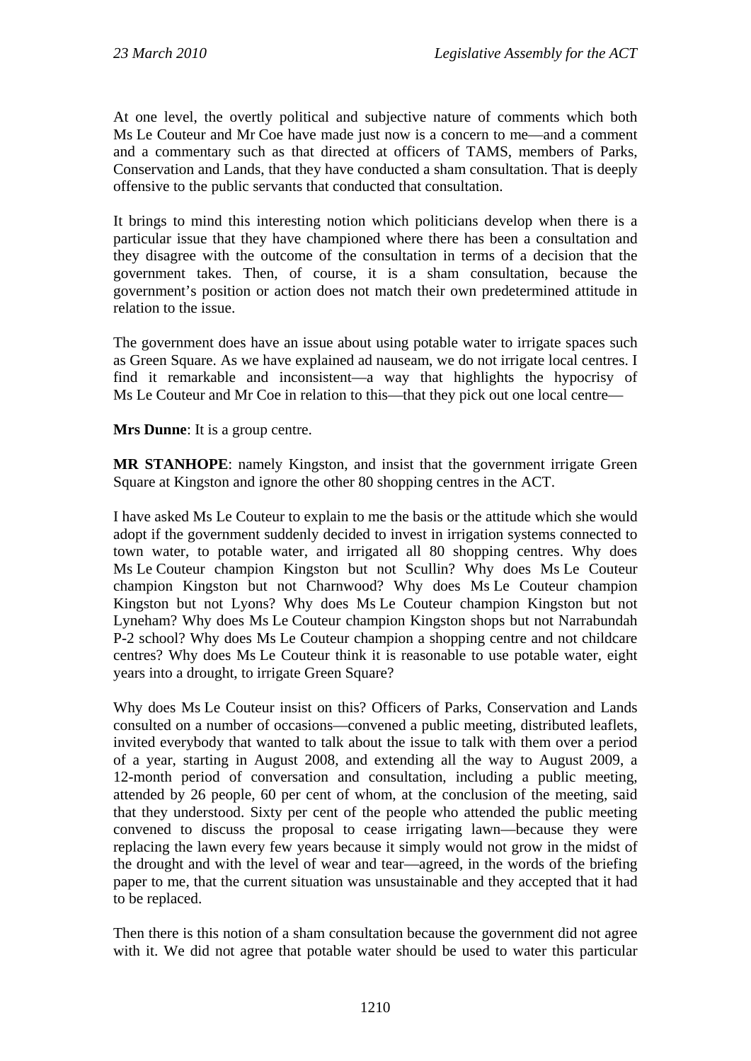At one level, the overtly political and subjective nature of comments which both Ms Le Couteur and Mr Coe have made just now is a concern to me—and a comment and a commentary such as that directed at officers of TAMS, members of Parks, Conservation and Lands, that they have conducted a sham consultation. That is deeply offensive to the public servants that conducted that consultation.

It brings to mind this interesting notion which politicians develop when there is a particular issue that they have championed where there has been a consultation and they disagree with the outcome of the consultation in terms of a decision that the government takes. Then, of course, it is a sham consultation, because the government's position or action does not match their own predetermined attitude in relation to the issue.

The government does have an issue about using potable water to irrigate spaces such as Green Square. As we have explained ad nauseam, we do not irrigate local centres. I find it remarkable and inconsistent—a way that highlights the hypocrisy of Ms Le Couteur and Mr Coe in relation to this—that they pick out one local centre—

**Mrs Dunne**: It is a group centre.

**MR STANHOPE**: namely Kingston, and insist that the government irrigate Green Square at Kingston and ignore the other 80 shopping centres in the ACT.

I have asked Ms Le Couteur to explain to me the basis or the attitude which she would adopt if the government suddenly decided to invest in irrigation systems connected to town water, to potable water, and irrigated all 80 shopping centres. Why does Ms Le Couteur champion Kingston but not Scullin? Why does Ms Le Couteur champion Kingston but not Charnwood? Why does Ms Le Couteur champion Kingston but not Lyons? Why does Ms Le Couteur champion Kingston but not Lyneham? Why does Ms Le Couteur champion Kingston shops but not Narrabundah P-2 school? Why does Ms Le Couteur champion a shopping centre and not childcare centres? Why does Ms Le Couteur think it is reasonable to use potable water, eight years into a drought, to irrigate Green Square?

Why does Ms Le Couteur insist on this? Officers of Parks, Conservation and Lands consulted on a number of occasions—convened a public meeting, distributed leaflets, invited everybody that wanted to talk about the issue to talk with them over a period of a year, starting in August 2008, and extending all the way to August 2009, a 12-month period of conversation and consultation, including a public meeting, attended by 26 people, 60 per cent of whom, at the conclusion of the meeting, said that they understood. Sixty per cent of the people who attended the public meeting convened to discuss the proposal to cease irrigating lawn—because they were replacing the lawn every few years because it simply would not grow in the midst of the drought and with the level of wear and tear—agreed, in the words of the briefing paper to me, that the current situation was unsustainable and they accepted that it had to be replaced.

Then there is this notion of a sham consultation because the government did not agree with it. We did not agree that potable water should be used to water this particular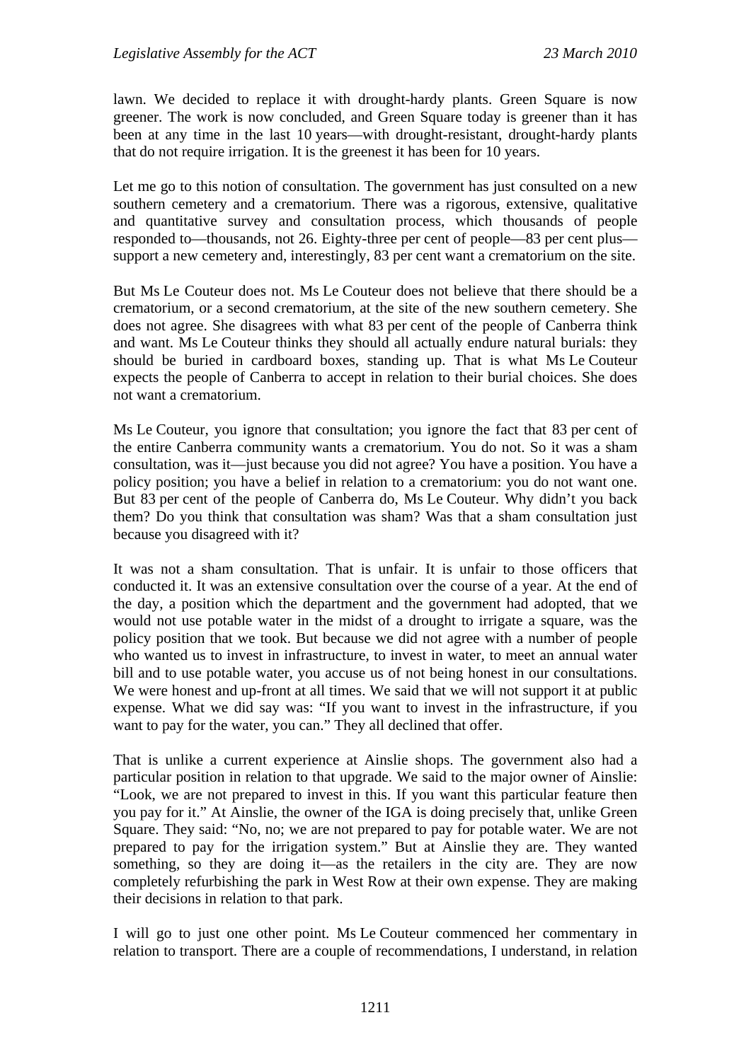lawn. We decided to replace it with drought-hardy plants. Green Square is now greener. The work is now concluded, and Green Square today is greener than it has been at any time in the last 10 years—with drought-resistant, drought-hardy plants that do not require irrigation. It is the greenest it has been for 10 years.

Let me go to this notion of consultation. The government has just consulted on a new southern cemetery and a crematorium. There was a rigorous, extensive, qualitative and quantitative survey and consultation process, which thousands of people responded to—thousands, not 26. Eighty-three per cent of people—83 per cent plus support a new cemetery and, interestingly, 83 per cent want a crematorium on the site.

But Ms Le Couteur does not. Ms Le Couteur does not believe that there should be a crematorium, or a second crematorium, at the site of the new southern cemetery. She does not agree. She disagrees with what 83 per cent of the people of Canberra think and want. Ms Le Couteur thinks they should all actually endure natural burials: they should be buried in cardboard boxes, standing up. That is what Ms Le Couteur expects the people of Canberra to accept in relation to their burial choices. She does not want a crematorium.

Ms Le Couteur, you ignore that consultation; you ignore the fact that 83 per cent of the entire Canberra community wants a crematorium. You do not. So it was a sham consultation, was it—just because you did not agree? You have a position. You have a policy position; you have a belief in relation to a crematorium: you do not want one. But 83 per cent of the people of Canberra do, Ms Le Couteur. Why didn't you back them? Do you think that consultation was sham? Was that a sham consultation just because you disagreed with it?

It was not a sham consultation. That is unfair. It is unfair to those officers that conducted it. It was an extensive consultation over the course of a year. At the end of the day, a position which the department and the government had adopted, that we would not use potable water in the midst of a drought to irrigate a square, was the policy position that we took. But because we did not agree with a number of people who wanted us to invest in infrastructure, to invest in water, to meet an annual water bill and to use potable water, you accuse us of not being honest in our consultations. We were honest and up-front at all times. We said that we will not support it at public expense. What we did say was: "If you want to invest in the infrastructure, if you want to pay for the water, you can." They all declined that offer.

That is unlike a current experience at Ainslie shops. The government also had a particular position in relation to that upgrade. We said to the major owner of Ainslie: "Look, we are not prepared to invest in this. If you want this particular feature then you pay for it." At Ainslie, the owner of the IGA is doing precisely that, unlike Green Square. They said: "No, no; we are not prepared to pay for potable water. We are not prepared to pay for the irrigation system." But at Ainslie they are. They wanted something, so they are doing it—as the retailers in the city are. They are now completely refurbishing the park in West Row at their own expense. They are making their decisions in relation to that park.

I will go to just one other point. Ms Le Couteur commenced her commentary in relation to transport. There are a couple of recommendations, I understand, in relation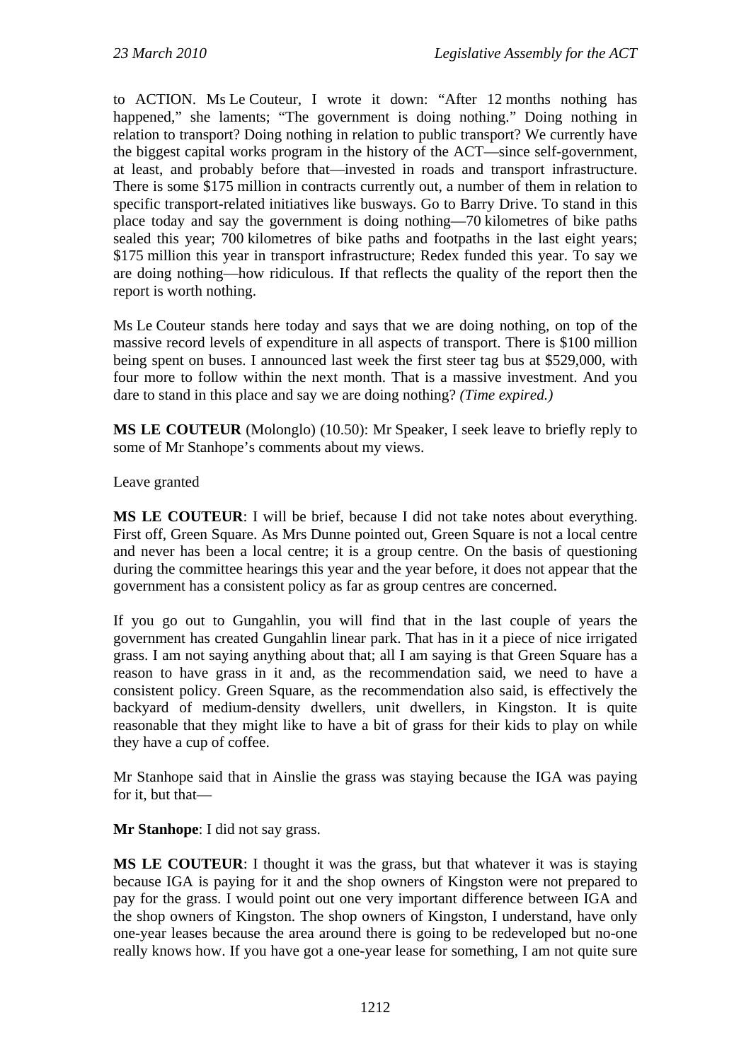to ACTION. Ms Le Couteur, I wrote it down: "After 12 months nothing has happened," she laments; "The government is doing nothing." Doing nothing in relation to transport? Doing nothing in relation to public transport? We currently have the biggest capital works program in the history of the ACT—since self-government, at least, and probably before that—invested in roads and transport infrastructure. There is some \$175 million in contracts currently out, a number of them in relation to specific transport-related initiatives like busways. Go to Barry Drive. To stand in this place today and say the government is doing nothing—70 kilometres of bike paths sealed this year; 700 kilometres of bike paths and footpaths in the last eight years; \$175 million this year in transport infrastructure; Redex funded this year. To say we are doing nothing—how ridiculous. If that reflects the quality of the report then the report is worth nothing.

Ms Le Couteur stands here today and says that we are doing nothing, on top of the massive record levels of expenditure in all aspects of transport. There is \$100 million being spent on buses. I announced last week the first steer tag bus at \$529,000, with four more to follow within the next month. That is a massive investment. And you dare to stand in this place and say we are doing nothing? *(Time expired.)*

**MS LE COUTEUR** (Molonglo) (10.50): Mr Speaker, I seek leave to briefly reply to some of Mr Stanhope's comments about my views.

Leave granted

**MS LE COUTEUR**: I will be brief, because I did not take notes about everything. First off, Green Square. As Mrs Dunne pointed out, Green Square is not a local centre and never has been a local centre; it is a group centre. On the basis of questioning during the committee hearings this year and the year before, it does not appear that the government has a consistent policy as far as group centres are concerned.

If you go out to Gungahlin, you will find that in the last couple of years the government has created Gungahlin linear park. That has in it a piece of nice irrigated grass. I am not saying anything about that; all I am saying is that Green Square has a reason to have grass in it and, as the recommendation said, we need to have a consistent policy. Green Square, as the recommendation also said, is effectively the backyard of medium-density dwellers, unit dwellers, in Kingston. It is quite reasonable that they might like to have a bit of grass for their kids to play on while they have a cup of coffee.

Mr Stanhope said that in Ainslie the grass was staying because the IGA was paying for it, but that—

**Mr Stanhope**: I did not say grass.

**MS LE COUTEUR**: I thought it was the grass, but that whatever it was is staying because IGA is paying for it and the shop owners of Kingston were not prepared to pay for the grass. I would point out one very important difference between IGA and the shop owners of Kingston. The shop owners of Kingston, I understand, have only one-year leases because the area around there is going to be redeveloped but no-one really knows how. If you have got a one-year lease for something, I am not quite sure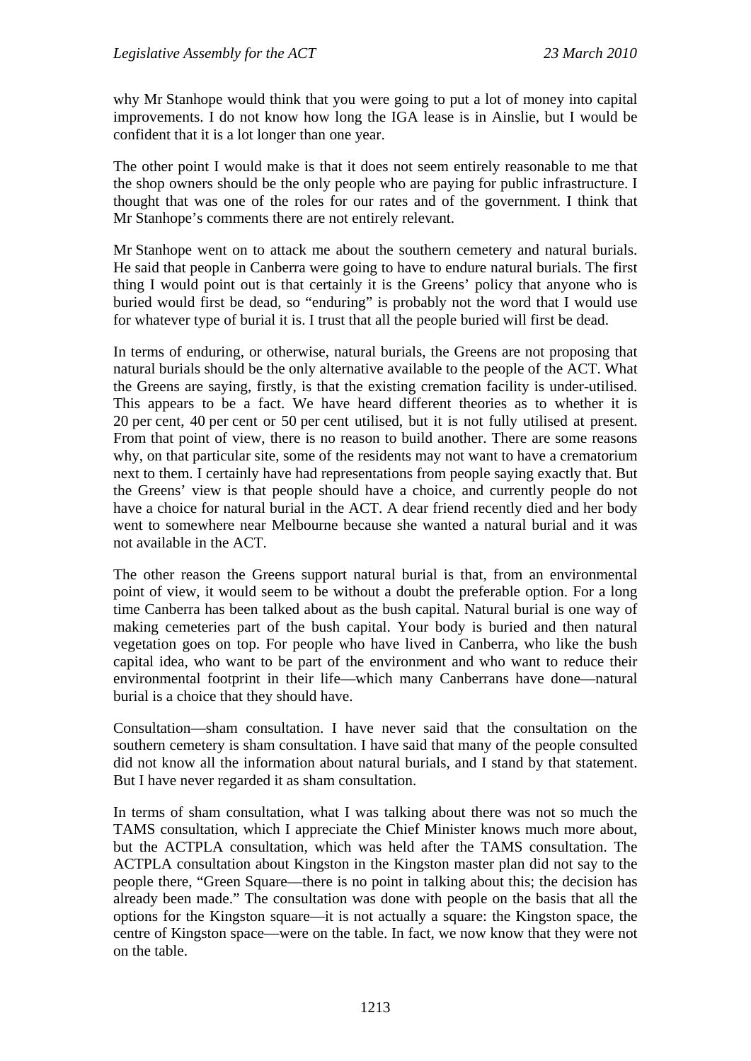why Mr Stanhope would think that you were going to put a lot of money into capital improvements. I do not know how long the IGA lease is in Ainslie, but I would be confident that it is a lot longer than one year.

The other point I would make is that it does not seem entirely reasonable to me that the shop owners should be the only people who are paying for public infrastructure. I thought that was one of the roles for our rates and of the government. I think that Mr Stanhope's comments there are not entirely relevant.

Mr Stanhope went on to attack me about the southern cemetery and natural burials. He said that people in Canberra were going to have to endure natural burials. The first thing I would point out is that certainly it is the Greens' policy that anyone who is buried would first be dead, so "enduring" is probably not the word that I would use for whatever type of burial it is. I trust that all the people buried will first be dead.

In terms of enduring, or otherwise, natural burials, the Greens are not proposing that natural burials should be the only alternative available to the people of the ACT. What the Greens are saying, firstly, is that the existing cremation facility is under-utilised. This appears to be a fact. We have heard different theories as to whether it is 20 per cent, 40 per cent or 50 per cent utilised, but it is not fully utilised at present. From that point of view, there is no reason to build another. There are some reasons why, on that particular site, some of the residents may not want to have a crematorium next to them. I certainly have had representations from people saying exactly that. But the Greens' view is that people should have a choice, and currently people do not have a choice for natural burial in the ACT. A dear friend recently died and her body went to somewhere near Melbourne because she wanted a natural burial and it was not available in the ACT.

The other reason the Greens support natural burial is that, from an environmental point of view, it would seem to be without a doubt the preferable option. For a long time Canberra has been talked about as the bush capital. Natural burial is one way of making cemeteries part of the bush capital. Your body is buried and then natural vegetation goes on top. For people who have lived in Canberra, who like the bush capital idea, who want to be part of the environment and who want to reduce their environmental footprint in their life—which many Canberrans have done—natural burial is a choice that they should have.

Consultation—sham consultation. I have never said that the consultation on the southern cemetery is sham consultation. I have said that many of the people consulted did not know all the information about natural burials, and I stand by that statement. But I have never regarded it as sham consultation.

In terms of sham consultation, what I was talking about there was not so much the TAMS consultation, which I appreciate the Chief Minister knows much more about, but the ACTPLA consultation, which was held after the TAMS consultation. The ACTPLA consultation about Kingston in the Kingston master plan did not say to the people there, "Green Square—there is no point in talking about this; the decision has already been made." The consultation was done with people on the basis that all the options for the Kingston square—it is not actually a square: the Kingston space, the centre of Kingston space—were on the table. In fact, we now know that they were not on the table.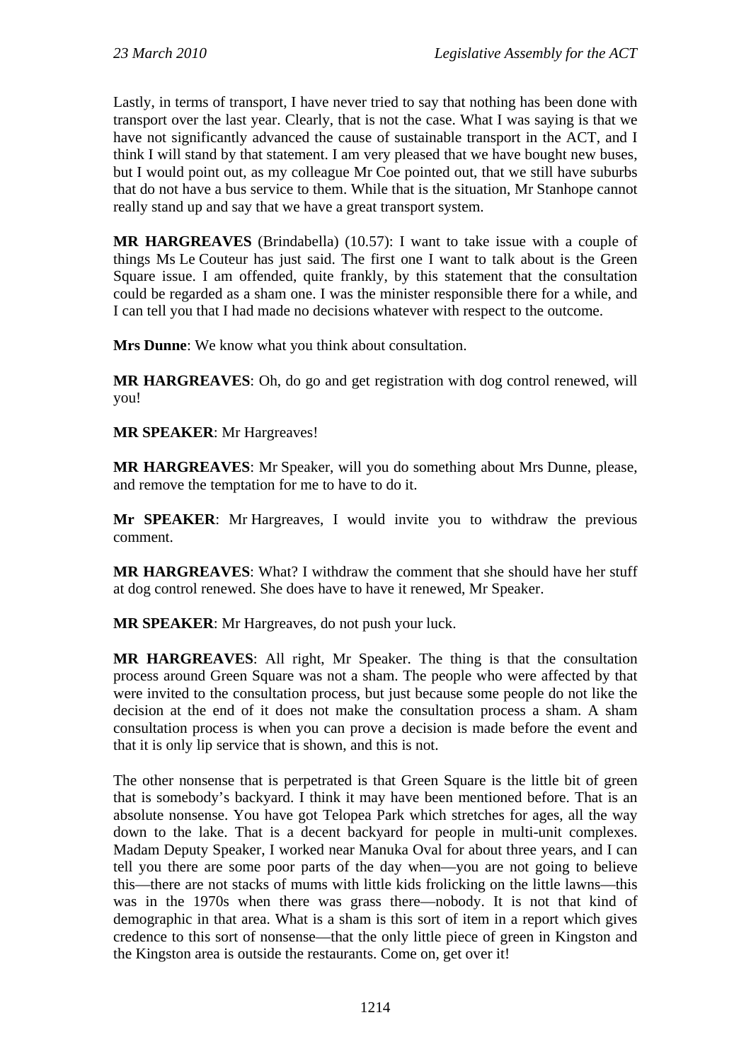Lastly, in terms of transport, I have never tried to say that nothing has been done with transport over the last year. Clearly, that is not the case. What I was saying is that we have not significantly advanced the cause of sustainable transport in the ACT, and I think I will stand by that statement. I am very pleased that we have bought new buses, but I would point out, as my colleague Mr Coe pointed out, that we still have suburbs that do not have a bus service to them. While that is the situation, Mr Stanhope cannot really stand up and say that we have a great transport system.

**MR HARGREAVES** (Brindabella) (10.57): I want to take issue with a couple of things Ms Le Couteur has just said. The first one I want to talk about is the Green Square issue. I am offended, quite frankly, by this statement that the consultation could be regarded as a sham one. I was the minister responsible there for a while, and I can tell you that I had made no decisions whatever with respect to the outcome.

**Mrs Dunne**: We know what you think about consultation.

**MR HARGREAVES**: Oh, do go and get registration with dog control renewed, will you!

**MR SPEAKER**: Mr Hargreaves!

**MR HARGREAVES**: Mr Speaker, will you do something about Mrs Dunne, please, and remove the temptation for me to have to do it.

**Mr SPEAKER**: Mr Hargreaves, I would invite you to withdraw the previous comment.

**MR HARGREAVES**: What? I withdraw the comment that she should have her stuff at dog control renewed. She does have to have it renewed, Mr Speaker.

**MR SPEAKER**: Mr Hargreaves, do not push your luck.

**MR HARGREAVES**: All right, Mr Speaker. The thing is that the consultation process around Green Square was not a sham. The people who were affected by that were invited to the consultation process, but just because some people do not like the decision at the end of it does not make the consultation process a sham. A sham consultation process is when you can prove a decision is made before the event and that it is only lip service that is shown, and this is not.

The other nonsense that is perpetrated is that Green Square is the little bit of green that is somebody's backyard. I think it may have been mentioned before. That is an absolute nonsense. You have got Telopea Park which stretches for ages, all the way down to the lake. That is a decent backyard for people in multi-unit complexes. Madam Deputy Speaker, I worked near Manuka Oval for about three years, and I can tell you there are some poor parts of the day when—you are not going to believe this—there are not stacks of mums with little kids frolicking on the little lawns—this was in the 1970s when there was grass there—nobody. It is not that kind of demographic in that area. What is a sham is this sort of item in a report which gives credence to this sort of nonsense—that the only little piece of green in Kingston and the Kingston area is outside the restaurants. Come on, get over it!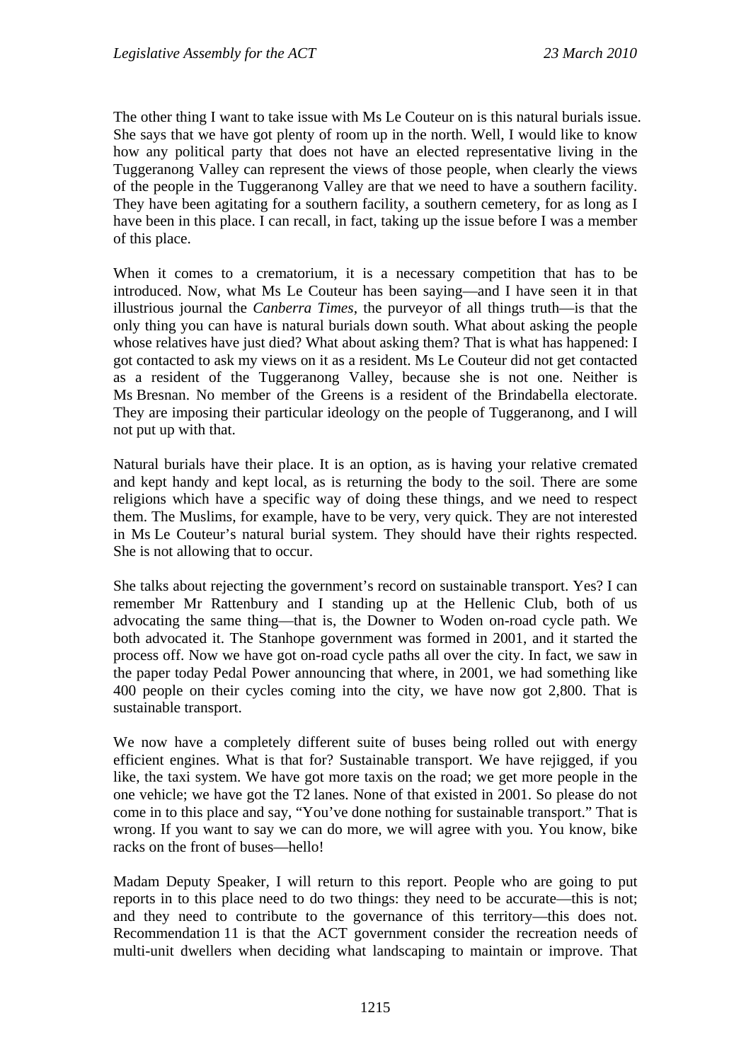The other thing I want to take issue with Ms Le Couteur on is this natural burials issue. She says that we have got plenty of room up in the north. Well, I would like to know how any political party that does not have an elected representative living in the Tuggeranong Valley can represent the views of those people, when clearly the views of the people in the Tuggeranong Valley are that we need to have a southern facility. They have been agitating for a southern facility, a southern cemetery, for as long as I have been in this place. I can recall, in fact, taking up the issue before I was a member of this place.

When it comes to a crematorium, it is a necessary competition that has to be introduced. Now, what Ms Le Couteur has been saying—and I have seen it in that illustrious journal the *Canberra Times*, the purveyor of all things truth—is that the only thing you can have is natural burials down south. What about asking the people whose relatives have just died? What about asking them? That is what has happened: I got contacted to ask my views on it as a resident. Ms Le Couteur did not get contacted as a resident of the Tuggeranong Valley, because she is not one. Neither is Ms Bresnan. No member of the Greens is a resident of the Brindabella electorate. They are imposing their particular ideology on the people of Tuggeranong, and I will not put up with that.

Natural burials have their place. It is an option, as is having your relative cremated and kept handy and kept local, as is returning the body to the soil. There are some religions which have a specific way of doing these things, and we need to respect them. The Muslims, for example, have to be very, very quick. They are not interested in Ms Le Couteur's natural burial system. They should have their rights respected. She is not allowing that to occur.

She talks about rejecting the government's record on sustainable transport. Yes? I can remember Mr Rattenbury and I standing up at the Hellenic Club, both of us advocating the same thing—that is, the Downer to Woden on-road cycle path. We both advocated it. The Stanhope government was formed in 2001, and it started the process off. Now we have got on-road cycle paths all over the city. In fact, we saw in the paper today Pedal Power announcing that where, in 2001, we had something like 400 people on their cycles coming into the city, we have now got 2,800. That is sustainable transport.

We now have a completely different suite of buses being rolled out with energy efficient engines. What is that for? Sustainable transport. We have rejigged, if you like, the taxi system. We have got more taxis on the road; we get more people in the one vehicle; we have got the T2 lanes. None of that existed in 2001. So please do not come in to this place and say, "You've done nothing for sustainable transport." That is wrong. If you want to say we can do more, we will agree with you. You know, bike racks on the front of buses—hello!

Madam Deputy Speaker, I will return to this report. People who are going to put reports in to this place need to do two things: they need to be accurate—this is not; and they need to contribute to the governance of this territory—this does not. Recommendation 11 is that the ACT government consider the recreation needs of multi-unit dwellers when deciding what landscaping to maintain or improve. That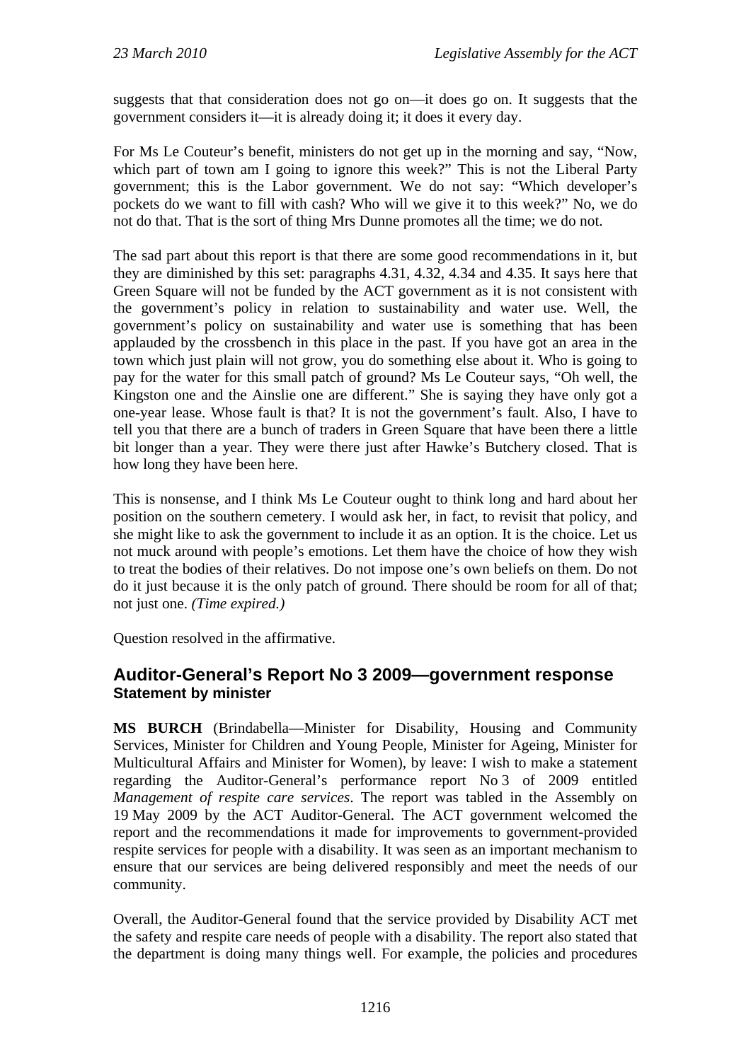suggests that that consideration does not go on—it does go on. It suggests that the government considers it—it is already doing it; it does it every day.

For Ms Le Couteur's benefit, ministers do not get up in the morning and say, "Now, which part of town am I going to ignore this week?" This is not the Liberal Party government; this is the Labor government. We do not say: "Which developer's pockets do we want to fill with cash? Who will we give it to this week?" No, we do not do that. That is the sort of thing Mrs Dunne promotes all the time; we do not.

The sad part about this report is that there are some good recommendations in it, but they are diminished by this set: paragraphs 4.31, 4.32, 4.34 and 4.35. It says here that Green Square will not be funded by the ACT government as it is not consistent with the government's policy in relation to sustainability and water use. Well, the government's policy on sustainability and water use is something that has been applauded by the crossbench in this place in the past. If you have got an area in the town which just plain will not grow, you do something else about it. Who is going to pay for the water for this small patch of ground? Ms Le Couteur says, "Oh well, the Kingston one and the Ainslie one are different." She is saying they have only got a one-year lease. Whose fault is that? It is not the government's fault. Also, I have to tell you that there are a bunch of traders in Green Square that have been there a little bit longer than a year. They were there just after Hawke's Butchery closed. That is how long they have been here.

This is nonsense, and I think Ms Le Couteur ought to think long and hard about her position on the southern cemetery. I would ask her, in fact, to revisit that policy, and she might like to ask the government to include it as an option. It is the choice. Let us not muck around with people's emotions. Let them have the choice of how they wish to treat the bodies of their relatives. Do not impose one's own beliefs on them. Do not do it just because it is the only patch of ground. There should be room for all of that; not just one. *(Time expired.)*

Question resolved in the affirmative.

#### <span id="page-19-0"></span>**Auditor-General's Report No 3 2009—government response Statement by minister**

**MS BURCH** (Brindabella—Minister for Disability, Housing and Community Services, Minister for Children and Young People, Minister for Ageing, Minister for Multicultural Affairs and Minister for Women), by leave: I wish to make a statement regarding the Auditor-General's performance report No 3 of 2009 entitled *Management of respite care services*. The report was tabled in the Assembly on 19 May 2009 by the ACT Auditor-General. The ACT government welcomed the report and the recommendations it made for improvements to government-provided respite services for people with a disability. It was seen as an important mechanism to ensure that our services are being delivered responsibly and meet the needs of our community.

Overall, the Auditor-General found that the service provided by Disability ACT met the safety and respite care needs of people with a disability. The report also stated that the department is doing many things well. For example, the policies and procedures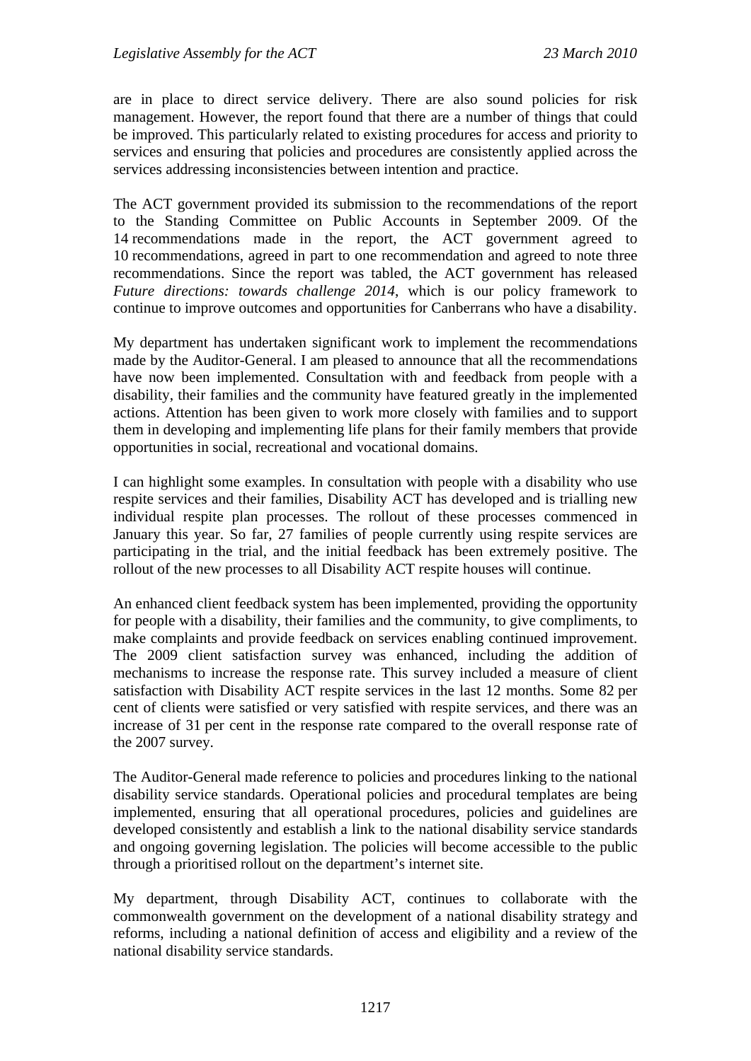are in place to direct service delivery. There are also sound policies for risk management. However, the report found that there are a number of things that could be improved. This particularly related to existing procedures for access and priority to services and ensuring that policies and procedures are consistently applied across the services addressing inconsistencies between intention and practice.

The ACT government provided its submission to the recommendations of the report to the Standing Committee on Public Accounts in September 2009. Of the 14 recommendations made in the report, the ACT government agreed to 10 recommendations, agreed in part to one recommendation and agreed to note three recommendations. Since the report was tabled, the ACT government has released *Future directions: towards challenge 2014*, which is our policy framework to continue to improve outcomes and opportunities for Canberrans who have a disability.

My department has undertaken significant work to implement the recommendations made by the Auditor-General. I am pleased to announce that all the recommendations have now been implemented. Consultation with and feedback from people with a disability, their families and the community have featured greatly in the implemented actions. Attention has been given to work more closely with families and to support them in developing and implementing life plans for their family members that provide opportunities in social, recreational and vocational domains.

I can highlight some examples. In consultation with people with a disability who use respite services and their families, Disability ACT has developed and is trialling new individual respite plan processes. The rollout of these processes commenced in January this year. So far, 27 families of people currently using respite services are participating in the trial, and the initial feedback has been extremely positive. The rollout of the new processes to all Disability ACT respite houses will continue.

An enhanced client feedback system has been implemented, providing the opportunity for people with a disability, their families and the community, to give compliments, to make complaints and provide feedback on services enabling continued improvement. The 2009 client satisfaction survey was enhanced, including the addition of mechanisms to increase the response rate. This survey included a measure of client satisfaction with Disability ACT respite services in the last 12 months. Some 82 per cent of clients were satisfied or very satisfied with respite services, and there was an increase of 31 per cent in the response rate compared to the overall response rate of the 2007 survey.

The Auditor-General made reference to policies and procedures linking to the national disability service standards. Operational policies and procedural templates are being implemented, ensuring that all operational procedures, policies and guidelines are developed consistently and establish a link to the national disability service standards and ongoing governing legislation. The policies will become accessible to the public through a prioritised rollout on the department's internet site.

My department, through Disability ACT, continues to collaborate with the commonwealth government on the development of a national disability strategy and reforms, including a national definition of access and eligibility and a review of the national disability service standards.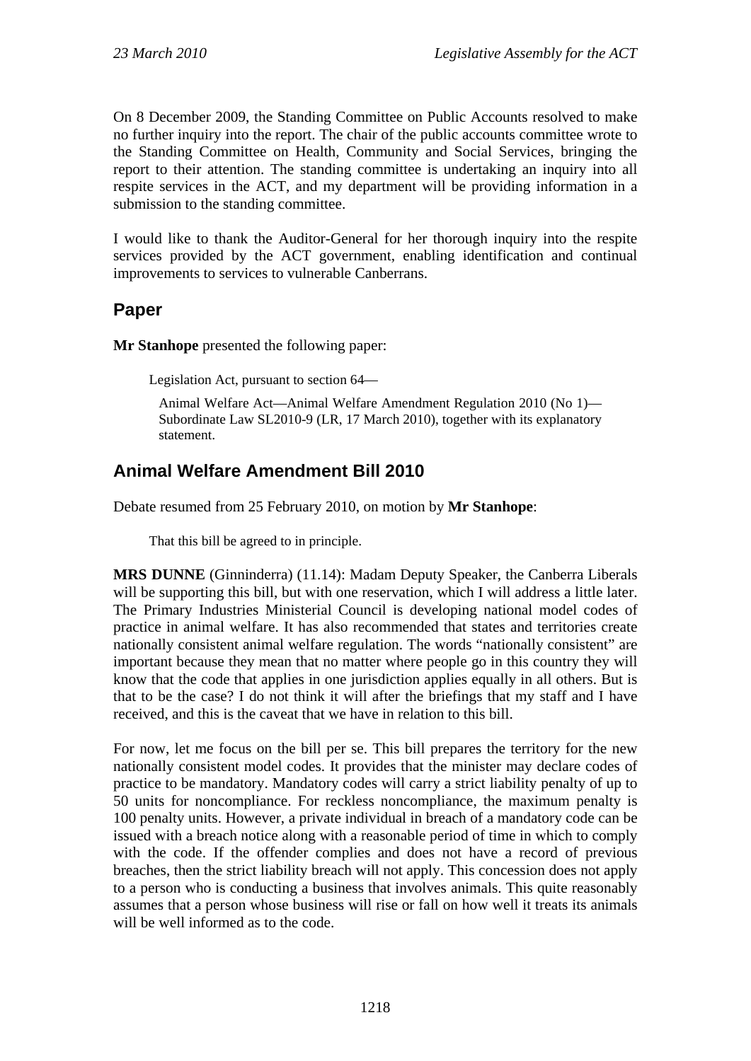On 8 December 2009, the Standing Committee on Public Accounts resolved to make no further inquiry into the report. The chair of the public accounts committee wrote to the Standing Committee on Health, Community and Social Services, bringing the report to their attention. The standing committee is undertaking an inquiry into all respite services in the ACT, and my department will be providing information in a submission to the standing committee.

I would like to thank the Auditor-General for her thorough inquiry into the respite services provided by the ACT government, enabling identification and continual improvements to services to vulnerable Canberrans.

### <span id="page-21-0"></span>**Paper**

**Mr Stanhope** presented the following paper:

Legislation Act, pursuant to section 64—

Animal Welfare Act—Animal Welfare Amendment Regulation 2010 (No 1)— Subordinate Law SL2010-9 (LR, 17 March 2010), together with its explanatory statement.

# <span id="page-21-1"></span>**Animal Welfare Amendment Bill 2010**

Debate resumed from 25 February 2010, on motion by **Mr Stanhope**:

That this bill be agreed to in principle.

**MRS DUNNE** (Ginninderra) (11.14): Madam Deputy Speaker, the Canberra Liberals will be supporting this bill, but with one reservation, which I will address a little later. The Primary Industries Ministerial Council is developing national model codes of practice in animal welfare. It has also recommended that states and territories create nationally consistent animal welfare regulation. The words "nationally consistent" are important because they mean that no matter where people go in this country they will know that the code that applies in one jurisdiction applies equally in all others. But is that to be the case? I do not think it will after the briefings that my staff and I have received, and this is the caveat that we have in relation to this bill.

For now, let me focus on the bill per se. This bill prepares the territory for the new nationally consistent model codes. It provides that the minister may declare codes of practice to be mandatory. Mandatory codes will carry a strict liability penalty of up to 50 units for noncompliance. For reckless noncompliance, the maximum penalty is 100 penalty units. However, a private individual in breach of a mandatory code can be issued with a breach notice along with a reasonable period of time in which to comply with the code. If the offender complies and does not have a record of previous breaches, then the strict liability breach will not apply. This concession does not apply to a person who is conducting a business that involves animals. This quite reasonably assumes that a person whose business will rise or fall on how well it treats its animals will be well informed as to the code.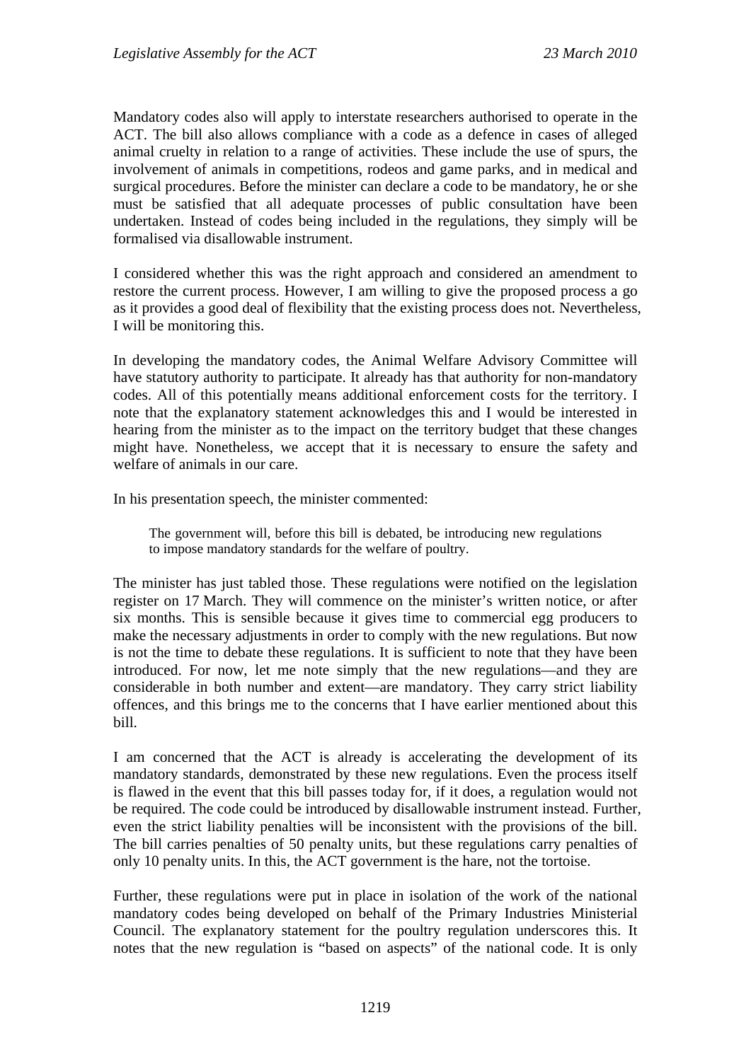Mandatory codes also will apply to interstate researchers authorised to operate in the ACT. The bill also allows compliance with a code as a defence in cases of alleged animal cruelty in relation to a range of activities. These include the use of spurs, the involvement of animals in competitions, rodeos and game parks, and in medical and surgical procedures. Before the minister can declare a code to be mandatory, he or she must be satisfied that all adequate processes of public consultation have been undertaken. Instead of codes being included in the regulations, they simply will be formalised via disallowable instrument.

I considered whether this was the right approach and considered an amendment to restore the current process. However, I am willing to give the proposed process a go as it provides a good deal of flexibility that the existing process does not. Nevertheless, I will be monitoring this.

In developing the mandatory codes, the Animal Welfare Advisory Committee will have statutory authority to participate. It already has that authority for non-mandatory codes. All of this potentially means additional enforcement costs for the territory. I note that the explanatory statement acknowledges this and I would be interested in hearing from the minister as to the impact on the territory budget that these changes might have. Nonetheless, we accept that it is necessary to ensure the safety and welfare of animals in our care.

In his presentation speech, the minister commented:

The government will, before this bill is debated, be introducing new regulations to impose mandatory standards for the welfare of poultry.

The minister has just tabled those. These regulations were notified on the legislation register on 17 March. They will commence on the minister's written notice, or after six months. This is sensible because it gives time to commercial egg producers to make the necessary adjustments in order to comply with the new regulations. But now is not the time to debate these regulations. It is sufficient to note that they have been introduced. For now, let me note simply that the new regulations—and they are considerable in both number and extent—are mandatory. They carry strict liability offences, and this brings me to the concerns that I have earlier mentioned about this bill.

I am concerned that the ACT is already is accelerating the development of its mandatory standards, demonstrated by these new regulations. Even the process itself is flawed in the event that this bill passes today for, if it does, a regulation would not be required. The code could be introduced by disallowable instrument instead. Further, even the strict liability penalties will be inconsistent with the provisions of the bill. The bill carries penalties of 50 penalty units, but these regulations carry penalties of only 10 penalty units. In this, the ACT government is the hare, not the tortoise.

Further, these regulations were put in place in isolation of the work of the national mandatory codes being developed on behalf of the Primary Industries Ministerial Council. The explanatory statement for the poultry regulation underscores this. It notes that the new regulation is "based on aspects" of the national code. It is only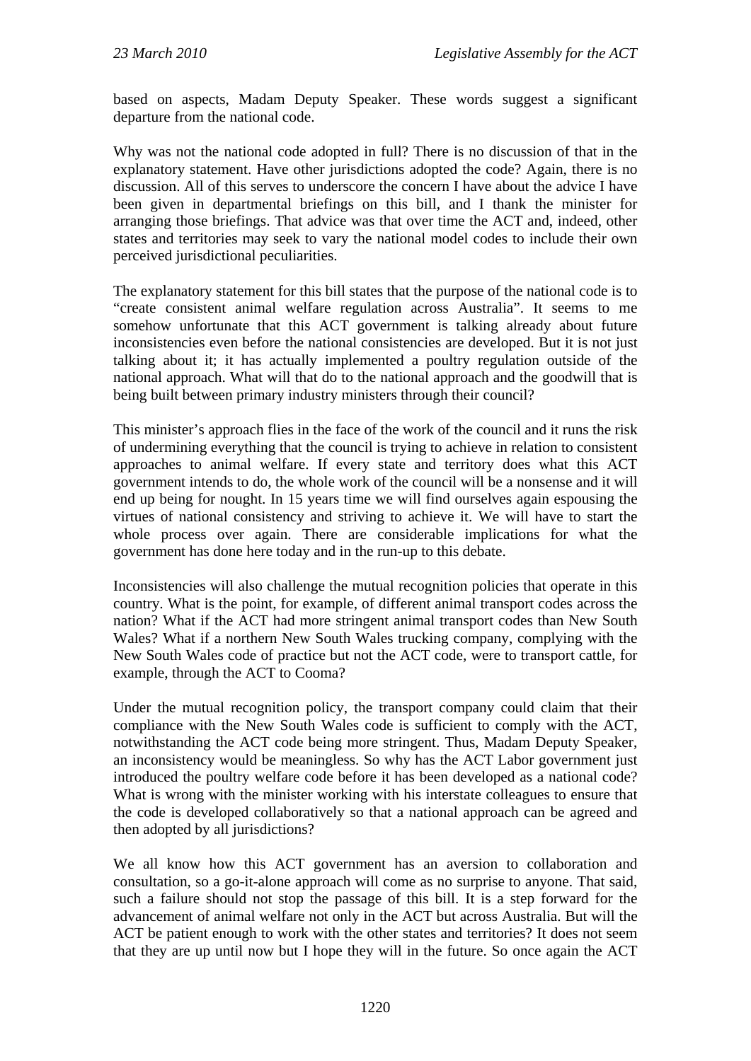based on aspects, Madam Deputy Speaker. These words suggest a significant departure from the national code.

Why was not the national code adopted in full? There is no discussion of that in the explanatory statement. Have other jurisdictions adopted the code? Again, there is no discussion. All of this serves to underscore the concern I have about the advice I have been given in departmental briefings on this bill, and I thank the minister for arranging those briefings. That advice was that over time the ACT and, indeed, other states and territories may seek to vary the national model codes to include their own perceived jurisdictional peculiarities.

The explanatory statement for this bill states that the purpose of the national code is to "create consistent animal welfare regulation across Australia". It seems to me somehow unfortunate that this ACT government is talking already about future inconsistencies even before the national consistencies are developed. But it is not just talking about it; it has actually implemented a poultry regulation outside of the national approach. What will that do to the national approach and the goodwill that is being built between primary industry ministers through their council?

This minister's approach flies in the face of the work of the council and it runs the risk of undermining everything that the council is trying to achieve in relation to consistent approaches to animal welfare. If every state and territory does what this ACT government intends to do, the whole work of the council will be a nonsense and it will end up being for nought. In 15 years time we will find ourselves again espousing the virtues of national consistency and striving to achieve it. We will have to start the whole process over again. There are considerable implications for what the government has done here today and in the run-up to this debate.

Inconsistencies will also challenge the mutual recognition policies that operate in this country. What is the point, for example, of different animal transport codes across the nation? What if the ACT had more stringent animal transport codes than New South Wales? What if a northern New South Wales trucking company, complying with the New South Wales code of practice but not the ACT code, were to transport cattle, for example, through the ACT to Cooma?

Under the mutual recognition policy, the transport company could claim that their compliance with the New South Wales code is sufficient to comply with the ACT, notwithstanding the ACT code being more stringent. Thus, Madam Deputy Speaker, an inconsistency would be meaningless. So why has the ACT Labor government just introduced the poultry welfare code before it has been developed as a national code? What is wrong with the minister working with his interstate colleagues to ensure that the code is developed collaboratively so that a national approach can be agreed and then adopted by all jurisdictions?

We all know how this ACT government has an aversion to collaboration and consultation, so a go-it-alone approach will come as no surprise to anyone. That said, such a failure should not stop the passage of this bill. It is a step forward for the advancement of animal welfare not only in the ACT but across Australia. But will the ACT be patient enough to work with the other states and territories? It does not seem that they are up until now but I hope they will in the future. So once again the ACT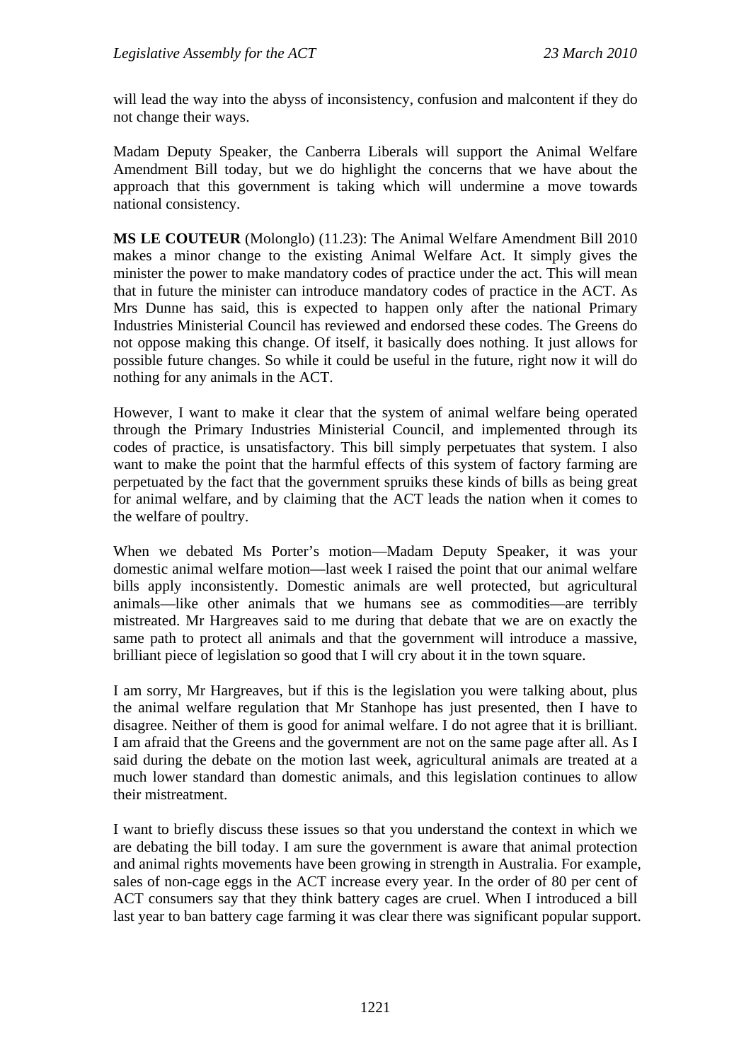will lead the way into the abyss of inconsistency, confusion and malcontent if they do not change their ways.

Madam Deputy Speaker, the Canberra Liberals will support the Animal Welfare Amendment Bill today, but we do highlight the concerns that we have about the approach that this government is taking which will undermine a move towards national consistency.

**MS LE COUTEUR** (Molonglo) (11.23): The Animal Welfare Amendment Bill 2010 makes a minor change to the existing Animal Welfare Act. It simply gives the minister the power to make mandatory codes of practice under the act. This will mean that in future the minister can introduce mandatory codes of practice in the ACT. As Mrs Dunne has said, this is expected to happen only after the national Primary Industries Ministerial Council has reviewed and endorsed these codes. The Greens do not oppose making this change. Of itself, it basically does nothing. It just allows for possible future changes. So while it could be useful in the future, right now it will do nothing for any animals in the ACT.

However, I want to make it clear that the system of animal welfare being operated through the Primary Industries Ministerial Council, and implemented through its codes of practice, is unsatisfactory. This bill simply perpetuates that system. I also want to make the point that the harmful effects of this system of factory farming are perpetuated by the fact that the government spruiks these kinds of bills as being great for animal welfare, and by claiming that the ACT leads the nation when it comes to the welfare of poultry.

When we debated Ms Porter's motion—Madam Deputy Speaker, it was your domestic animal welfare motion—last week I raised the point that our animal welfare bills apply inconsistently. Domestic animals are well protected, but agricultural animals—like other animals that we humans see as commodities—are terribly mistreated. Mr Hargreaves said to me during that debate that we are on exactly the same path to protect all animals and that the government will introduce a massive, brilliant piece of legislation so good that I will cry about it in the town square.

I am sorry, Mr Hargreaves, but if this is the legislation you were talking about, plus the animal welfare regulation that Mr Stanhope has just presented, then I have to disagree. Neither of them is good for animal welfare. I do not agree that it is brilliant. I am afraid that the Greens and the government are not on the same page after all. As I said during the debate on the motion last week, agricultural animals are treated at a much lower standard than domestic animals, and this legislation continues to allow their mistreatment.

I want to briefly discuss these issues so that you understand the context in which we are debating the bill today. I am sure the government is aware that animal protection and animal rights movements have been growing in strength in Australia. For example, sales of non-cage eggs in the ACT increase every year. In the order of 80 per cent of ACT consumers say that they think battery cages are cruel. When I introduced a bill last year to ban battery cage farming it was clear there was significant popular support.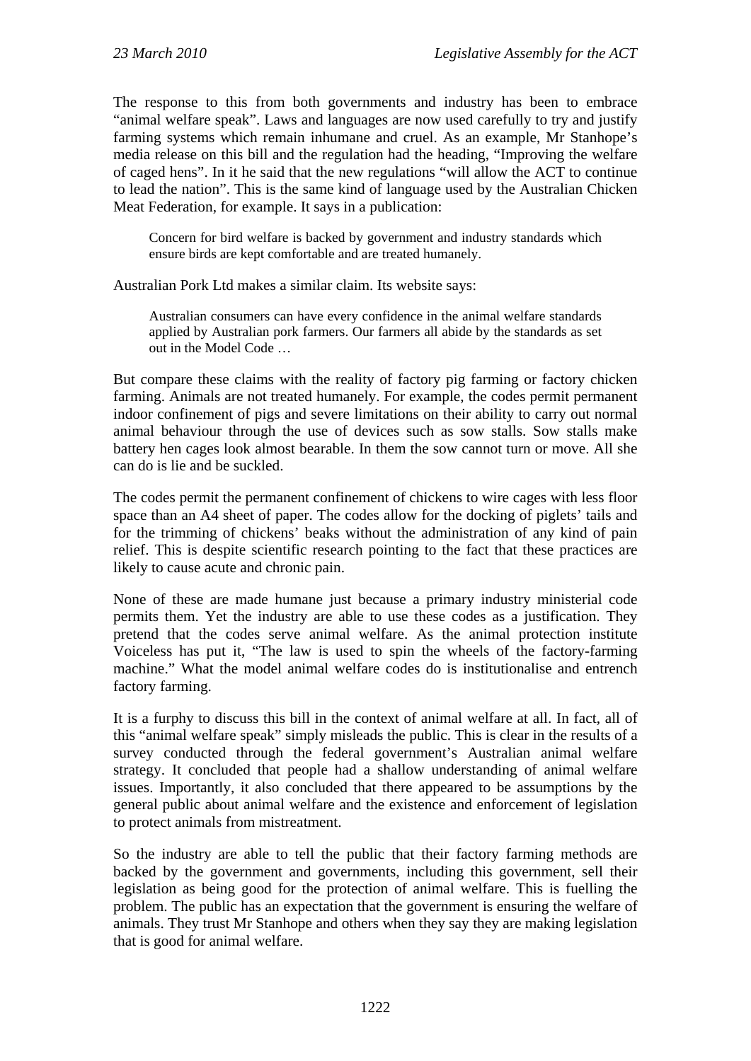The response to this from both governments and industry has been to embrace "animal welfare speak". Laws and languages are now used carefully to try and justify farming systems which remain inhumane and cruel. As an example, Mr Stanhope's media release on this bill and the regulation had the heading, "Improving the welfare of caged hens". In it he said that the new regulations "will allow the ACT to continue to lead the nation". This is the same kind of language used by the Australian Chicken Meat Federation, for example. It says in a publication:

Concern for bird welfare is backed by government and industry standards which ensure birds are kept comfortable and are treated humanely.

Australian Pork Ltd makes a similar claim. Its website says:

Australian consumers can have every confidence in the animal welfare standards applied by Australian pork farmers. Our farmers all abide by the standards as set out in the Model Code …

But compare these claims with the reality of factory pig farming or factory chicken farming. Animals are not treated humanely. For example, the codes permit permanent indoor confinement of pigs and severe limitations on their ability to carry out normal animal behaviour through the use of devices such as sow stalls. Sow stalls make battery hen cages look almost bearable. In them the sow cannot turn or move. All she can do is lie and be suckled.

The codes permit the permanent confinement of chickens to wire cages with less floor space than an A4 sheet of paper. The codes allow for the docking of piglets' tails and for the trimming of chickens' beaks without the administration of any kind of pain relief. This is despite scientific research pointing to the fact that these practices are likely to cause acute and chronic pain.

None of these are made humane just because a primary industry ministerial code permits them. Yet the industry are able to use these codes as a justification. They pretend that the codes serve animal welfare. As the animal protection institute Voiceless has put it, "The law is used to spin the wheels of the factory-farming machine." What the model animal welfare codes do is institutionalise and entrench factory farming.

It is a furphy to discuss this bill in the context of animal welfare at all. In fact, all of this "animal welfare speak" simply misleads the public. This is clear in the results of a survey conducted through the federal government's Australian animal welfare strategy. It concluded that people had a shallow understanding of animal welfare issues. Importantly, it also concluded that there appeared to be assumptions by the general public about animal welfare and the existence and enforcement of legislation to protect animals from mistreatment.

So the industry are able to tell the public that their factory farming methods are backed by the government and governments, including this government, sell their legislation as being good for the protection of animal welfare. This is fuelling the problem. The public has an expectation that the government is ensuring the welfare of animals. They trust Mr Stanhope and others when they say they are making legislation that is good for animal welfare.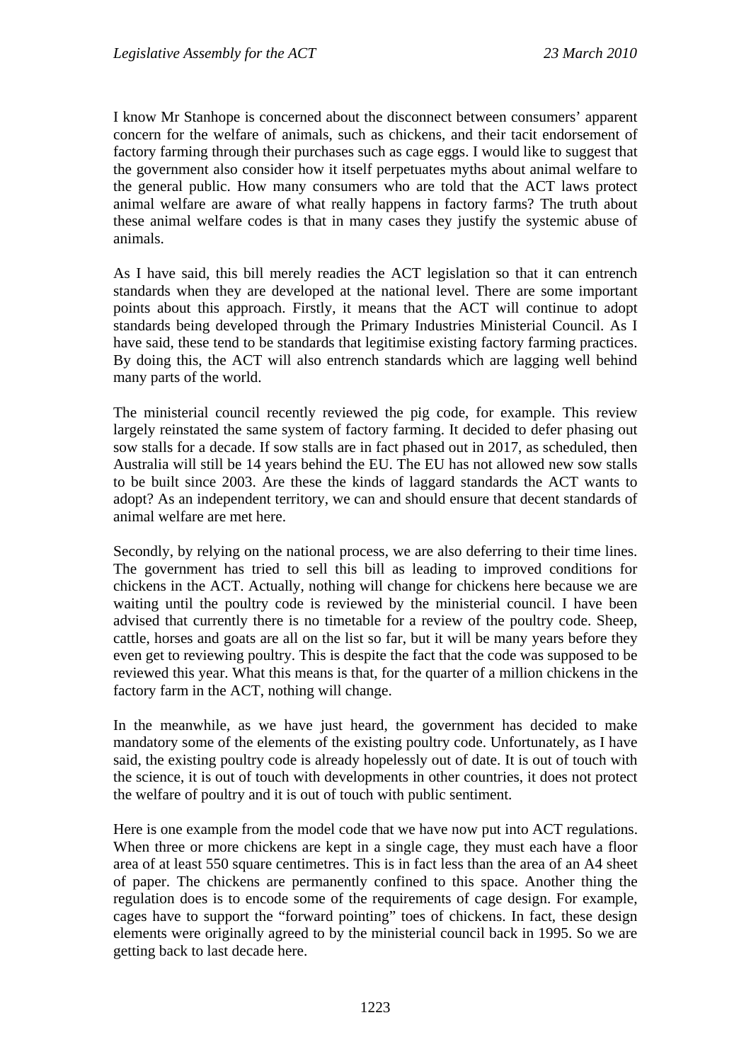I know Mr Stanhope is concerned about the disconnect between consumers' apparent concern for the welfare of animals, such as chickens, and their tacit endorsement of factory farming through their purchases such as cage eggs. I would like to suggest that the government also consider how it itself perpetuates myths about animal welfare to the general public. How many consumers who are told that the ACT laws protect animal welfare are aware of what really happens in factory farms? The truth about these animal welfare codes is that in many cases they justify the systemic abuse of animals.

As I have said, this bill merely readies the ACT legislation so that it can entrench standards when they are developed at the national level. There are some important points about this approach. Firstly, it means that the ACT will continue to adopt standards being developed through the Primary Industries Ministerial Council. As I have said, these tend to be standards that legitimise existing factory farming practices. By doing this, the ACT will also entrench standards which are lagging well behind many parts of the world.

The ministerial council recently reviewed the pig code, for example. This review largely reinstated the same system of factory farming. It decided to defer phasing out sow stalls for a decade. If sow stalls are in fact phased out in 2017, as scheduled, then Australia will still be 14 years behind the EU. The EU has not allowed new sow stalls to be built since 2003. Are these the kinds of laggard standards the ACT wants to adopt? As an independent territory, we can and should ensure that decent standards of animal welfare are met here.

Secondly, by relying on the national process, we are also deferring to their time lines. The government has tried to sell this bill as leading to improved conditions for chickens in the ACT. Actually, nothing will change for chickens here because we are waiting until the poultry code is reviewed by the ministerial council. I have been advised that currently there is no timetable for a review of the poultry code. Sheep, cattle, horses and goats are all on the list so far, but it will be many years before they even get to reviewing poultry. This is despite the fact that the code was supposed to be reviewed this year. What this means is that, for the quarter of a million chickens in the factory farm in the ACT, nothing will change.

In the meanwhile, as we have just heard, the government has decided to make mandatory some of the elements of the existing poultry code. Unfortunately, as I have said, the existing poultry code is already hopelessly out of date. It is out of touch with the science, it is out of touch with developments in other countries, it does not protect the welfare of poultry and it is out of touch with public sentiment.

Here is one example from the model code that we have now put into ACT regulations. When three or more chickens are kept in a single cage, they must each have a floor area of at least 550 square centimetres. This is in fact less than the area of an A4 sheet of paper. The chickens are permanently confined to this space. Another thing the regulation does is to encode some of the requirements of cage design. For example, cages have to support the "forward pointing" toes of chickens. In fact, these design elements were originally agreed to by the ministerial council back in 1995. So we are getting back to last decade here.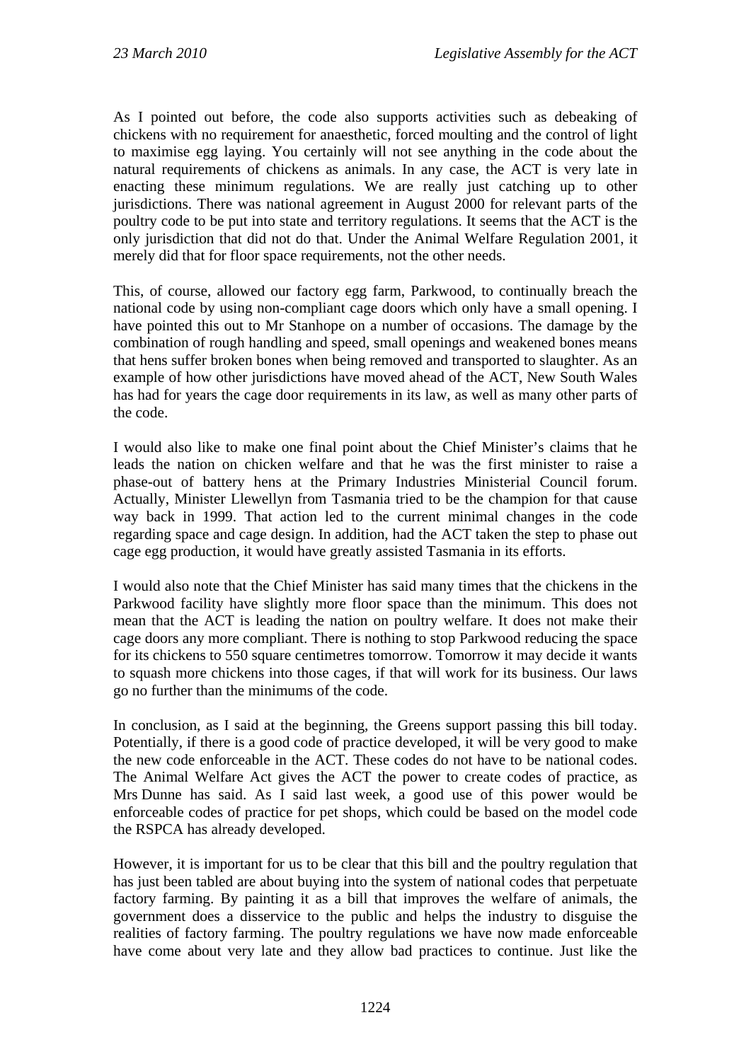As I pointed out before, the code also supports activities such as debeaking of chickens with no requirement for anaesthetic, forced moulting and the control of light to maximise egg laying. You certainly will not see anything in the code about the natural requirements of chickens as animals. In any case, the ACT is very late in enacting these minimum regulations. We are really just catching up to other jurisdictions. There was national agreement in August 2000 for relevant parts of the poultry code to be put into state and territory regulations. It seems that the ACT is the only jurisdiction that did not do that. Under the Animal Welfare Regulation 2001, it merely did that for floor space requirements, not the other needs.

This, of course, allowed our factory egg farm, Parkwood, to continually breach the national code by using non-compliant cage doors which only have a small opening. I have pointed this out to Mr Stanhope on a number of occasions. The damage by the combination of rough handling and speed, small openings and weakened bones means that hens suffer broken bones when being removed and transported to slaughter. As an example of how other jurisdictions have moved ahead of the ACT, New South Wales has had for years the cage door requirements in its law, as well as many other parts of the code.

I would also like to make one final point about the Chief Minister's claims that he leads the nation on chicken welfare and that he was the first minister to raise a phase-out of battery hens at the Primary Industries Ministerial Council forum. Actually, Minister Llewellyn from Tasmania tried to be the champion for that cause way back in 1999. That action led to the current minimal changes in the code regarding space and cage design. In addition, had the ACT taken the step to phase out cage egg production, it would have greatly assisted Tasmania in its efforts.

I would also note that the Chief Minister has said many times that the chickens in the Parkwood facility have slightly more floor space than the minimum. This does not mean that the ACT is leading the nation on poultry welfare. It does not make their cage doors any more compliant. There is nothing to stop Parkwood reducing the space for its chickens to 550 square centimetres tomorrow. Tomorrow it may decide it wants to squash more chickens into those cages, if that will work for its business. Our laws go no further than the minimums of the code.

In conclusion, as I said at the beginning, the Greens support passing this bill today. Potentially, if there is a good code of practice developed, it will be very good to make the new code enforceable in the ACT. These codes do not have to be national codes. The Animal Welfare Act gives the ACT the power to create codes of practice, as Mrs Dunne has said. As I said last week, a good use of this power would be enforceable codes of practice for pet shops, which could be based on the model code the RSPCA has already developed.

However, it is important for us to be clear that this bill and the poultry regulation that has just been tabled are about buying into the system of national codes that perpetuate factory farming. By painting it as a bill that improves the welfare of animals, the government does a disservice to the public and helps the industry to disguise the realities of factory farming. The poultry regulations we have now made enforceable have come about very late and they allow bad practices to continue. Just like the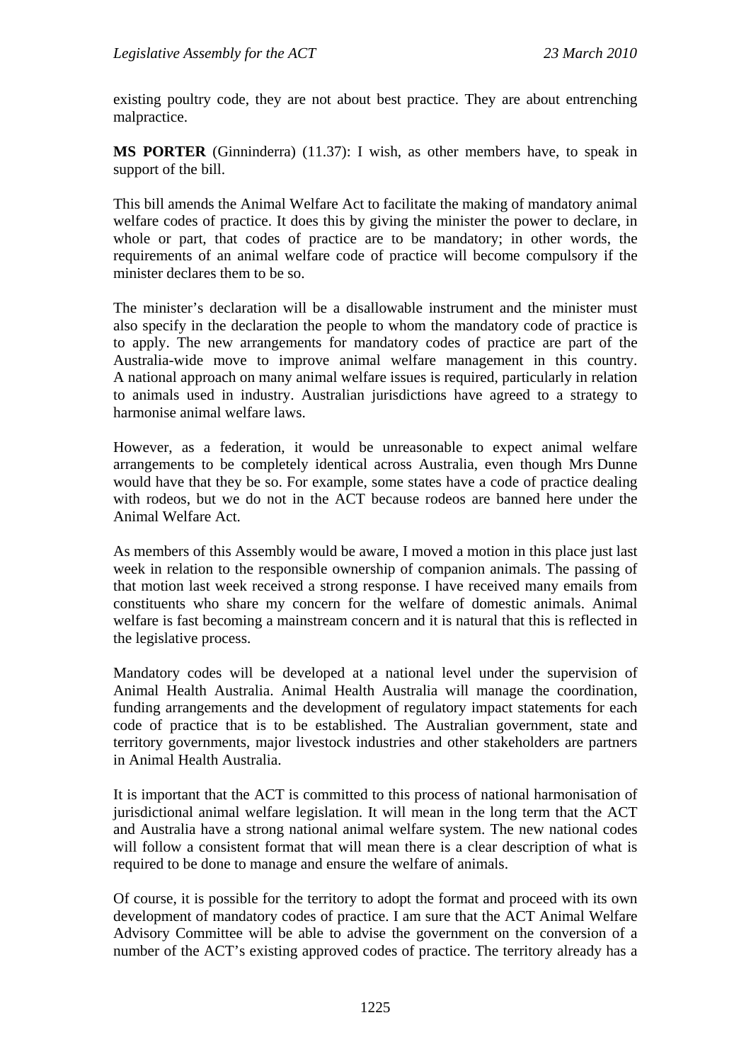existing poultry code, they are not about best practice. They are about entrenching malpractice.

**MS PORTER** (Ginninderra) (11.37): I wish, as other members have, to speak in support of the bill.

This bill amends the Animal Welfare Act to facilitate the making of mandatory animal welfare codes of practice. It does this by giving the minister the power to declare, in whole or part, that codes of practice are to be mandatory; in other words, the requirements of an animal welfare code of practice will become compulsory if the minister declares them to be so.

The minister's declaration will be a disallowable instrument and the minister must also specify in the declaration the people to whom the mandatory code of practice is to apply. The new arrangements for mandatory codes of practice are part of the Australia-wide move to improve animal welfare management in this country. A national approach on many animal welfare issues is required, particularly in relation to animals used in industry. Australian jurisdictions have agreed to a strategy to harmonise animal welfare laws.

However, as a federation, it would be unreasonable to expect animal welfare arrangements to be completely identical across Australia, even though Mrs Dunne would have that they be so. For example, some states have a code of practice dealing with rodeos, but we do not in the ACT because rodeos are banned here under the Animal Welfare Act.

As members of this Assembly would be aware, I moved a motion in this place just last week in relation to the responsible ownership of companion animals. The passing of that motion last week received a strong response. I have received many emails from constituents who share my concern for the welfare of domestic animals. Animal welfare is fast becoming a mainstream concern and it is natural that this is reflected in the legislative process.

Mandatory codes will be developed at a national level under the supervision of Animal Health Australia. Animal Health Australia will manage the coordination, funding arrangements and the development of regulatory impact statements for each code of practice that is to be established. The Australian government, state and territory governments, major livestock industries and other stakeholders are partners in Animal Health Australia.

It is important that the ACT is committed to this process of national harmonisation of jurisdictional animal welfare legislation. It will mean in the long term that the ACT and Australia have a strong national animal welfare system. The new national codes will follow a consistent format that will mean there is a clear description of what is required to be done to manage and ensure the welfare of animals.

Of course, it is possible for the territory to adopt the format and proceed with its own development of mandatory codes of practice. I am sure that the ACT Animal Welfare Advisory Committee will be able to advise the government on the conversion of a number of the ACT's existing approved codes of practice. The territory already has a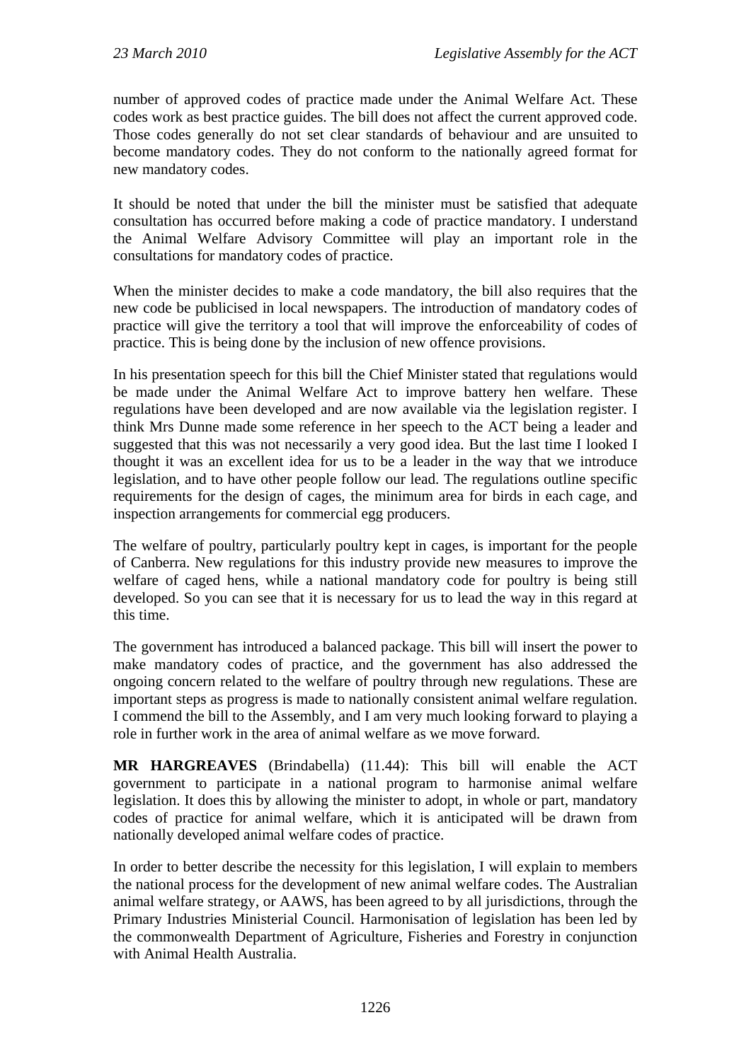number of approved codes of practice made under the Animal Welfare Act. These codes work as best practice guides. The bill does not affect the current approved code. Those codes generally do not set clear standards of behaviour and are unsuited to become mandatory codes. They do not conform to the nationally agreed format for new mandatory codes.

It should be noted that under the bill the minister must be satisfied that adequate consultation has occurred before making a code of practice mandatory. I understand the Animal Welfare Advisory Committee will play an important role in the consultations for mandatory codes of practice.

When the minister decides to make a code mandatory, the bill also requires that the new code be publicised in local newspapers. The introduction of mandatory codes of practice will give the territory a tool that will improve the enforceability of codes of practice. This is being done by the inclusion of new offence provisions.

In his presentation speech for this bill the Chief Minister stated that regulations would be made under the Animal Welfare Act to improve battery hen welfare. These regulations have been developed and are now available via the legislation register. I think Mrs Dunne made some reference in her speech to the ACT being a leader and suggested that this was not necessarily a very good idea. But the last time I looked I thought it was an excellent idea for us to be a leader in the way that we introduce legislation, and to have other people follow our lead. The regulations outline specific requirements for the design of cages, the minimum area for birds in each cage, and inspection arrangements for commercial egg producers.

The welfare of poultry, particularly poultry kept in cages, is important for the people of Canberra. New regulations for this industry provide new measures to improve the welfare of caged hens, while a national mandatory code for poultry is being still developed. So you can see that it is necessary for us to lead the way in this regard at this time.

The government has introduced a balanced package. This bill will insert the power to make mandatory codes of practice, and the government has also addressed the ongoing concern related to the welfare of poultry through new regulations. These are important steps as progress is made to nationally consistent animal welfare regulation. I commend the bill to the Assembly, and I am very much looking forward to playing a role in further work in the area of animal welfare as we move forward.

**MR HARGREAVES** (Brindabella) (11.44): This bill will enable the ACT government to participate in a national program to harmonise animal welfare legislation. It does this by allowing the minister to adopt, in whole or part, mandatory codes of practice for animal welfare, which it is anticipated will be drawn from nationally developed animal welfare codes of practice.

In order to better describe the necessity for this legislation, I will explain to members the national process for the development of new animal welfare codes. The Australian animal welfare strategy, or AAWS, has been agreed to by all jurisdictions, through the Primary Industries Ministerial Council. Harmonisation of legislation has been led by the commonwealth Department of Agriculture, Fisheries and Forestry in conjunction with Animal Health Australia.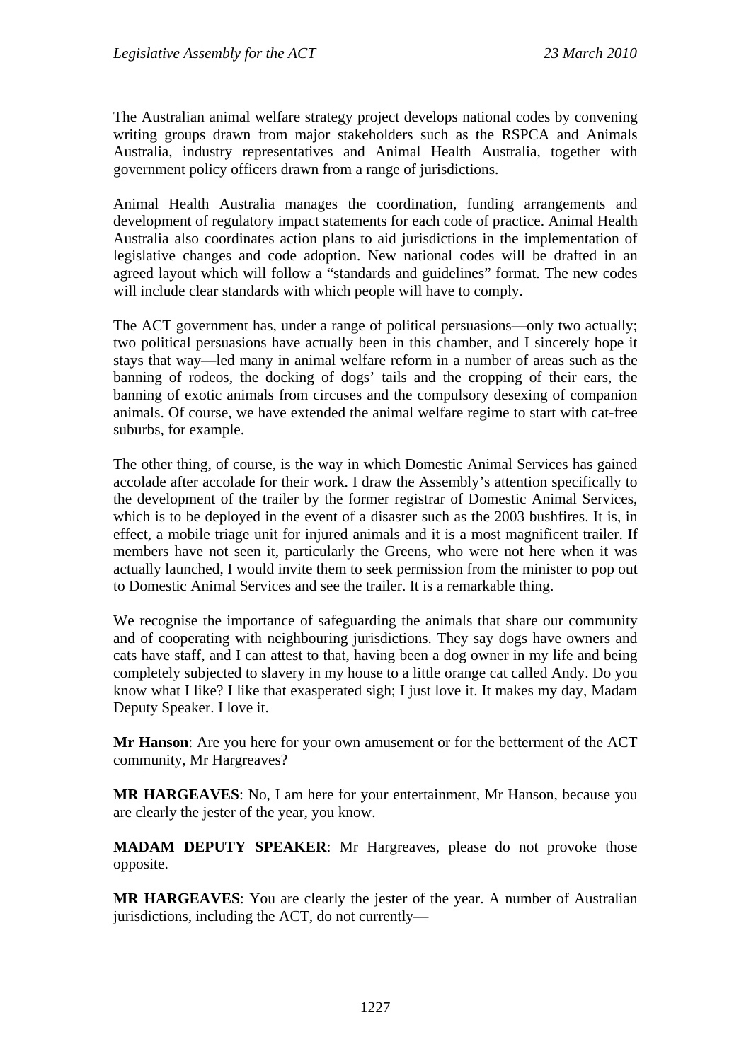The Australian animal welfare strategy project develops national codes by convening writing groups drawn from major stakeholders such as the RSPCA and Animals Australia, industry representatives and Animal Health Australia, together with government policy officers drawn from a range of jurisdictions.

Animal Health Australia manages the coordination, funding arrangements and development of regulatory impact statements for each code of practice. Animal Health Australia also coordinates action plans to aid jurisdictions in the implementation of legislative changes and code adoption. New national codes will be drafted in an agreed layout which will follow a "standards and guidelines" format. The new codes will include clear standards with which people will have to comply.

The ACT government has, under a range of political persuasions—only two actually; two political persuasions have actually been in this chamber, and I sincerely hope it stays that way—led many in animal welfare reform in a number of areas such as the banning of rodeos, the docking of dogs' tails and the cropping of their ears, the banning of exotic animals from circuses and the compulsory desexing of companion animals. Of course, we have extended the animal welfare regime to start with cat-free suburbs, for example.

The other thing, of course, is the way in which Domestic Animal Services has gained accolade after accolade for their work. I draw the Assembly's attention specifically to the development of the trailer by the former registrar of Domestic Animal Services, which is to be deployed in the event of a disaster such as the 2003 bushfires. It is, in effect, a mobile triage unit for injured animals and it is a most magnificent trailer. If members have not seen it, particularly the Greens, who were not here when it was actually launched, I would invite them to seek permission from the minister to pop out to Domestic Animal Services and see the trailer. It is a remarkable thing.

We recognise the importance of safeguarding the animals that share our community and of cooperating with neighbouring jurisdictions. They say dogs have owners and cats have staff, and I can attest to that, having been a dog owner in my life and being completely subjected to slavery in my house to a little orange cat called Andy. Do you know what I like? I like that exasperated sigh; I just love it. It makes my day, Madam Deputy Speaker. I love it.

**Mr Hanson**: Are you here for your own amusement or for the betterment of the ACT community, Mr Hargreaves?

**MR HARGEAVES**: No, I am here for your entertainment, Mr Hanson, because you are clearly the jester of the year, you know.

**MADAM DEPUTY SPEAKER**: Mr Hargreaves, please do not provoke those opposite.

**MR HARGEAVES**: You are clearly the jester of the year. A number of Australian jurisdictions, including the ACT, do not currently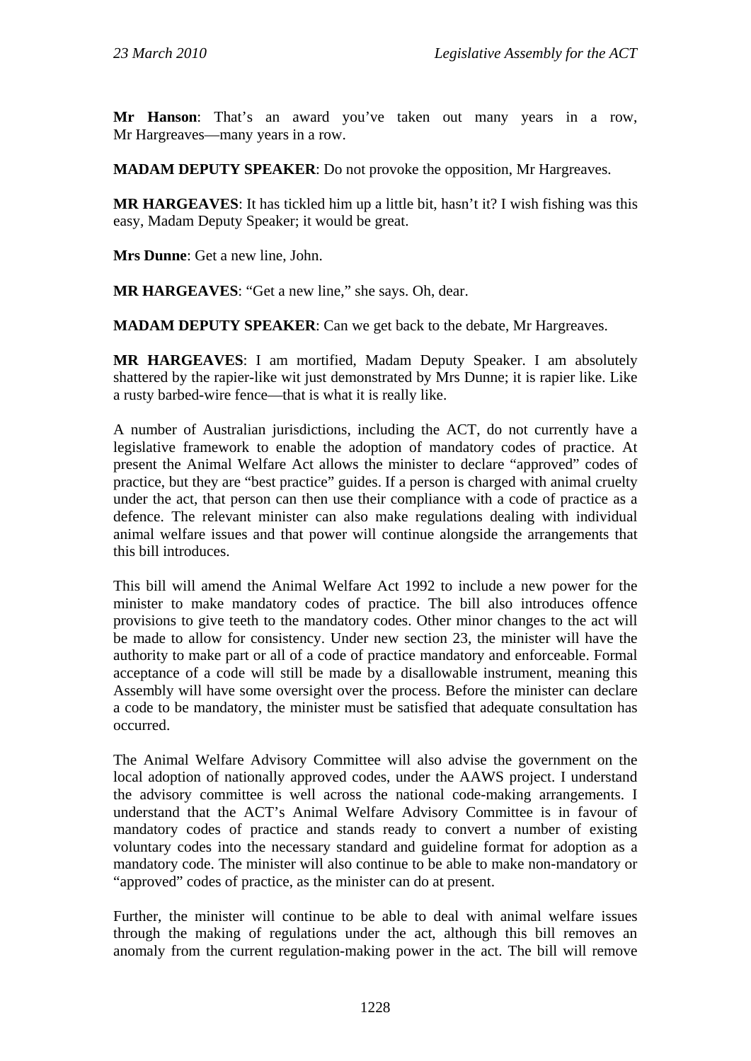**Mr Hanson**: That's an award you've taken out many years in a row, Mr Hargreaves—many years in a row.

**MADAM DEPUTY SPEAKER**: Do not provoke the opposition, Mr Hargreaves.

**MR HARGEAVES**: It has tickled him up a little bit, hasn't it? I wish fishing was this easy, Madam Deputy Speaker; it would be great.

**Mrs Dunne**: Get a new line, John.

**MR HARGEAVES**: "Get a new line," she says. Oh, dear.

**MADAM DEPUTY SPEAKER**: Can we get back to the debate, Mr Hargreaves.

**MR HARGEAVES**: I am mortified, Madam Deputy Speaker. I am absolutely shattered by the rapier-like wit just demonstrated by Mrs Dunne; it is rapier like. Like a rusty barbed-wire fence—that is what it is really like.

A number of Australian jurisdictions, including the ACT, do not currently have a legislative framework to enable the adoption of mandatory codes of practice. At present the Animal Welfare Act allows the minister to declare "approved" codes of practice, but they are "best practice" guides. If a person is charged with animal cruelty under the act, that person can then use their compliance with a code of practice as a defence. The relevant minister can also make regulations dealing with individual animal welfare issues and that power will continue alongside the arrangements that this bill introduces.

This bill will amend the Animal Welfare Act 1992 to include a new power for the minister to make mandatory codes of practice. The bill also introduces offence provisions to give teeth to the mandatory codes. Other minor changes to the act will be made to allow for consistency. Under new section 23, the minister will have the authority to make part or all of a code of practice mandatory and enforceable. Formal acceptance of a code will still be made by a disallowable instrument, meaning this Assembly will have some oversight over the process. Before the minister can declare a code to be mandatory, the minister must be satisfied that adequate consultation has occurred.

The Animal Welfare Advisory Committee will also advise the government on the local adoption of nationally approved codes, under the AAWS project. I understand the advisory committee is well across the national code-making arrangements. I understand that the ACT's Animal Welfare Advisory Committee is in favour of mandatory codes of practice and stands ready to convert a number of existing voluntary codes into the necessary standard and guideline format for adoption as a mandatory code. The minister will also continue to be able to make non-mandatory or "approved" codes of practice, as the minister can do at present.

Further, the minister will continue to be able to deal with animal welfare issues through the making of regulations under the act, although this bill removes an anomaly from the current regulation-making power in the act. The bill will remove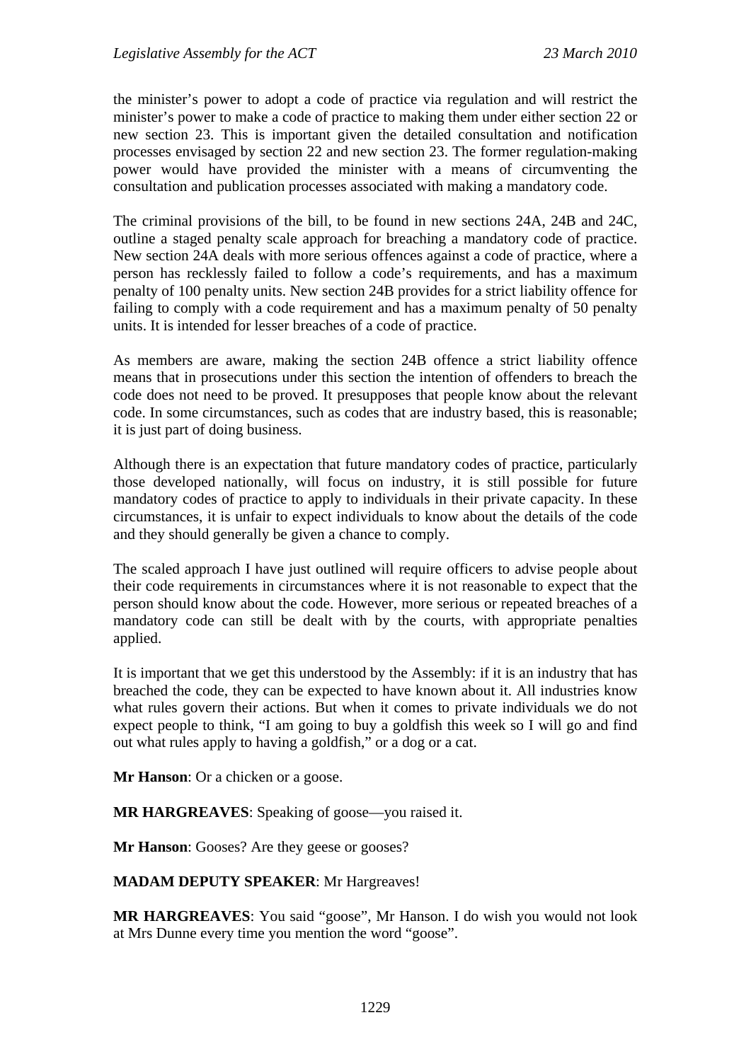the minister's power to adopt a code of practice via regulation and will restrict the minister's power to make a code of practice to making them under either section 22 or new section 23. This is important given the detailed consultation and notification processes envisaged by section 22 and new section 23. The former regulation-making power would have provided the minister with a means of circumventing the consultation and publication processes associated with making a mandatory code.

The criminal provisions of the bill, to be found in new sections 24A, 24B and 24C, outline a staged penalty scale approach for breaching a mandatory code of practice. New section 24A deals with more serious offences against a code of practice, where a person has recklessly failed to follow a code's requirements, and has a maximum penalty of 100 penalty units. New section 24B provides for a strict liability offence for failing to comply with a code requirement and has a maximum penalty of 50 penalty units. It is intended for lesser breaches of a code of practice.

As members are aware, making the section 24B offence a strict liability offence means that in prosecutions under this section the intention of offenders to breach the code does not need to be proved. It presupposes that people know about the relevant code. In some circumstances, such as codes that are industry based, this is reasonable; it is just part of doing business.

Although there is an expectation that future mandatory codes of practice, particularly those developed nationally, will focus on industry, it is still possible for future mandatory codes of practice to apply to individuals in their private capacity. In these circumstances, it is unfair to expect individuals to know about the details of the code and they should generally be given a chance to comply.

The scaled approach I have just outlined will require officers to advise people about their code requirements in circumstances where it is not reasonable to expect that the person should know about the code. However, more serious or repeated breaches of a mandatory code can still be dealt with by the courts, with appropriate penalties applied.

It is important that we get this understood by the Assembly: if it is an industry that has breached the code, they can be expected to have known about it. All industries know what rules govern their actions. But when it comes to private individuals we do not expect people to think, "I am going to buy a goldfish this week so I will go and find out what rules apply to having a goldfish," or a dog or a cat.

**Mr Hanson**: Or a chicken or a goose.

**MR HARGREAVES**: Speaking of goose—you raised it.

**Mr Hanson**: Gooses? Are they geese or gooses?

**MADAM DEPUTY SPEAKER**: Mr Hargreaves!

**MR HARGREAVES**: You said "goose", Mr Hanson. I do wish you would not look at Mrs Dunne every time you mention the word "goose".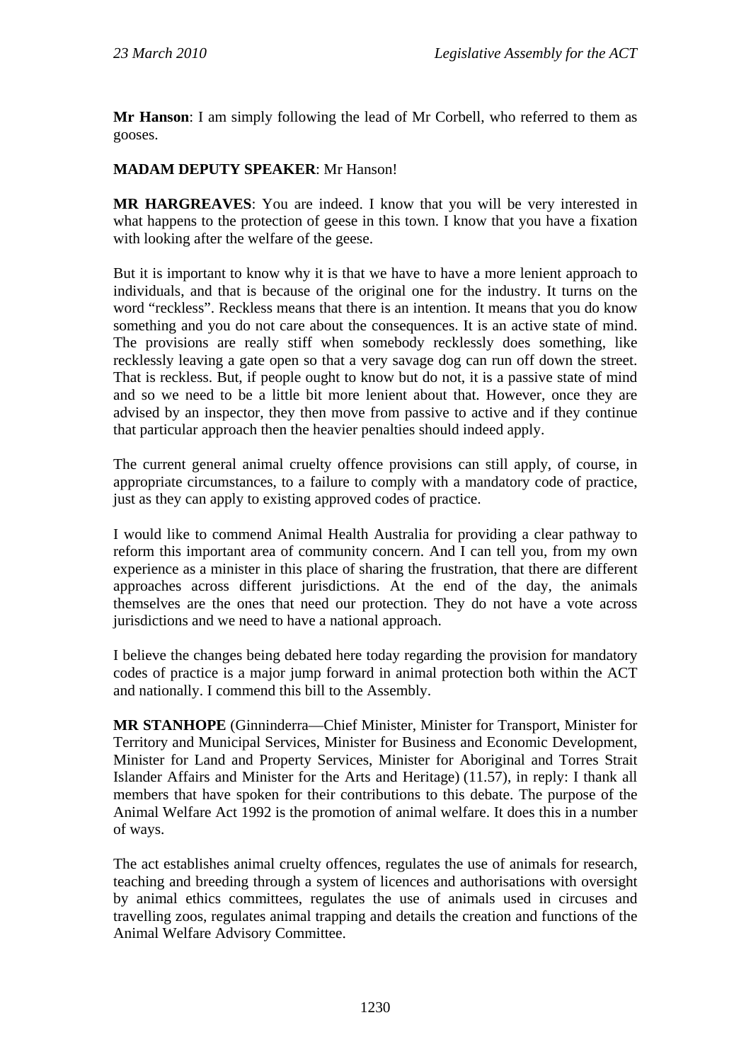**Mr Hanson**: I am simply following the lead of Mr Corbell, who referred to them as gooses.

#### **MADAM DEPUTY SPEAKER**: Mr Hanson!

**MR HARGREAVES**: You are indeed. I know that you will be very interested in what happens to the protection of geese in this town. I know that you have a fixation with looking after the welfare of the geese.

But it is important to know why it is that we have to have a more lenient approach to individuals, and that is because of the original one for the industry. It turns on the word "reckless". Reckless means that there is an intention. It means that you do know something and you do not care about the consequences. It is an active state of mind. The provisions are really stiff when somebody recklessly does something, like recklessly leaving a gate open so that a very savage dog can run off down the street. That is reckless. But, if people ought to know but do not, it is a passive state of mind and so we need to be a little bit more lenient about that. However, once they are advised by an inspector, they then move from passive to active and if they continue that particular approach then the heavier penalties should indeed apply.

The current general animal cruelty offence provisions can still apply, of course, in appropriate circumstances, to a failure to comply with a mandatory code of practice, just as they can apply to existing approved codes of practice.

I would like to commend Animal Health Australia for providing a clear pathway to reform this important area of community concern. And I can tell you, from my own experience as a minister in this place of sharing the frustration, that there are different approaches across different jurisdictions. At the end of the day, the animals themselves are the ones that need our protection. They do not have a vote across jurisdictions and we need to have a national approach.

I believe the changes being debated here today regarding the provision for mandatory codes of practice is a major jump forward in animal protection both within the ACT and nationally. I commend this bill to the Assembly.

**MR STANHOPE** (Ginninderra—Chief Minister, Minister for Transport, Minister for Territory and Municipal Services, Minister for Business and Economic Development, Minister for Land and Property Services, Minister for Aboriginal and Torres Strait Islander Affairs and Minister for the Arts and Heritage) (11.57), in reply: I thank all members that have spoken for their contributions to this debate. The purpose of the Animal Welfare Act 1992 is the promotion of animal welfare. It does this in a number of ways.

The act establishes animal cruelty offences, regulates the use of animals for research, teaching and breeding through a system of licences and authorisations with oversight by animal ethics committees, regulates the use of animals used in circuses and travelling zoos, regulates animal trapping and details the creation and functions of the Animal Welfare Advisory Committee.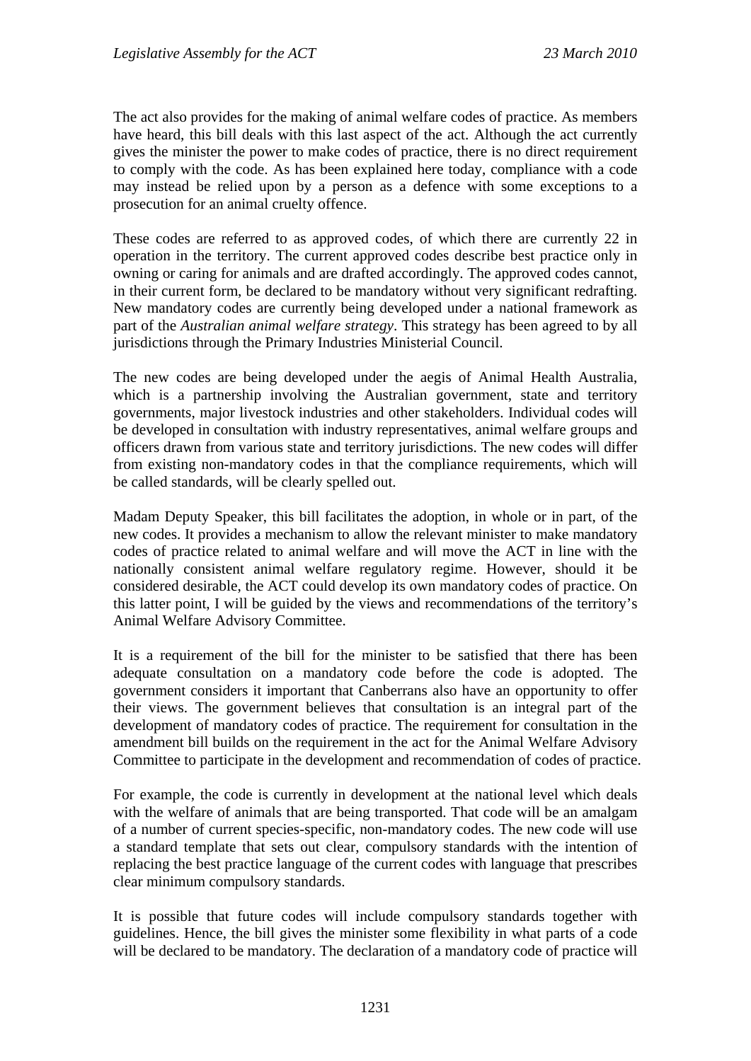The act also provides for the making of animal welfare codes of practice. As members have heard, this bill deals with this last aspect of the act. Although the act currently gives the minister the power to make codes of practice, there is no direct requirement to comply with the code. As has been explained here today, compliance with a code may instead be relied upon by a person as a defence with some exceptions to a prosecution for an animal cruelty offence.

These codes are referred to as approved codes, of which there are currently 22 in operation in the territory. The current approved codes describe best practice only in owning or caring for animals and are drafted accordingly. The approved codes cannot, in their current form, be declared to be mandatory without very significant redrafting. New mandatory codes are currently being developed under a national framework as part of the *Australian animal welfare strategy*. This strategy has been agreed to by all jurisdictions through the Primary Industries Ministerial Council.

The new codes are being developed under the aegis of Animal Health Australia, which is a partnership involving the Australian government, state and territory governments, major livestock industries and other stakeholders. Individual codes will be developed in consultation with industry representatives, animal welfare groups and officers drawn from various state and territory jurisdictions. The new codes will differ from existing non-mandatory codes in that the compliance requirements, which will be called standards, will be clearly spelled out.

Madam Deputy Speaker, this bill facilitates the adoption, in whole or in part, of the new codes. It provides a mechanism to allow the relevant minister to make mandatory codes of practice related to animal welfare and will move the ACT in line with the nationally consistent animal welfare regulatory regime. However, should it be considered desirable, the ACT could develop its own mandatory codes of practice. On this latter point, I will be guided by the views and recommendations of the territory's Animal Welfare Advisory Committee.

It is a requirement of the bill for the minister to be satisfied that there has been adequate consultation on a mandatory code before the code is adopted. The government considers it important that Canberrans also have an opportunity to offer their views. The government believes that consultation is an integral part of the development of mandatory codes of practice. The requirement for consultation in the amendment bill builds on the requirement in the act for the Animal Welfare Advisory Committee to participate in the development and recommendation of codes of practice.

For example, the code is currently in development at the national level which deals with the welfare of animals that are being transported. That code will be an amalgam of a number of current species-specific, non-mandatory codes. The new code will use a standard template that sets out clear, compulsory standards with the intention of replacing the best practice language of the current codes with language that prescribes clear minimum compulsory standards.

It is possible that future codes will include compulsory standards together with guidelines. Hence, the bill gives the minister some flexibility in what parts of a code will be declared to be mandatory. The declaration of a mandatory code of practice will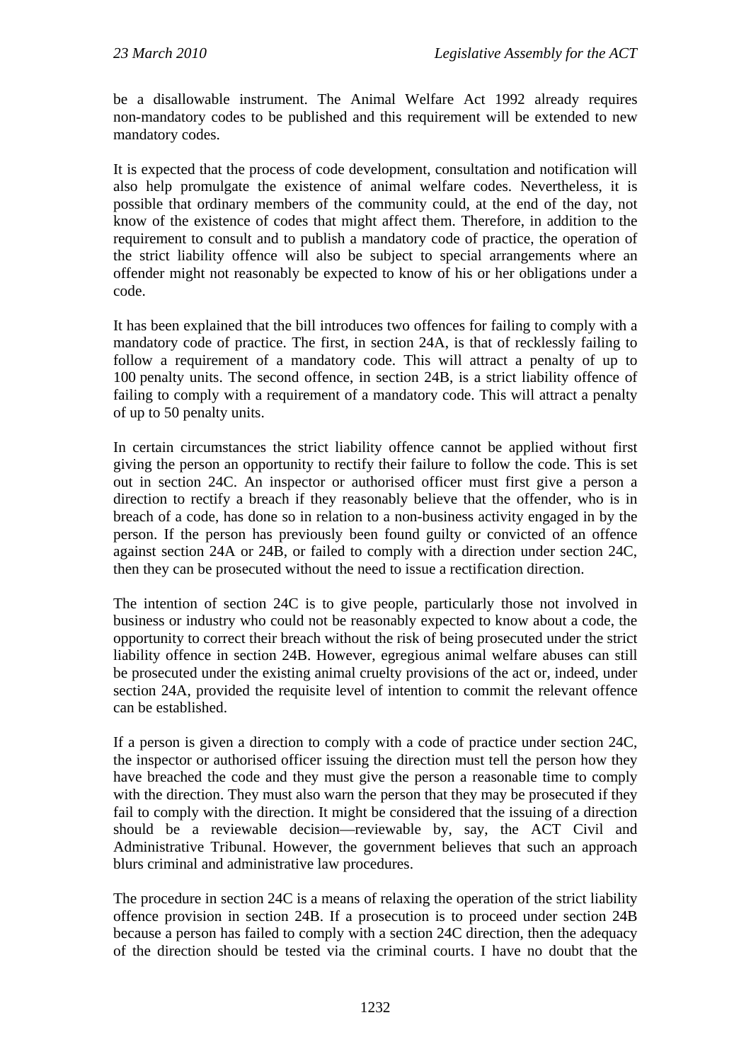be a disallowable instrument. The Animal Welfare Act 1992 already requires non-mandatory codes to be published and this requirement will be extended to new mandatory codes.

It is expected that the process of code development, consultation and notification will also help promulgate the existence of animal welfare codes. Nevertheless, it is possible that ordinary members of the community could, at the end of the day, not know of the existence of codes that might affect them. Therefore, in addition to the requirement to consult and to publish a mandatory code of practice, the operation of the strict liability offence will also be subject to special arrangements where an offender might not reasonably be expected to know of his or her obligations under a code.

It has been explained that the bill introduces two offences for failing to comply with a mandatory code of practice. The first, in section 24A, is that of recklessly failing to follow a requirement of a mandatory code. This will attract a penalty of up to 100 penalty units. The second offence, in section 24B, is a strict liability offence of failing to comply with a requirement of a mandatory code. This will attract a penalty of up to 50 penalty units.

In certain circumstances the strict liability offence cannot be applied without first giving the person an opportunity to rectify their failure to follow the code. This is set out in section 24C. An inspector or authorised officer must first give a person a direction to rectify a breach if they reasonably believe that the offender, who is in breach of a code, has done so in relation to a non-business activity engaged in by the person. If the person has previously been found guilty or convicted of an offence against section 24A or 24B, or failed to comply with a direction under section 24C, then they can be prosecuted without the need to issue a rectification direction.

The intention of section 24C is to give people, particularly those not involved in business or industry who could not be reasonably expected to know about a code, the opportunity to correct their breach without the risk of being prosecuted under the strict liability offence in section 24B. However, egregious animal welfare abuses can still be prosecuted under the existing animal cruelty provisions of the act or, indeed, under section 24A, provided the requisite level of intention to commit the relevant offence can be established.

If a person is given a direction to comply with a code of practice under section 24C, the inspector or authorised officer issuing the direction must tell the person how they have breached the code and they must give the person a reasonable time to comply with the direction. They must also warn the person that they may be prosecuted if they fail to comply with the direction. It might be considered that the issuing of a direction should be a reviewable decision—reviewable by, say, the ACT Civil and Administrative Tribunal. However, the government believes that such an approach blurs criminal and administrative law procedures.

The procedure in section 24C is a means of relaxing the operation of the strict liability offence provision in section 24B. If a prosecution is to proceed under section 24B because a person has failed to comply with a section 24C direction, then the adequacy of the direction should be tested via the criminal courts. I have no doubt that the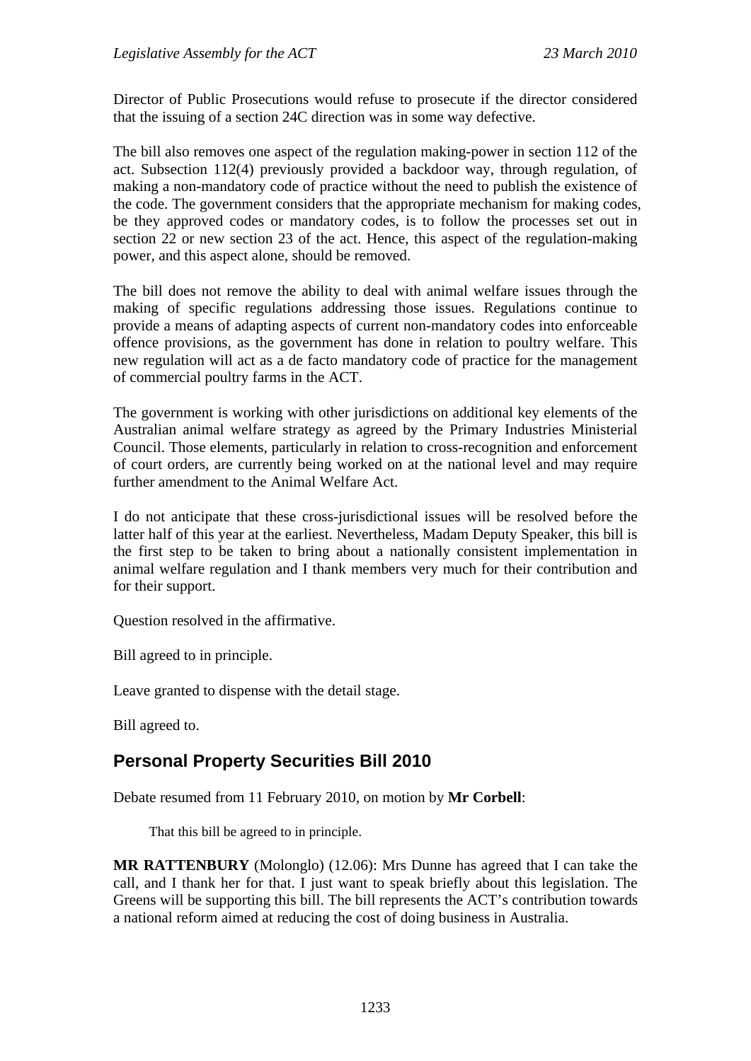Director of Public Prosecutions would refuse to prosecute if the director considered that the issuing of a section 24C direction was in some way defective.

The bill also removes one aspect of the regulation making-power in section 112 of the act. Subsection 112(4) previously provided a backdoor way, through regulation, of making a non-mandatory code of practice without the need to publish the existence of the code. The government considers that the appropriate mechanism for making codes, be they approved codes or mandatory codes, is to follow the processes set out in section 22 or new section 23 of the act. Hence, this aspect of the regulation-making power, and this aspect alone, should be removed.

The bill does not remove the ability to deal with animal welfare issues through the making of specific regulations addressing those issues. Regulations continue to provide a means of adapting aspects of current non-mandatory codes into enforceable offence provisions, as the government has done in relation to poultry welfare. This new regulation will act as a de facto mandatory code of practice for the management of commercial poultry farms in the ACT.

The government is working with other jurisdictions on additional key elements of the Australian animal welfare strategy as agreed by the Primary Industries Ministerial Council. Those elements, particularly in relation to cross-recognition and enforcement of court orders, are currently being worked on at the national level and may require further amendment to the Animal Welfare Act.

I do not anticipate that these cross-jurisdictional issues will be resolved before the latter half of this year at the earliest. Nevertheless, Madam Deputy Speaker, this bill is the first step to be taken to bring about a nationally consistent implementation in animal welfare regulation and I thank members very much for their contribution and for their support.

Question resolved in the affirmative.

Bill agreed to in principle.

Leave granted to dispense with the detail stage.

Bill agreed to.

# **Personal Property Securities Bill 2010**

Debate resumed from 11 February 2010, on motion by **Mr Corbell**:

That this bill be agreed to in principle.

**MR RATTENBURY** (Molonglo) (12.06): Mrs Dunne has agreed that I can take the call, and I thank her for that. I just want to speak briefly about this legislation. The Greens will be supporting this bill. The bill represents the ACT's contribution towards a national reform aimed at reducing the cost of doing business in Australia.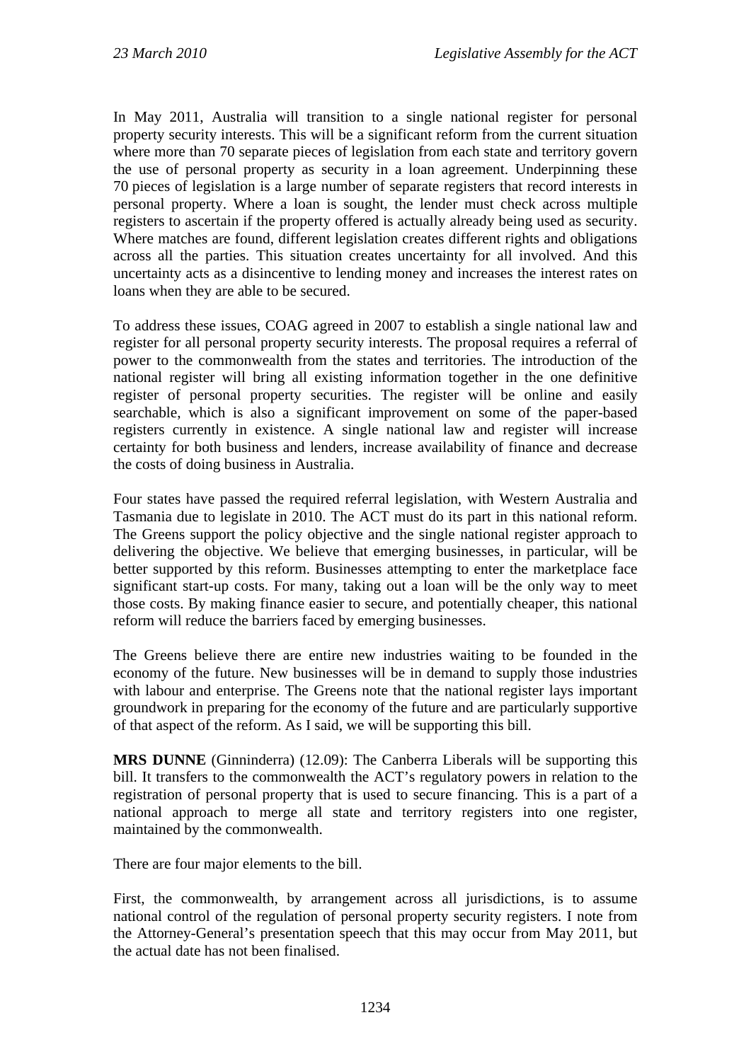In May 2011, Australia will transition to a single national register for personal property security interests. This will be a significant reform from the current situation where more than 70 separate pieces of legislation from each state and territory govern the use of personal property as security in a loan agreement. Underpinning these 70 pieces of legislation is a large number of separate registers that record interests in personal property. Where a loan is sought, the lender must check across multiple registers to ascertain if the property offered is actually already being used as security. Where matches are found, different legislation creates different rights and obligations across all the parties. This situation creates uncertainty for all involved. And this uncertainty acts as a disincentive to lending money and increases the interest rates on loans when they are able to be secured.

To address these issues, COAG agreed in 2007 to establish a single national law and register for all personal property security interests. The proposal requires a referral of power to the commonwealth from the states and territories. The introduction of the national register will bring all existing information together in the one definitive register of personal property securities. The register will be online and easily searchable, which is also a significant improvement on some of the paper-based registers currently in existence. A single national law and register will increase certainty for both business and lenders, increase availability of finance and decrease the costs of doing business in Australia.

Four states have passed the required referral legislation, with Western Australia and Tasmania due to legislate in 2010. The ACT must do its part in this national reform. The Greens support the policy objective and the single national register approach to delivering the objective. We believe that emerging businesses, in particular, will be better supported by this reform. Businesses attempting to enter the marketplace face significant start-up costs. For many, taking out a loan will be the only way to meet those costs. By making finance easier to secure, and potentially cheaper, this national reform will reduce the barriers faced by emerging businesses.

The Greens believe there are entire new industries waiting to be founded in the economy of the future. New businesses will be in demand to supply those industries with labour and enterprise. The Greens note that the national register lays important groundwork in preparing for the economy of the future and are particularly supportive of that aspect of the reform. As I said, we will be supporting this bill.

**MRS DUNNE** (Ginninderra) (12.09): The Canberra Liberals will be supporting this bill. It transfers to the commonwealth the ACT's regulatory powers in relation to the registration of personal property that is used to secure financing. This is a part of a national approach to merge all state and territory registers into one register, maintained by the commonwealth.

There are four major elements to the bill.

First, the commonwealth, by arrangement across all jurisdictions, is to assume national control of the regulation of personal property security registers. I note from the Attorney-General's presentation speech that this may occur from May 2011, but the actual date has not been finalised.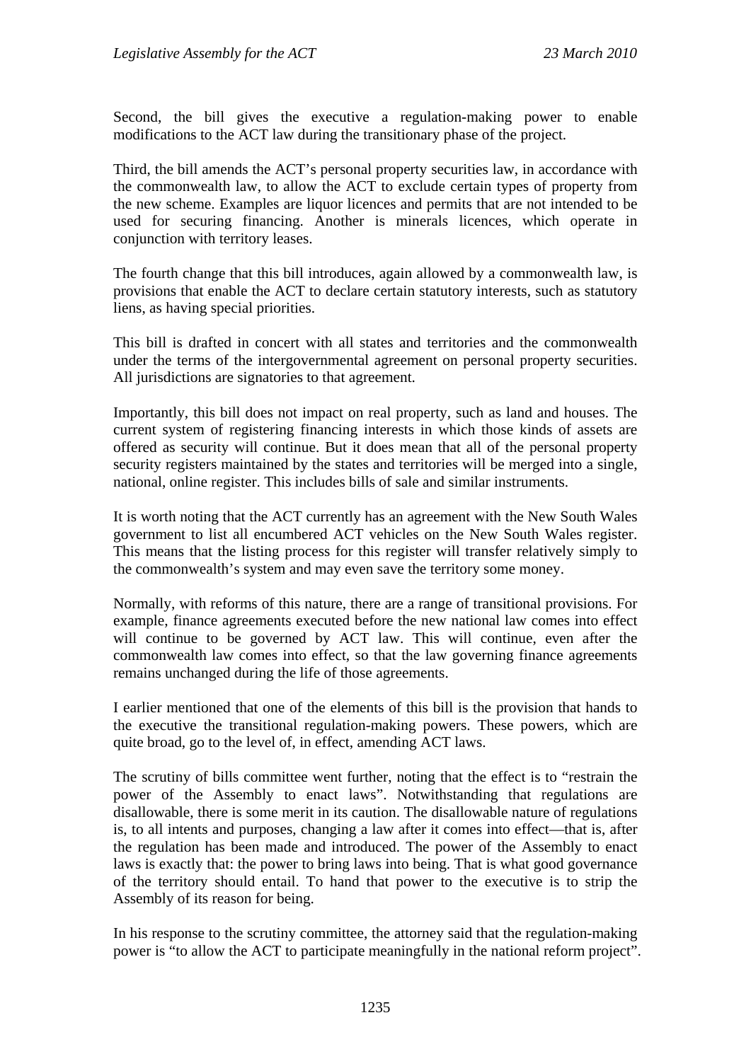Second, the bill gives the executive a regulation-making power to enable modifications to the ACT law during the transitionary phase of the project.

Third, the bill amends the ACT's personal property securities law, in accordance with the commonwealth law, to allow the ACT to exclude certain types of property from the new scheme. Examples are liquor licences and permits that are not intended to be used for securing financing. Another is minerals licences, which operate in conjunction with territory leases.

The fourth change that this bill introduces, again allowed by a commonwealth law, is provisions that enable the ACT to declare certain statutory interests, such as statutory liens, as having special priorities.

This bill is drafted in concert with all states and territories and the commonwealth under the terms of the intergovernmental agreement on personal property securities. All jurisdictions are signatories to that agreement.

Importantly, this bill does not impact on real property, such as land and houses. The current system of registering financing interests in which those kinds of assets are offered as security will continue. But it does mean that all of the personal property security registers maintained by the states and territories will be merged into a single, national, online register. This includes bills of sale and similar instruments.

It is worth noting that the ACT currently has an agreement with the New South Wales government to list all encumbered ACT vehicles on the New South Wales register. This means that the listing process for this register will transfer relatively simply to the commonwealth's system and may even save the territory some money.

Normally, with reforms of this nature, there are a range of transitional provisions. For example, finance agreements executed before the new national law comes into effect will continue to be governed by ACT law. This will continue, even after the commonwealth law comes into effect, so that the law governing finance agreements remains unchanged during the life of those agreements.

I earlier mentioned that one of the elements of this bill is the provision that hands to the executive the transitional regulation-making powers. These powers, which are quite broad, go to the level of, in effect, amending ACT laws.

The scrutiny of bills committee went further, noting that the effect is to "restrain the power of the Assembly to enact laws". Notwithstanding that regulations are disallowable, there is some merit in its caution. The disallowable nature of regulations is, to all intents and purposes, changing a law after it comes into effect—that is, after the regulation has been made and introduced. The power of the Assembly to enact laws is exactly that: the power to bring laws into being. That is what good governance of the territory should entail. To hand that power to the executive is to strip the Assembly of its reason for being.

In his response to the scrutiny committee, the attorney said that the regulation-making power is "to allow the ACT to participate meaningfully in the national reform project".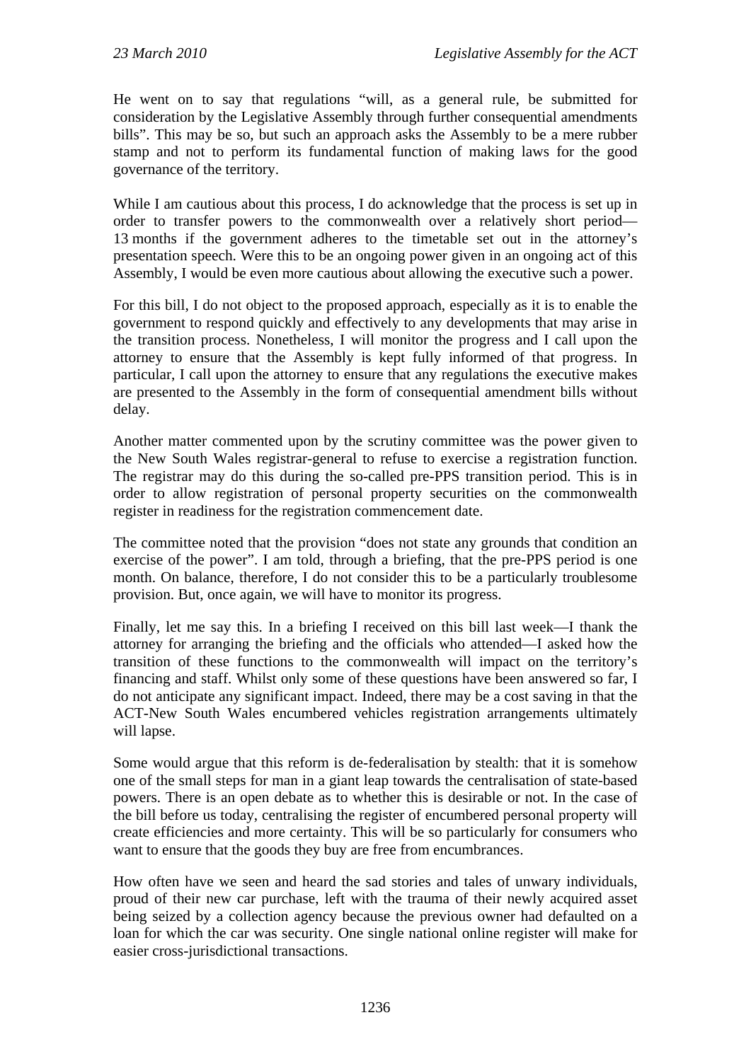He went on to say that regulations "will, as a general rule, be submitted for consideration by the Legislative Assembly through further consequential amendments bills". This may be so, but such an approach asks the Assembly to be a mere rubber stamp and not to perform its fundamental function of making laws for the good governance of the territory.

While I am cautious about this process, I do acknowledge that the process is set up in order to transfer powers to the commonwealth over a relatively short period— 13 months if the government adheres to the timetable set out in the attorney's presentation speech. Were this to be an ongoing power given in an ongoing act of this Assembly, I would be even more cautious about allowing the executive such a power.

For this bill, I do not object to the proposed approach, especially as it is to enable the government to respond quickly and effectively to any developments that may arise in the transition process. Nonetheless, I will monitor the progress and I call upon the attorney to ensure that the Assembly is kept fully informed of that progress. In particular, I call upon the attorney to ensure that any regulations the executive makes are presented to the Assembly in the form of consequential amendment bills without delay.

Another matter commented upon by the scrutiny committee was the power given to the New South Wales registrar-general to refuse to exercise a registration function. The registrar may do this during the so-called pre-PPS transition period. This is in order to allow registration of personal property securities on the commonwealth register in readiness for the registration commencement date.

The committee noted that the provision "does not state any grounds that condition an exercise of the power". I am told, through a briefing, that the pre-PPS period is one month. On balance, therefore, I do not consider this to be a particularly troublesome provision. But, once again, we will have to monitor its progress.

Finally, let me say this. In a briefing I received on this bill last week—I thank the attorney for arranging the briefing and the officials who attended—I asked how the transition of these functions to the commonwealth will impact on the territory's financing and staff. Whilst only some of these questions have been answered so far, I do not anticipate any significant impact. Indeed, there may be a cost saving in that the ACT-New South Wales encumbered vehicles registration arrangements ultimately will lapse.

Some would argue that this reform is de-federalisation by stealth: that it is somehow one of the small steps for man in a giant leap towards the centralisation of state-based powers. There is an open debate as to whether this is desirable or not. In the case of the bill before us today, centralising the register of encumbered personal property will create efficiencies and more certainty. This will be so particularly for consumers who want to ensure that the goods they buy are free from encumbrances.

How often have we seen and heard the sad stories and tales of unwary individuals, proud of their new car purchase, left with the trauma of their newly acquired asset being seized by a collection agency because the previous owner had defaulted on a loan for which the car was security. One single national online register will make for easier cross-jurisdictional transactions.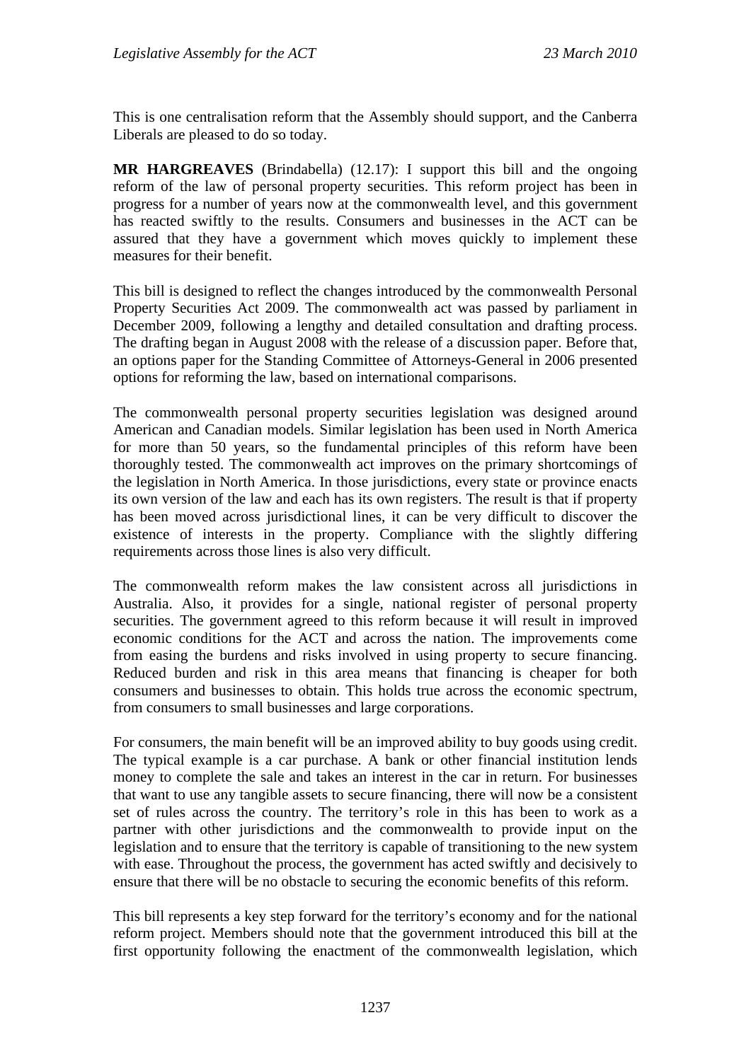This is one centralisation reform that the Assembly should support, and the Canberra Liberals are pleased to do so today.

**MR HARGREAVES** (Brindabella) (12.17): I support this bill and the ongoing reform of the law of personal property securities. This reform project has been in progress for a number of years now at the commonwealth level, and this government has reacted swiftly to the results. Consumers and businesses in the ACT can be assured that they have a government which moves quickly to implement these measures for their benefit.

This bill is designed to reflect the changes introduced by the commonwealth Personal Property Securities Act 2009. The commonwealth act was passed by parliament in December 2009, following a lengthy and detailed consultation and drafting process. The drafting began in August 2008 with the release of a discussion paper. Before that, an options paper for the Standing Committee of Attorneys-General in 2006 presented options for reforming the law, based on international comparisons.

The commonwealth personal property securities legislation was designed around American and Canadian models. Similar legislation has been used in North America for more than 50 years, so the fundamental principles of this reform have been thoroughly tested. The commonwealth act improves on the primary shortcomings of the legislation in North America. In those jurisdictions, every state or province enacts its own version of the law and each has its own registers. The result is that if property has been moved across jurisdictional lines, it can be very difficult to discover the existence of interests in the property. Compliance with the slightly differing requirements across those lines is also very difficult.

The commonwealth reform makes the law consistent across all jurisdictions in Australia. Also, it provides for a single, national register of personal property securities. The government agreed to this reform because it will result in improved economic conditions for the ACT and across the nation. The improvements come from easing the burdens and risks involved in using property to secure financing. Reduced burden and risk in this area means that financing is cheaper for both consumers and businesses to obtain. This holds true across the economic spectrum, from consumers to small businesses and large corporations.

For consumers, the main benefit will be an improved ability to buy goods using credit. The typical example is a car purchase. A bank or other financial institution lends money to complete the sale and takes an interest in the car in return. For businesses that want to use any tangible assets to secure financing, there will now be a consistent set of rules across the country. The territory's role in this has been to work as a partner with other jurisdictions and the commonwealth to provide input on the legislation and to ensure that the territory is capable of transitioning to the new system with ease. Throughout the process, the government has acted swiftly and decisively to ensure that there will be no obstacle to securing the economic benefits of this reform.

This bill represents a key step forward for the territory's economy and for the national reform project. Members should note that the government introduced this bill at the first opportunity following the enactment of the commonwealth legislation, which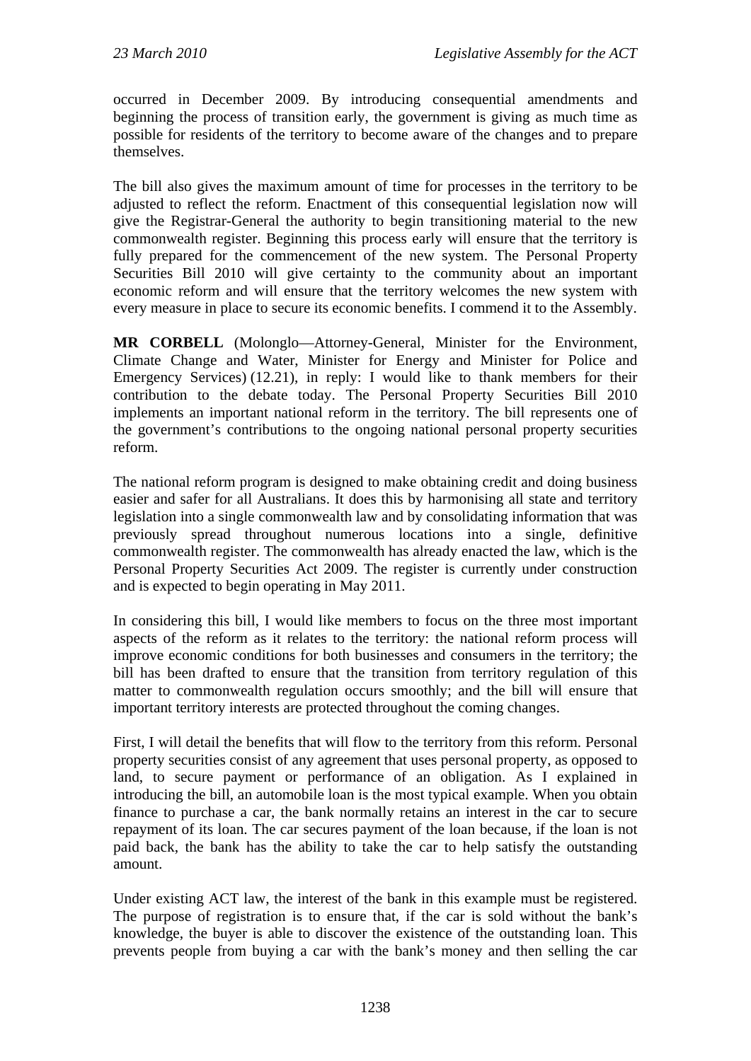occurred in December 2009. By introducing consequential amendments and beginning the process of transition early, the government is giving as much time as possible for residents of the territory to become aware of the changes and to prepare themselves.

The bill also gives the maximum amount of time for processes in the territory to be adjusted to reflect the reform. Enactment of this consequential legislation now will give the Registrar-General the authority to begin transitioning material to the new commonwealth register. Beginning this process early will ensure that the territory is fully prepared for the commencement of the new system. The Personal Property Securities Bill 2010 will give certainty to the community about an important economic reform and will ensure that the territory welcomes the new system with every measure in place to secure its economic benefits. I commend it to the Assembly.

**MR CORBELL** (Molonglo—Attorney-General, Minister for the Environment, Climate Change and Water, Minister for Energy and Minister for Police and Emergency Services) (12.21), in reply: I would like to thank members for their contribution to the debate today. The Personal Property Securities Bill 2010 implements an important national reform in the territory. The bill represents one of the government's contributions to the ongoing national personal property securities reform.

The national reform program is designed to make obtaining credit and doing business easier and safer for all Australians. It does this by harmonising all state and territory legislation into a single commonwealth law and by consolidating information that was previously spread throughout numerous locations into a single, definitive commonwealth register. The commonwealth has already enacted the law, which is the Personal Property Securities Act 2009. The register is currently under construction and is expected to begin operating in May 2011.

In considering this bill, I would like members to focus on the three most important aspects of the reform as it relates to the territory: the national reform process will improve economic conditions for both businesses and consumers in the territory; the bill has been drafted to ensure that the transition from territory regulation of this matter to commonwealth regulation occurs smoothly; and the bill will ensure that important territory interests are protected throughout the coming changes.

First, I will detail the benefits that will flow to the territory from this reform. Personal property securities consist of any agreement that uses personal property, as opposed to land, to secure payment or performance of an obligation. As I explained in introducing the bill, an automobile loan is the most typical example. When you obtain finance to purchase a car, the bank normally retains an interest in the car to secure repayment of its loan. The car secures payment of the loan because, if the loan is not paid back, the bank has the ability to take the car to help satisfy the outstanding amount.

Under existing ACT law, the interest of the bank in this example must be registered. The purpose of registration is to ensure that, if the car is sold without the bank's knowledge, the buyer is able to discover the existence of the outstanding loan. This prevents people from buying a car with the bank's money and then selling the car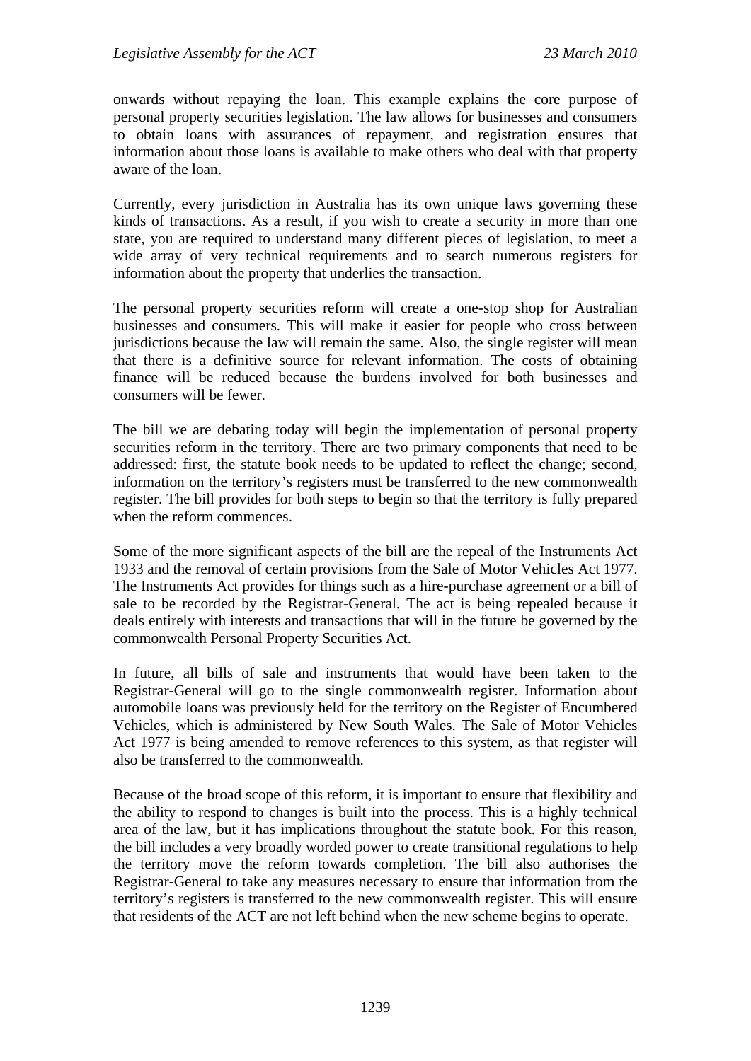onwards without repaying the loan. This example explains the core purpose of personal property securities legislation. The law allows for businesses and consumers to obtain loans with assurances of repayment, and registration ensures that information about those loans is available to make others who deal with that property aware of the loan.

Currently, every jurisdiction in Australia has its own unique laws governing these kinds of transactions. As a result, if you wish to create a security in more than one state, you are required to understand many different pieces of legislation, to meet a wide array of very technical requirements and to search numerous registers for information about the property that underlies the transaction.

The personal property securities reform will create a one-stop shop for Australian businesses and consumers. This will make it easier for people who cross between jurisdictions because the law will remain the same. Also, the single register will mean that there is a definitive source for relevant information. The costs of obtaining finance will be reduced because the burdens involved for both businesses and consumers will be fewer.

The bill we are debating today will begin the implementation of personal property securities reform in the territory. There are two primary components that need to be addressed: first, the statute book needs to be updated to reflect the change; second, information on the territory's registers must be transferred to the new commonwealth register. The bill provides for both steps to begin so that the territory is fully prepared when the reform commences.

Some of the more significant aspects of the bill are the repeal of the Instruments Act 1933 and the removal of certain provisions from the Sale of Motor Vehicles Act 1977. The Instruments Act provides for things such as a hire-purchase agreement or a bill of sale to be recorded by the Registrar-General. The act is being repealed because it deals entirely with interests and transactions that will in the future be governed by the commonwealth Personal Property Securities Act.

In future, all bills of sale and instruments that would have been taken to the Registrar-General will go to the single commonwealth register. Information about automobile loans was previously held for the territory on the Register of Encumbered Vehicles, which is administered by New South Wales. The Sale of Motor Vehicles Act 1977 is being amended to remove references to this system, as that register will also be transferred to the commonwealth.

Because of the broad scope of this reform, it is important to ensure that flexibility and the ability to respond to changes is built into the process. This is a highly technical area of the law, but it has implications throughout the statute book. For this reason, the bill includes a very broadly worded power to create transitional regulations to help the territory move the reform towards completion. The bill also authorises the Registrar-General to take any measures necessary to ensure that information from the territory's registers is transferred to the new commonwealth register. This will ensure that residents of the ACT are not left behind when the new scheme begins to operate.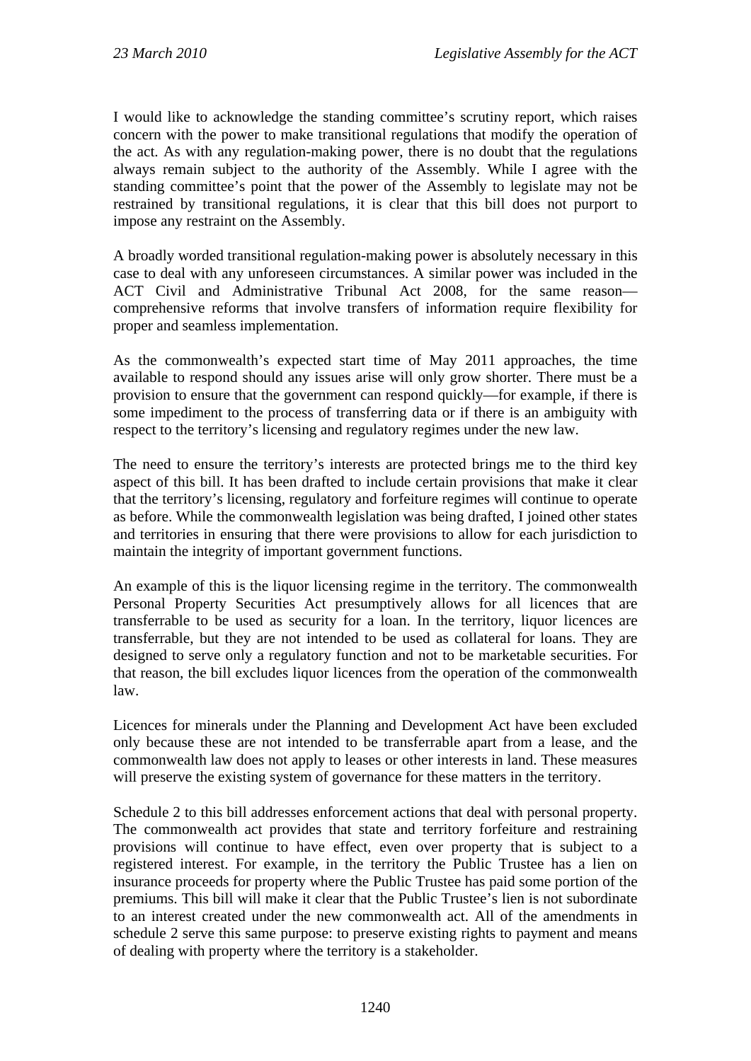I would like to acknowledge the standing committee's scrutiny report, which raises concern with the power to make transitional regulations that modify the operation of the act. As with any regulation-making power, there is no doubt that the regulations always remain subject to the authority of the Assembly. While I agree with the standing committee's point that the power of the Assembly to legislate may not be restrained by transitional regulations, it is clear that this bill does not purport to impose any restraint on the Assembly.

A broadly worded transitional regulation-making power is absolutely necessary in this case to deal with any unforeseen circumstances. A similar power was included in the ACT Civil and Administrative Tribunal Act 2008, for the same reason comprehensive reforms that involve transfers of information require flexibility for proper and seamless implementation.

As the commonwealth's expected start time of May 2011 approaches, the time available to respond should any issues arise will only grow shorter. There must be a provision to ensure that the government can respond quickly—for example, if there is some impediment to the process of transferring data or if there is an ambiguity with respect to the territory's licensing and regulatory regimes under the new law.

The need to ensure the territory's interests are protected brings me to the third key aspect of this bill. It has been drafted to include certain provisions that make it clear that the territory's licensing, regulatory and forfeiture regimes will continue to operate as before. While the commonwealth legislation was being drafted, I joined other states and territories in ensuring that there were provisions to allow for each jurisdiction to maintain the integrity of important government functions.

An example of this is the liquor licensing regime in the territory. The commonwealth Personal Property Securities Act presumptively allows for all licences that are transferrable to be used as security for a loan. In the territory, liquor licences are transferrable, but they are not intended to be used as collateral for loans. They are designed to serve only a regulatory function and not to be marketable securities. For that reason, the bill excludes liquor licences from the operation of the commonwealth law.

Licences for minerals under the Planning and Development Act have been excluded only because these are not intended to be transferrable apart from a lease, and the commonwealth law does not apply to leases or other interests in land. These measures will preserve the existing system of governance for these matters in the territory.

Schedule 2 to this bill addresses enforcement actions that deal with personal property. The commonwealth act provides that state and territory forfeiture and restraining provisions will continue to have effect, even over property that is subject to a registered interest. For example, in the territory the Public Trustee has a lien on insurance proceeds for property where the Public Trustee has paid some portion of the premiums. This bill will make it clear that the Public Trustee's lien is not subordinate to an interest created under the new commonwealth act. All of the amendments in schedule 2 serve this same purpose: to preserve existing rights to payment and means of dealing with property where the territory is a stakeholder.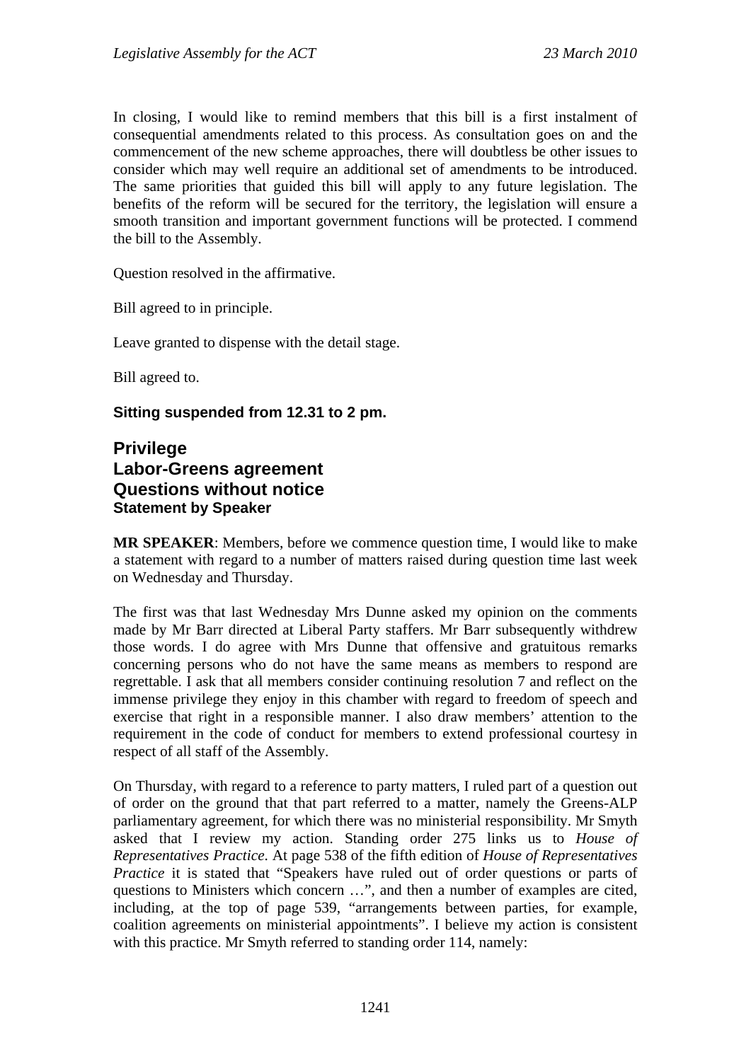In closing, I would like to remind members that this bill is a first instalment of consequential amendments related to this process. As consultation goes on and the commencement of the new scheme approaches, there will doubtless be other issues to consider which may well require an additional set of amendments to be introduced. The same priorities that guided this bill will apply to any future legislation. The benefits of the reform will be secured for the territory, the legislation will ensure a smooth transition and important government functions will be protected. I commend the bill to the Assembly.

Question resolved in the affirmative.

Bill agreed to in principle.

Leave granted to dispense with the detail stage.

Bill agreed to.

## **Sitting suspended from 12.31 to 2 pm.**

## **Privilege Labor-Greens agreement Questions without notice Statement by Speaker**

**MR SPEAKER**: Members, before we commence question time, I would like to make a statement with regard to a number of matters raised during question time last week on Wednesday and Thursday.

The first was that last Wednesday Mrs Dunne asked my opinion on the comments made by Mr Barr directed at Liberal Party staffers. Mr Barr subsequently withdrew those words. I do agree with Mrs Dunne that offensive and gratuitous remarks concerning persons who do not have the same means as members to respond are regrettable. I ask that all members consider continuing resolution 7 and reflect on the immense privilege they enjoy in this chamber with regard to freedom of speech and exercise that right in a responsible manner. I also draw members' attention to the requirement in the code of conduct for members to extend professional courtesy in respect of all staff of the Assembly.

On Thursday, with regard to a reference to party matters, I ruled part of a question out of order on the ground that that part referred to a matter, namely the Greens-ALP parliamentary agreement, for which there was no ministerial responsibility. Mr Smyth asked that I review my action. Standing order 275 links us to *House of Representatives Practice*. At page 538 of the fifth edition of *House of Representatives Practice* it is stated that "Speakers have ruled out of order questions or parts of questions to Ministers which concern …", and then a number of examples are cited, including, at the top of page 539, "arrangements between parties, for example, coalition agreements on ministerial appointments". I believe my action is consistent with this practice. Mr Smyth referred to standing order 114, namely: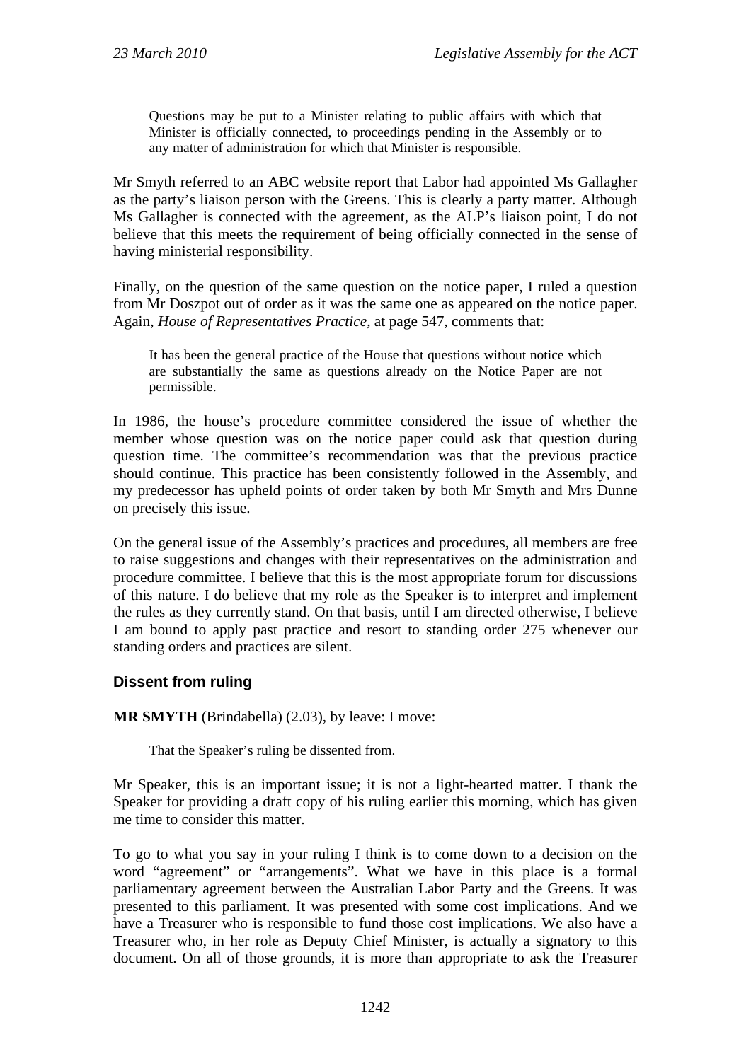Questions may be put to a Minister relating to public affairs with which that Minister is officially connected, to proceedings pending in the Assembly or to any matter of administration for which that Minister is responsible.

Mr Smyth referred to an ABC website report that Labor had appointed Ms Gallagher as the party's liaison person with the Greens. This is clearly a party matter. Although Ms Gallagher is connected with the agreement, as the ALP's liaison point, I do not believe that this meets the requirement of being officially connected in the sense of having ministerial responsibility.

Finally, on the question of the same question on the notice paper, I ruled a question from Mr Doszpot out of order as it was the same one as appeared on the notice paper. Again, *House of Representatives Practice*, at page 547, comments that:

It has been the general practice of the House that questions without notice which are substantially the same as questions already on the Notice Paper are not permissible.

In 1986, the house's procedure committee considered the issue of whether the member whose question was on the notice paper could ask that question during question time. The committee's recommendation was that the previous practice should continue. This practice has been consistently followed in the Assembly, and my predecessor has upheld points of order taken by both Mr Smyth and Mrs Dunne on precisely this issue.

On the general issue of the Assembly's practices and procedures, all members are free to raise suggestions and changes with their representatives on the administration and procedure committee. I believe that this is the most appropriate forum for discussions of this nature. I do believe that my role as the Speaker is to interpret and implement the rules as they currently stand. On that basis, until I am directed otherwise, I believe I am bound to apply past practice and resort to standing order 275 whenever our standing orders and practices are silent.

## **Dissent from ruling**

**MR SMYTH** (Brindabella) (2.03), by leave: I move:

That the Speaker's ruling be dissented from.

Mr Speaker, this is an important issue; it is not a light-hearted matter. I thank the Speaker for providing a draft copy of his ruling earlier this morning, which has given me time to consider this matter.

To go to what you say in your ruling I think is to come down to a decision on the word "agreement" or "arrangements". What we have in this place is a formal parliamentary agreement between the Australian Labor Party and the Greens. It was presented to this parliament. It was presented with some cost implications. And we have a Treasurer who is responsible to fund those cost implications. We also have a Treasurer who, in her role as Deputy Chief Minister, is actually a signatory to this document. On all of those grounds, it is more than appropriate to ask the Treasurer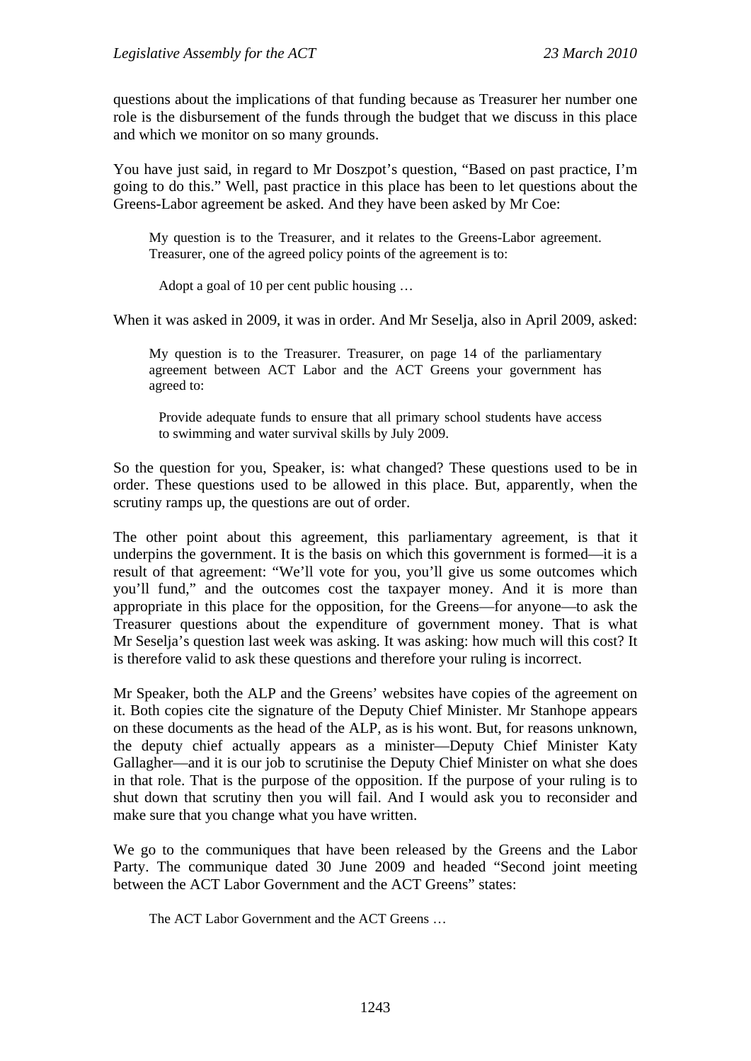questions about the implications of that funding because as Treasurer her number one role is the disbursement of the funds through the budget that we discuss in this place and which we monitor on so many grounds.

You have just said, in regard to Mr Doszpot's question, "Based on past practice, I'm going to do this." Well, past practice in this place has been to let questions about the Greens-Labor agreement be asked. And they have been asked by Mr Coe:

My question is to the Treasurer, and it relates to the Greens-Labor agreement. Treasurer, one of the agreed policy points of the agreement is to:

Adopt a goal of 10 per cent public housing …

When it was asked in 2009, it was in order. And Mr Seselja, also in April 2009, asked:

My question is to the Treasurer. Treasurer, on page 14 of the parliamentary agreement between ACT Labor and the ACT Greens your government has agreed to:

Provide adequate funds to ensure that all primary school students have access to swimming and water survival skills by July 2009.

So the question for you, Speaker, is: what changed? These questions used to be in order. These questions used to be allowed in this place. But, apparently, when the scrutiny ramps up, the questions are out of order.

The other point about this agreement, this parliamentary agreement, is that it underpins the government. It is the basis on which this government is formed—it is a result of that agreement: "We'll vote for you, you'll give us some outcomes which you'll fund," and the outcomes cost the taxpayer money. And it is more than appropriate in this place for the opposition, for the Greens—for anyone—to ask the Treasurer questions about the expenditure of government money. That is what Mr Seselja's question last week was asking. It was asking: how much will this cost? It is therefore valid to ask these questions and therefore your ruling is incorrect.

Mr Speaker, both the ALP and the Greens' websites have copies of the agreement on it. Both copies cite the signature of the Deputy Chief Minister. Mr Stanhope appears on these documents as the head of the ALP, as is his wont. But, for reasons unknown, the deputy chief actually appears as a minister—Deputy Chief Minister Katy Gallagher—and it is our job to scrutinise the Deputy Chief Minister on what she does in that role. That is the purpose of the opposition. If the purpose of your ruling is to shut down that scrutiny then you will fail. And I would ask you to reconsider and make sure that you change what you have written.

We go to the communiques that have been released by the Greens and the Labor Party. The communique dated 30 June 2009 and headed "Second joint meeting between the ACT Labor Government and the ACT Greens" states:

The ACT Labor Government and the ACT Greens …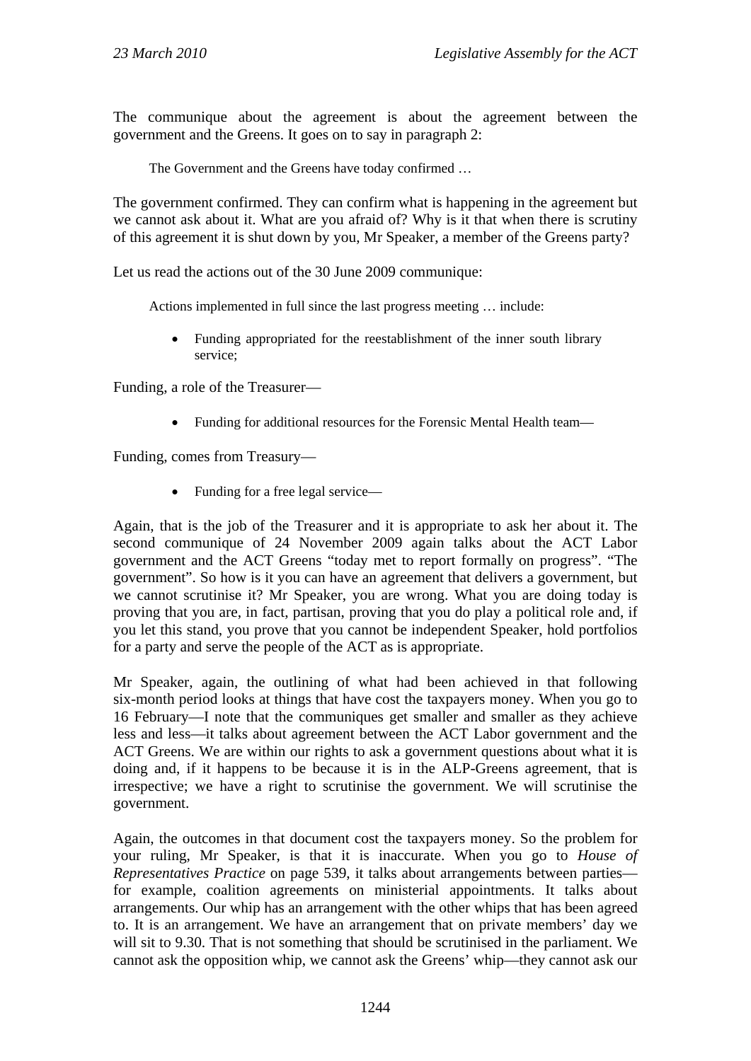The communique about the agreement is about the agreement between the government and the Greens. It goes on to say in paragraph 2:

The Government and the Greens have today confirmed …

The government confirmed. They can confirm what is happening in the agreement but we cannot ask about it. What are you afraid of? Why is it that when there is scrutiny of this agreement it is shut down by you, Mr Speaker, a member of the Greens party?

Let us read the actions out of the 30 June 2009 communique:

Actions implemented in full since the last progress meeting … include:

• Funding appropriated for the reestablishment of the inner south library service;

Funding, a role of the Treasurer—

Funding for additional resources for the Forensic Mental Health team—

Funding, comes from Treasury—

• Funding for a free legal service—

Again, that is the job of the Treasurer and it is appropriate to ask her about it. The second communique of 24 November 2009 again talks about the ACT Labor government and the ACT Greens "today met to report formally on progress". "The government". So how is it you can have an agreement that delivers a government, but we cannot scrutinise it? Mr Speaker, you are wrong. What you are doing today is proving that you are, in fact, partisan, proving that you do play a political role and, if you let this stand, you prove that you cannot be independent Speaker, hold portfolios for a party and serve the people of the ACT as is appropriate.

Mr Speaker, again, the outlining of what had been achieved in that following six-month period looks at things that have cost the taxpayers money. When you go to 16 February—I note that the communiques get smaller and smaller as they achieve less and less—it talks about agreement between the ACT Labor government and the ACT Greens. We are within our rights to ask a government questions about what it is doing and, if it happens to be because it is in the ALP-Greens agreement, that is irrespective; we have a right to scrutinise the government. We will scrutinise the government.

Again, the outcomes in that document cost the taxpayers money. So the problem for your ruling, Mr Speaker, is that it is inaccurate. When you go to *House of Representatives Practice* on page 539, it talks about arrangements between parties for example, coalition agreements on ministerial appointments. It talks about arrangements. Our whip has an arrangement with the other whips that has been agreed to. It is an arrangement. We have an arrangement that on private members' day we will sit to 9.30. That is not something that should be scrutinised in the parliament. We cannot ask the opposition whip, we cannot ask the Greens' whip—they cannot ask our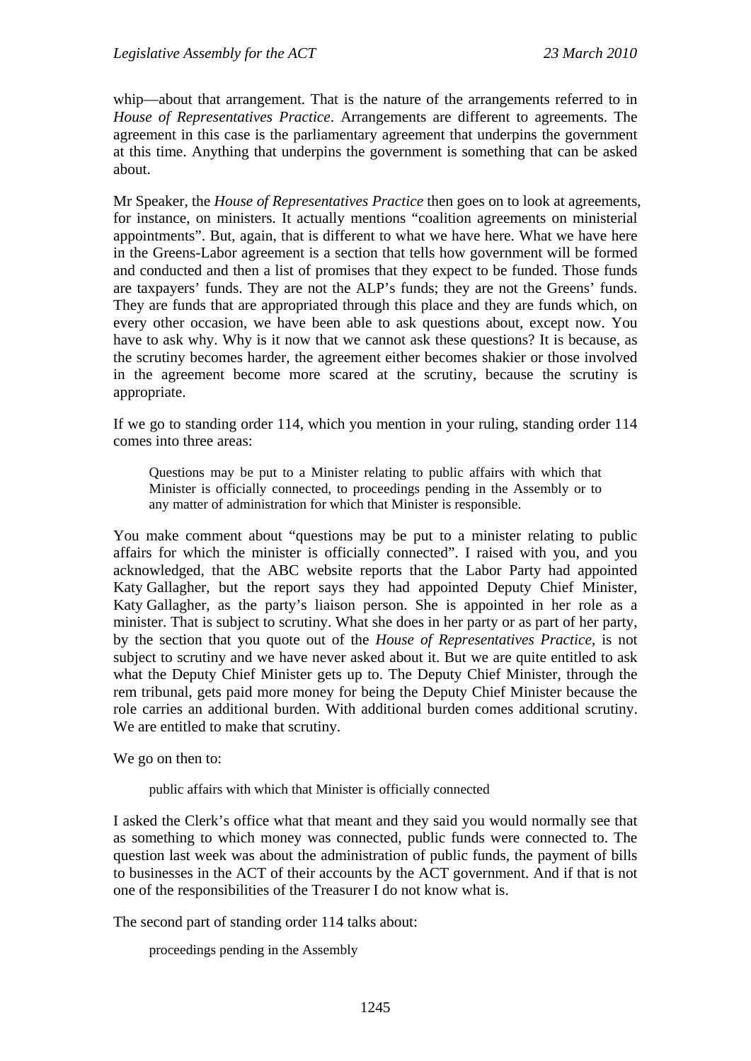whip—about that arrangement. That is the nature of the arrangements referred to in *House of Representatives Practice*. Arrangements are different to agreements. The agreement in this case is the parliamentary agreement that underpins the government at this time. Anything that underpins the government is something that can be asked about.

Mr Speaker, the *House of Representatives Practice* then goes on to look at agreements, for instance, on ministers. It actually mentions "coalition agreements on ministerial appointments". But, again, that is different to what we have here. What we have here in the Greens-Labor agreement is a section that tells how government will be formed and conducted and then a list of promises that they expect to be funded. Those funds are taxpayers' funds. They are not the ALP's funds; they are not the Greens' funds. They are funds that are appropriated through this place and they are funds which, on every other occasion, we have been able to ask questions about, except now. You have to ask why. Why is it now that we cannot ask these questions? It is because, as the scrutiny becomes harder, the agreement either becomes shakier or those involved in the agreement become more scared at the scrutiny, because the scrutiny is appropriate.

If we go to standing order 114, which you mention in your ruling, standing order 114 comes into three areas:

Questions may be put to a Minister relating to public affairs with which that Minister is officially connected, to proceedings pending in the Assembly or to any matter of administration for which that Minister is responsible.

You make comment about "questions may be put to a minister relating to public affairs for which the minister is officially connected". I raised with you, and you acknowledged, that the ABC website reports that the Labor Party had appointed Katy Gallagher, but the report says they had appointed Deputy Chief Minister, Katy Gallagher, as the party's liaison person. She is appointed in her role as a minister. That is subject to scrutiny. What she does in her party or as part of her party, by the section that you quote out of the *House of Representatives Practice*, is not subject to scrutiny and we have never asked about it. But we are quite entitled to ask what the Deputy Chief Minister gets up to. The Deputy Chief Minister, through the rem tribunal, gets paid more money for being the Deputy Chief Minister because the role carries an additional burden. With additional burden comes additional scrutiny. We are entitled to make that scrutiny.

We go on then to:

public affairs with which that Minister is officially connected

I asked the Clerk's office what that meant and they said you would normally see that as something to which money was connected, public funds were connected to. The question last week was about the administration of public funds, the payment of bills to businesses in the ACT of their accounts by the ACT government. And if that is not one of the responsibilities of the Treasurer I do not know what is.

The second part of standing order 114 talks about:

proceedings pending in the Assembly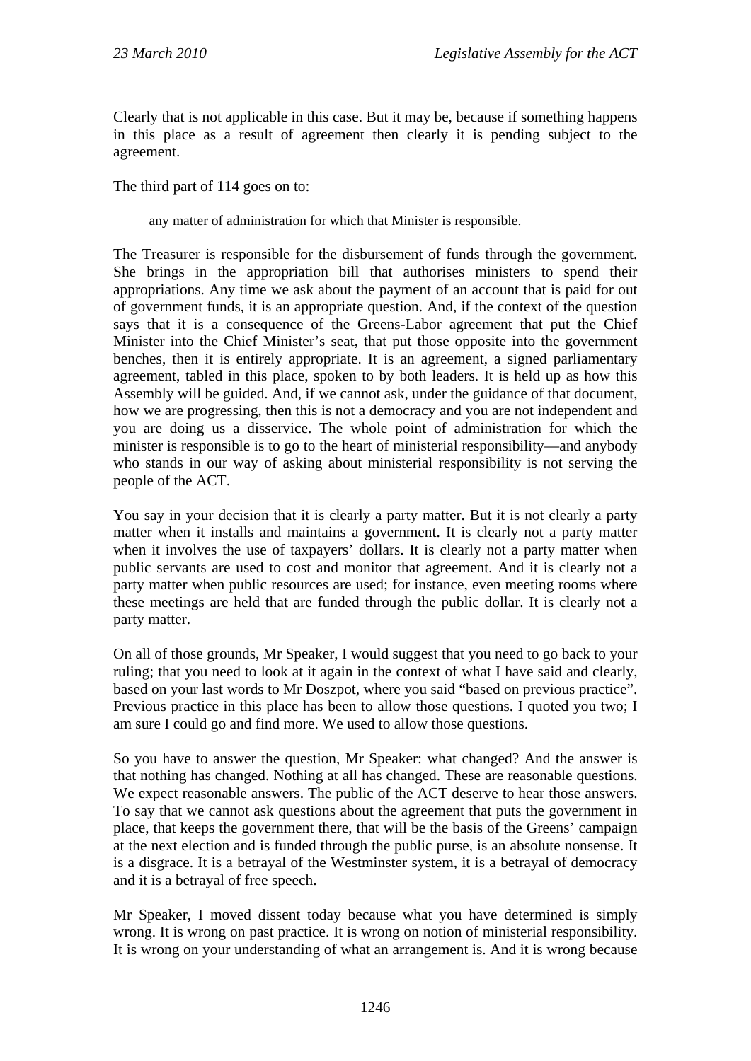Clearly that is not applicable in this case. But it may be, because if something happens in this place as a result of agreement then clearly it is pending subject to the agreement.

The third part of 114 goes on to:

any matter of administration for which that Minister is responsible.

The Treasurer is responsible for the disbursement of funds through the government. She brings in the appropriation bill that authorises ministers to spend their appropriations. Any time we ask about the payment of an account that is paid for out of government funds, it is an appropriate question. And, if the context of the question says that it is a consequence of the Greens-Labor agreement that put the Chief Minister into the Chief Minister's seat, that put those opposite into the government benches, then it is entirely appropriate. It is an agreement, a signed parliamentary agreement, tabled in this place, spoken to by both leaders. It is held up as how this Assembly will be guided. And, if we cannot ask, under the guidance of that document, how we are progressing, then this is not a democracy and you are not independent and you are doing us a disservice. The whole point of administration for which the minister is responsible is to go to the heart of ministerial responsibility—and anybody who stands in our way of asking about ministerial responsibility is not serving the people of the ACT.

You say in your decision that it is clearly a party matter. But it is not clearly a party matter when it installs and maintains a government. It is clearly not a party matter when it involves the use of taxpayers' dollars. It is clearly not a party matter when public servants are used to cost and monitor that agreement. And it is clearly not a party matter when public resources are used; for instance, even meeting rooms where these meetings are held that are funded through the public dollar. It is clearly not a party matter.

On all of those grounds, Mr Speaker, I would suggest that you need to go back to your ruling; that you need to look at it again in the context of what I have said and clearly, based on your last words to Mr Doszpot, where you said "based on previous practice". Previous practice in this place has been to allow those questions. I quoted you two; I am sure I could go and find more. We used to allow those questions.

So you have to answer the question, Mr Speaker: what changed? And the answer is that nothing has changed. Nothing at all has changed. These are reasonable questions. We expect reasonable answers. The public of the ACT deserve to hear those answers. To say that we cannot ask questions about the agreement that puts the government in place, that keeps the government there, that will be the basis of the Greens' campaign at the next election and is funded through the public purse, is an absolute nonsense. It is a disgrace. It is a betrayal of the Westminster system, it is a betrayal of democracy and it is a betrayal of free speech.

Mr Speaker, I moved dissent today because what you have determined is simply wrong. It is wrong on past practice. It is wrong on notion of ministerial responsibility. It is wrong on your understanding of what an arrangement is. And it is wrong because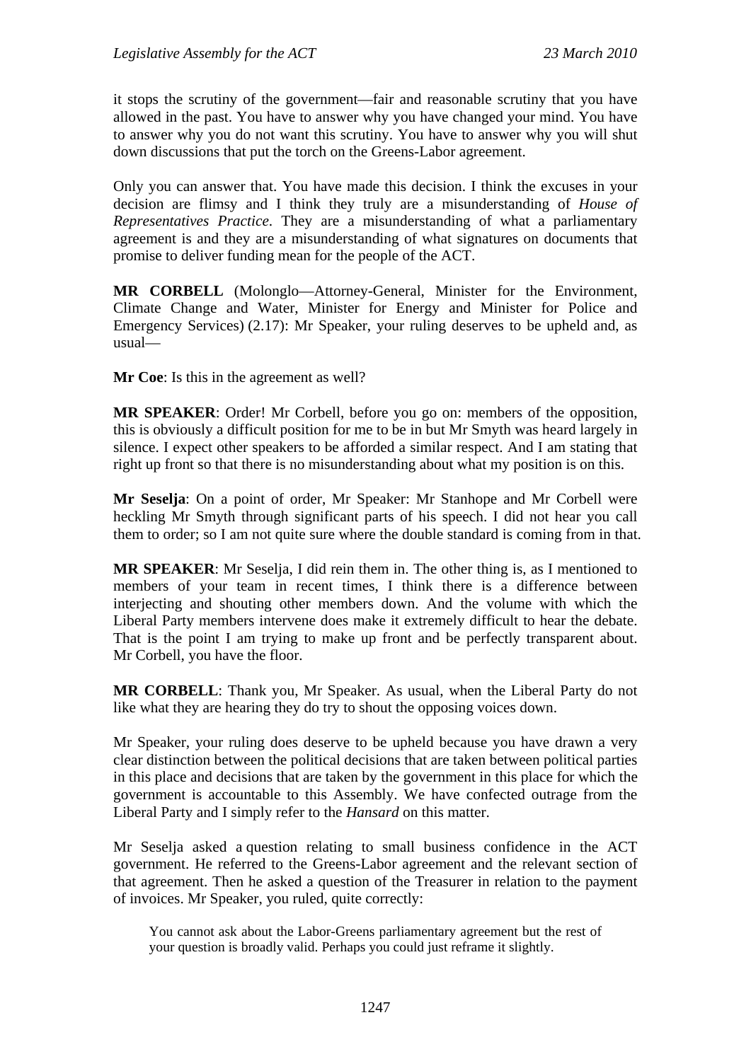it stops the scrutiny of the government—fair and reasonable scrutiny that you have allowed in the past. You have to answer why you have changed your mind. You have to answer why you do not want this scrutiny. You have to answer why you will shut down discussions that put the torch on the Greens-Labor agreement.

Only you can answer that. You have made this decision. I think the excuses in your decision are flimsy and I think they truly are a misunderstanding of *House of Representatives Practice*. They are a misunderstanding of what a parliamentary agreement is and they are a misunderstanding of what signatures on documents that promise to deliver funding mean for the people of the ACT.

**MR CORBELL** (Molonglo—Attorney-General, Minister for the Environment, Climate Change and Water, Minister for Energy and Minister for Police and Emergency Services) (2.17): Mr Speaker, your ruling deserves to be upheld and, as usual—

**Mr Coe**: Is this in the agreement as well?

**MR SPEAKER**: Order! Mr Corbell, before you go on: members of the opposition, this is obviously a difficult position for me to be in but Mr Smyth was heard largely in silence. I expect other speakers to be afforded a similar respect. And I am stating that right up front so that there is no misunderstanding about what my position is on this.

**Mr Seselja**: On a point of order, Mr Speaker: Mr Stanhope and Mr Corbell were heckling Mr Smyth through significant parts of his speech. I did not hear you call them to order; so I am not quite sure where the double standard is coming from in that.

**MR SPEAKER**: Mr Seselja, I did rein them in. The other thing is, as I mentioned to members of your team in recent times, I think there is a difference between interjecting and shouting other members down. And the volume with which the Liberal Party members intervene does make it extremely difficult to hear the debate. That is the point I am trying to make up front and be perfectly transparent about. Mr Corbell, you have the floor.

**MR CORBELL**: Thank you, Mr Speaker. As usual, when the Liberal Party do not like what they are hearing they do try to shout the opposing voices down.

Mr Speaker, your ruling does deserve to be upheld because you have drawn a very clear distinction between the political decisions that are taken between political parties in this place and decisions that are taken by the government in this place for which the government is accountable to this Assembly. We have confected outrage from the Liberal Party and I simply refer to the *Hansard* on this matter.

Mr Seselja asked a question relating to small business confidence in the ACT government. He referred to the Greens-Labor agreement and the relevant section of that agreement. Then he asked a question of the Treasurer in relation to the payment of invoices. Mr Speaker, you ruled, quite correctly:

You cannot ask about the Labor-Greens parliamentary agreement but the rest of your question is broadly valid. Perhaps you could just reframe it slightly.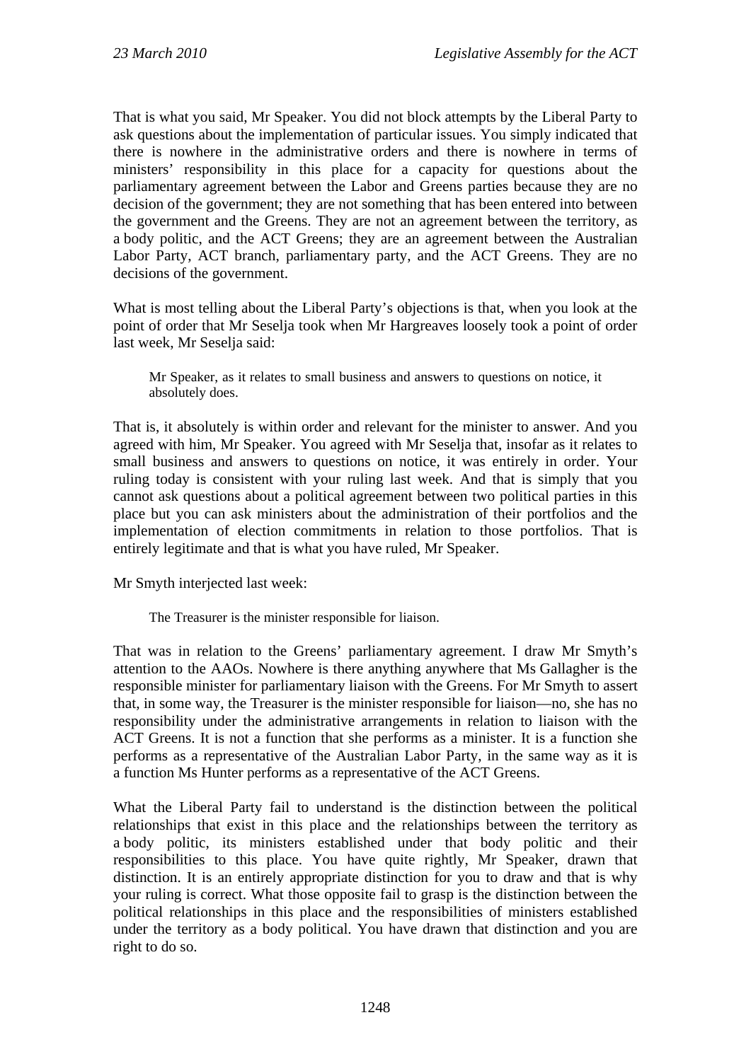That is what you said, Mr Speaker. You did not block attempts by the Liberal Party to ask questions about the implementation of particular issues. You simply indicated that there is nowhere in the administrative orders and there is nowhere in terms of ministers' responsibility in this place for a capacity for questions about the parliamentary agreement between the Labor and Greens parties because they are no decision of the government; they are not something that has been entered into between the government and the Greens. They are not an agreement between the territory, as a body politic, and the ACT Greens; they are an agreement between the Australian Labor Party, ACT branch, parliamentary party, and the ACT Greens. They are no decisions of the government.

What is most telling about the Liberal Party's objections is that, when you look at the point of order that Mr Seselja took when Mr Hargreaves loosely took a point of order last week, Mr Seselja said:

Mr Speaker, as it relates to small business and answers to questions on notice, it absolutely does.

That is, it absolutely is within order and relevant for the minister to answer. And you agreed with him, Mr Speaker. You agreed with Mr Seselja that, insofar as it relates to small business and answers to questions on notice, it was entirely in order. Your ruling today is consistent with your ruling last week. And that is simply that you cannot ask questions about a political agreement between two political parties in this place but you can ask ministers about the administration of their portfolios and the implementation of election commitments in relation to those portfolios. That is entirely legitimate and that is what you have ruled, Mr Speaker.

Mr Smyth interjected last week:

The Treasurer is the minister responsible for liaison.

That was in relation to the Greens' parliamentary agreement. I draw Mr Smyth's attention to the AAOs. Nowhere is there anything anywhere that Ms Gallagher is the responsible minister for parliamentary liaison with the Greens. For Mr Smyth to assert that, in some way, the Treasurer is the minister responsible for liaison—no, she has no responsibility under the administrative arrangements in relation to liaison with the ACT Greens. It is not a function that she performs as a minister. It is a function she performs as a representative of the Australian Labor Party, in the same way as it is a function Ms Hunter performs as a representative of the ACT Greens.

What the Liberal Party fail to understand is the distinction between the political relationships that exist in this place and the relationships between the territory as a body politic, its ministers established under that body politic and their responsibilities to this place. You have quite rightly, Mr Speaker, drawn that distinction. It is an entirely appropriate distinction for you to draw and that is why your ruling is correct. What those opposite fail to grasp is the distinction between the political relationships in this place and the responsibilities of ministers established under the territory as a body political. You have drawn that distinction and you are right to do so.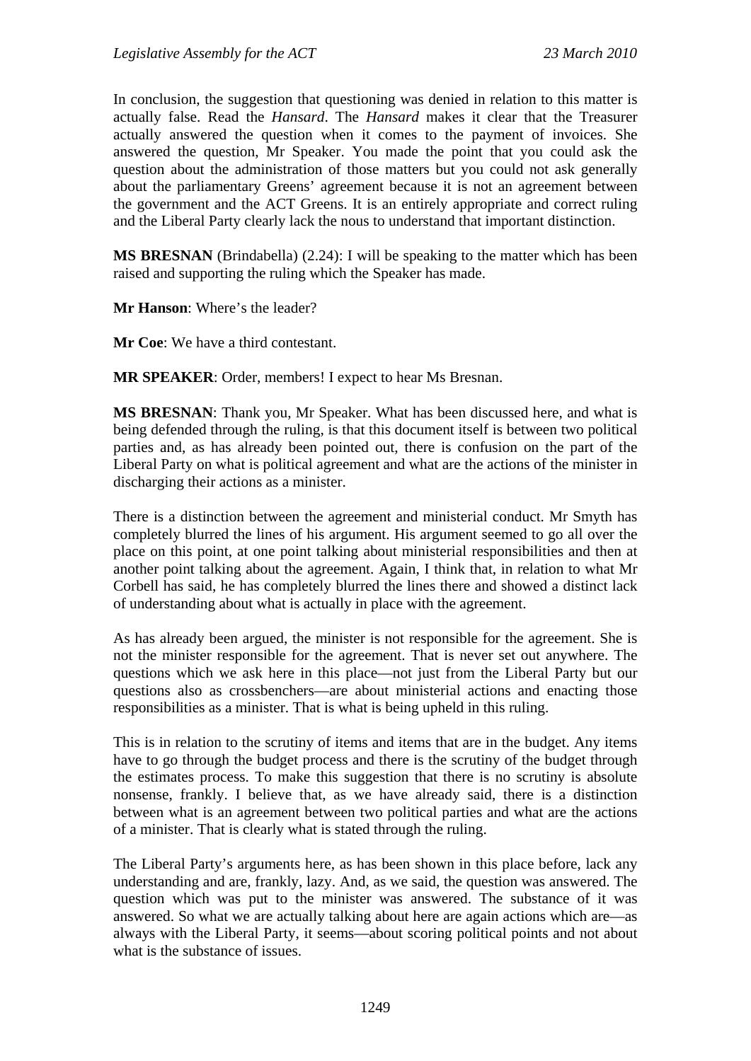In conclusion, the suggestion that questioning was denied in relation to this matter is actually false. Read the *Hansard*. The *Hansard* makes it clear that the Treasurer actually answered the question when it comes to the payment of invoices. She answered the question, Mr Speaker. You made the point that you could ask the question about the administration of those matters but you could not ask generally about the parliamentary Greens' agreement because it is not an agreement between the government and the ACT Greens. It is an entirely appropriate and correct ruling and the Liberal Party clearly lack the nous to understand that important distinction.

**MS BRESNAN** (Brindabella) (2.24): I will be speaking to the matter which has been raised and supporting the ruling which the Speaker has made.

**Mr Hanson**: Where's the leader?

**Mr Coe**: We have a third contestant.

**MR SPEAKER**: Order, members! I expect to hear Ms Bresnan.

**MS BRESNAN**: Thank you, Mr Speaker. What has been discussed here, and what is being defended through the ruling, is that this document itself is between two political parties and, as has already been pointed out, there is confusion on the part of the Liberal Party on what is political agreement and what are the actions of the minister in discharging their actions as a minister.

There is a distinction between the agreement and ministerial conduct. Mr Smyth has completely blurred the lines of his argument. His argument seemed to go all over the place on this point, at one point talking about ministerial responsibilities and then at another point talking about the agreement. Again, I think that, in relation to what Mr Corbell has said, he has completely blurred the lines there and showed a distinct lack of understanding about what is actually in place with the agreement.

As has already been argued, the minister is not responsible for the agreement. She is not the minister responsible for the agreement. That is never set out anywhere. The questions which we ask here in this place—not just from the Liberal Party but our questions also as crossbenchers—are about ministerial actions and enacting those responsibilities as a minister. That is what is being upheld in this ruling.

This is in relation to the scrutiny of items and items that are in the budget. Any items have to go through the budget process and there is the scrutiny of the budget through the estimates process. To make this suggestion that there is no scrutiny is absolute nonsense, frankly. I believe that, as we have already said, there is a distinction between what is an agreement between two political parties and what are the actions of a minister. That is clearly what is stated through the ruling.

The Liberal Party's arguments here, as has been shown in this place before, lack any understanding and are, frankly, lazy. And, as we said, the question was answered. The question which was put to the minister was answered. The substance of it was answered. So what we are actually talking about here are again actions which are—as always with the Liberal Party, it seems—about scoring political points and not about what is the substance of issues.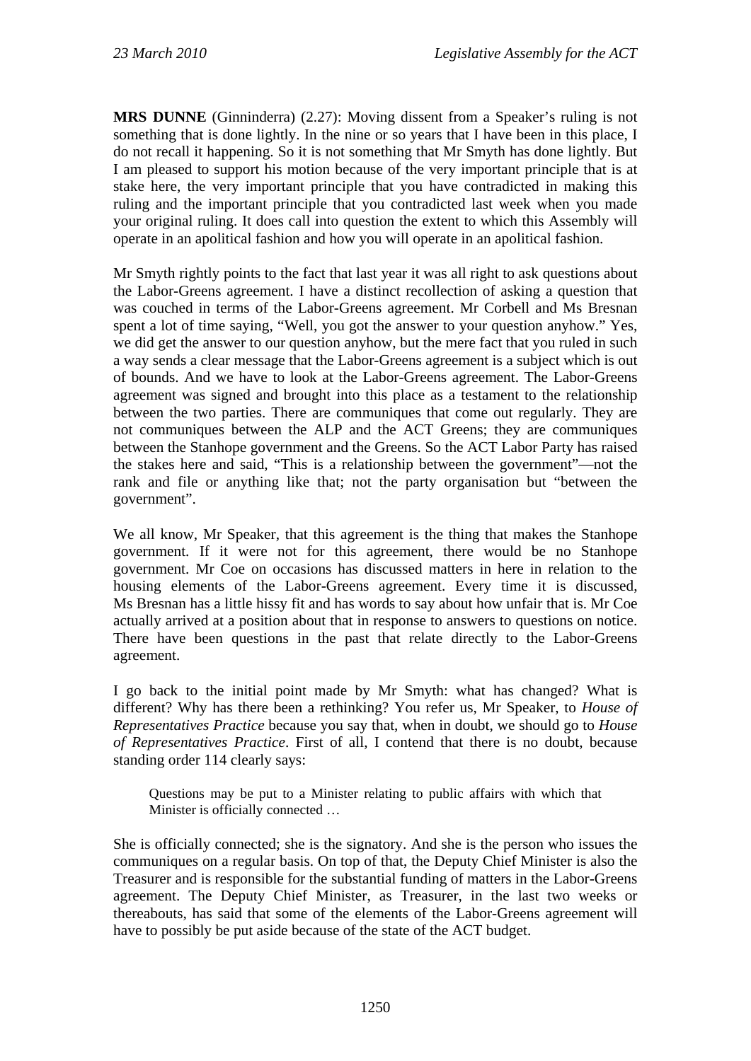**MRS DUNNE** (Ginninderra) (2.27): Moving dissent from a Speaker's ruling is not something that is done lightly. In the nine or so years that I have been in this place, I do not recall it happening. So it is not something that Mr Smyth has done lightly. But I am pleased to support his motion because of the very important principle that is at stake here, the very important principle that you have contradicted in making this ruling and the important principle that you contradicted last week when you made your original ruling. It does call into question the extent to which this Assembly will operate in an apolitical fashion and how you will operate in an apolitical fashion.

Mr Smyth rightly points to the fact that last year it was all right to ask questions about the Labor-Greens agreement. I have a distinct recollection of asking a question that was couched in terms of the Labor-Greens agreement. Mr Corbell and Ms Bresnan spent a lot of time saying, "Well, you got the answer to your question anyhow." Yes, we did get the answer to our question anyhow, but the mere fact that you ruled in such a way sends a clear message that the Labor-Greens agreement is a subject which is out of bounds. And we have to look at the Labor-Greens agreement. The Labor-Greens agreement was signed and brought into this place as a testament to the relationship between the two parties. There are communiques that come out regularly. They are not communiques between the ALP and the ACT Greens; they are communiques between the Stanhope government and the Greens. So the ACT Labor Party has raised the stakes here and said, "This is a relationship between the government"—not the rank and file or anything like that; not the party organisation but "between the government".

We all know, Mr Speaker, that this agreement is the thing that makes the Stanhope government. If it were not for this agreement, there would be no Stanhope government. Mr Coe on occasions has discussed matters in here in relation to the housing elements of the Labor-Greens agreement. Every time it is discussed, Ms Bresnan has a little hissy fit and has words to say about how unfair that is. Mr Coe actually arrived at a position about that in response to answers to questions on notice. There have been questions in the past that relate directly to the Labor-Greens agreement.

I go back to the initial point made by Mr Smyth: what has changed? What is different? Why has there been a rethinking? You refer us, Mr Speaker, to *House of Representatives Practice* because you say that, when in doubt, we should go to *House of Representatives Practice*. First of all, I contend that there is no doubt, because standing order 114 clearly says:

Questions may be put to a Minister relating to public affairs with which that Minister is officially connected …

She is officially connected; she is the signatory. And she is the person who issues the communiques on a regular basis. On top of that, the Deputy Chief Minister is also the Treasurer and is responsible for the substantial funding of matters in the Labor-Greens agreement. The Deputy Chief Minister, as Treasurer, in the last two weeks or thereabouts, has said that some of the elements of the Labor-Greens agreement will have to possibly be put aside because of the state of the ACT budget.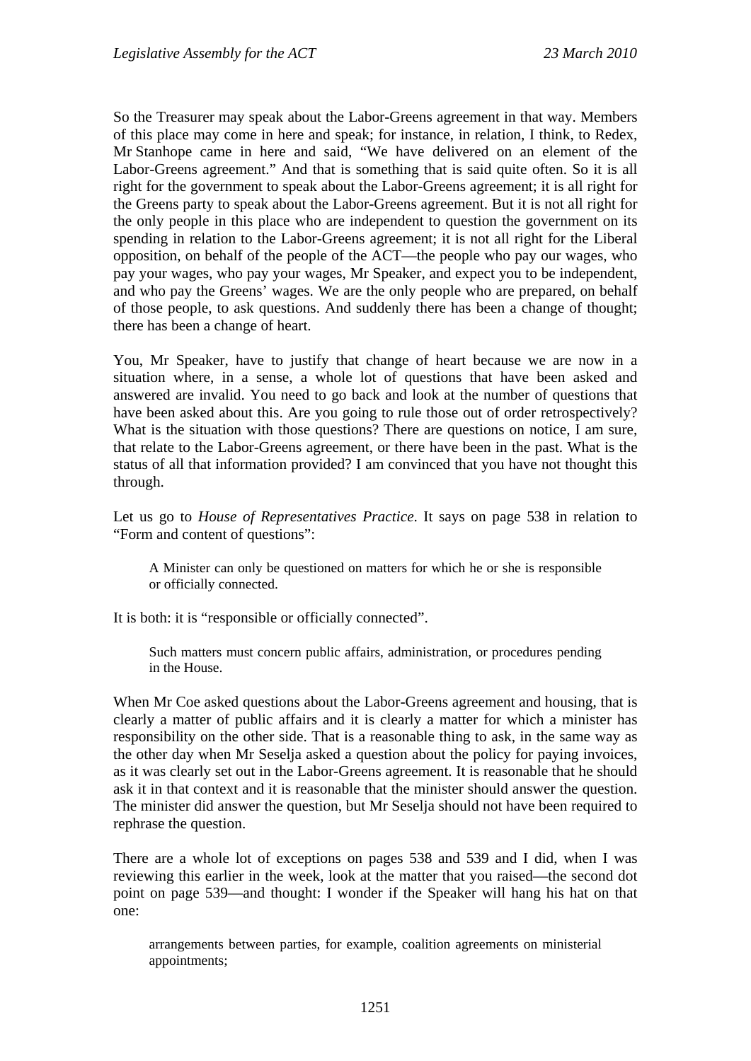So the Treasurer may speak about the Labor-Greens agreement in that way. Members of this place may come in here and speak; for instance, in relation, I think, to Redex, Mr Stanhope came in here and said, "We have delivered on an element of the Labor-Greens agreement." And that is something that is said quite often. So it is all right for the government to speak about the Labor-Greens agreement; it is all right for the Greens party to speak about the Labor-Greens agreement. But it is not all right for the only people in this place who are independent to question the government on its spending in relation to the Labor-Greens agreement; it is not all right for the Liberal opposition, on behalf of the people of the ACT—the people who pay our wages, who pay your wages, who pay your wages, Mr Speaker, and expect you to be independent, and who pay the Greens' wages. We are the only people who are prepared, on behalf of those people, to ask questions. And suddenly there has been a change of thought; there has been a change of heart.

You, Mr Speaker, have to justify that change of heart because we are now in a situation where, in a sense, a whole lot of questions that have been asked and answered are invalid. You need to go back and look at the number of questions that have been asked about this. Are you going to rule those out of order retrospectively? What is the situation with those questions? There are questions on notice, I am sure, that relate to the Labor-Greens agreement, or there have been in the past. What is the status of all that information provided? I am convinced that you have not thought this through.

Let us go to *House of Representatives Practice*. It says on page 538 in relation to "Form and content of questions":

A Minister can only be questioned on matters for which he or she is responsible or officially connected.

It is both: it is "responsible or officially connected".

Such matters must concern public affairs, administration, or procedures pending in the House.

When Mr Coe asked questions about the Labor-Greens agreement and housing, that is clearly a matter of public affairs and it is clearly a matter for which a minister has responsibility on the other side. That is a reasonable thing to ask, in the same way as the other day when Mr Seselja asked a question about the policy for paying invoices, as it was clearly set out in the Labor-Greens agreement. It is reasonable that he should ask it in that context and it is reasonable that the minister should answer the question. The minister did answer the question, but Mr Seselja should not have been required to rephrase the question.

There are a whole lot of exceptions on pages 538 and 539 and I did, when I was reviewing this earlier in the week, look at the matter that you raised—the second dot point on page 539—and thought: I wonder if the Speaker will hang his hat on that one:

arrangements between parties, for example, coalition agreements on ministerial appointments;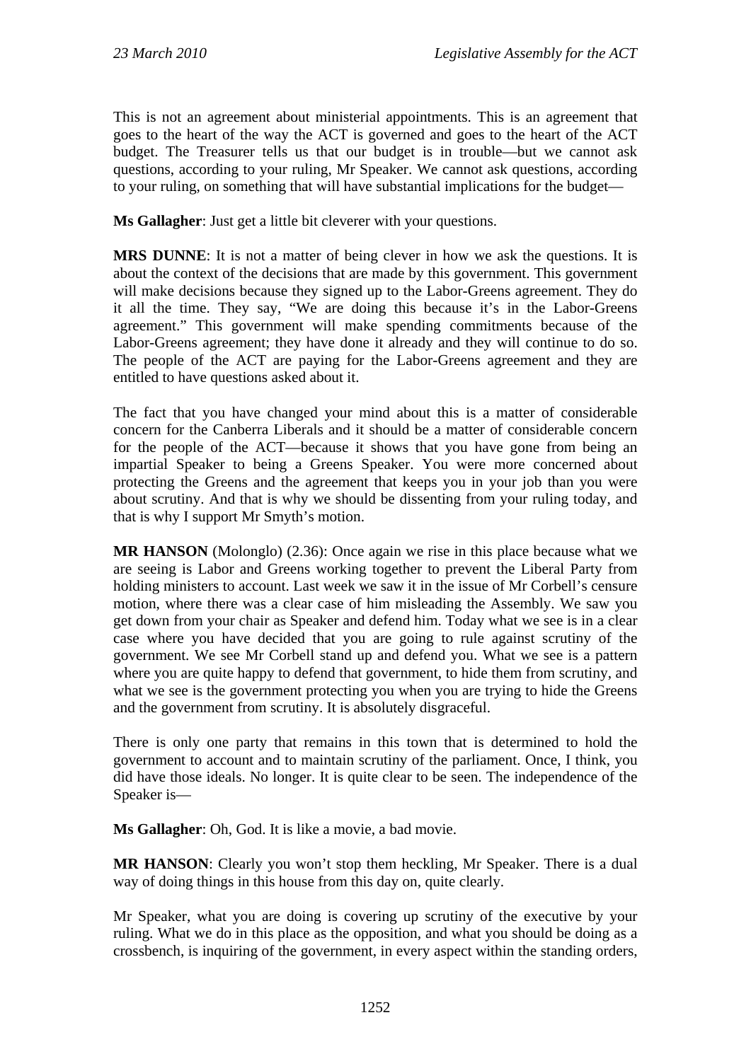This is not an agreement about ministerial appointments. This is an agreement that goes to the heart of the way the ACT is governed and goes to the heart of the ACT budget. The Treasurer tells us that our budget is in trouble—but we cannot ask questions, according to your ruling, Mr Speaker. We cannot ask questions, according to your ruling, on something that will have substantial implications for the budget—

**Ms Gallagher**: Just get a little bit cleverer with your questions.

**MRS DUNNE**: It is not a matter of being clever in how we ask the questions. It is about the context of the decisions that are made by this government. This government will make decisions because they signed up to the Labor-Greens agreement. They do it all the time. They say, "We are doing this because it's in the Labor-Greens agreement." This government will make spending commitments because of the Labor-Greens agreement; they have done it already and they will continue to do so. The people of the ACT are paying for the Labor-Greens agreement and they are entitled to have questions asked about it.

The fact that you have changed your mind about this is a matter of considerable concern for the Canberra Liberals and it should be a matter of considerable concern for the people of the ACT—because it shows that you have gone from being an impartial Speaker to being a Greens Speaker. You were more concerned about protecting the Greens and the agreement that keeps you in your job than you were about scrutiny. And that is why we should be dissenting from your ruling today, and that is why I support Mr Smyth's motion.

**MR HANSON** (Molonglo) (2.36): Once again we rise in this place because what we are seeing is Labor and Greens working together to prevent the Liberal Party from holding ministers to account. Last week we saw it in the issue of Mr Corbell's censure motion, where there was a clear case of him misleading the Assembly. We saw you get down from your chair as Speaker and defend him. Today what we see is in a clear case where you have decided that you are going to rule against scrutiny of the government. We see Mr Corbell stand up and defend you. What we see is a pattern where you are quite happy to defend that government, to hide them from scrutiny, and what we see is the government protecting you when you are trying to hide the Greens and the government from scrutiny. It is absolutely disgraceful.

There is only one party that remains in this town that is determined to hold the government to account and to maintain scrutiny of the parliament. Once, I think, you did have those ideals. No longer. It is quite clear to be seen. The independence of the Speaker is—

**Ms Gallagher**: Oh, God. It is like a movie, a bad movie.

**MR HANSON**: Clearly you won't stop them heckling, Mr Speaker. There is a dual way of doing things in this house from this day on, quite clearly.

Mr Speaker, what you are doing is covering up scrutiny of the executive by your ruling. What we do in this place as the opposition, and what you should be doing as a crossbench, is inquiring of the government, in every aspect within the standing orders,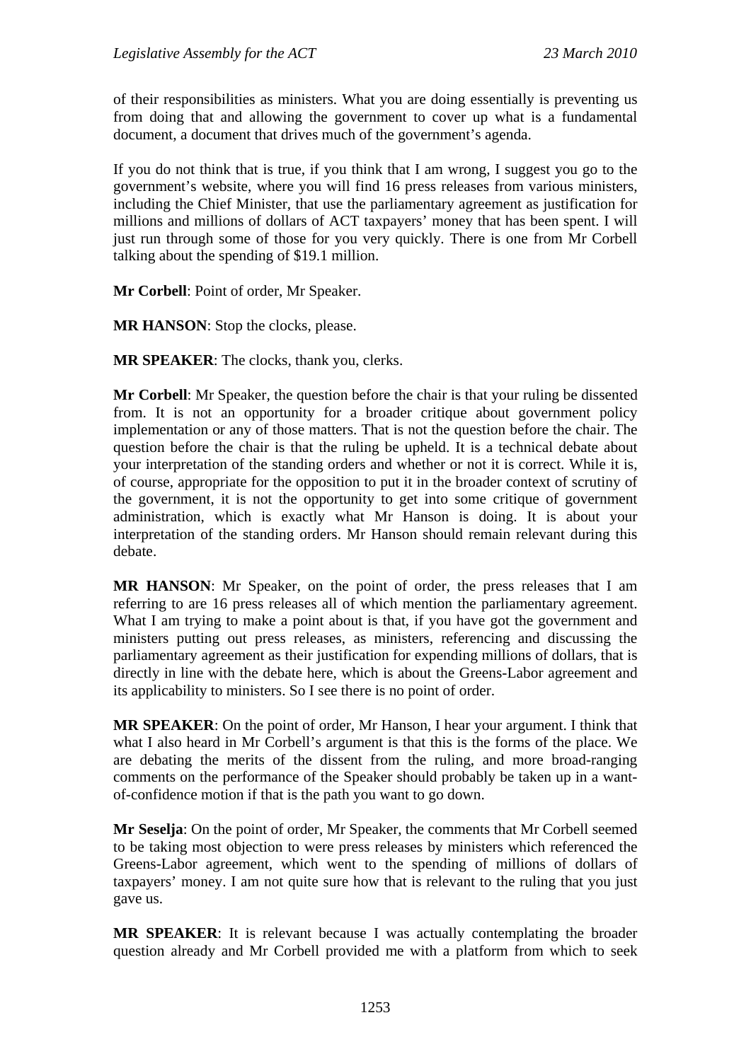of their responsibilities as ministers. What you are doing essentially is preventing us from doing that and allowing the government to cover up what is a fundamental document, a document that drives much of the government's agenda.

If you do not think that is true, if you think that I am wrong, I suggest you go to the government's website, where you will find 16 press releases from various ministers, including the Chief Minister, that use the parliamentary agreement as justification for millions and millions of dollars of ACT taxpayers' money that has been spent. I will just run through some of those for you very quickly. There is one from Mr Corbell talking about the spending of \$19.1 million.

**Mr Corbell**: Point of order, Mr Speaker.

**MR HANSON**: Stop the clocks, please.

**MR SPEAKER**: The clocks, thank you, clerks.

**Mr Corbell**: Mr Speaker, the question before the chair is that your ruling be dissented from. It is not an opportunity for a broader critique about government policy implementation or any of those matters. That is not the question before the chair. The question before the chair is that the ruling be upheld. It is a technical debate about your interpretation of the standing orders and whether or not it is correct. While it is, of course, appropriate for the opposition to put it in the broader context of scrutiny of the government, it is not the opportunity to get into some critique of government administration, which is exactly what Mr Hanson is doing. It is about your interpretation of the standing orders. Mr Hanson should remain relevant during this debate.

**MR HANSON**: Mr Speaker, on the point of order, the press releases that I am referring to are 16 press releases all of which mention the parliamentary agreement. What I am trying to make a point about is that, if you have got the government and ministers putting out press releases, as ministers, referencing and discussing the parliamentary agreement as their justification for expending millions of dollars, that is directly in line with the debate here, which is about the Greens-Labor agreement and its applicability to ministers. So I see there is no point of order.

**MR SPEAKER**: On the point of order, Mr Hanson, I hear your argument. I think that what I also heard in Mr Corbell's argument is that this is the forms of the place. We are debating the merits of the dissent from the ruling, and more broad-ranging comments on the performance of the Speaker should probably be taken up in a wantof-confidence motion if that is the path you want to go down.

**Mr Seselja**: On the point of order, Mr Speaker, the comments that Mr Corbell seemed to be taking most objection to were press releases by ministers which referenced the Greens-Labor agreement, which went to the spending of millions of dollars of taxpayers' money. I am not quite sure how that is relevant to the ruling that you just gave us.

**MR SPEAKER**: It is relevant because I was actually contemplating the broader question already and Mr Corbell provided me with a platform from which to seek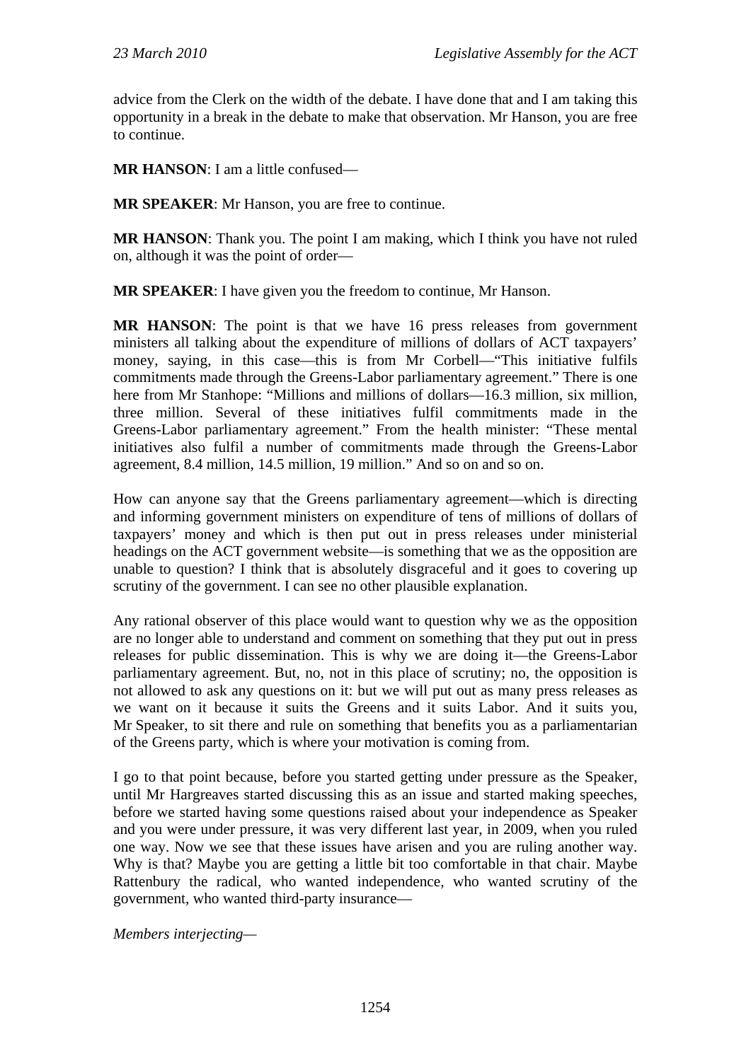advice from the Clerk on the width of the debate. I have done that and I am taking this opportunity in a break in the debate to make that observation. Mr Hanson, you are free to continue.

**MR HANSON**: I am a little confused—

**MR SPEAKER**: Mr Hanson, you are free to continue.

**MR HANSON**: Thank you. The point I am making, which I think you have not ruled on, although it was the point of order—

**MR SPEAKER**: I have given you the freedom to continue, Mr Hanson.

**MR HANSON**: The point is that we have 16 press releases from government ministers all talking about the expenditure of millions of dollars of ACT taxpayers' money, saying, in this case—this is from Mr Corbell—"This initiative fulfils commitments made through the Greens-Labor parliamentary agreement." There is one here from Mr Stanhope: "Millions and millions of dollars—16.3 million, six million, three million. Several of these initiatives fulfil commitments made in the Greens-Labor parliamentary agreement." From the health minister: "These mental initiatives also fulfil a number of commitments made through the Greens-Labor agreement, 8.4 million, 14.5 million, 19 million." And so on and so on.

How can anyone say that the Greens parliamentary agreement—which is directing and informing government ministers on expenditure of tens of millions of dollars of taxpayers' money and which is then put out in press releases under ministerial headings on the ACT government website—is something that we as the opposition are unable to question? I think that is absolutely disgraceful and it goes to covering up scrutiny of the government. I can see no other plausible explanation.

Any rational observer of this place would want to question why we as the opposition are no longer able to understand and comment on something that they put out in press releases for public dissemination. This is why we are doing it—the Greens-Labor parliamentary agreement. But, no, not in this place of scrutiny; no, the opposition is not allowed to ask any questions on it: but we will put out as many press releases as we want on it because it suits the Greens and it suits Labor. And it suits you, Mr Speaker, to sit there and rule on something that benefits you as a parliamentarian of the Greens party, which is where your motivation is coming from.

I go to that point because, before you started getting under pressure as the Speaker, until Mr Hargreaves started discussing this as an issue and started making speeches, before we started having some questions raised about your independence as Speaker and you were under pressure, it was very different last year, in 2009, when you ruled one way. Now we see that these issues have arisen and you are ruling another way. Why is that? Maybe you are getting a little bit too comfortable in that chair. Maybe Rattenbury the radical, who wanted independence, who wanted scrutiny of the government, who wanted third-party insurance—

*Members interjecting—*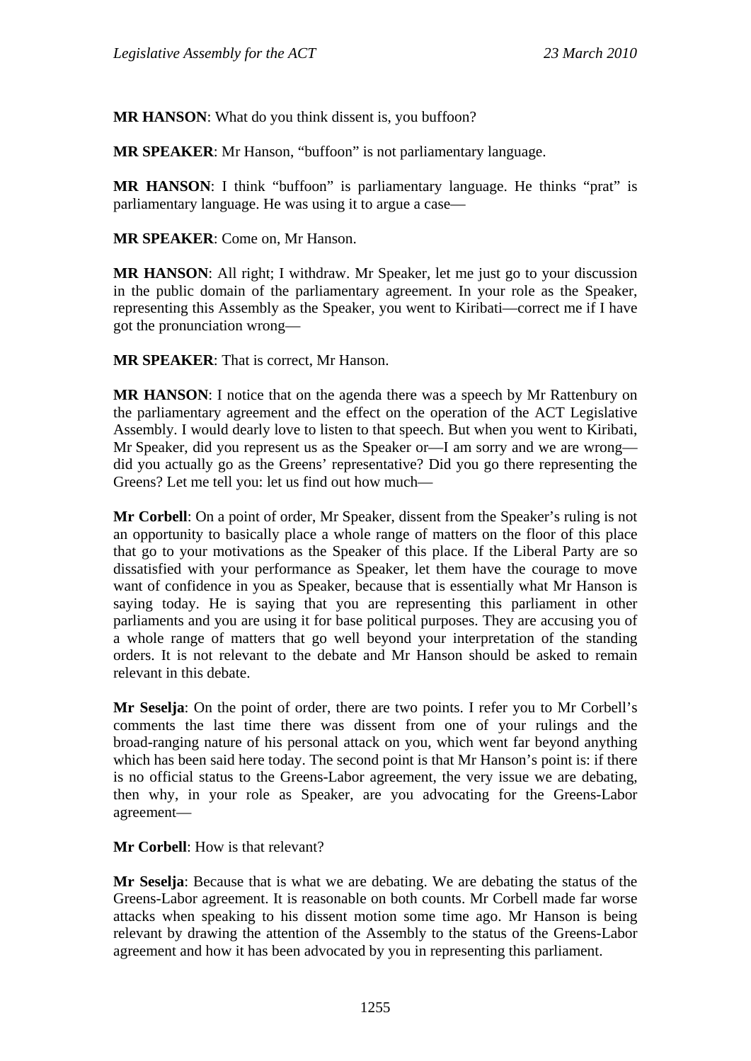**MR HANSON**: What do you think dissent is, you buffoon?

**MR SPEAKER**: Mr Hanson, "buffoon" is not parliamentary language.

**MR HANSON:** I think "buffoon" is parliamentary language. He thinks "prat" is parliamentary language. He was using it to argue a case—

**MR SPEAKER**: Come on, Mr Hanson.

**MR HANSON:** All right; I withdraw. Mr Speaker, let me just go to your discussion in the public domain of the parliamentary agreement. In your role as the Speaker, representing this Assembly as the Speaker, you went to Kiribati—correct me if I have got the pronunciation wrong—

**MR SPEAKER**: That is correct, Mr Hanson.

**MR HANSON**: I notice that on the agenda there was a speech by Mr Rattenbury on the parliamentary agreement and the effect on the operation of the ACT Legislative Assembly. I would dearly love to listen to that speech. But when you went to Kiribati, Mr Speaker, did you represent us as the Speaker or—I am sorry and we are wrong did you actually go as the Greens' representative? Did you go there representing the Greens? Let me tell you: let us find out how much—

**Mr Corbell**: On a point of order, Mr Speaker, dissent from the Speaker's ruling is not an opportunity to basically place a whole range of matters on the floor of this place that go to your motivations as the Speaker of this place. If the Liberal Party are so dissatisfied with your performance as Speaker, let them have the courage to move want of confidence in you as Speaker, because that is essentially what Mr Hanson is saying today. He is saying that you are representing this parliament in other parliaments and you are using it for base political purposes. They are accusing you of a whole range of matters that go well beyond your interpretation of the standing orders. It is not relevant to the debate and Mr Hanson should be asked to remain relevant in this debate.

**Mr Seselja**: On the point of order, there are two points. I refer you to Mr Corbell's comments the last time there was dissent from one of your rulings and the broad-ranging nature of his personal attack on you, which went far beyond anything which has been said here today. The second point is that Mr Hanson's point is: if there is no official status to the Greens-Labor agreement, the very issue we are debating, then why, in your role as Speaker, are you advocating for the Greens-Labor agreement—

**Mr Corbell**: How is that relevant?

**Mr Seselja**: Because that is what we are debating. We are debating the status of the Greens-Labor agreement. It is reasonable on both counts. Mr Corbell made far worse attacks when speaking to his dissent motion some time ago. Mr Hanson is being relevant by drawing the attention of the Assembly to the status of the Greens-Labor agreement and how it has been advocated by you in representing this parliament.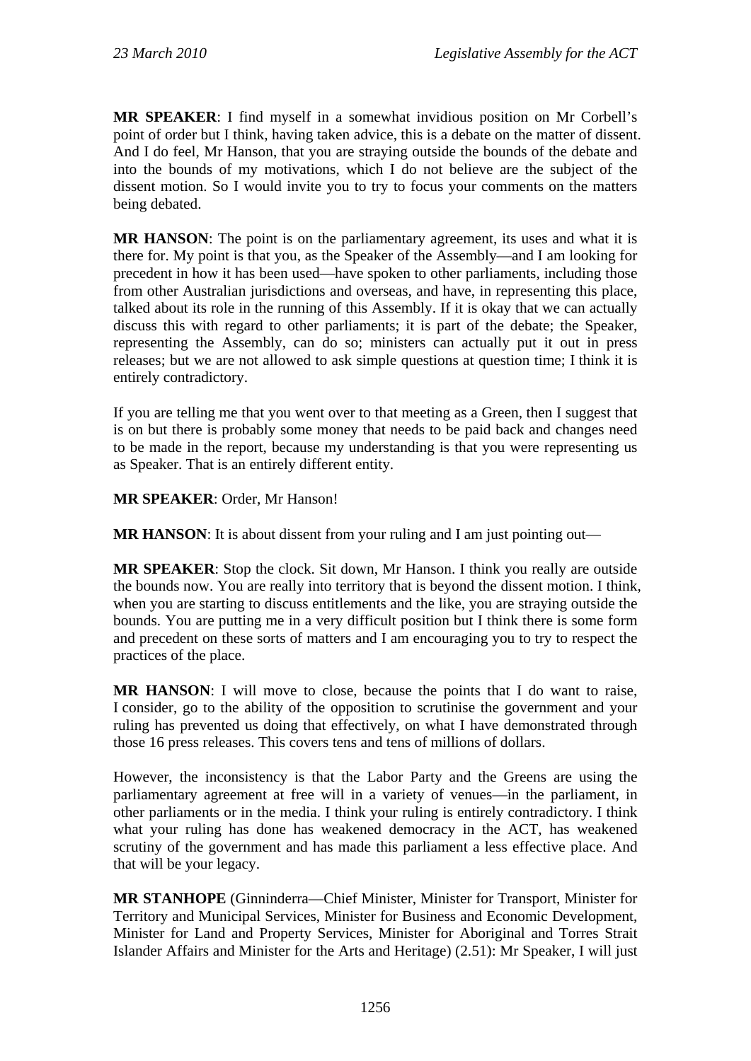**MR SPEAKER**: I find myself in a somewhat invidious position on Mr Corbell's point of order but I think, having taken advice, this is a debate on the matter of dissent. And I do feel, Mr Hanson, that you are straying outside the bounds of the debate and into the bounds of my motivations, which I do not believe are the subject of the dissent motion. So I would invite you to try to focus your comments on the matters being debated.

**MR HANSON**: The point is on the parliamentary agreement, its uses and what it is there for. My point is that you, as the Speaker of the Assembly—and I am looking for precedent in how it has been used—have spoken to other parliaments, including those from other Australian jurisdictions and overseas, and have, in representing this place, talked about its role in the running of this Assembly. If it is okay that we can actually discuss this with regard to other parliaments; it is part of the debate; the Speaker, representing the Assembly, can do so; ministers can actually put it out in press releases; but we are not allowed to ask simple questions at question time; I think it is entirely contradictory.

If you are telling me that you went over to that meeting as a Green, then I suggest that is on but there is probably some money that needs to be paid back and changes need to be made in the report, because my understanding is that you were representing us as Speaker. That is an entirely different entity.

**MR SPEAKER**: Order, Mr Hanson!

**MR HANSON:** It is about dissent from your ruling and I am just pointing out—

**MR SPEAKER**: Stop the clock. Sit down, Mr Hanson. I think you really are outside the bounds now. You are really into territory that is beyond the dissent motion. I think, when you are starting to discuss entitlements and the like, you are straying outside the bounds. You are putting me in a very difficult position but I think there is some form and precedent on these sorts of matters and I am encouraging you to try to respect the practices of the place.

**MR HANSON**: I will move to close, because the points that I do want to raise, I consider, go to the ability of the opposition to scrutinise the government and your ruling has prevented us doing that effectively, on what I have demonstrated through those 16 press releases. This covers tens and tens of millions of dollars.

However, the inconsistency is that the Labor Party and the Greens are using the parliamentary agreement at free will in a variety of venues—in the parliament, in other parliaments or in the media. I think your ruling is entirely contradictory. I think what your ruling has done has weakened democracy in the ACT, has weakened scrutiny of the government and has made this parliament a less effective place. And that will be your legacy.

**MR STANHOPE** (Ginninderra—Chief Minister, Minister for Transport, Minister for Territory and Municipal Services, Minister for Business and Economic Development, Minister for Land and Property Services, Minister for Aboriginal and Torres Strait Islander Affairs and Minister for the Arts and Heritage) (2.51): Mr Speaker, I will just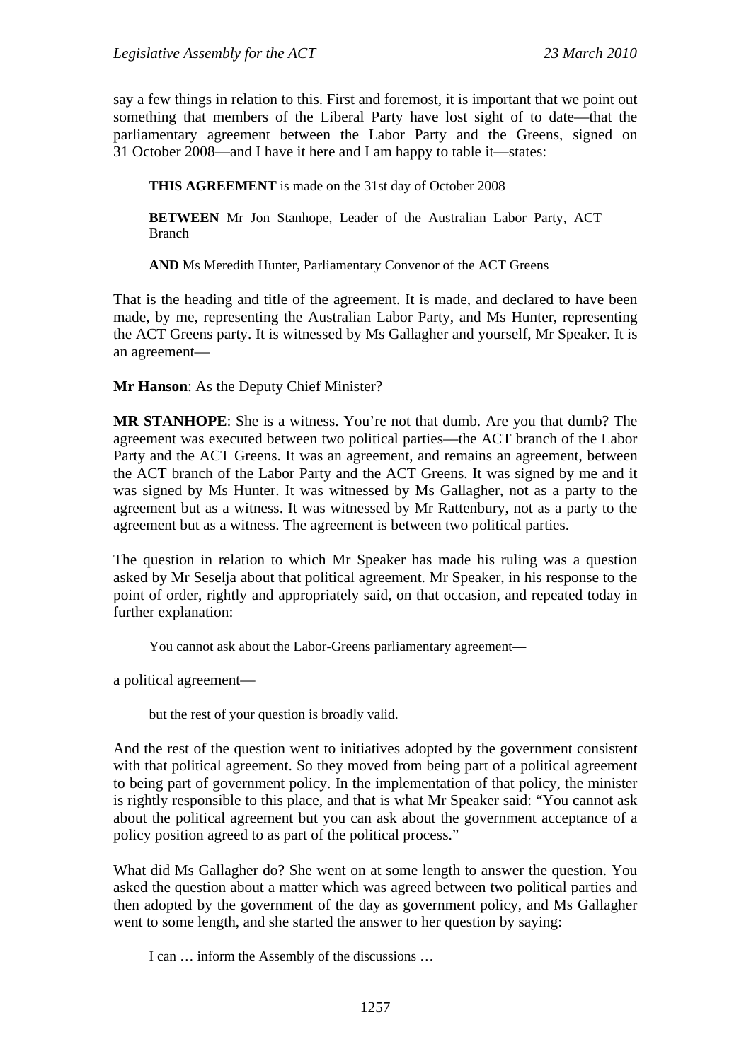say a few things in relation to this. First and foremost, it is important that we point out something that members of the Liberal Party have lost sight of to date—that the parliamentary agreement between the Labor Party and the Greens, signed on 31 October 2008—and I have it here and I am happy to table it—states:

**THIS AGREEMENT** is made on the 31st day of October 2008

**BETWEEN** Mr Jon Stanhope, Leader of the Australian Labor Party, ACT Branch

**AND** Ms Meredith Hunter, Parliamentary Convenor of the ACT Greens

That is the heading and title of the agreement. It is made, and declared to have been made, by me, representing the Australian Labor Party, and Ms Hunter, representing the ACT Greens party. It is witnessed by Ms Gallagher and yourself, Mr Speaker. It is an agreement—

**Mr Hanson**: As the Deputy Chief Minister?

**MR STANHOPE**: She is a witness. You're not that dumb. Are you that dumb? The agreement was executed between two political parties—the ACT branch of the Labor Party and the ACT Greens. It was an agreement, and remains an agreement, between the ACT branch of the Labor Party and the ACT Greens. It was signed by me and it was signed by Ms Hunter. It was witnessed by Ms Gallagher, not as a party to the agreement but as a witness. It was witnessed by Mr Rattenbury, not as a party to the agreement but as a witness. The agreement is between two political parties.

The question in relation to which Mr Speaker has made his ruling was a question asked by Mr Seselja about that political agreement. Mr Speaker, in his response to the point of order, rightly and appropriately said, on that occasion, and repeated today in further explanation:

You cannot ask about the Labor-Greens parliamentary agreement—

a political agreement—

but the rest of your question is broadly valid.

And the rest of the question went to initiatives adopted by the government consistent with that political agreement. So they moved from being part of a political agreement to being part of government policy. In the implementation of that policy, the minister is rightly responsible to this place, and that is what Mr Speaker said: "You cannot ask about the political agreement but you can ask about the government acceptance of a policy position agreed to as part of the political process."

What did Ms Gallagher do? She went on at some length to answer the question. You asked the question about a matter which was agreed between two political parties and then adopted by the government of the day as government policy, and Ms Gallagher went to some length, and she started the answer to her question by saying:

I can … inform the Assembly of the discussions …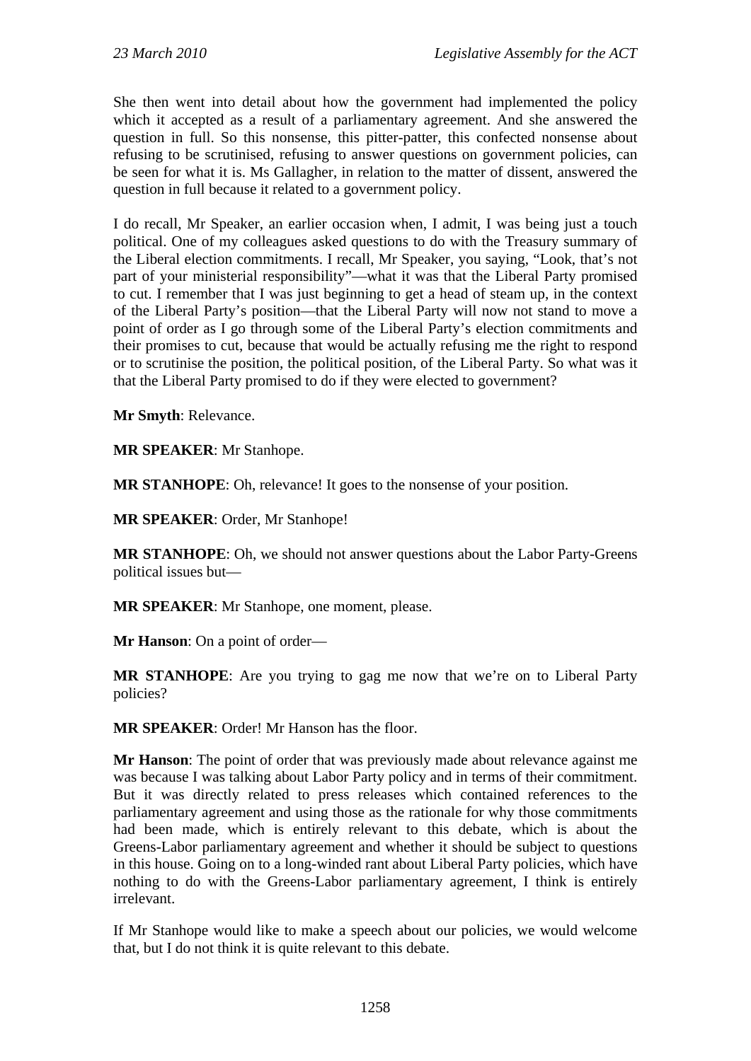She then went into detail about how the government had implemented the policy which it accepted as a result of a parliamentary agreement. And she answered the question in full. So this nonsense, this pitter-patter, this confected nonsense about refusing to be scrutinised, refusing to answer questions on government policies, can be seen for what it is. Ms Gallagher, in relation to the matter of dissent, answered the question in full because it related to a government policy.

I do recall, Mr Speaker, an earlier occasion when, I admit, I was being just a touch political. One of my colleagues asked questions to do with the Treasury summary of the Liberal election commitments. I recall, Mr Speaker, you saying, "Look, that's not part of your ministerial responsibility"—what it was that the Liberal Party promised to cut. I remember that I was just beginning to get a head of steam up, in the context of the Liberal Party's position—that the Liberal Party will now not stand to move a point of order as I go through some of the Liberal Party's election commitments and their promises to cut, because that would be actually refusing me the right to respond or to scrutinise the position, the political position, of the Liberal Party. So what was it that the Liberal Party promised to do if they were elected to government?

**Mr Smyth**: Relevance.

**MR SPEAKER**: Mr Stanhope.

**MR STANHOPE**: Oh, relevance! It goes to the nonsense of your position.

**MR SPEAKER**: Order, Mr Stanhope!

**MR STANHOPE**: Oh, we should not answer questions about the Labor Party-Greens political issues but—

**MR SPEAKER**: Mr Stanhope, one moment, please.

**Mr Hanson**: On a point of order—

**MR STANHOPE**: Are you trying to gag me now that we're on to Liberal Party policies?

**MR SPEAKER**: Order! Mr Hanson has the floor.

**Mr Hanson**: The point of order that was previously made about relevance against me was because I was talking about Labor Party policy and in terms of their commitment. But it was directly related to press releases which contained references to the parliamentary agreement and using those as the rationale for why those commitments had been made, which is entirely relevant to this debate, which is about the Greens-Labor parliamentary agreement and whether it should be subject to questions in this house. Going on to a long-winded rant about Liberal Party policies, which have nothing to do with the Greens-Labor parliamentary agreement, I think is entirely irrelevant.

If Mr Stanhope would like to make a speech about our policies, we would welcome that, but I do not think it is quite relevant to this debate.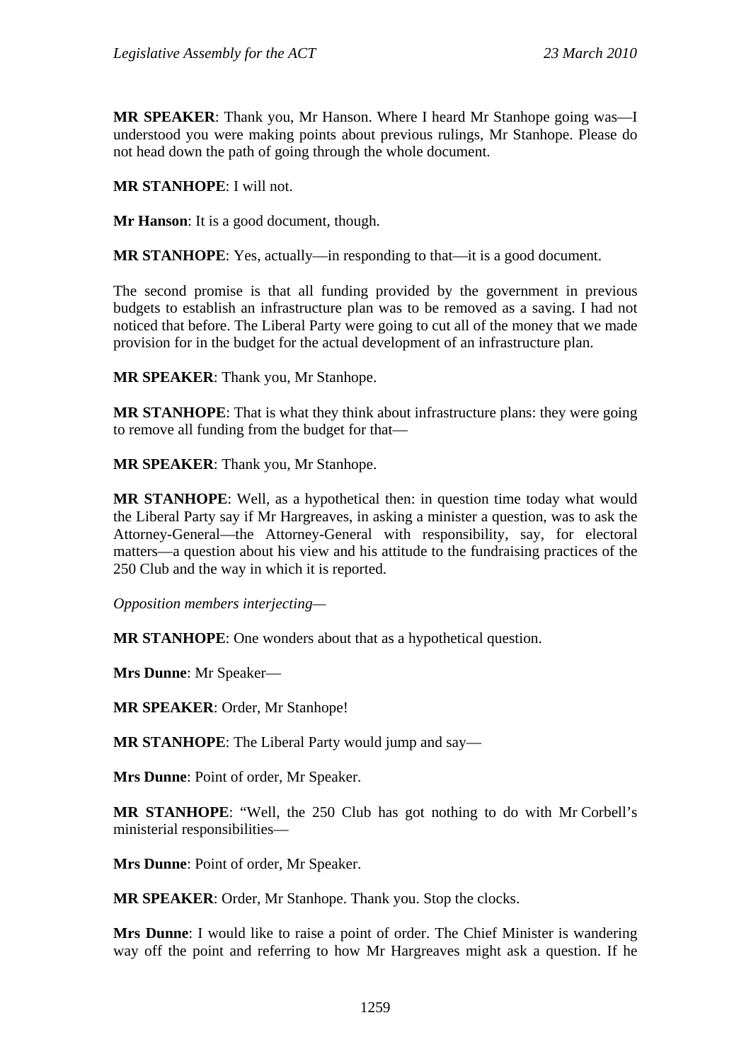**MR SPEAKER**: Thank you, Mr Hanson. Where I heard Mr Stanhope going was—I understood you were making points about previous rulings, Mr Stanhope. Please do not head down the path of going through the whole document.

**MR STANHOPE**: I will not.

**Mr Hanson**: It is a good document, though.

**MR STANHOPE**: Yes, actually—in responding to that—it is a good document.

The second promise is that all funding provided by the government in previous budgets to establish an infrastructure plan was to be removed as a saving. I had not noticed that before. The Liberal Party were going to cut all of the money that we made provision for in the budget for the actual development of an infrastructure plan.

**MR SPEAKER**: Thank you, Mr Stanhope.

**MR STANHOPE**: That is what they think about infrastructure plans: they were going to remove all funding from the budget for that—

**MR SPEAKER**: Thank you, Mr Stanhope.

**MR STANHOPE**: Well, as a hypothetical then: in question time today what would the Liberal Party say if Mr Hargreaves, in asking a minister a question, was to ask the Attorney-General—the Attorney-General with responsibility, say, for electoral matters—a question about his view and his attitude to the fundraising practices of the 250 Club and the way in which it is reported.

*Opposition members interjecting—* 

**MR STANHOPE**: One wonders about that as a hypothetical question.

**Mrs Dunne**: Mr Speaker—

**MR SPEAKER**: Order, Mr Stanhope!

**MR STANHOPE**: The Liberal Party would jump and say—

**Mrs Dunne**: Point of order, Mr Speaker.

**MR STANHOPE**: "Well, the 250 Club has got nothing to do with Mr Corbell's ministerial responsibilities—

**Mrs Dunne**: Point of order, Mr Speaker.

**MR SPEAKER**: Order, Mr Stanhope. Thank you. Stop the clocks.

**Mrs Dunne**: I would like to raise a point of order. The Chief Minister is wandering way off the point and referring to how Mr Hargreaves might ask a question. If he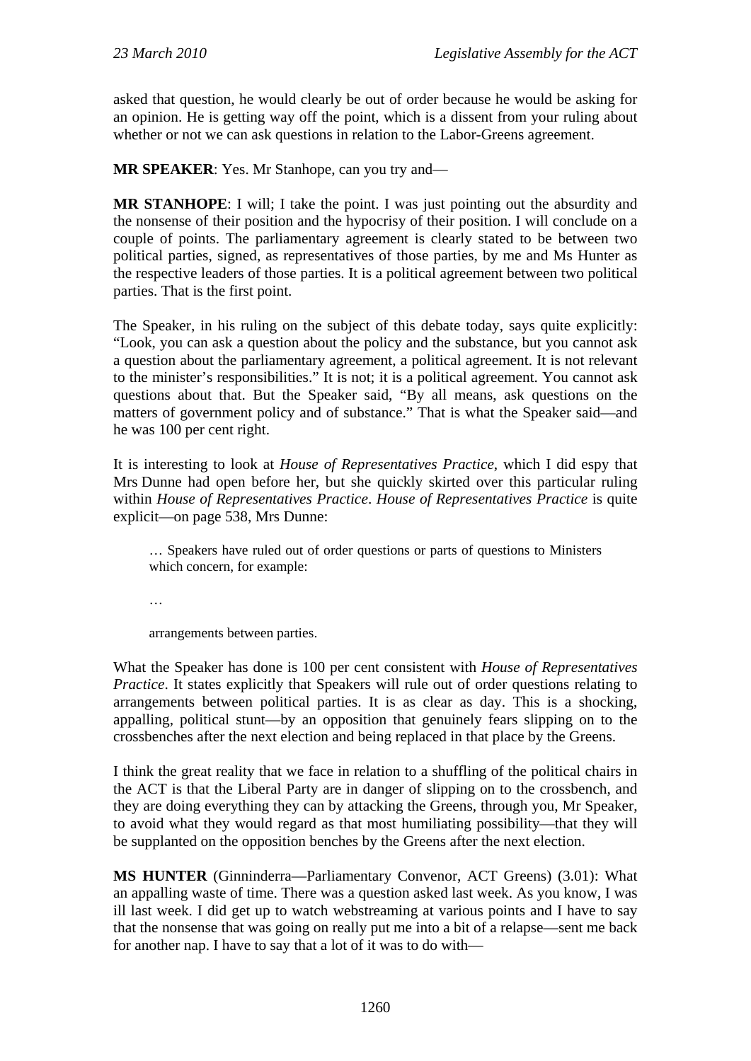asked that question, he would clearly be out of order because he would be asking for an opinion. He is getting way off the point, which is a dissent from your ruling about whether or not we can ask questions in relation to the Labor-Greens agreement.

**MR SPEAKER**: Yes. Mr Stanhope, can you try and—

**MR STANHOPE**: I will; I take the point. I was just pointing out the absurdity and the nonsense of their position and the hypocrisy of their position. I will conclude on a couple of points. The parliamentary agreement is clearly stated to be between two political parties, signed, as representatives of those parties, by me and Ms Hunter as the respective leaders of those parties. It is a political agreement between two political parties. That is the first point.

The Speaker, in his ruling on the subject of this debate today, says quite explicitly: "Look, you can ask a question about the policy and the substance, but you cannot ask a question about the parliamentary agreement, a political agreement. It is not relevant to the minister's responsibilities." It is not; it is a political agreement. You cannot ask questions about that. But the Speaker said, "By all means, ask questions on the matters of government policy and of substance." That is what the Speaker said—and he was 100 per cent right.

It is interesting to look at *House of Representatives Practice*, which I did espy that Mrs Dunne had open before her, but she quickly skirted over this particular ruling within *House of Representatives Practice*. *House of Representatives Practice* is quite explicit—on page 538, Mrs Dunne:

… Speakers have ruled out of order questions or parts of questions to Ministers which concern, for example:

…

arrangements between parties.

What the Speaker has done is 100 per cent consistent with *House of Representatives Practice*. It states explicitly that Speakers will rule out of order questions relating to arrangements between political parties. It is as clear as day. This is a shocking, appalling, political stunt—by an opposition that genuinely fears slipping on to the crossbenches after the next election and being replaced in that place by the Greens.

I think the great reality that we face in relation to a shuffling of the political chairs in the ACT is that the Liberal Party are in danger of slipping on to the crossbench, and they are doing everything they can by attacking the Greens, through you, Mr Speaker, to avoid what they would regard as that most humiliating possibility—that they will be supplanted on the opposition benches by the Greens after the next election.

**MS HUNTER** (Ginninderra—Parliamentary Convenor, ACT Greens) (3.01): What an appalling waste of time. There was a question asked last week. As you know, I was ill last week. I did get up to watch webstreaming at various points and I have to say that the nonsense that was going on really put me into a bit of a relapse—sent me back for another nap. I have to say that a lot of it was to do with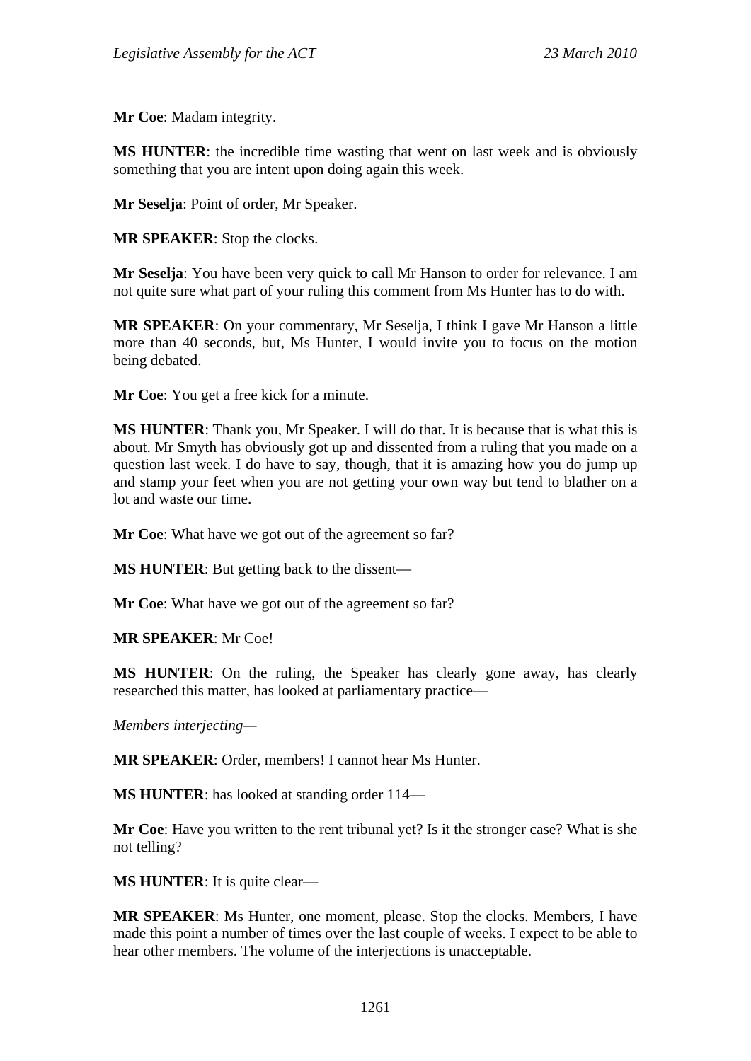**Mr Coe**: Madam integrity.

**MS HUNTER**: the incredible time wasting that went on last week and is obviously something that you are intent upon doing again this week.

**Mr Seselja**: Point of order, Mr Speaker.

**MR SPEAKER**: Stop the clocks.

**Mr Seselja**: You have been very quick to call Mr Hanson to order for relevance. I am not quite sure what part of your ruling this comment from Ms Hunter has to do with.

**MR SPEAKER**: On your commentary, Mr Seselja, I think I gave Mr Hanson a little more than 40 seconds, but, Ms Hunter, I would invite you to focus on the motion being debated.

**Mr Coe**: You get a free kick for a minute.

**MS HUNTER**: Thank you, Mr Speaker. I will do that. It is because that is what this is about. Mr Smyth has obviously got up and dissented from a ruling that you made on a question last week. I do have to say, though, that it is amazing how you do jump up and stamp your feet when you are not getting your own way but tend to blather on a lot and waste our time.

**Mr Coe**: What have we got out of the agreement so far?

**MS HUNTER**: But getting back to the dissent—

**Mr Coe**: What have we got out of the agreement so far?

**MR SPEAKER**: Mr Coe!

**MS HUNTER**: On the ruling, the Speaker has clearly gone away, has clearly researched this matter, has looked at parliamentary practice—

*Members interjecting—* 

**MR SPEAKER**: Order, members! I cannot hear Ms Hunter.

**MS HUNTER**: has looked at standing order 114—

**Mr Coe**: Have you written to the rent tribunal yet? Is it the stronger case? What is she not telling?

**MS HUNTER**: It is quite clear—

**MR SPEAKER**: Ms Hunter, one moment, please. Stop the clocks. Members, I have made this point a number of times over the last couple of weeks. I expect to be able to hear other members. The volume of the interjections is unacceptable.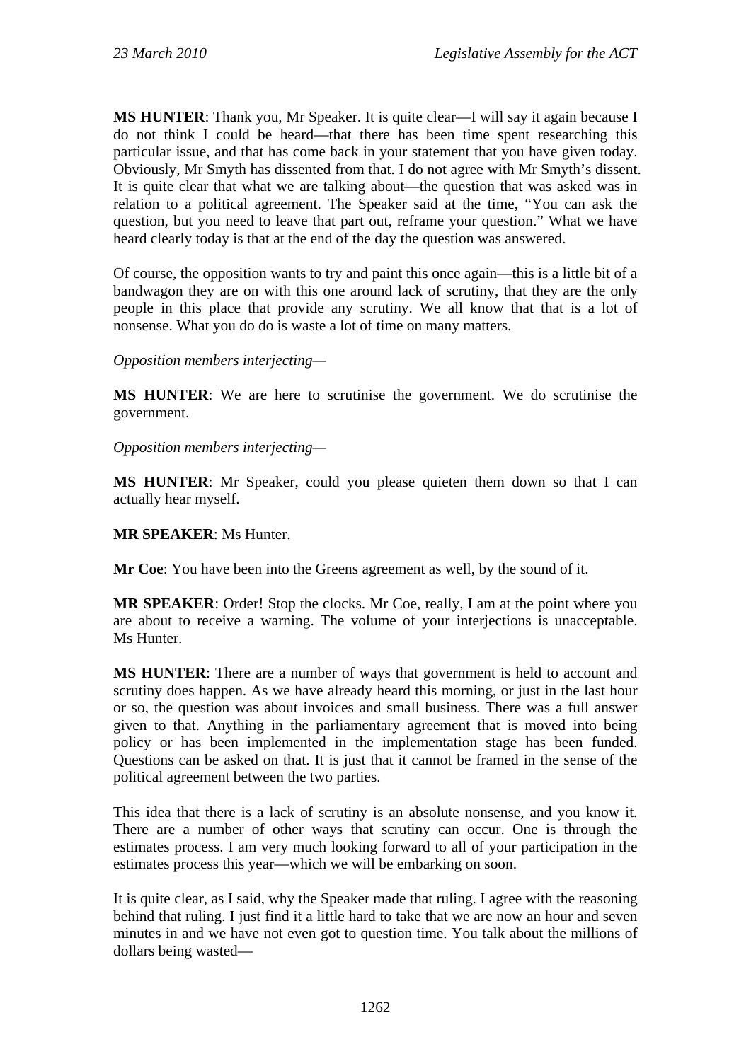**MS HUNTER**: Thank you, Mr Speaker. It is quite clear—I will say it again because I do not think I could be heard—that there has been time spent researching this particular issue, and that has come back in your statement that you have given today. Obviously, Mr Smyth has dissented from that. I do not agree with Mr Smyth's dissent. It is quite clear that what we are talking about—the question that was asked was in relation to a political agreement. The Speaker said at the time, "You can ask the question, but you need to leave that part out, reframe your question." What we have heard clearly today is that at the end of the day the question was answered.

Of course, the opposition wants to try and paint this once again—this is a little bit of a bandwagon they are on with this one around lack of scrutiny, that they are the only people in this place that provide any scrutiny. We all know that that is a lot of nonsense. What you do do is waste a lot of time on many matters.

## *Opposition members interjecting—*

**MS HUNTER**: We are here to scrutinise the government. We do scrutinise the government.

*Opposition members interjecting—* 

**MS HUNTER**: Mr Speaker, could you please quieten them down so that I can actually hear myself.

**MR SPEAKER**: Ms Hunter.

**Mr Coe**: You have been into the Greens agreement as well, by the sound of it.

**MR SPEAKER:** Order! Stop the clocks. Mr Coe, really, I am at the point where you are about to receive a warning. The volume of your interjections is unacceptable. Ms Hunter.

**MS HUNTER**: There are a number of ways that government is held to account and scrutiny does happen. As we have already heard this morning, or just in the last hour or so, the question was about invoices and small business. There was a full answer given to that. Anything in the parliamentary agreement that is moved into being policy or has been implemented in the implementation stage has been funded. Questions can be asked on that. It is just that it cannot be framed in the sense of the political agreement between the two parties.

This idea that there is a lack of scrutiny is an absolute nonsense, and you know it. There are a number of other ways that scrutiny can occur. One is through the estimates process. I am very much looking forward to all of your participation in the estimates process this year—which we will be embarking on soon.

It is quite clear, as I said, why the Speaker made that ruling. I agree with the reasoning behind that ruling. I just find it a little hard to take that we are now an hour and seven minutes in and we have not even got to question time. You talk about the millions of dollars being wasted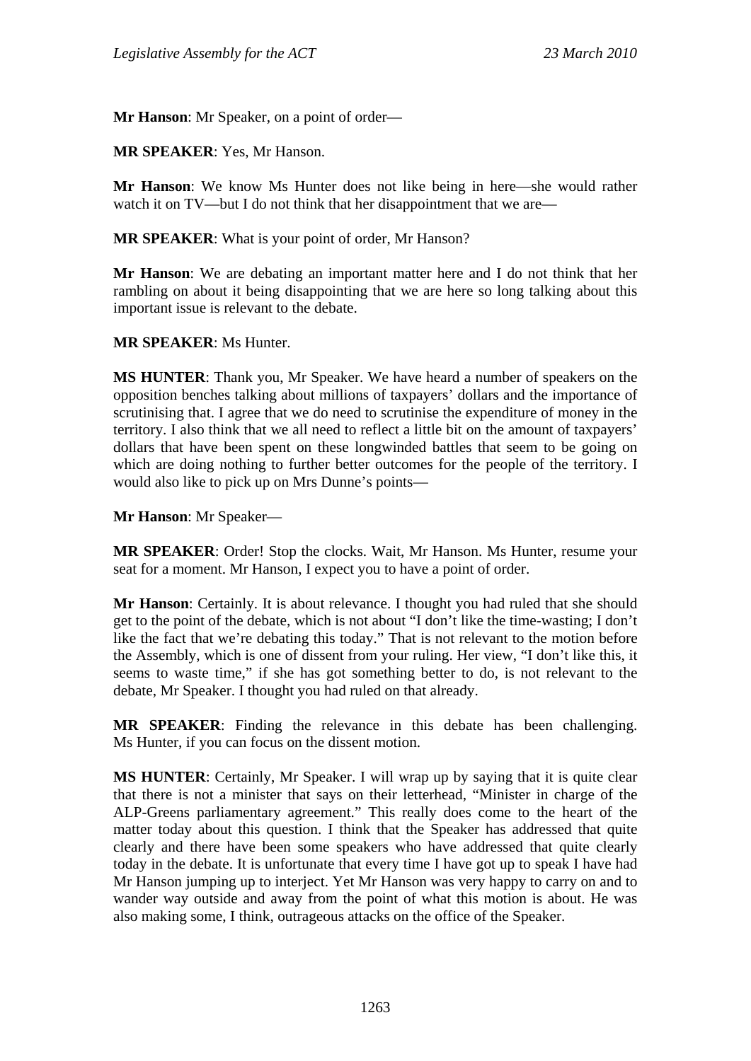**Mr Hanson**: Mr Speaker, on a point of order—

**MR SPEAKER**: Yes, Mr Hanson.

**Mr Hanson**: We know Ms Hunter does not like being in here—she would rather watch it on TV—but I do not think that her disappointment that we are—

**MR SPEAKER**: What is your point of order, Mr Hanson?

**Mr Hanson**: We are debating an important matter here and I do not think that her rambling on about it being disappointing that we are here so long talking about this important issue is relevant to the debate.

#### **MR SPEAKER**: Ms Hunter.

**MS HUNTER**: Thank you, Mr Speaker. We have heard a number of speakers on the opposition benches talking about millions of taxpayers' dollars and the importance of scrutinising that. I agree that we do need to scrutinise the expenditure of money in the territory. I also think that we all need to reflect a little bit on the amount of taxpayers' dollars that have been spent on these longwinded battles that seem to be going on which are doing nothing to further better outcomes for the people of the territory. I would also like to pick up on Mrs Dunne's points—

**Mr Hanson**: Mr Speaker—

**MR SPEAKER**: Order! Stop the clocks. Wait, Mr Hanson. Ms Hunter, resume your seat for a moment. Mr Hanson, I expect you to have a point of order.

**Mr Hanson**: Certainly. It is about relevance. I thought you had ruled that she should get to the point of the debate, which is not about "I don't like the time-wasting; I don't like the fact that we're debating this today." That is not relevant to the motion before the Assembly, which is one of dissent from your ruling. Her view, "I don't like this, it seems to waste time," if she has got something better to do, is not relevant to the debate, Mr Speaker. I thought you had ruled on that already.

**MR SPEAKER**: Finding the relevance in this debate has been challenging. Ms Hunter, if you can focus on the dissent motion.

**MS HUNTER**: Certainly, Mr Speaker. I will wrap up by saying that it is quite clear that there is not a minister that says on their letterhead, "Minister in charge of the ALP-Greens parliamentary agreement." This really does come to the heart of the matter today about this question. I think that the Speaker has addressed that quite clearly and there have been some speakers who have addressed that quite clearly today in the debate. It is unfortunate that every time I have got up to speak I have had Mr Hanson jumping up to interject. Yet Mr Hanson was very happy to carry on and to wander way outside and away from the point of what this motion is about. He was also making some, I think, outrageous attacks on the office of the Speaker.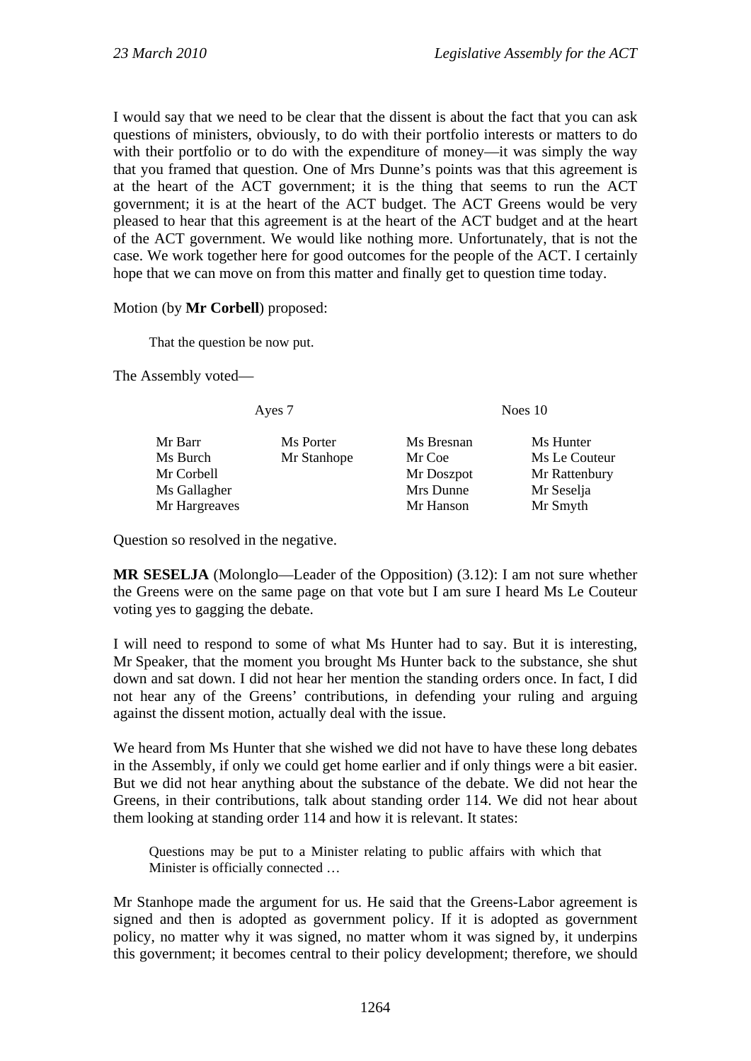I would say that we need to be clear that the dissent is about the fact that you can ask questions of ministers, obviously, to do with their portfolio interests or matters to do with their portfolio or to do with the expenditure of money—it was simply the way that you framed that question. One of Mrs Dunne's points was that this agreement is at the heart of the ACT government; it is the thing that seems to run the ACT government; it is at the heart of the ACT budget. The ACT Greens would be very pleased to hear that this agreement is at the heart of the ACT budget and at the heart of the ACT government. We would like nothing more. Unfortunately, that is not the case. We work together here for good outcomes for the people of the ACT. I certainly hope that we can move on from this matter and finally get to question time today.

#### Motion (by **Mr Corbell**) proposed:

That the question be now put.

The Assembly voted—

Ayes 7 Noes 10

| Mr Barr       | Ms Porter   | Ms Bresnan | Ms Hunter     |
|---------------|-------------|------------|---------------|
| Ms Burch      | Mr Stanhope | Mr Coe     | Ms Le Couteur |
| Mr Corbell    |             | Mr Doszpot | Mr Rattenbury |
| Ms Gallagher  |             | Mrs Dunne  | Mr Seselja    |
| Mr Hargreaves |             | Mr Hanson  | Mr Smyth      |
|               |             |            |               |

Question so resolved in the negative.

**MR SESELJA** (Molonglo—Leader of the Opposition) (3.12): I am not sure whether the Greens were on the same page on that vote but I am sure I heard Ms Le Couteur voting yes to gagging the debate.

I will need to respond to some of what Ms Hunter had to say. But it is interesting, Mr Speaker, that the moment you brought Ms Hunter back to the substance, she shut down and sat down. I did not hear her mention the standing orders once. In fact, I did not hear any of the Greens' contributions, in defending your ruling and arguing against the dissent motion, actually deal with the issue.

We heard from Ms Hunter that she wished we did not have to have these long debates in the Assembly, if only we could get home earlier and if only things were a bit easier. But we did not hear anything about the substance of the debate. We did not hear the Greens, in their contributions, talk about standing order 114. We did not hear about them looking at standing order 114 and how it is relevant. It states:

Questions may be put to a Minister relating to public affairs with which that Minister is officially connected …

Mr Stanhope made the argument for us. He said that the Greens-Labor agreement is signed and then is adopted as government policy. If it is adopted as government policy, no matter why it was signed, no matter whom it was signed by, it underpins this government; it becomes central to their policy development; therefore, we should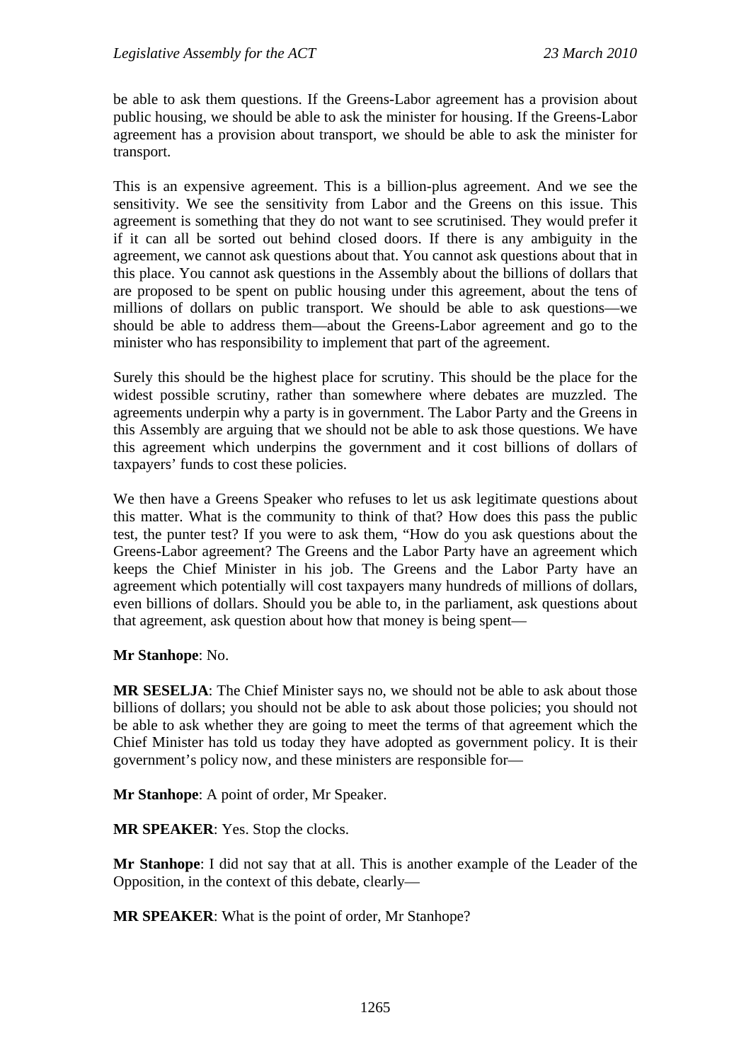be able to ask them questions. If the Greens-Labor agreement has a provision about public housing, we should be able to ask the minister for housing. If the Greens-Labor agreement has a provision about transport, we should be able to ask the minister for transport.

This is an expensive agreement. This is a billion-plus agreement. And we see the sensitivity. We see the sensitivity from Labor and the Greens on this issue. This agreement is something that they do not want to see scrutinised. They would prefer it if it can all be sorted out behind closed doors. If there is any ambiguity in the agreement, we cannot ask questions about that. You cannot ask questions about that in this place. You cannot ask questions in the Assembly about the billions of dollars that are proposed to be spent on public housing under this agreement, about the tens of millions of dollars on public transport. We should be able to ask questions—we should be able to address them—about the Greens-Labor agreement and go to the minister who has responsibility to implement that part of the agreement.

Surely this should be the highest place for scrutiny. This should be the place for the widest possible scrutiny, rather than somewhere where debates are muzzled. The agreements underpin why a party is in government. The Labor Party and the Greens in this Assembly are arguing that we should not be able to ask those questions. We have this agreement which underpins the government and it cost billions of dollars of taxpayers' funds to cost these policies.

We then have a Greens Speaker who refuses to let us ask legitimate questions about this matter. What is the community to think of that? How does this pass the public test, the punter test? If you were to ask them, "How do you ask questions about the Greens-Labor agreement? The Greens and the Labor Party have an agreement which keeps the Chief Minister in his job. The Greens and the Labor Party have an agreement which potentially will cost taxpayers many hundreds of millions of dollars, even billions of dollars. Should you be able to, in the parliament, ask questions about that agreement, ask question about how that money is being spent—

**Mr Stanhope**: No.

**MR SESELJA**: The Chief Minister says no, we should not be able to ask about those billions of dollars; you should not be able to ask about those policies; you should not be able to ask whether they are going to meet the terms of that agreement which the Chief Minister has told us today they have adopted as government policy. It is their government's policy now, and these ministers are responsible for—

**Mr Stanhope**: A point of order, Mr Speaker.

**MR SPEAKER**: Yes. Stop the clocks.

**Mr Stanhope**: I did not say that at all. This is another example of the Leader of the Opposition, in the context of this debate, clearly—

**MR SPEAKER**: What is the point of order, Mr Stanhope?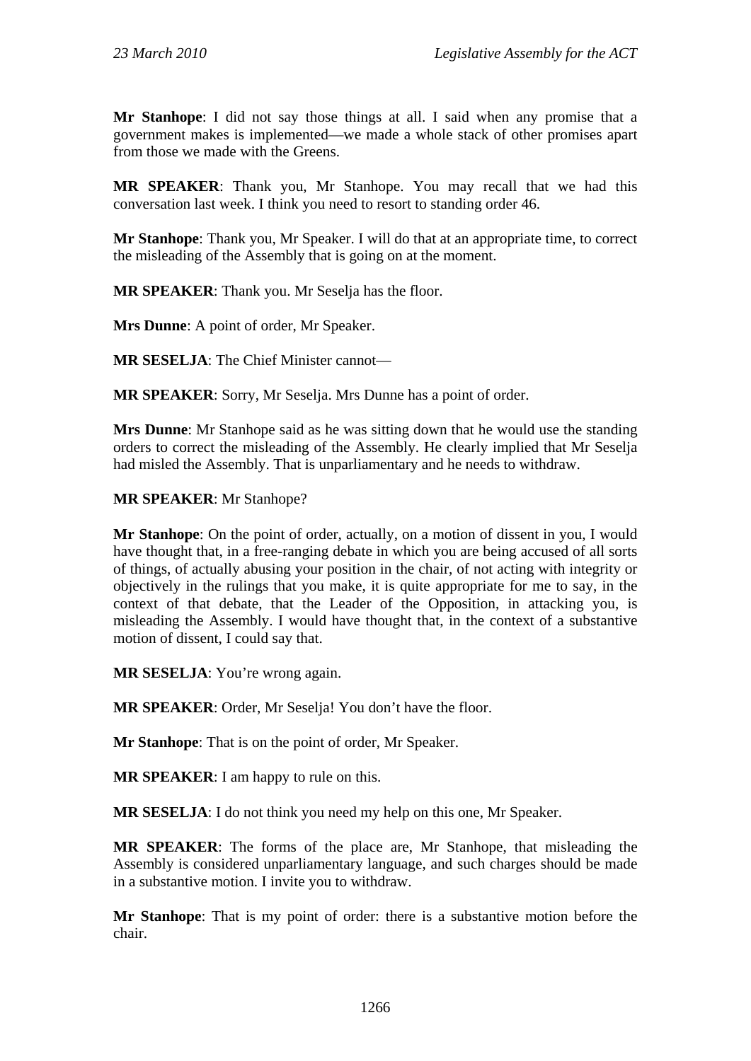**Mr Stanhope**: I did not say those things at all. I said when any promise that a government makes is implemented—we made a whole stack of other promises apart from those we made with the Greens.

**MR SPEAKER**: Thank you, Mr Stanhope. You may recall that we had this conversation last week. I think you need to resort to standing order 46.

**Mr Stanhope**: Thank you, Mr Speaker. I will do that at an appropriate time, to correct the misleading of the Assembly that is going on at the moment.

**MR SPEAKER**: Thank you. Mr Seselja has the floor.

**Mrs Dunne**: A point of order, Mr Speaker.

**MR SESELJA**: The Chief Minister cannot—

**MR SPEAKER**: Sorry, Mr Seselja. Mrs Dunne has a point of order.

**Mrs Dunne**: Mr Stanhope said as he was sitting down that he would use the standing orders to correct the misleading of the Assembly. He clearly implied that Mr Seselja had misled the Assembly. That is unparliamentary and he needs to withdraw.

**MR SPEAKER**: Mr Stanhope?

**Mr Stanhope**: On the point of order, actually, on a motion of dissent in you, I would have thought that, in a free-ranging debate in which you are being accused of all sorts of things, of actually abusing your position in the chair, of not acting with integrity or objectively in the rulings that you make, it is quite appropriate for me to say, in the context of that debate, that the Leader of the Opposition, in attacking you, is misleading the Assembly. I would have thought that, in the context of a substantive motion of dissent, I could say that.

**MR SESELJA:** You're wrong again.

**MR SPEAKER**: Order, Mr Seselja! You don't have the floor.

**Mr Stanhope**: That is on the point of order, Mr Speaker.

**MR SPEAKER**: I am happy to rule on this.

**MR SESELJA**: I do not think you need my help on this one, Mr Speaker.

**MR SPEAKER**: The forms of the place are, Mr Stanhope, that misleading the Assembly is considered unparliamentary language, and such charges should be made in a substantive motion. I invite you to withdraw.

**Mr Stanhope**: That is my point of order: there is a substantive motion before the chair.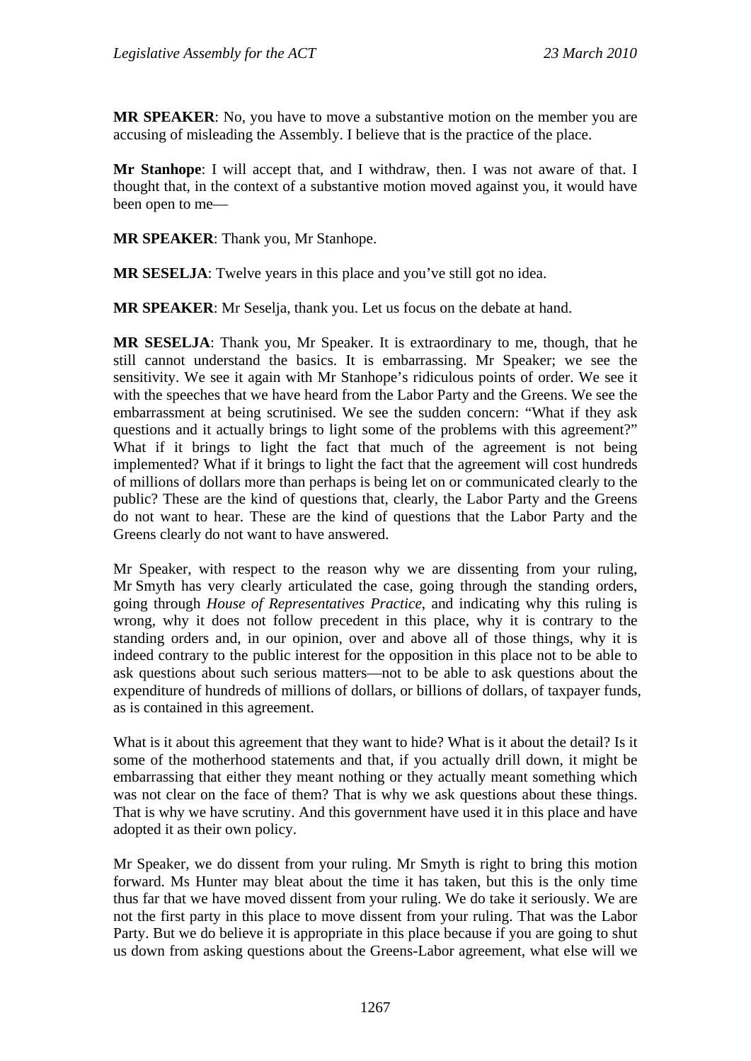**MR SPEAKER**: No, you have to move a substantive motion on the member you are accusing of misleading the Assembly. I believe that is the practice of the place.

**Mr Stanhope**: I will accept that, and I withdraw, then. I was not aware of that. I thought that, in the context of a substantive motion moved against you, it would have been open to me—

**MR SPEAKER**: Thank you, Mr Stanhope.

**MR SESELJA**: Twelve years in this place and you've still got no idea.

**MR SPEAKER**: Mr Seselja, thank you. Let us focus on the debate at hand.

**MR SESELJA**: Thank you, Mr Speaker. It is extraordinary to me, though, that he still cannot understand the basics. It is embarrassing. Mr Speaker; we see the sensitivity. We see it again with Mr Stanhope's ridiculous points of order. We see it with the speeches that we have heard from the Labor Party and the Greens. We see the embarrassment at being scrutinised. We see the sudden concern: "What if they ask questions and it actually brings to light some of the problems with this agreement?" What if it brings to light the fact that much of the agreement is not being implemented? What if it brings to light the fact that the agreement will cost hundreds of millions of dollars more than perhaps is being let on or communicated clearly to the public? These are the kind of questions that, clearly, the Labor Party and the Greens do not want to hear. These are the kind of questions that the Labor Party and the Greens clearly do not want to have answered.

Mr Speaker, with respect to the reason why we are dissenting from your ruling, Mr Smyth has very clearly articulated the case, going through the standing orders, going through *House of Representatives Practice*, and indicating why this ruling is wrong, why it does not follow precedent in this place, why it is contrary to the standing orders and, in our opinion, over and above all of those things, why it is indeed contrary to the public interest for the opposition in this place not to be able to ask questions about such serious matters—not to be able to ask questions about the expenditure of hundreds of millions of dollars, or billions of dollars, of taxpayer funds, as is contained in this agreement.

What is it about this agreement that they want to hide? What is it about the detail? Is it some of the motherhood statements and that, if you actually drill down, it might be embarrassing that either they meant nothing or they actually meant something which was not clear on the face of them? That is why we ask questions about these things. That is why we have scrutiny. And this government have used it in this place and have adopted it as their own policy.

Mr Speaker, we do dissent from your ruling. Mr Smyth is right to bring this motion forward. Ms Hunter may bleat about the time it has taken, but this is the only time thus far that we have moved dissent from your ruling. We do take it seriously. We are not the first party in this place to move dissent from your ruling. That was the Labor Party. But we do believe it is appropriate in this place because if you are going to shut us down from asking questions about the Greens-Labor agreement, what else will we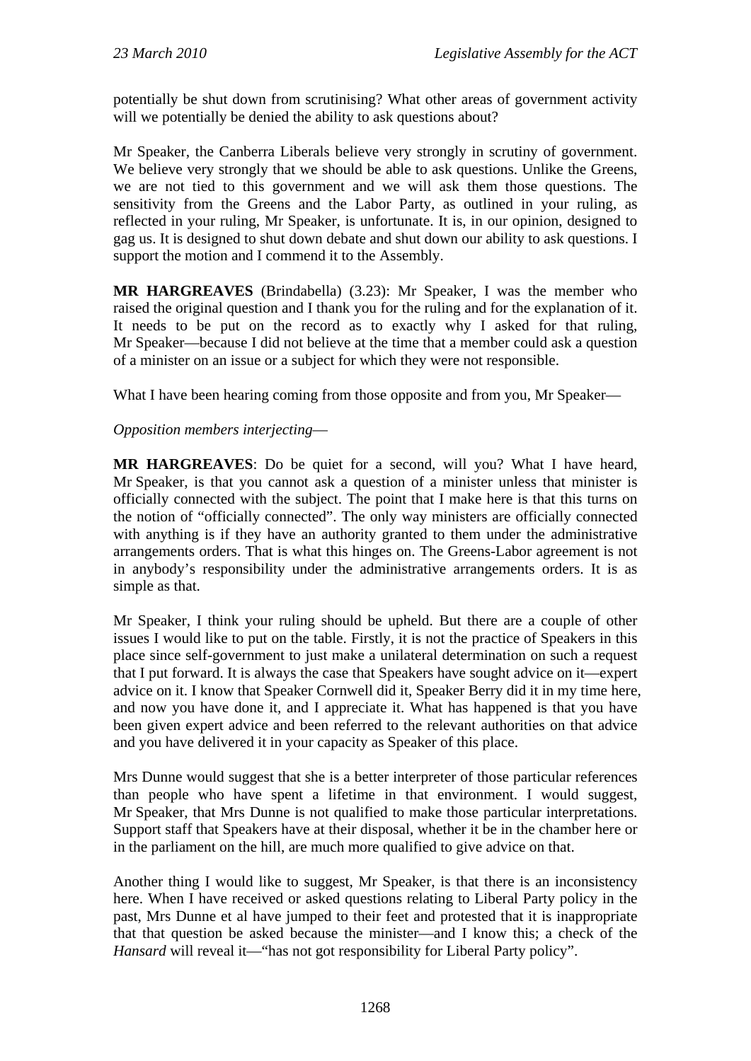potentially be shut down from scrutinising? What other areas of government activity will we potentially be denied the ability to ask questions about?

Mr Speaker, the Canberra Liberals believe very strongly in scrutiny of government. We believe very strongly that we should be able to ask questions. Unlike the Greens, we are not tied to this government and we will ask them those questions. The sensitivity from the Greens and the Labor Party, as outlined in your ruling, as reflected in your ruling, Mr Speaker, is unfortunate. It is, in our opinion, designed to gag us. It is designed to shut down debate and shut down our ability to ask questions. I support the motion and I commend it to the Assembly.

**MR HARGREAVES** (Brindabella) (3.23): Mr Speaker, I was the member who raised the original question and I thank you for the ruling and for the explanation of it. It needs to be put on the record as to exactly why I asked for that ruling, Mr Speaker—because I did not believe at the time that a member could ask a question of a minister on an issue or a subject for which they were not responsible.

What I have been hearing coming from those opposite and from you, Mr Speaker—

## *Opposition members interjecting*—

**MR HARGREAVES**: Do be quiet for a second, will you? What I have heard, Mr Speaker, is that you cannot ask a question of a minister unless that minister is officially connected with the subject. The point that I make here is that this turns on the notion of "officially connected". The only way ministers are officially connected with anything is if they have an authority granted to them under the administrative arrangements orders. That is what this hinges on. The Greens-Labor agreement is not in anybody's responsibility under the administrative arrangements orders. It is as simple as that.

Mr Speaker, I think your ruling should be upheld. But there are a couple of other issues I would like to put on the table. Firstly, it is not the practice of Speakers in this place since self-government to just make a unilateral determination on such a request that I put forward. It is always the case that Speakers have sought advice on it—expert advice on it. I know that Speaker Cornwell did it, Speaker Berry did it in my time here, and now you have done it, and I appreciate it. What has happened is that you have been given expert advice and been referred to the relevant authorities on that advice and you have delivered it in your capacity as Speaker of this place.

Mrs Dunne would suggest that she is a better interpreter of those particular references than people who have spent a lifetime in that environment. I would suggest, Mr Speaker, that Mrs Dunne is not qualified to make those particular interpretations. Support staff that Speakers have at their disposal, whether it be in the chamber here or in the parliament on the hill, are much more qualified to give advice on that.

Another thing I would like to suggest, Mr Speaker, is that there is an inconsistency here. When I have received or asked questions relating to Liberal Party policy in the past, Mrs Dunne et al have jumped to their feet and protested that it is inappropriate that that question be asked because the minister—and I know this; a check of the *Hansard* will reveal it—"has not got responsibility for Liberal Party policy".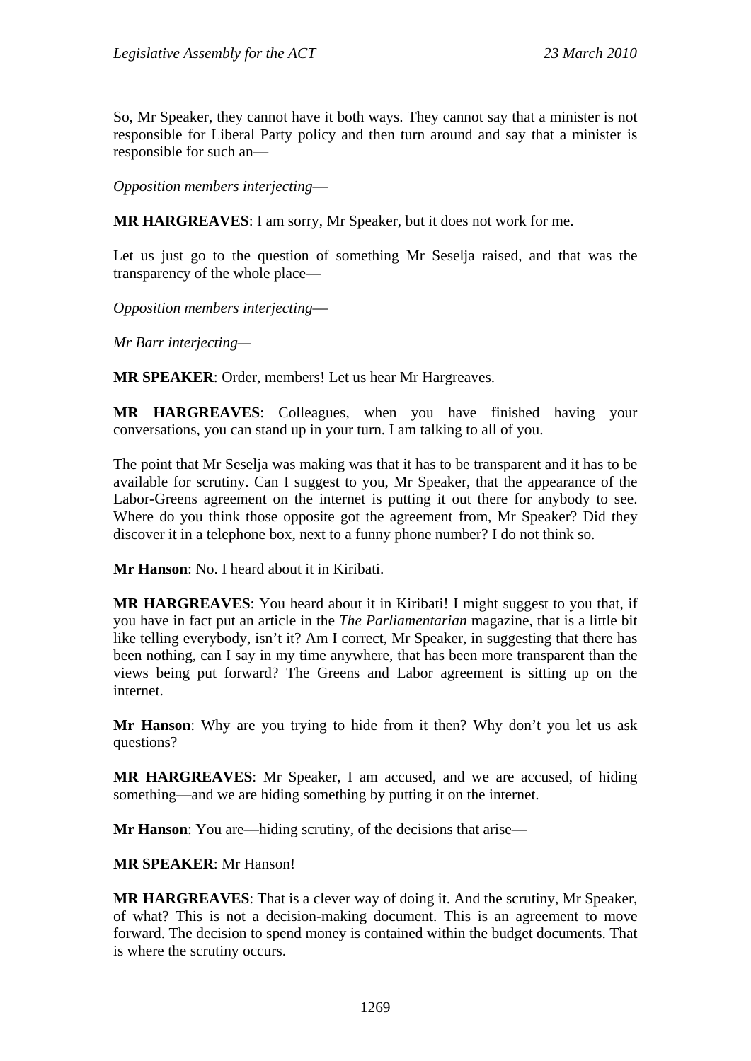So, Mr Speaker, they cannot have it both ways. They cannot say that a minister is not responsible for Liberal Party policy and then turn around and say that a minister is responsible for such an—

*Opposition members interjecting*—

**MR HARGREAVES**: I am sorry, Mr Speaker, but it does not work for me.

Let us just go to the question of something Mr Seselja raised, and that was the transparency of the whole place—

*Opposition members interjecting*—

*Mr Barr interjecting—* 

**MR SPEAKER**: Order, members! Let us hear Mr Hargreaves.

**MR HARGREAVES**: Colleagues, when you have finished having your conversations, you can stand up in your turn. I am talking to all of you.

The point that Mr Seselja was making was that it has to be transparent and it has to be available for scrutiny. Can I suggest to you, Mr Speaker, that the appearance of the Labor-Greens agreement on the internet is putting it out there for anybody to see. Where do you think those opposite got the agreement from, Mr Speaker? Did they discover it in a telephone box, next to a funny phone number? I do not think so.

**Mr Hanson**: No. I heard about it in Kiribati.

**MR HARGREAVES**: You heard about it in Kiribati! I might suggest to you that, if you have in fact put an article in the *The Parliamentarian* magazine, that is a little bit like telling everybody, isn't it? Am I correct, Mr Speaker, in suggesting that there has been nothing, can I say in my time anywhere, that has been more transparent than the views being put forward? The Greens and Labor agreement is sitting up on the internet.

**Mr Hanson**: Why are you trying to hide from it then? Why don't you let us ask questions?

**MR HARGREAVES**: Mr Speaker, I am accused, and we are accused, of hiding something—and we are hiding something by putting it on the internet.

**Mr Hanson**: You are—hiding scrutiny, of the decisions that arise—

**MR SPEAKER**: Mr Hanson!

**MR HARGREAVES**: That is a clever way of doing it. And the scrutiny, Mr Speaker, of what? This is not a decision-making document. This is an agreement to move forward. The decision to spend money is contained within the budget documents. That is where the scrutiny occurs.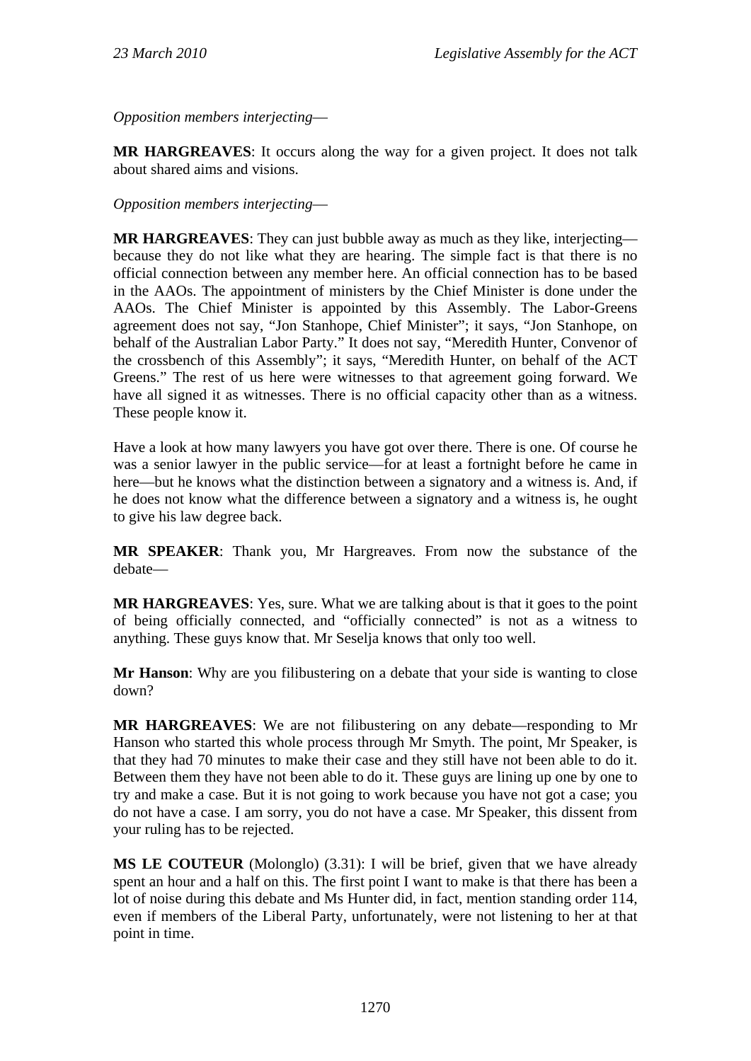*Opposition members interjecting*—

**MR HARGREAVES**: It occurs along the way for a given project. It does not talk about shared aims and visions.

*Opposition members interjecting*—

**MR HARGREAVES**: They can just bubble away as much as they like, interjecting because they do not like what they are hearing. The simple fact is that there is no official connection between any member here. An official connection has to be based in the AAOs. The appointment of ministers by the Chief Minister is done under the AAOs. The Chief Minister is appointed by this Assembly. The Labor-Greens agreement does not say, "Jon Stanhope, Chief Minister"; it says, "Jon Stanhope, on behalf of the Australian Labor Party." It does not say, "Meredith Hunter, Convenor of the crossbench of this Assembly"; it says, "Meredith Hunter, on behalf of the ACT Greens." The rest of us here were witnesses to that agreement going forward. We have all signed it as witnesses. There is no official capacity other than as a witness. These people know it.

Have a look at how many lawyers you have got over there. There is one. Of course he was a senior lawyer in the public service—for at least a fortnight before he came in here—but he knows what the distinction between a signatory and a witness is. And, if he does not know what the difference between a signatory and a witness is, he ought to give his law degree back.

**MR SPEAKER**: Thank you, Mr Hargreaves. From now the substance of the debate—

**MR HARGREAVES**: Yes, sure. What we are talking about is that it goes to the point of being officially connected, and "officially connected" is not as a witness to anything. These guys know that. Mr Seselja knows that only too well.

**Mr Hanson**: Why are you filibustering on a debate that your side is wanting to close down?

**MR HARGREAVES**: We are not filibustering on any debate—responding to Mr Hanson who started this whole process through Mr Smyth. The point, Mr Speaker, is that they had 70 minutes to make their case and they still have not been able to do it. Between them they have not been able to do it. These guys are lining up one by one to try and make a case. But it is not going to work because you have not got a case; you do not have a case. I am sorry, you do not have a case. Mr Speaker, this dissent from your ruling has to be rejected.

**MS LE COUTEUR** (Molonglo) (3.31): I will be brief, given that we have already spent an hour and a half on this. The first point I want to make is that there has been a lot of noise during this debate and Ms Hunter did, in fact, mention standing order 114, even if members of the Liberal Party, unfortunately, were not listening to her at that point in time.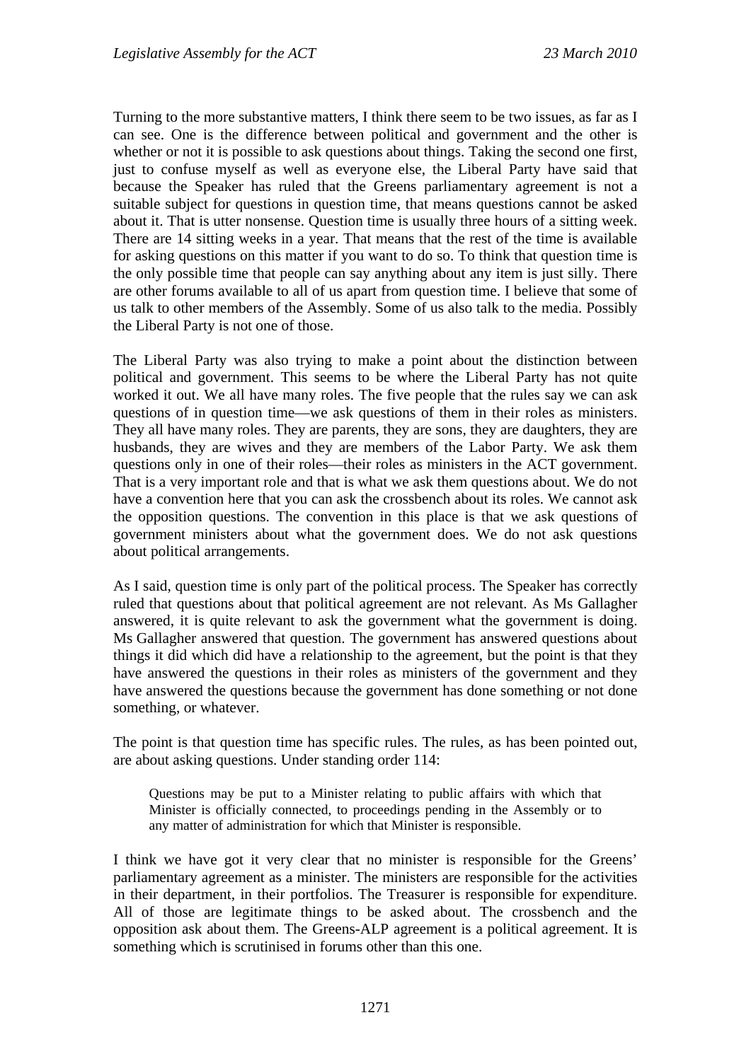Turning to the more substantive matters, I think there seem to be two issues, as far as I can see. One is the difference between political and government and the other is whether or not it is possible to ask questions about things. Taking the second one first, just to confuse myself as well as everyone else, the Liberal Party have said that because the Speaker has ruled that the Greens parliamentary agreement is not a suitable subject for questions in question time, that means questions cannot be asked about it. That is utter nonsense. Question time is usually three hours of a sitting week. There are 14 sitting weeks in a year. That means that the rest of the time is available for asking questions on this matter if you want to do so. To think that question time is the only possible time that people can say anything about any item is just silly. There are other forums available to all of us apart from question time. I believe that some of us talk to other members of the Assembly. Some of us also talk to the media. Possibly the Liberal Party is not one of those.

The Liberal Party was also trying to make a point about the distinction between political and government. This seems to be where the Liberal Party has not quite worked it out. We all have many roles. The five people that the rules say we can ask questions of in question time—we ask questions of them in their roles as ministers. They all have many roles. They are parents, they are sons, they are daughters, they are husbands, they are wives and they are members of the Labor Party. We ask them questions only in one of their roles—their roles as ministers in the ACT government. That is a very important role and that is what we ask them questions about. We do not have a convention here that you can ask the crossbench about its roles. We cannot ask the opposition questions. The convention in this place is that we ask questions of government ministers about what the government does. We do not ask questions about political arrangements.

As I said, question time is only part of the political process. The Speaker has correctly ruled that questions about that political agreement are not relevant. As Ms Gallagher answered, it is quite relevant to ask the government what the government is doing. Ms Gallagher answered that question. The government has answered questions about things it did which did have a relationship to the agreement, but the point is that they have answered the questions in their roles as ministers of the government and they have answered the questions because the government has done something or not done something, or whatever.

The point is that question time has specific rules. The rules, as has been pointed out, are about asking questions. Under standing order 114:

Questions may be put to a Minister relating to public affairs with which that Minister is officially connected, to proceedings pending in the Assembly or to any matter of administration for which that Minister is responsible.

I think we have got it very clear that no minister is responsible for the Greens' parliamentary agreement as a minister. The ministers are responsible for the activities in their department, in their portfolios. The Treasurer is responsible for expenditure. All of those are legitimate things to be asked about. The crossbench and the opposition ask about them. The Greens-ALP agreement is a political agreement. It is something which is scrutinised in forums other than this one.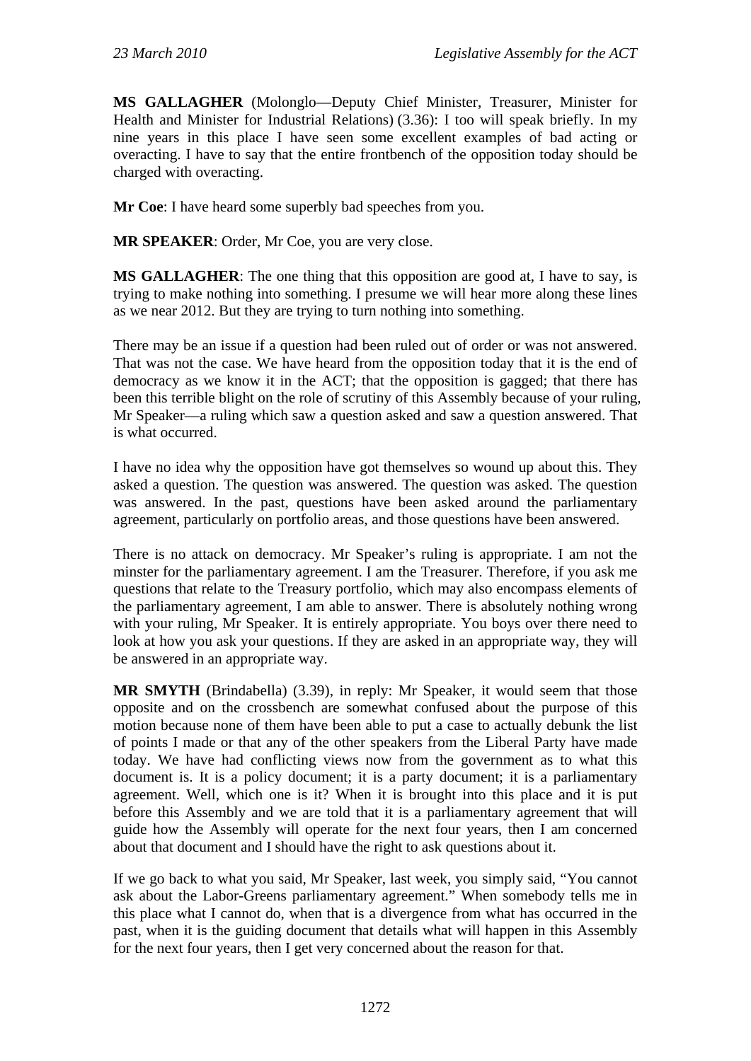**MS GALLAGHER** (Molonglo—Deputy Chief Minister, Treasurer, Minister for Health and Minister for Industrial Relations) (3.36): I too will speak briefly. In my nine years in this place I have seen some excellent examples of bad acting or overacting. I have to say that the entire frontbench of the opposition today should be charged with overacting.

**Mr Coe**: I have heard some superbly bad speeches from you.

**MR SPEAKER**: Order, Mr Coe, you are very close.

**MS GALLAGHER**: The one thing that this opposition are good at, I have to say, is trying to make nothing into something. I presume we will hear more along these lines as we near 2012. But they are trying to turn nothing into something.

There may be an issue if a question had been ruled out of order or was not answered. That was not the case. We have heard from the opposition today that it is the end of democracy as we know it in the ACT; that the opposition is gagged; that there has been this terrible blight on the role of scrutiny of this Assembly because of your ruling, Mr Speaker—a ruling which saw a question asked and saw a question answered. That is what occurred.

I have no idea why the opposition have got themselves so wound up about this. They asked a question. The question was answered. The question was asked. The question was answered. In the past, questions have been asked around the parliamentary agreement, particularly on portfolio areas, and those questions have been answered.

There is no attack on democracy. Mr Speaker's ruling is appropriate. I am not the minster for the parliamentary agreement. I am the Treasurer. Therefore, if you ask me questions that relate to the Treasury portfolio, which may also encompass elements of the parliamentary agreement, I am able to answer. There is absolutely nothing wrong with your ruling, Mr Speaker. It is entirely appropriate. You boys over there need to look at how you ask your questions. If they are asked in an appropriate way, they will be answered in an appropriate way.

**MR SMYTH** (Brindabella) (3.39), in reply: Mr Speaker, it would seem that those opposite and on the crossbench are somewhat confused about the purpose of this motion because none of them have been able to put a case to actually debunk the list of points I made or that any of the other speakers from the Liberal Party have made today. We have had conflicting views now from the government as to what this document is. It is a policy document; it is a party document; it is a parliamentary agreement. Well, which one is it? When it is brought into this place and it is put before this Assembly and we are told that it is a parliamentary agreement that will guide how the Assembly will operate for the next four years, then I am concerned about that document and I should have the right to ask questions about it.

If we go back to what you said, Mr Speaker, last week, you simply said, "You cannot ask about the Labor-Greens parliamentary agreement." When somebody tells me in this place what I cannot do, when that is a divergence from what has occurred in the past, when it is the guiding document that details what will happen in this Assembly for the next four years, then I get very concerned about the reason for that.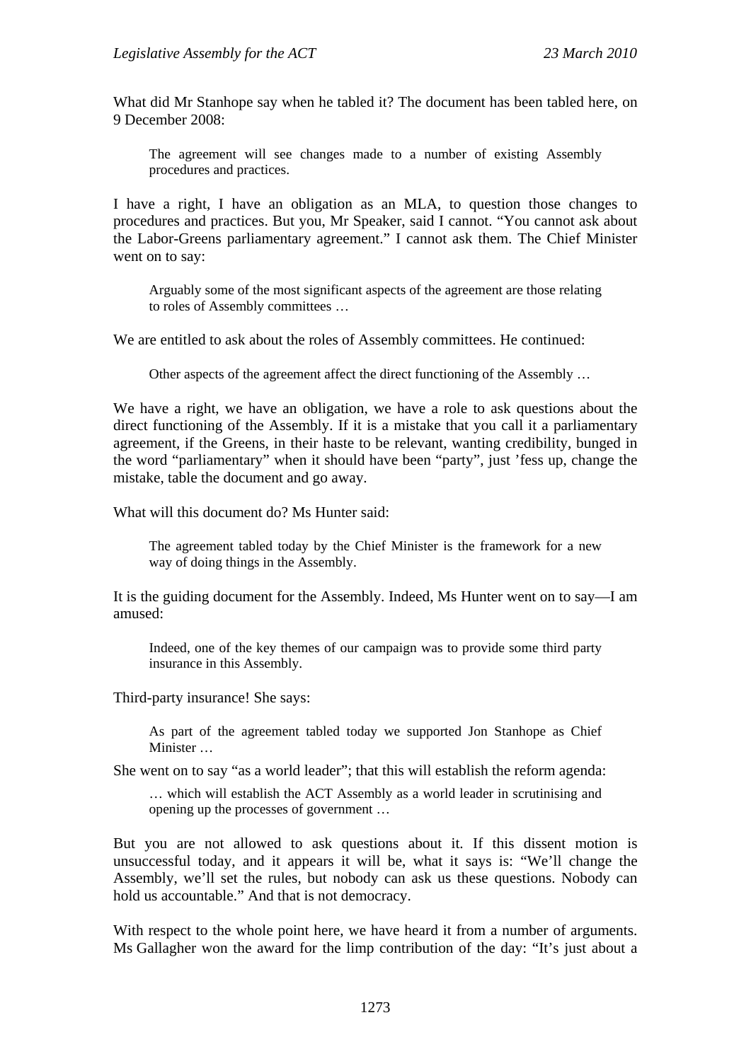What did Mr Stanhope say when he tabled it? The document has been tabled here, on 9 December 2008:

The agreement will see changes made to a number of existing Assembly procedures and practices.

I have a right, I have an obligation as an MLA, to question those changes to procedures and practices. But you, Mr Speaker, said I cannot. "You cannot ask about the Labor-Greens parliamentary agreement." I cannot ask them. The Chief Minister went on to say:

Arguably some of the most significant aspects of the agreement are those relating to roles of Assembly committees …

We are entitled to ask about the roles of Assembly committees. He continued:

Other aspects of the agreement affect the direct functioning of the Assembly …

We have a right, we have an obligation, we have a role to ask questions about the direct functioning of the Assembly. If it is a mistake that you call it a parliamentary agreement, if the Greens, in their haste to be relevant, wanting credibility, bunged in the word "parliamentary" when it should have been "party", just 'fess up, change the mistake, table the document and go away.

What will this document do? Ms Hunter said:

The agreement tabled today by the Chief Minister is the framework for a new way of doing things in the Assembly.

It is the guiding document for the Assembly. Indeed, Ms Hunter went on to say—I am amused:

Indeed, one of the key themes of our campaign was to provide some third party insurance in this Assembly.

Third-party insurance! She says:

As part of the agreement tabled today we supported Jon Stanhope as Chief Minister …

She went on to say "as a world leader"; that this will establish the reform agenda:

… which will establish the ACT Assembly as a world leader in scrutinising and opening up the processes of government …

But you are not allowed to ask questions about it. If this dissent motion is unsuccessful today, and it appears it will be, what it says is: "We'll change the Assembly, we'll set the rules, but nobody can ask us these questions. Nobody can hold us accountable." And that is not democracy.

With respect to the whole point here, we have heard it from a number of arguments. Ms Gallagher won the award for the limp contribution of the day: "It's just about a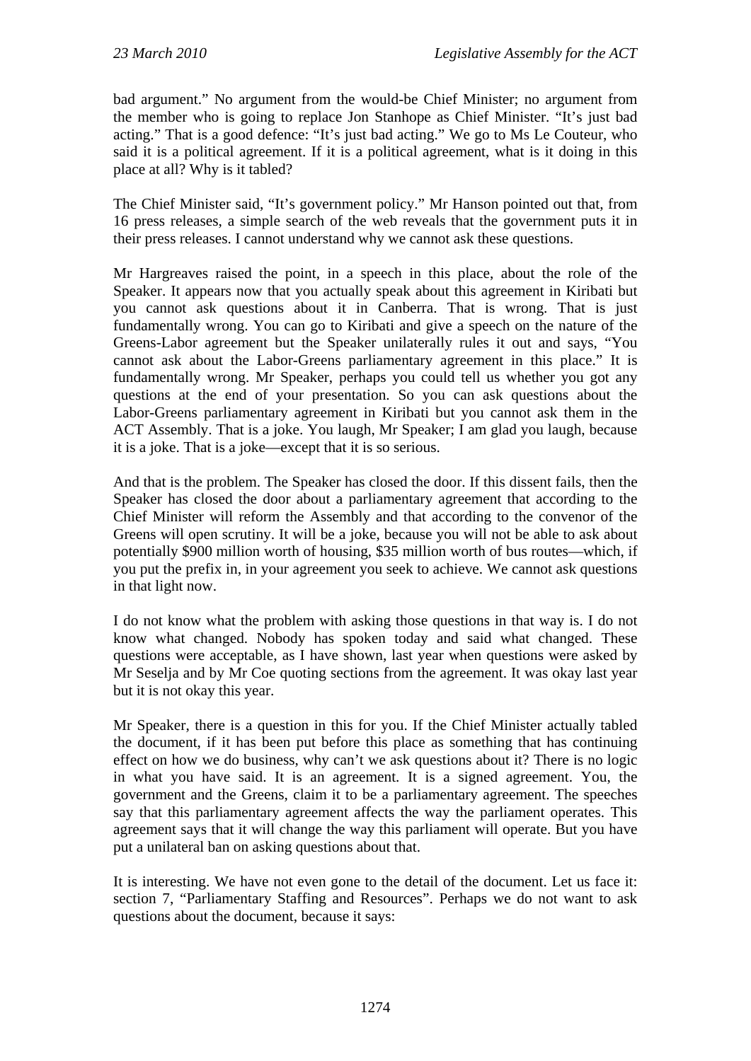bad argument." No argument from the would-be Chief Minister; no argument from the member who is going to replace Jon Stanhope as Chief Minister. "It's just bad acting." That is a good defence: "It's just bad acting." We go to Ms Le Couteur, who said it is a political agreement. If it is a political agreement, what is it doing in this place at all? Why is it tabled?

The Chief Minister said, "It's government policy." Mr Hanson pointed out that, from 16 press releases, a simple search of the web reveals that the government puts it in their press releases. I cannot understand why we cannot ask these questions.

Mr Hargreaves raised the point, in a speech in this place, about the role of the Speaker. It appears now that you actually speak about this agreement in Kiribati but you cannot ask questions about it in Canberra. That is wrong. That is just fundamentally wrong. You can go to Kiribati and give a speech on the nature of the Greens-Labor agreement but the Speaker unilaterally rules it out and says, "You cannot ask about the Labor-Greens parliamentary agreement in this place." It is fundamentally wrong. Mr Speaker, perhaps you could tell us whether you got any questions at the end of your presentation. So you can ask questions about the Labor-Greens parliamentary agreement in Kiribati but you cannot ask them in the ACT Assembly. That is a joke. You laugh, Mr Speaker; I am glad you laugh, because it is a joke. That is a joke—except that it is so serious.

And that is the problem. The Speaker has closed the door. If this dissent fails, then the Speaker has closed the door about a parliamentary agreement that according to the Chief Minister will reform the Assembly and that according to the convenor of the Greens will open scrutiny. It will be a joke, because you will not be able to ask about potentially \$900 million worth of housing, \$35 million worth of bus routes—which, if you put the prefix in, in your agreement you seek to achieve. We cannot ask questions in that light now.

I do not know what the problem with asking those questions in that way is. I do not know what changed. Nobody has spoken today and said what changed. These questions were acceptable, as I have shown, last year when questions were asked by Mr Seselja and by Mr Coe quoting sections from the agreement. It was okay last year but it is not okay this year.

Mr Speaker, there is a question in this for you. If the Chief Minister actually tabled the document, if it has been put before this place as something that has continuing effect on how we do business, why can't we ask questions about it? There is no logic in what you have said. It is an agreement. It is a signed agreement. You, the government and the Greens, claim it to be a parliamentary agreement. The speeches say that this parliamentary agreement affects the way the parliament operates. This agreement says that it will change the way this parliament will operate. But you have put a unilateral ban on asking questions about that.

It is interesting. We have not even gone to the detail of the document. Let us face it: section 7, "Parliamentary Staffing and Resources". Perhaps we do not want to ask questions about the document, because it says: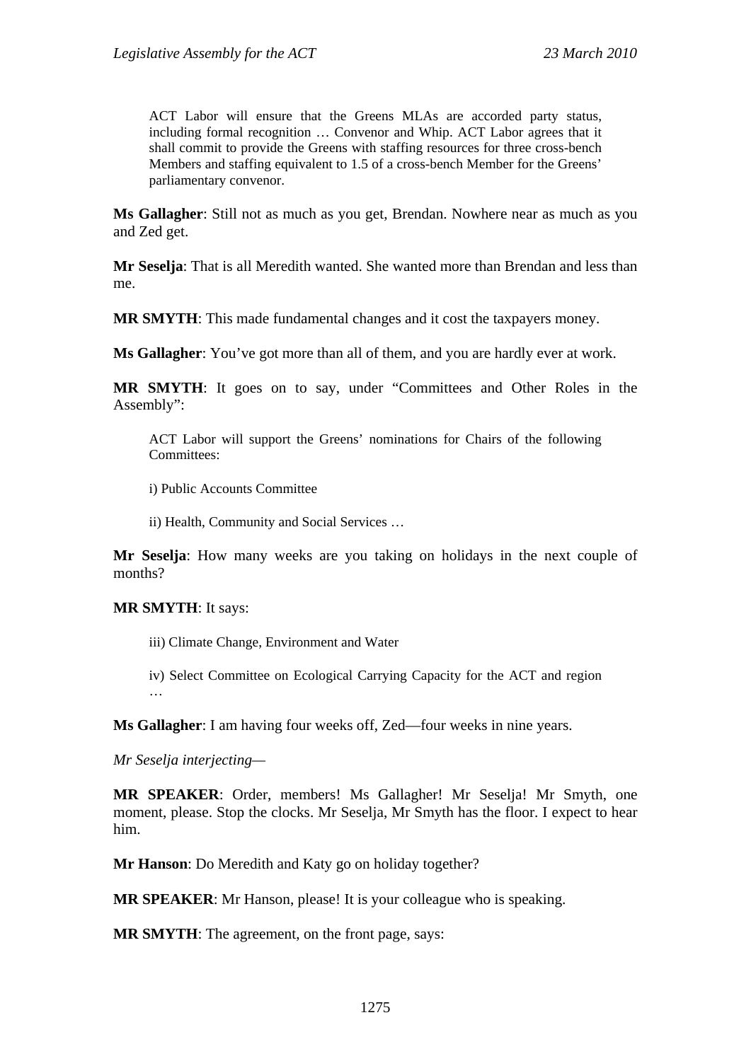ACT Labor will ensure that the Greens MLAs are accorded party status, including formal recognition … Convenor and Whip. ACT Labor agrees that it shall commit to provide the Greens with staffing resources for three cross-bench Members and staffing equivalent to 1.5 of a cross-bench Member for the Greens' parliamentary convenor.

**Ms Gallagher**: Still not as much as you get, Brendan. Nowhere near as much as you and Zed get.

**Mr Seselja**: That is all Meredith wanted. She wanted more than Brendan and less than me.

**MR SMYTH**: This made fundamental changes and it cost the taxpayers money.

**Ms Gallagher**: You've got more than all of them, and you are hardly ever at work.

**MR SMYTH**: It goes on to say, under "Committees and Other Roles in the Assembly":

ACT Labor will support the Greens' nominations for Chairs of the following Committees:

i) Public Accounts Committee

ii) Health, Community and Social Services …

**Mr Seselja**: How many weeks are you taking on holidays in the next couple of months?

#### **MR SMYTH**: It says:

iii) Climate Change, Environment and Water

iv) Select Committee on Ecological Carrying Capacity for the ACT and region …

**Ms Gallagher**: I am having four weeks off, Zed—four weeks in nine years.

*Mr Seselja interjecting—* 

**MR SPEAKER**: Order, members! Ms Gallagher! Mr Seselja! Mr Smyth, one moment, please. Stop the clocks. Mr Seselja, Mr Smyth has the floor. I expect to hear him.

**Mr Hanson**: Do Meredith and Katy go on holiday together?

**MR SPEAKER**: Mr Hanson, please! It is your colleague who is speaking.

**MR SMYTH**: The agreement, on the front page, says: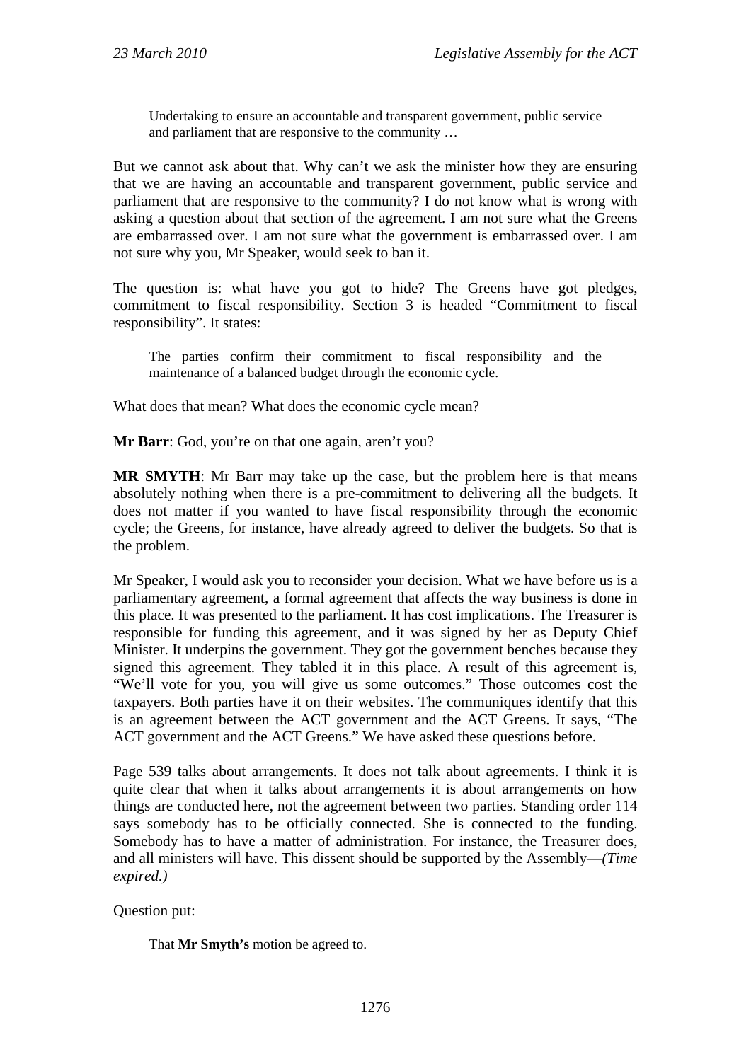Undertaking to ensure an accountable and transparent government, public service and parliament that are responsive to the community …

But we cannot ask about that. Why can't we ask the minister how they are ensuring that we are having an accountable and transparent government, public service and parliament that are responsive to the community? I do not know what is wrong with asking a question about that section of the agreement. I am not sure what the Greens are embarrassed over. I am not sure what the government is embarrassed over. I am not sure why you, Mr Speaker, would seek to ban it.

The question is: what have you got to hide? The Greens have got pledges, commitment to fiscal responsibility. Section 3 is headed "Commitment to fiscal responsibility". It states:

The parties confirm their commitment to fiscal responsibility and the maintenance of a balanced budget through the economic cycle.

What does that mean? What does the economic cycle mean?

**Mr Barr**: God, you're on that one again, aren't you?

**MR SMYTH**: Mr Barr may take up the case, but the problem here is that means absolutely nothing when there is a pre-commitment to delivering all the budgets. It does not matter if you wanted to have fiscal responsibility through the economic cycle; the Greens, for instance, have already agreed to deliver the budgets. So that is the problem.

Mr Speaker, I would ask you to reconsider your decision. What we have before us is a parliamentary agreement, a formal agreement that affects the way business is done in this place. It was presented to the parliament. It has cost implications. The Treasurer is responsible for funding this agreement, and it was signed by her as Deputy Chief Minister. It underpins the government. They got the government benches because they signed this agreement. They tabled it in this place. A result of this agreement is, "We'll vote for you, you will give us some outcomes." Those outcomes cost the taxpayers. Both parties have it on their websites. The communiques identify that this is an agreement between the ACT government and the ACT Greens. It says, "The ACT government and the ACT Greens." We have asked these questions before.

Page 539 talks about arrangements. It does not talk about agreements. I think it is quite clear that when it talks about arrangements it is about arrangements on how things are conducted here, not the agreement between two parties. Standing order 114 says somebody has to be officially connected. She is connected to the funding. Somebody has to have a matter of administration. For instance, the Treasurer does, and all ministers will have. This dissent should be supported by the Assembly—*(Time expired.)*

## Question put:

That **Mr Smyth's** motion be agreed to.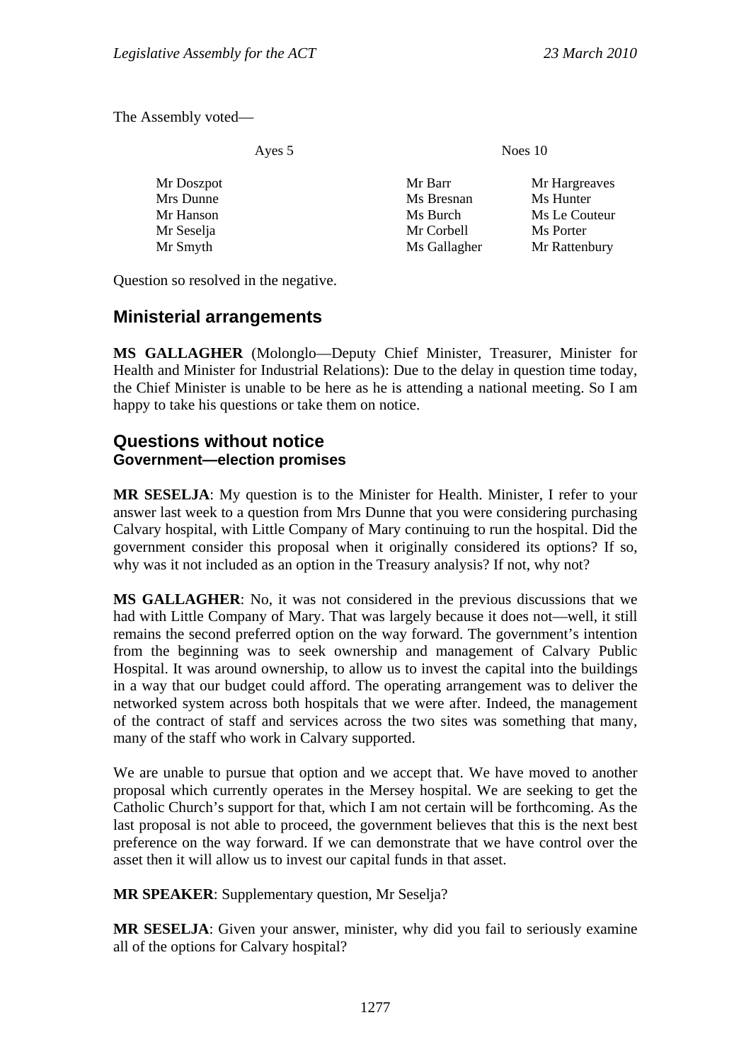The Assembly voted—

| Ayes 5     | Noes 10      |               |
|------------|--------------|---------------|
| Mr Doszpot | Mr Barr      | Mr Hargreaves |
| Mrs Dunne  | Ms Bresnan   | Ms Hunter     |
| Mr Hanson  | Ms Burch     | Ms Le Couteur |
| Mr Seselja | Mr Corbell   | Ms Porter     |
| Mr Smyth   | Ms Gallagher | Mr Rattenbury |
|            |              |               |

Question so resolved in the negative.

## **Ministerial arrangements**

**MS GALLAGHER** (Molonglo—Deputy Chief Minister, Treasurer, Minister for Health and Minister for Industrial Relations): Due to the delay in question time today, the Chief Minister is unable to be here as he is attending a national meeting. So I am happy to take his questions or take them on notice.

## **Questions without notice Government—election promises**

**MR SESELJA**: My question is to the Minister for Health. Minister, I refer to your answer last week to a question from Mrs Dunne that you were considering purchasing Calvary hospital, with Little Company of Mary continuing to run the hospital. Did the government consider this proposal when it originally considered its options? If so, why was it not included as an option in the Treasury analysis? If not, why not?

**MS GALLAGHER**: No, it was not considered in the previous discussions that we had with Little Company of Mary. That was largely because it does not—well, it still remains the second preferred option on the way forward. The government's intention from the beginning was to seek ownership and management of Calvary Public Hospital. It was around ownership, to allow us to invest the capital into the buildings in a way that our budget could afford. The operating arrangement was to deliver the networked system across both hospitals that we were after. Indeed, the management of the contract of staff and services across the two sites was something that many, many of the staff who work in Calvary supported.

We are unable to pursue that option and we accept that. We have moved to another proposal which currently operates in the Mersey hospital. We are seeking to get the Catholic Church's support for that, which I am not certain will be forthcoming. As the last proposal is not able to proceed, the government believes that this is the next best preference on the way forward. If we can demonstrate that we have control over the asset then it will allow us to invest our capital funds in that asset.

**MR SPEAKER**: Supplementary question, Mr Seselja?

**MR SESELJA**: Given your answer, minister, why did you fail to seriously examine all of the options for Calvary hospital?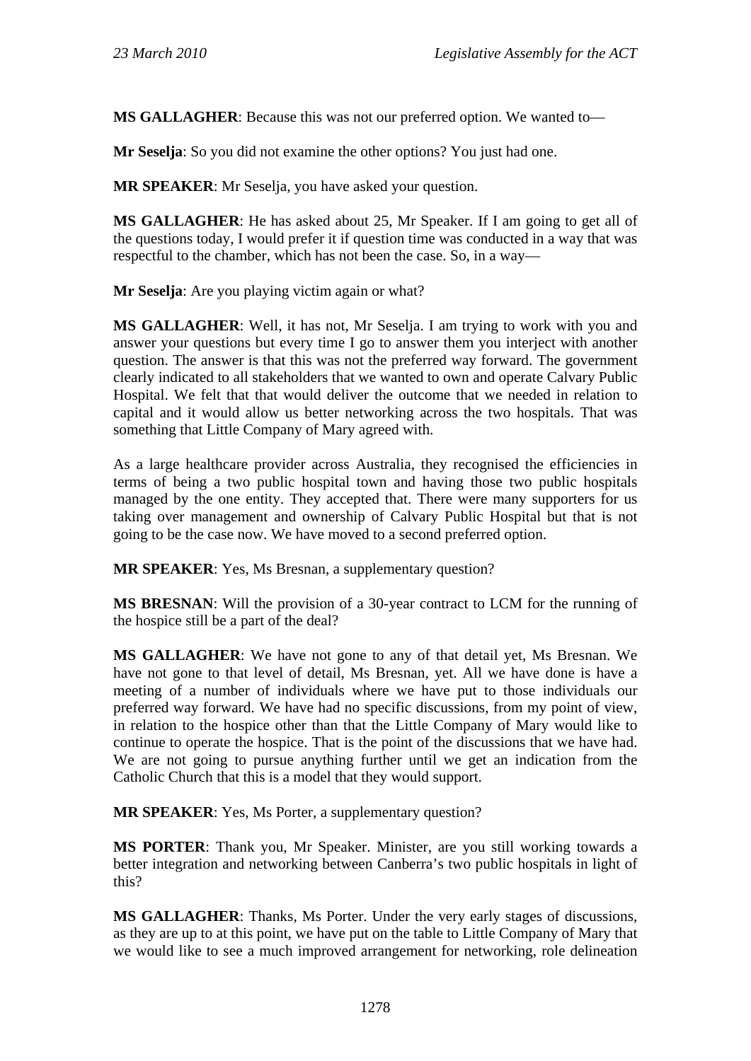**MS GALLAGHER**: Because this was not our preferred option. We wanted to—

**Mr Seselja**: So you did not examine the other options? You just had one.

**MR SPEAKER**: Mr Seselja, you have asked your question.

**MS GALLAGHER**: He has asked about 25, Mr Speaker. If I am going to get all of the questions today, I would prefer it if question time was conducted in a way that was respectful to the chamber, which has not been the case. So, in a way—

**Mr Seselja**: Are you playing victim again or what?

**MS GALLAGHER**: Well, it has not, Mr Seselja. I am trying to work with you and answer your questions but every time I go to answer them you interject with another question. The answer is that this was not the preferred way forward. The government clearly indicated to all stakeholders that we wanted to own and operate Calvary Public Hospital. We felt that that would deliver the outcome that we needed in relation to capital and it would allow us better networking across the two hospitals. That was something that Little Company of Mary agreed with.

As a large healthcare provider across Australia, they recognised the efficiencies in terms of being a two public hospital town and having those two public hospitals managed by the one entity. They accepted that. There were many supporters for us taking over management and ownership of Calvary Public Hospital but that is not going to be the case now. We have moved to a second preferred option.

**MR SPEAKER**: Yes, Ms Bresnan, a supplementary question?

**MS BRESNAN**: Will the provision of a 30-year contract to LCM for the running of the hospice still be a part of the deal?

**MS GALLAGHER**: We have not gone to any of that detail yet, Ms Bresnan. We have not gone to that level of detail, Ms Bresnan, yet. All we have done is have a meeting of a number of individuals where we have put to those individuals our preferred way forward. We have had no specific discussions, from my point of view, in relation to the hospice other than that the Little Company of Mary would like to continue to operate the hospice. That is the point of the discussions that we have had. We are not going to pursue anything further until we get an indication from the Catholic Church that this is a model that they would support.

**MR SPEAKER**: Yes, Ms Porter, a supplementary question?

**MS PORTER**: Thank you, Mr Speaker. Minister, are you still working towards a better integration and networking between Canberra's two public hospitals in light of this?

**MS GALLAGHER**: Thanks, Ms Porter. Under the very early stages of discussions, as they are up to at this point, we have put on the table to Little Company of Mary that we would like to see a much improved arrangement for networking, role delineation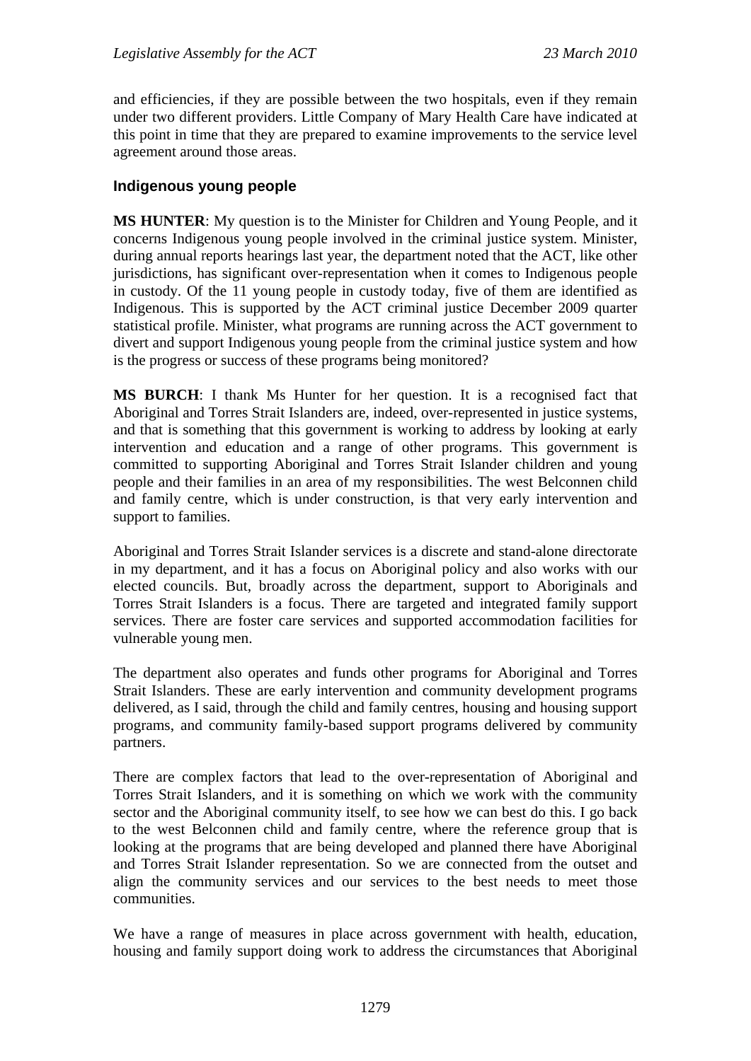and efficiencies, if they are possible between the two hospitals, even if they remain under two different providers. Little Company of Mary Health Care have indicated at this point in time that they are prepared to examine improvements to the service level agreement around those areas.

## **Indigenous young people**

**MS HUNTER**: My question is to the Minister for Children and Young People, and it concerns Indigenous young people involved in the criminal justice system. Minister, during annual reports hearings last year, the department noted that the ACT, like other jurisdictions, has significant over-representation when it comes to Indigenous people in custody. Of the 11 young people in custody today, five of them are identified as Indigenous. This is supported by the ACT criminal justice December 2009 quarter statistical profile. Minister, what programs are running across the ACT government to divert and support Indigenous young people from the criminal justice system and how is the progress or success of these programs being monitored?

**MS BURCH**: I thank Ms Hunter for her question. It is a recognised fact that Aboriginal and Torres Strait Islanders are, indeed, over-represented in justice systems, and that is something that this government is working to address by looking at early intervention and education and a range of other programs. This government is committed to supporting Aboriginal and Torres Strait Islander children and young people and their families in an area of my responsibilities. The west Belconnen child and family centre, which is under construction, is that very early intervention and support to families.

Aboriginal and Torres Strait Islander services is a discrete and stand-alone directorate in my department, and it has a focus on Aboriginal policy and also works with our elected councils. But, broadly across the department, support to Aboriginals and Torres Strait Islanders is a focus. There are targeted and integrated family support services. There are foster care services and supported accommodation facilities for vulnerable young men.

The department also operates and funds other programs for Aboriginal and Torres Strait Islanders. These are early intervention and community development programs delivered, as I said, through the child and family centres, housing and housing support programs, and community family-based support programs delivered by community partners.

There are complex factors that lead to the over-representation of Aboriginal and Torres Strait Islanders, and it is something on which we work with the community sector and the Aboriginal community itself, to see how we can best do this. I go back to the west Belconnen child and family centre, where the reference group that is looking at the programs that are being developed and planned there have Aboriginal and Torres Strait Islander representation. So we are connected from the outset and align the community services and our services to the best needs to meet those communities.

We have a range of measures in place across government with health, education, housing and family support doing work to address the circumstances that Aboriginal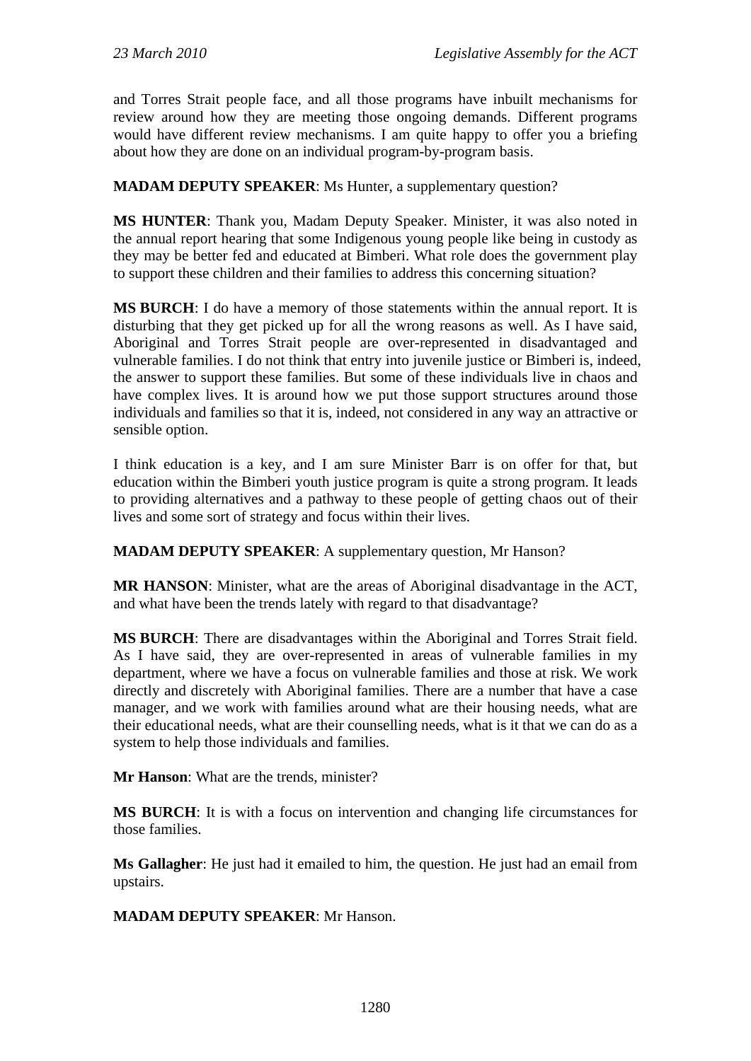and Torres Strait people face, and all those programs have inbuilt mechanisms for review around how they are meeting those ongoing demands. Different programs would have different review mechanisms. I am quite happy to offer you a briefing about how they are done on an individual program-by-program basis.

**MADAM DEPUTY SPEAKER:** Ms Hunter, a supplementary question?

**MS HUNTER**: Thank you, Madam Deputy Speaker. Minister, it was also noted in the annual report hearing that some Indigenous young people like being in custody as they may be better fed and educated at Bimberi. What role does the government play to support these children and their families to address this concerning situation?

**MS BURCH**: I do have a memory of those statements within the annual report. It is disturbing that they get picked up for all the wrong reasons as well. As I have said, Aboriginal and Torres Strait people are over-represented in disadvantaged and vulnerable families. I do not think that entry into juvenile justice or Bimberi is, indeed, the answer to support these families. But some of these individuals live in chaos and have complex lives. It is around how we put those support structures around those individuals and families so that it is, indeed, not considered in any way an attractive or sensible option.

I think education is a key, and I am sure Minister Barr is on offer for that, but education within the Bimberi youth justice program is quite a strong program. It leads to providing alternatives and a pathway to these people of getting chaos out of their lives and some sort of strategy and focus within their lives.

**MADAM DEPUTY SPEAKER**: A supplementary question, Mr Hanson?

**MR HANSON**: Minister, what are the areas of Aboriginal disadvantage in the ACT, and what have been the trends lately with regard to that disadvantage?

**MS BURCH**: There are disadvantages within the Aboriginal and Torres Strait field. As I have said, they are over-represented in areas of vulnerable families in my department, where we have a focus on vulnerable families and those at risk. We work directly and discretely with Aboriginal families. There are a number that have a case manager, and we work with families around what are their housing needs, what are their educational needs, what are their counselling needs, what is it that we can do as a system to help those individuals and families.

**Mr Hanson**: What are the trends, minister?

**MS BURCH**: It is with a focus on intervention and changing life circumstances for those families.

**Ms Gallagher**: He just had it emailed to him, the question. He just had an email from upstairs.

**MADAM DEPUTY SPEAKER**: Mr Hanson.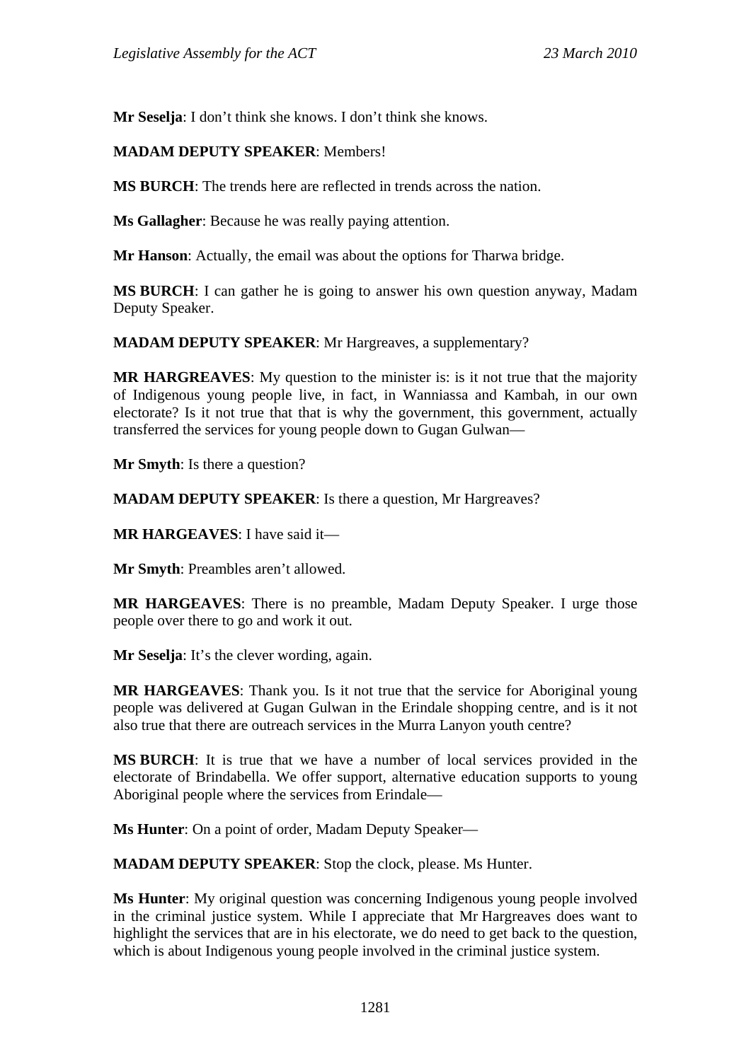**Mr Seselja**: I don't think she knows. I don't think she knows.

### **MADAM DEPUTY SPEAKER**: Members!

**MS BURCH**: The trends here are reflected in trends across the nation.

**Ms Gallagher**: Because he was really paying attention.

**Mr Hanson**: Actually, the email was about the options for Tharwa bridge.

**MS BURCH**: I can gather he is going to answer his own question anyway, Madam Deputy Speaker.

**MADAM DEPUTY SPEAKER**: Mr Hargreaves, a supplementary?

**MR HARGREAVES**: My question to the minister is: is it not true that the majority of Indigenous young people live, in fact, in Wanniassa and Kambah, in our own electorate? Is it not true that that is why the government, this government, actually transferred the services for young people down to Gugan Gulwan—

**Mr Smyth**: Is there a question?

**MADAM DEPUTY SPEAKER**: Is there a question, Mr Hargreaves?

**MR HARGEAVES**: I have said it—

**Mr Smyth**: Preambles aren't allowed.

**MR HARGEAVES**: There is no preamble, Madam Deputy Speaker. I urge those people over there to go and work it out.

**Mr Seselja**: It's the clever wording, again.

**MR HARGEAVES**: Thank you. Is it not true that the service for Aboriginal young people was delivered at Gugan Gulwan in the Erindale shopping centre, and is it not also true that there are outreach services in the Murra Lanyon youth centre?

**MS BURCH**: It is true that we have a number of local services provided in the electorate of Brindabella. We offer support, alternative education supports to young Aboriginal people where the services from Erindale—

**Ms Hunter**: On a point of order, Madam Deputy Speaker—

**MADAM DEPUTY SPEAKER**: Stop the clock, please. Ms Hunter.

**Ms Hunter**: My original question was concerning Indigenous young people involved in the criminal justice system. While I appreciate that Mr Hargreaves does want to highlight the services that are in his electorate, we do need to get back to the question, which is about Indigenous young people involved in the criminal justice system.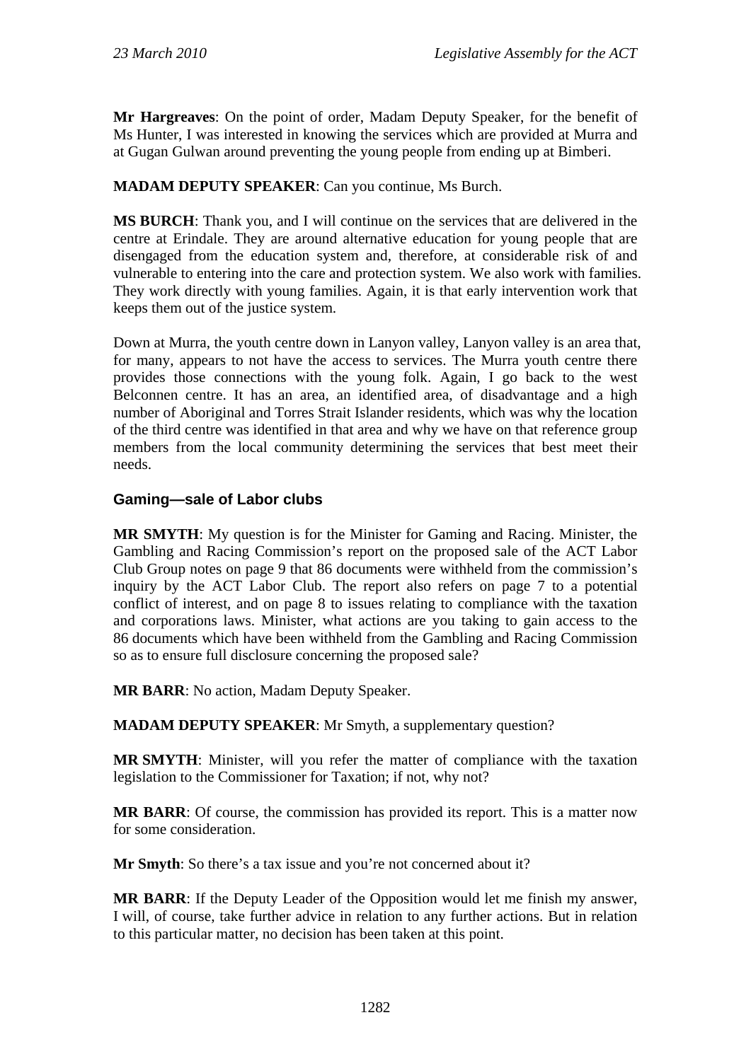**Mr Hargreaves**: On the point of order, Madam Deputy Speaker, for the benefit of Ms Hunter, I was interested in knowing the services which are provided at Murra and at Gugan Gulwan around preventing the young people from ending up at Bimberi.

**MADAM DEPUTY SPEAKER**: Can you continue, Ms Burch.

**MS BURCH**: Thank you, and I will continue on the services that are delivered in the centre at Erindale. They are around alternative education for young people that are disengaged from the education system and, therefore, at considerable risk of and vulnerable to entering into the care and protection system. We also work with families. They work directly with young families. Again, it is that early intervention work that keeps them out of the justice system.

Down at Murra, the youth centre down in Lanyon valley, Lanyon valley is an area that, for many, appears to not have the access to services. The Murra youth centre there provides those connections with the young folk. Again, I go back to the west Belconnen centre. It has an area, an identified area, of disadvantage and a high number of Aboriginal and Torres Strait Islander residents, which was why the location of the third centre was identified in that area and why we have on that reference group members from the local community determining the services that best meet their needs.

## **Gaming—sale of Labor clubs**

**MR SMYTH**: My question is for the Minister for Gaming and Racing. Minister, the Gambling and Racing Commission's report on the proposed sale of the ACT Labor Club Group notes on page 9 that 86 documents were withheld from the commission's inquiry by the ACT Labor Club. The report also refers on page 7 to a potential conflict of interest, and on page 8 to issues relating to compliance with the taxation and corporations laws. Minister, what actions are you taking to gain access to the 86 documents which have been withheld from the Gambling and Racing Commission so as to ensure full disclosure concerning the proposed sale?

**MR BARR**: No action, Madam Deputy Speaker.

**MADAM DEPUTY SPEAKER**: Mr Smyth, a supplementary question?

**MR SMYTH**: Minister, will you refer the matter of compliance with the taxation legislation to the Commissioner for Taxation; if not, why not?

**MR BARR**: Of course, the commission has provided its report. This is a matter now for some consideration.

**Mr Smyth**: So there's a tax issue and you're not concerned about it?

**MR BARR**: If the Deputy Leader of the Opposition would let me finish my answer, I will, of course, take further advice in relation to any further actions. But in relation to this particular matter, no decision has been taken at this point.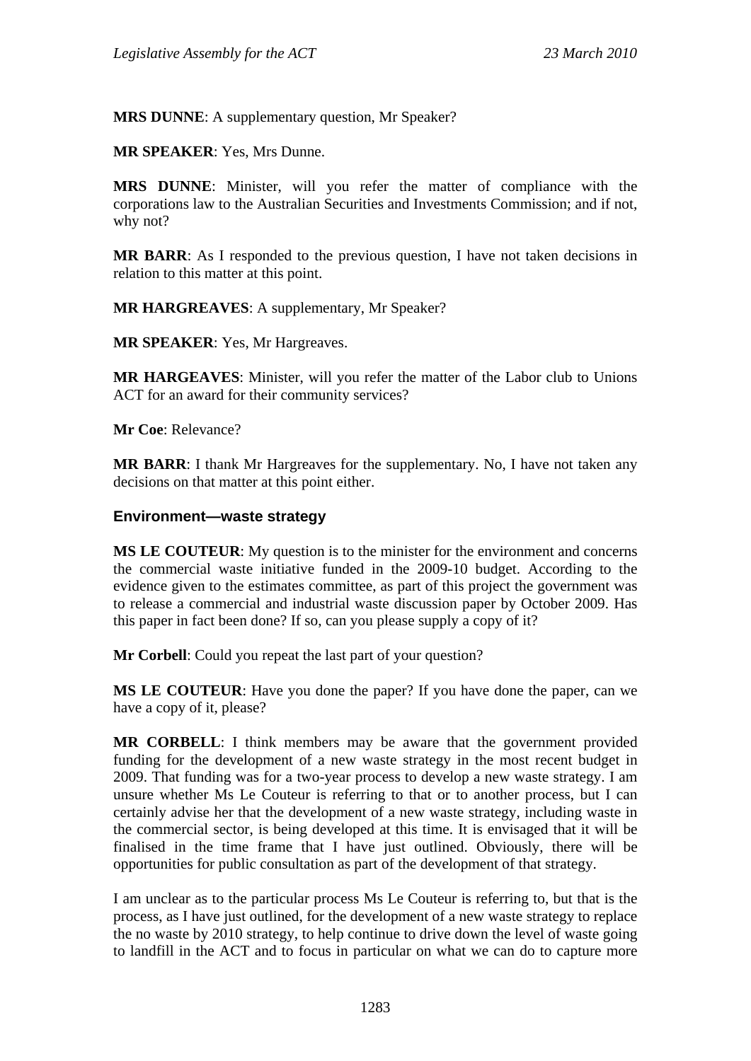**MRS DUNNE**: A supplementary question, Mr Speaker?

**MR SPEAKER**: Yes, Mrs Dunne.

**MRS DUNNE**: Minister, will you refer the matter of compliance with the corporations law to the Australian Securities and Investments Commission; and if not, why not?

**MR BARR**: As I responded to the previous question, I have not taken decisions in relation to this matter at this point.

**MR HARGREAVES**: A supplementary, Mr Speaker?

**MR SPEAKER**: Yes, Mr Hargreaves.

**MR HARGEAVES**: Minister, will you refer the matter of the Labor club to Unions ACT for an award for their community services?

**Mr Coe**: Relevance?

**MR BARR**: I thank Mr Hargreaves for the supplementary. No, I have not taken any decisions on that matter at this point either.

#### **Environment—waste strategy**

**MS LE COUTEUR**: My question is to the minister for the environment and concerns the commercial waste initiative funded in the 2009-10 budget. According to the evidence given to the estimates committee, as part of this project the government was to release a commercial and industrial waste discussion paper by October 2009. Has this paper in fact been done? If so, can you please supply a copy of it?

**Mr Corbell:** Could you repeat the last part of your question?

**MS LE COUTEUR**: Have you done the paper? If you have done the paper, can we have a copy of it, please?

**MR CORBELL**: I think members may be aware that the government provided funding for the development of a new waste strategy in the most recent budget in 2009. That funding was for a two-year process to develop a new waste strategy. I am unsure whether Ms Le Couteur is referring to that or to another process, but I can certainly advise her that the development of a new waste strategy, including waste in the commercial sector, is being developed at this time. It is envisaged that it will be finalised in the time frame that I have just outlined. Obviously, there will be opportunities for public consultation as part of the development of that strategy.

I am unclear as to the particular process Ms Le Couteur is referring to, but that is the process, as I have just outlined, for the development of a new waste strategy to replace the no waste by 2010 strategy, to help continue to drive down the level of waste going to landfill in the ACT and to focus in particular on what we can do to capture more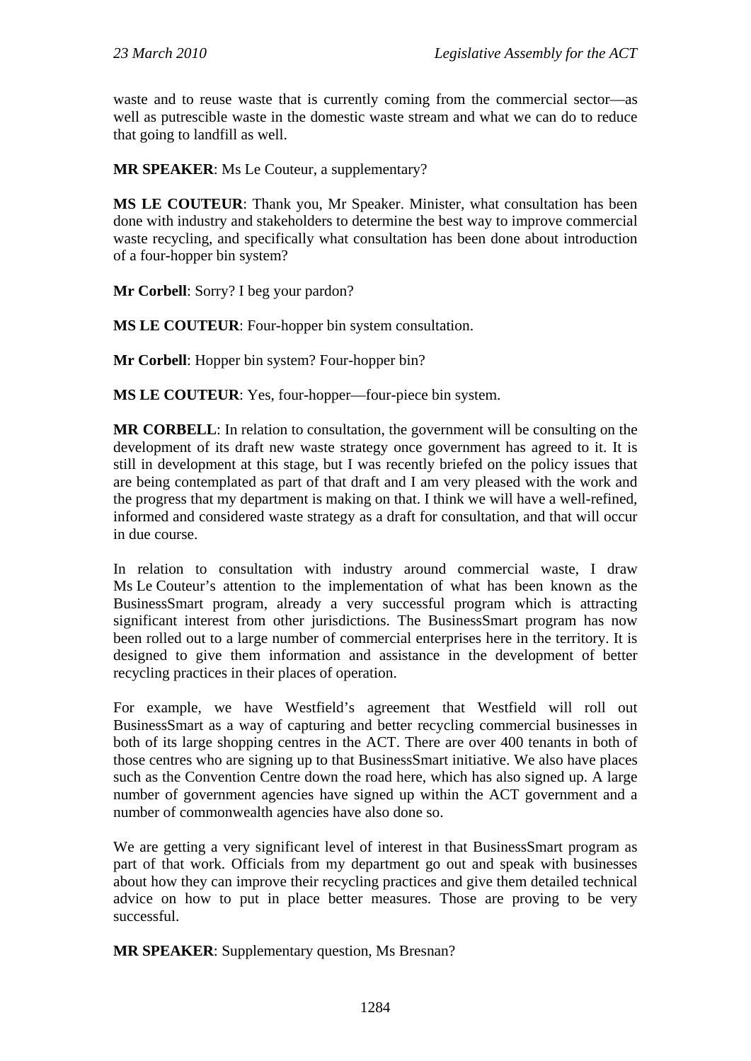waste and to reuse waste that is currently coming from the commercial sector—as well as putrescible waste in the domestic waste stream and what we can do to reduce that going to landfill as well.

**MR SPEAKER**: Ms Le Couteur, a supplementary?

**MS LE COUTEUR**: Thank you, Mr Speaker. Minister, what consultation has been done with industry and stakeholders to determine the best way to improve commercial waste recycling, and specifically what consultation has been done about introduction of a four-hopper bin system?

**Mr Corbell**: Sorry? I beg your pardon?

**MS LE COUTEUR**: Four-hopper bin system consultation.

**Mr Corbell**: Hopper bin system? Four-hopper bin?

**MS LE COUTEUR**: Yes, four-hopper—four-piece bin system.

**MR CORBELL**: In relation to consultation, the government will be consulting on the development of its draft new waste strategy once government has agreed to it. It is still in development at this stage, but I was recently briefed on the policy issues that are being contemplated as part of that draft and I am very pleased with the work and the progress that my department is making on that. I think we will have a well-refined, informed and considered waste strategy as a draft for consultation, and that will occur in due course.

In relation to consultation with industry around commercial waste, I draw Ms Le Couteur's attention to the implementation of what has been known as the BusinessSmart program, already a very successful program which is attracting significant interest from other jurisdictions. The BusinessSmart program has now been rolled out to a large number of commercial enterprises here in the territory. It is designed to give them information and assistance in the development of better recycling practices in their places of operation.

For example, we have Westfield's agreement that Westfield will roll out BusinessSmart as a way of capturing and better recycling commercial businesses in both of its large shopping centres in the ACT. There are over 400 tenants in both of those centres who are signing up to that BusinessSmart initiative. We also have places such as the Convention Centre down the road here, which has also signed up. A large number of government agencies have signed up within the ACT government and a number of commonwealth agencies have also done so.

We are getting a very significant level of interest in that BusinessSmart program as part of that work. Officials from my department go out and speak with businesses about how they can improve their recycling practices and give them detailed technical advice on how to put in place better measures. Those are proving to be very successful.

**MR SPEAKER**: Supplementary question, Ms Bresnan?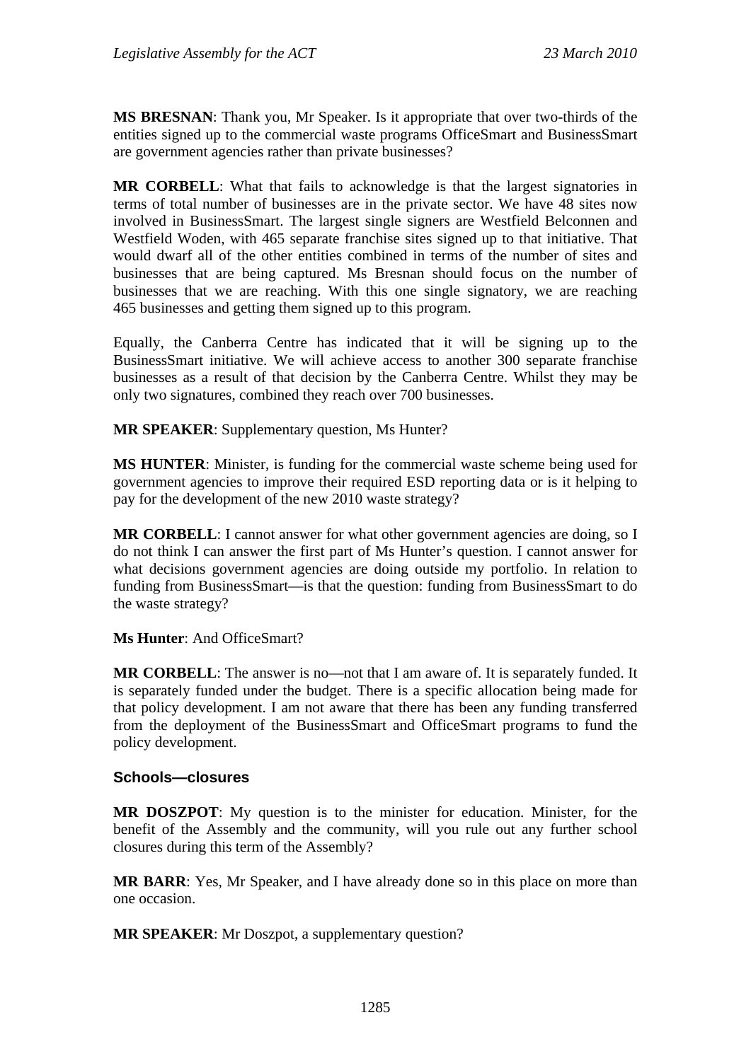**MS BRESNAN**: Thank you, Mr Speaker. Is it appropriate that over two-thirds of the entities signed up to the commercial waste programs OfficeSmart and BusinessSmart are government agencies rather than private businesses?

**MR CORBELL**: What that fails to acknowledge is that the largest signatories in terms of total number of businesses are in the private sector. We have 48 sites now involved in BusinessSmart. The largest single signers are Westfield Belconnen and Westfield Woden, with 465 separate franchise sites signed up to that initiative. That would dwarf all of the other entities combined in terms of the number of sites and businesses that are being captured. Ms Bresnan should focus on the number of businesses that we are reaching. With this one single signatory, we are reaching 465 businesses and getting them signed up to this program.

Equally, the Canberra Centre has indicated that it will be signing up to the BusinessSmart initiative. We will achieve access to another 300 separate franchise businesses as a result of that decision by the Canberra Centre. Whilst they may be only two signatures, combined they reach over 700 businesses.

**MR SPEAKER**: Supplementary question, Ms Hunter?

**MS HUNTER**: Minister, is funding for the commercial waste scheme being used for government agencies to improve their required ESD reporting data or is it helping to pay for the development of the new 2010 waste strategy?

**MR CORBELL:** I cannot answer for what other government agencies are doing, so I do not think I can answer the first part of Ms Hunter's question. I cannot answer for what decisions government agencies are doing outside my portfolio. In relation to funding from BusinessSmart—is that the question: funding from BusinessSmart to do the waste strategy?

#### **Ms Hunter**: And OfficeSmart?

**MR CORBELL**: The answer is no—not that I am aware of. It is separately funded. It is separately funded under the budget. There is a specific allocation being made for that policy development. I am not aware that there has been any funding transferred from the deployment of the BusinessSmart and OfficeSmart programs to fund the policy development.

#### **Schools—closures**

**MR DOSZPOT**: My question is to the minister for education. Minister, for the benefit of the Assembly and the community, will you rule out any further school closures during this term of the Assembly?

**MR BARR**: Yes, Mr Speaker, and I have already done so in this place on more than one occasion.

**MR SPEAKER:** Mr Doszpot, a supplementary question?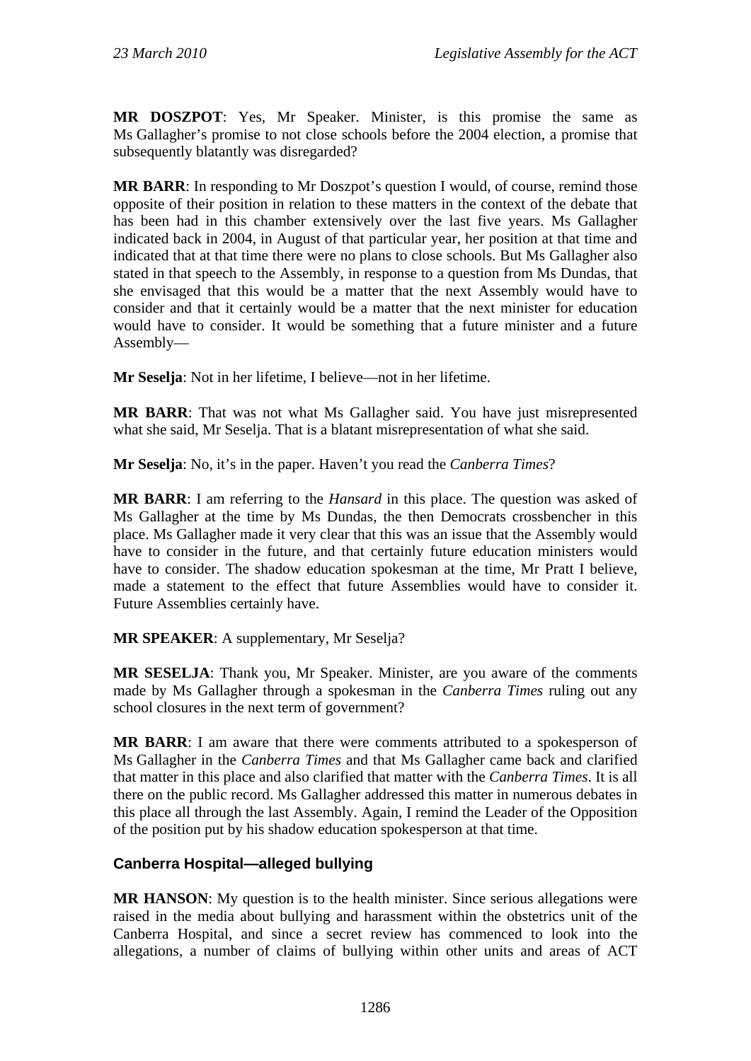**MR DOSZPOT**: Yes, Mr Speaker. Minister, is this promise the same as Ms Gallagher's promise to not close schools before the 2004 election, a promise that subsequently blatantly was disregarded?

**MR BARR:** In responding to Mr Doszpot's question I would, of course, remind those opposite of their position in relation to these matters in the context of the debate that has been had in this chamber extensively over the last five years. Ms Gallagher indicated back in 2004, in August of that particular year, her position at that time and indicated that at that time there were no plans to close schools. But Ms Gallagher also stated in that speech to the Assembly, in response to a question from Ms Dundas, that she envisaged that this would be a matter that the next Assembly would have to consider and that it certainly would be a matter that the next minister for education would have to consider. It would be something that a future minister and a future Assembly—

**Mr Seselja**: Not in her lifetime, I believe—not in her lifetime.

**MR BARR**: That was not what Ms Gallagher said. You have just misrepresented what she said, Mr Seselja. That is a blatant misrepresentation of what she said.

**Mr Seselja**: No, it's in the paper. Haven't you read the *Canberra Times*?

**MR BARR**: I am referring to the *Hansard* in this place. The question was asked of Ms Gallagher at the time by Ms Dundas, the then Democrats crossbencher in this place. Ms Gallagher made it very clear that this was an issue that the Assembly would have to consider in the future, and that certainly future education ministers would have to consider. The shadow education spokesman at the time, Mr Pratt I believe, made a statement to the effect that future Assemblies would have to consider it. Future Assemblies certainly have.

## **MR SPEAKER**: A supplementary, Mr Seselja?

**MR SESELJA**: Thank you, Mr Speaker. Minister, are you aware of the comments made by Ms Gallagher through a spokesman in the *Canberra Times* ruling out any school closures in the next term of government?

**MR BARR**: I am aware that there were comments attributed to a spokesperson of Ms Gallagher in the *Canberra Times* and that Ms Gallagher came back and clarified that matter in this place and also clarified that matter with the *Canberra Times*. It is all there on the public record. Ms Gallagher addressed this matter in numerous debates in this place all through the last Assembly. Again, I remind the Leader of the Opposition of the position put by his shadow education spokesperson at that time.

## **Canberra Hospital—alleged bullying**

**MR HANSON:** My question is to the health minister. Since serious allegations were raised in the media about bullying and harassment within the obstetrics unit of the Canberra Hospital, and since a secret review has commenced to look into the allegations, a number of claims of bullying within other units and areas of ACT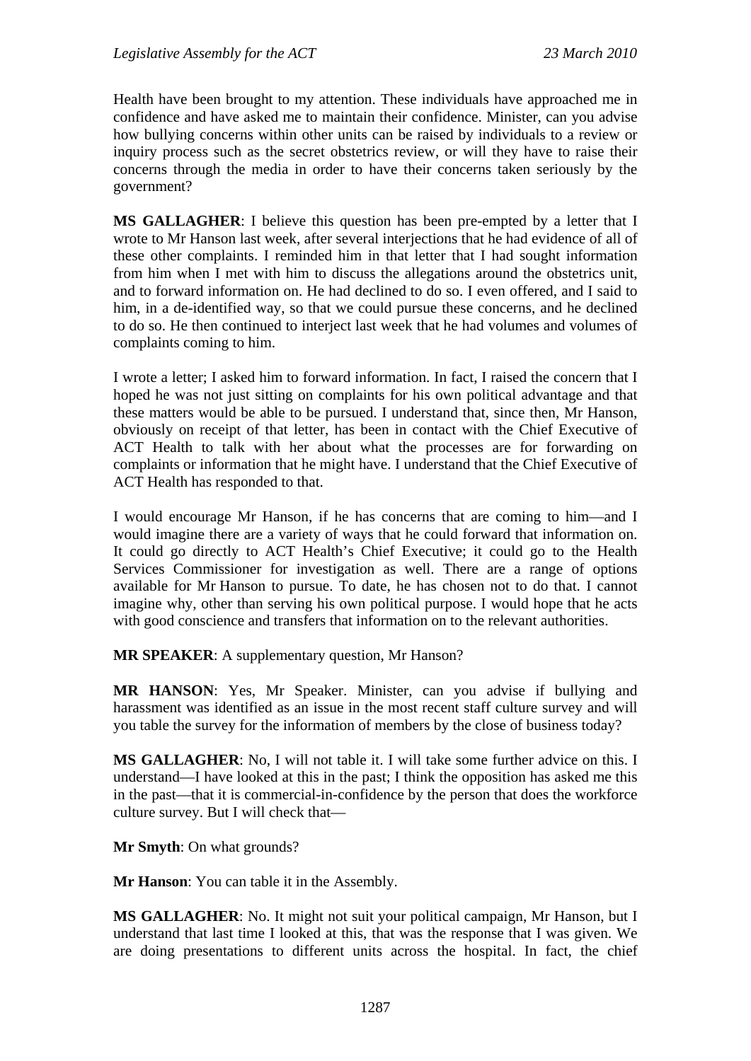Health have been brought to my attention. These individuals have approached me in confidence and have asked me to maintain their confidence. Minister, can you advise how bullying concerns within other units can be raised by individuals to a review or inquiry process such as the secret obstetrics review, or will they have to raise their concerns through the media in order to have their concerns taken seriously by the government?

**MS GALLAGHER**: I believe this question has been pre-empted by a letter that I wrote to Mr Hanson last week, after several interjections that he had evidence of all of these other complaints. I reminded him in that letter that I had sought information from him when I met with him to discuss the allegations around the obstetrics unit, and to forward information on. He had declined to do so. I even offered, and I said to him, in a de-identified way, so that we could pursue these concerns, and he declined to do so. He then continued to interject last week that he had volumes and volumes of complaints coming to him.

I wrote a letter; I asked him to forward information. In fact, I raised the concern that I hoped he was not just sitting on complaints for his own political advantage and that these matters would be able to be pursued. I understand that, since then, Mr Hanson, obviously on receipt of that letter, has been in contact with the Chief Executive of ACT Health to talk with her about what the processes are for forwarding on complaints or information that he might have. I understand that the Chief Executive of ACT Health has responded to that.

I would encourage Mr Hanson, if he has concerns that are coming to him—and I would imagine there are a variety of ways that he could forward that information on. It could go directly to ACT Health's Chief Executive; it could go to the Health Services Commissioner for investigation as well. There are a range of options available for Mr Hanson to pursue. To date, he has chosen not to do that. I cannot imagine why, other than serving his own political purpose. I would hope that he acts with good conscience and transfers that information on to the relevant authorities.

**MR SPEAKER**: A supplementary question, Mr Hanson?

**MR HANSON**: Yes, Mr Speaker. Minister, can you advise if bullying and harassment was identified as an issue in the most recent staff culture survey and will you table the survey for the information of members by the close of business today?

**MS GALLAGHER**: No, I will not table it. I will take some further advice on this. I understand—I have looked at this in the past; I think the opposition has asked me this in the past—that it is commercial-in-confidence by the person that does the workforce culture survey. But I will check that—

**Mr Smyth**: On what grounds?

**Mr Hanson**: You can table it in the Assembly.

**MS GALLAGHER**: No. It might not suit your political campaign, Mr Hanson, but I understand that last time I looked at this, that was the response that I was given. We are doing presentations to different units across the hospital. In fact, the chief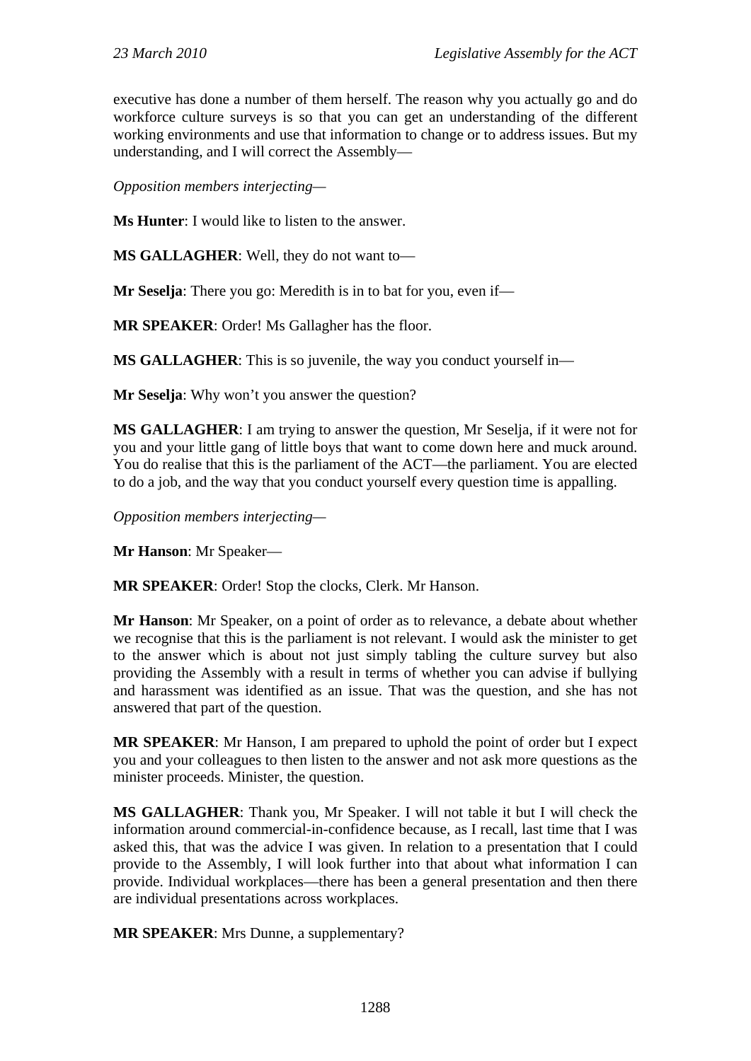executive has done a number of them herself. The reason why you actually go and do workforce culture surveys is so that you can get an understanding of the different working environments and use that information to change or to address issues. But my understanding, and I will correct the Assembly—

*Opposition members interjecting—* 

**Ms Hunter**: I would like to listen to the answer.

**MS GALLAGHER**: Well, they do not want to—

**Mr Seselja**: There you go: Meredith is in to bat for you, even if—

**MR SPEAKER**: Order! Ms Gallagher has the floor.

**MS GALLAGHER**: This is so juvenile, the way you conduct yourself in—

**Mr Seselia:** Why won't you answer the question?

**MS GALLAGHER**: I am trying to answer the question, Mr Seselja, if it were not for you and your little gang of little boys that want to come down here and muck around. You do realise that this is the parliament of the ACT—the parliament. You are elected to do a job, and the way that you conduct yourself every question time is appalling.

*Opposition members interjecting—* 

**Mr Hanson**: Mr Speaker—

**MR SPEAKER**: Order! Stop the clocks, Clerk. Mr Hanson.

**Mr Hanson**: Mr Speaker, on a point of order as to relevance, a debate about whether we recognise that this is the parliament is not relevant. I would ask the minister to get to the answer which is about not just simply tabling the culture survey but also providing the Assembly with a result in terms of whether you can advise if bullying and harassment was identified as an issue. That was the question, and she has not answered that part of the question.

**MR SPEAKER**: Mr Hanson, I am prepared to uphold the point of order but I expect you and your colleagues to then listen to the answer and not ask more questions as the minister proceeds. Minister, the question.

**MS GALLAGHER**: Thank you, Mr Speaker. I will not table it but I will check the information around commercial-in-confidence because, as I recall, last time that I was asked this, that was the advice I was given. In relation to a presentation that I could provide to the Assembly, I will look further into that about what information I can provide. Individual workplaces—there has been a general presentation and then there are individual presentations across workplaces.

**MR SPEAKER**: Mrs Dunne, a supplementary?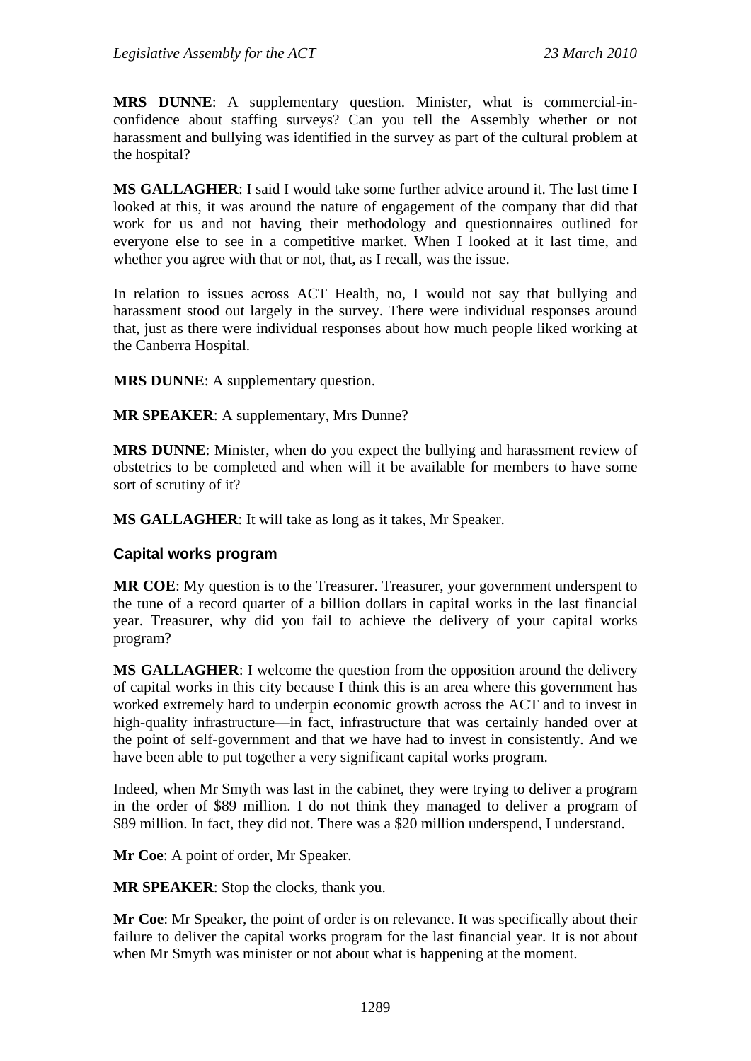**MRS DUNNE**: A supplementary question. Minister, what is commercial-inconfidence about staffing surveys? Can you tell the Assembly whether or not harassment and bullying was identified in the survey as part of the cultural problem at the hospital?

**MS GALLAGHER**: I said I would take some further advice around it. The last time I looked at this, it was around the nature of engagement of the company that did that work for us and not having their methodology and questionnaires outlined for everyone else to see in a competitive market. When I looked at it last time, and whether you agree with that or not, that, as I recall, was the issue.

In relation to issues across ACT Health, no, I would not say that bullying and harassment stood out largely in the survey. There were individual responses around that, just as there were individual responses about how much people liked working at the Canberra Hospital.

**MRS DUNNE**: A supplementary question.

**MR SPEAKER**: A supplementary, Mrs Dunne?

**MRS DUNNE**: Minister, when do you expect the bullying and harassment review of obstetrics to be completed and when will it be available for members to have some sort of scrutiny of it?

**MS GALLAGHER**: It will take as long as it takes, Mr Speaker.

#### **Capital works program**

**MR COE**: My question is to the Treasurer. Treasurer, your government underspent to the tune of a record quarter of a billion dollars in capital works in the last financial year. Treasurer, why did you fail to achieve the delivery of your capital works program?

**MS GALLAGHER**: I welcome the question from the opposition around the delivery of capital works in this city because I think this is an area where this government has worked extremely hard to underpin economic growth across the ACT and to invest in high-quality infrastructure—in fact, infrastructure that was certainly handed over at the point of self-government and that we have had to invest in consistently. And we have been able to put together a very significant capital works program.

Indeed, when Mr Smyth was last in the cabinet, they were trying to deliver a program in the order of \$89 million. I do not think they managed to deliver a program of \$89 million. In fact, they did not. There was a \$20 million underspend, I understand.

**Mr Coe**: A point of order, Mr Speaker.

**MR SPEAKER**: Stop the clocks, thank you.

**Mr Coe**: Mr Speaker, the point of order is on relevance. It was specifically about their failure to deliver the capital works program for the last financial year. It is not about when Mr Smyth was minister or not about what is happening at the moment.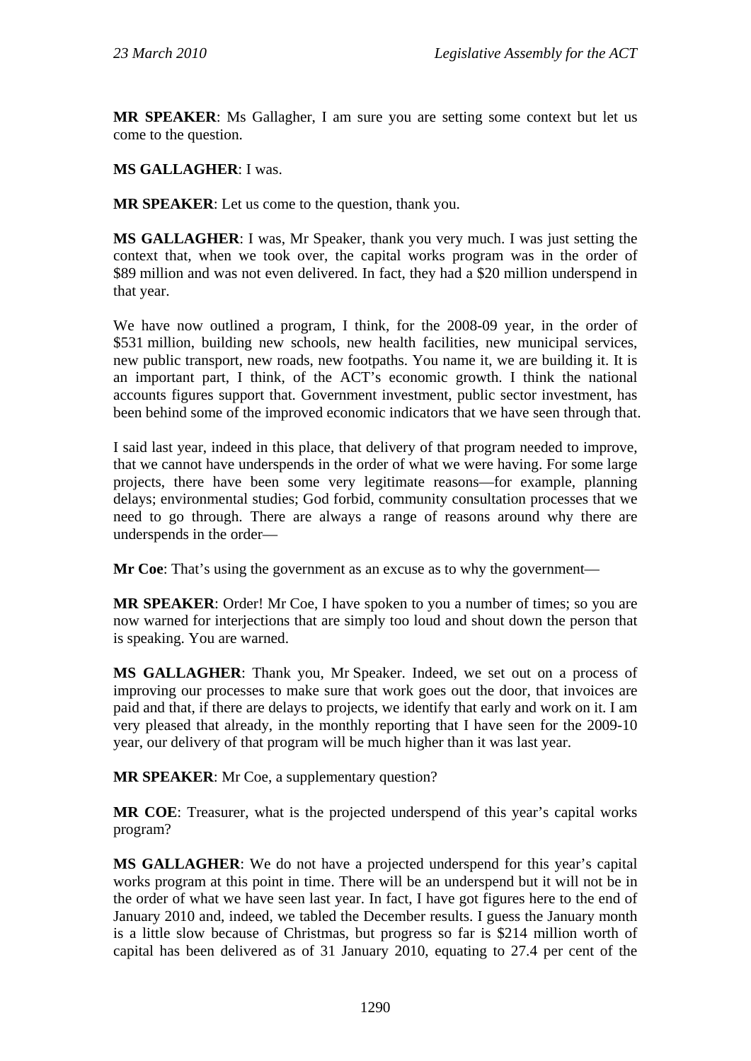**MR SPEAKER**: Ms Gallagher, I am sure you are setting some context but let us come to the question.

## **MS GALLAGHER**: I was.

**MR SPEAKER**: Let us come to the question, thank you.

**MS GALLAGHER**: I was, Mr Speaker, thank you very much. I was just setting the context that, when we took over, the capital works program was in the order of \$89 million and was not even delivered. In fact, they had a \$20 million underspend in that year.

We have now outlined a program, I think, for the 2008-09 year, in the order of \$531 million, building new schools, new health facilities, new municipal services, new public transport, new roads, new footpaths. You name it, we are building it. It is an important part, I think, of the ACT's economic growth. I think the national accounts figures support that. Government investment, public sector investment, has been behind some of the improved economic indicators that we have seen through that.

I said last year, indeed in this place, that delivery of that program needed to improve, that we cannot have underspends in the order of what we were having. For some large projects, there have been some very legitimate reasons—for example, planning delays; environmental studies; God forbid, community consultation processes that we need to go through. There are always a range of reasons around why there are underspends in the order—

**Mr Coe**: That's using the government as an excuse as to why the government—

**MR SPEAKER:** Order! Mr Coe, I have spoken to you a number of times; so you are now warned for interjections that are simply too loud and shout down the person that is speaking. You are warned.

**MS GALLAGHER**: Thank you, Mr Speaker. Indeed, we set out on a process of improving our processes to make sure that work goes out the door, that invoices are paid and that, if there are delays to projects, we identify that early and work on it. I am very pleased that already, in the monthly reporting that I have seen for the 2009-10 year, our delivery of that program will be much higher than it was last year.

**MR SPEAKER**: Mr Coe, a supplementary question?

**MR COE**: Treasurer, what is the projected underspend of this year's capital works program?

**MS GALLAGHER**: We do not have a projected underspend for this year's capital works program at this point in time. There will be an underspend but it will not be in the order of what we have seen last year. In fact, I have got figures here to the end of January 2010 and, indeed, we tabled the December results. I guess the January month is a little slow because of Christmas, but progress so far is \$214 million worth of capital has been delivered as of 31 January 2010, equating to 27.4 per cent of the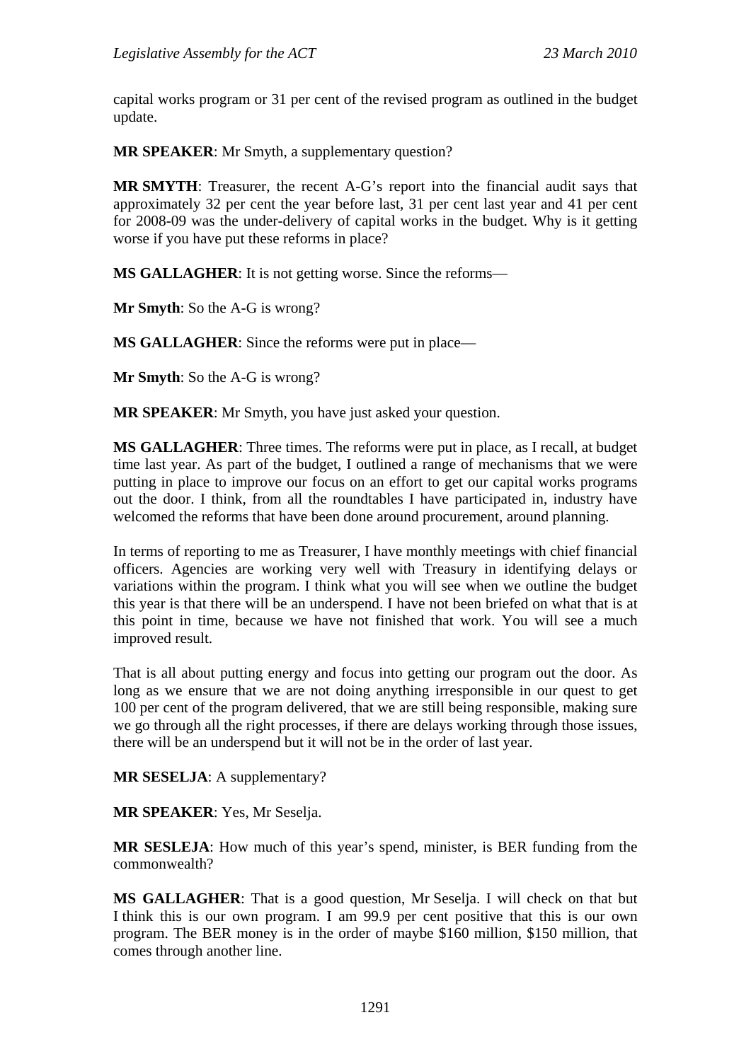capital works program or 31 per cent of the revised program as outlined in the budget update.

**MR SPEAKER**: Mr Smyth, a supplementary question?

**MR SMYTH**: Treasurer, the recent A-G's report into the financial audit says that approximately 32 per cent the year before last, 31 per cent last year and 41 per cent for 2008-09 was the under-delivery of capital works in the budget. Why is it getting worse if you have put these reforms in place?

**MS GALLAGHER**: It is not getting worse. Since the reforms—

**Mr Smyth**: So the A-G is wrong?

**MS GALLAGHER**: Since the reforms were put in place—

**Mr Smyth**: So the A-G is wrong?

**MR SPEAKER**: Mr Smyth, you have just asked your question.

**MS GALLAGHER**: Three times. The reforms were put in place, as I recall, at budget time last year. As part of the budget, I outlined a range of mechanisms that we were putting in place to improve our focus on an effort to get our capital works programs out the door. I think, from all the roundtables I have participated in, industry have welcomed the reforms that have been done around procurement, around planning.

In terms of reporting to me as Treasurer, I have monthly meetings with chief financial officers. Agencies are working very well with Treasury in identifying delays or variations within the program. I think what you will see when we outline the budget this year is that there will be an underspend. I have not been briefed on what that is at this point in time, because we have not finished that work. You will see a much improved result.

That is all about putting energy and focus into getting our program out the door. As long as we ensure that we are not doing anything irresponsible in our quest to get 100 per cent of the program delivered, that we are still being responsible, making sure we go through all the right processes, if there are delays working through those issues, there will be an underspend but it will not be in the order of last year.

**MR SESELJA**: A supplementary?

**MR SPEAKER**: Yes, Mr Seselja.

**MR SESLEJA**: How much of this year's spend, minister, is BER funding from the commonwealth?

**MS GALLAGHER**: That is a good question, Mr Seselja. I will check on that but I think this is our own program. I am 99.9 per cent positive that this is our own program. The BER money is in the order of maybe \$160 million, \$150 million, that comes through another line.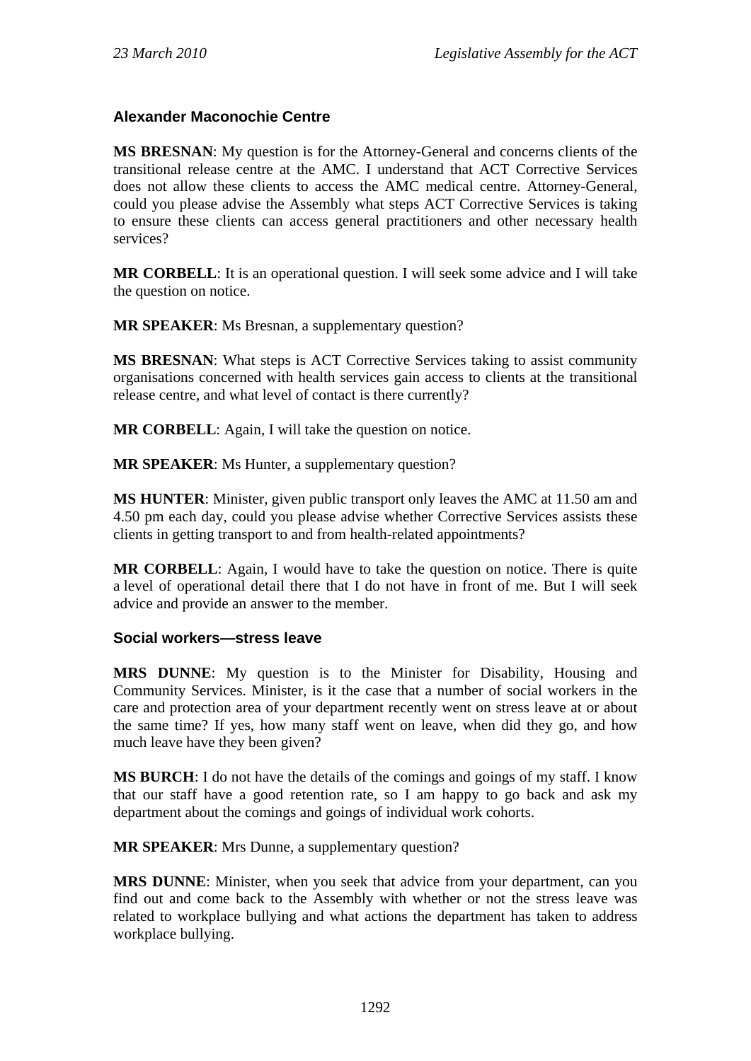## **Alexander Maconochie Centre**

**MS BRESNAN**: My question is for the Attorney-General and concerns clients of the transitional release centre at the AMC. I understand that ACT Corrective Services does not allow these clients to access the AMC medical centre. Attorney-General, could you please advise the Assembly what steps ACT Corrective Services is taking to ensure these clients can access general practitioners and other necessary health services?

**MR CORBELL**: It is an operational question. I will seek some advice and I will take the question on notice.

**MR SPEAKER:** Ms Bresnan, a supplementary question?

**MS BRESNAN**: What steps is ACT Corrective Services taking to assist community organisations concerned with health services gain access to clients at the transitional release centre, and what level of contact is there currently?

**MR CORBELL**: Again, I will take the question on notice.

**MR SPEAKER:** Ms Hunter, a supplementary question?

**MS HUNTER**: Minister, given public transport only leaves the AMC at 11.50 am and 4.50 pm each day, could you please advise whether Corrective Services assists these clients in getting transport to and from health-related appointments?

**MR CORBELL**: Again, I would have to take the question on notice. There is quite a level of operational detail there that I do not have in front of me. But I will seek advice and provide an answer to the member.

## **Social workers—stress leave**

**MRS DUNNE**: My question is to the Minister for Disability, Housing and Community Services. Minister, is it the case that a number of social workers in the care and protection area of your department recently went on stress leave at or about the same time? If yes, how many staff went on leave, when did they go, and how much leave have they been given?

**MS BURCH**: I do not have the details of the comings and goings of my staff. I know that our staff have a good retention rate, so I am happy to go back and ask my department about the comings and goings of individual work cohorts.

**MR SPEAKER**: Mrs Dunne, a supplementary question?

**MRS DUNNE**: Minister, when you seek that advice from your department, can you find out and come back to the Assembly with whether or not the stress leave was related to workplace bullying and what actions the department has taken to address workplace bullying.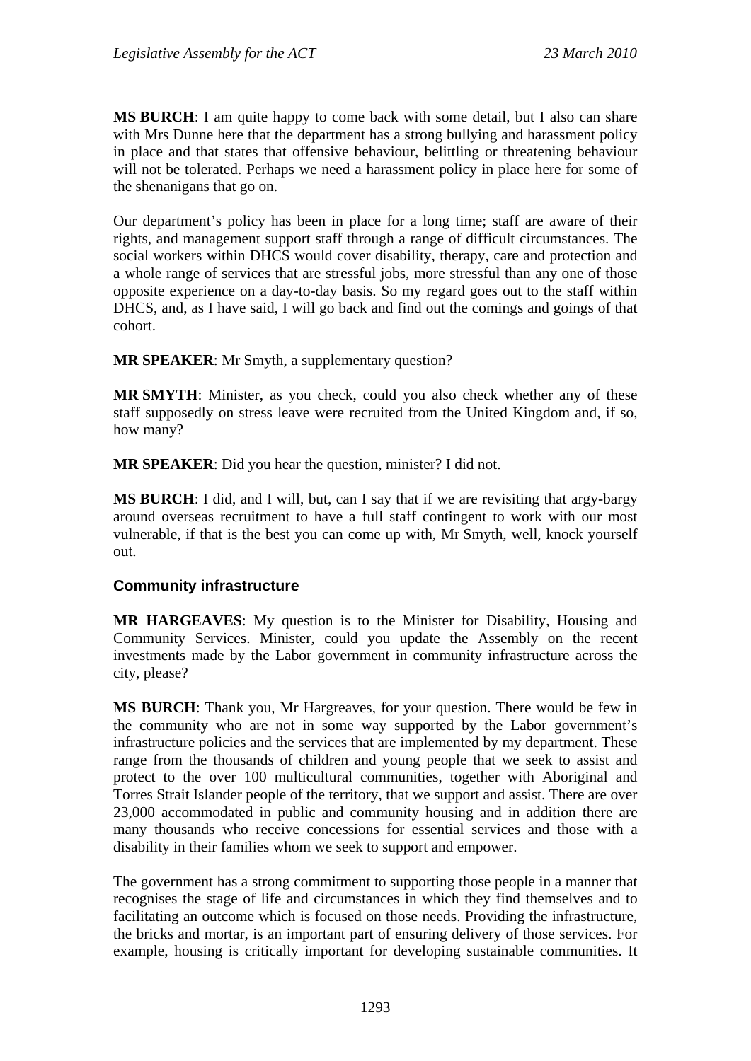**MS BURCH**: I am quite happy to come back with some detail, but I also can share with Mrs Dunne here that the department has a strong bullying and harassment policy in place and that states that offensive behaviour, belittling or threatening behaviour will not be tolerated. Perhaps we need a harassment policy in place here for some of the shenanigans that go on.

Our department's policy has been in place for a long time; staff are aware of their rights, and management support staff through a range of difficult circumstances. The social workers within DHCS would cover disability, therapy, care and protection and a whole range of services that are stressful jobs, more stressful than any one of those opposite experience on a day-to-day basis. So my regard goes out to the staff within DHCS, and, as I have said, I will go back and find out the comings and goings of that cohort.

**MR SPEAKER**: Mr Smyth, a supplementary question?

**MR SMYTH**: Minister, as you check, could you also check whether any of these staff supposedly on stress leave were recruited from the United Kingdom and, if so, how many?

**MR SPEAKER**: Did you hear the question, minister? I did not.

**MS BURCH**: I did, and I will, but, can I say that if we are revisiting that argy-bargy around overseas recruitment to have a full staff contingent to work with our most vulnerable, if that is the best you can come up with, Mr Smyth, well, knock yourself out.

#### **Community infrastructure**

**MR HARGEAVES**: My question is to the Minister for Disability, Housing and Community Services. Minister, could you update the Assembly on the recent investments made by the Labor government in community infrastructure across the city, please?

**MS BURCH**: Thank you, Mr Hargreaves, for your question. There would be few in the community who are not in some way supported by the Labor government's infrastructure policies and the services that are implemented by my department. These range from the thousands of children and young people that we seek to assist and protect to the over 100 multicultural communities, together with Aboriginal and Torres Strait Islander people of the territory, that we support and assist. There are over 23,000 accommodated in public and community housing and in addition there are many thousands who receive concessions for essential services and those with a disability in their families whom we seek to support and empower.

The government has a strong commitment to supporting those people in a manner that recognises the stage of life and circumstances in which they find themselves and to facilitating an outcome which is focused on those needs. Providing the infrastructure, the bricks and mortar, is an important part of ensuring delivery of those services. For example, housing is critically important for developing sustainable communities. It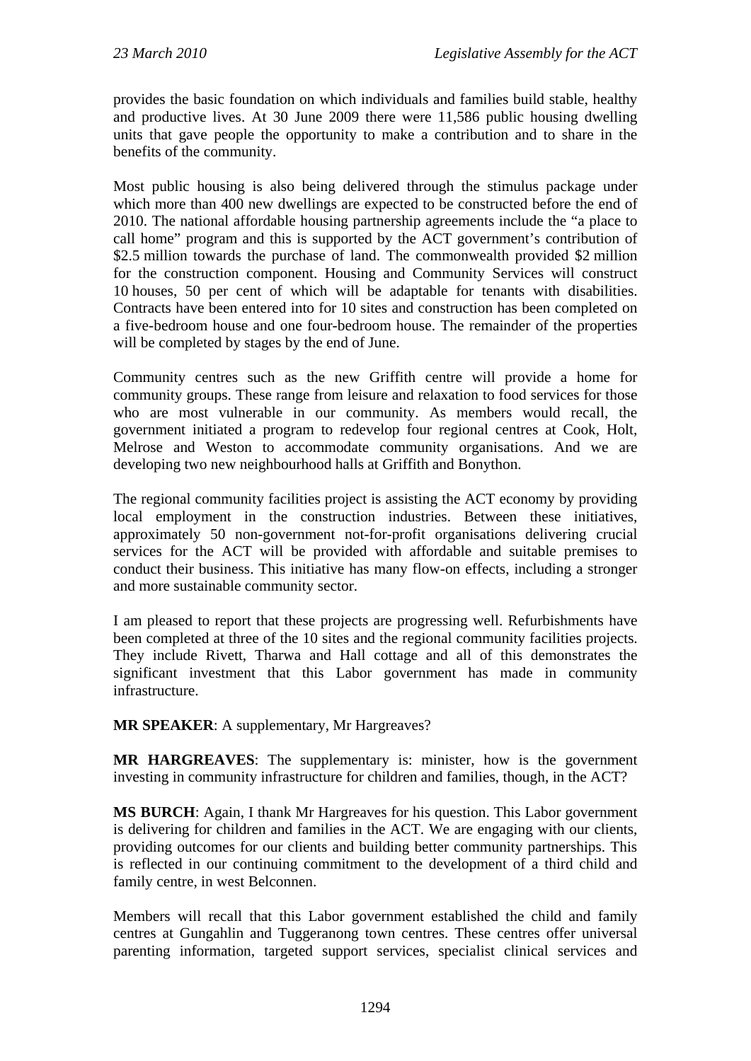provides the basic foundation on which individuals and families build stable, healthy and productive lives. At 30 June 2009 there were 11,586 public housing dwelling units that gave people the opportunity to make a contribution and to share in the benefits of the community.

Most public housing is also being delivered through the stimulus package under which more than 400 new dwellings are expected to be constructed before the end of 2010. The national affordable housing partnership agreements include the "a place to call home" program and this is supported by the ACT government's contribution of \$2.5 million towards the purchase of land. The commonwealth provided \$2 million for the construction component. Housing and Community Services will construct 10 houses, 50 per cent of which will be adaptable for tenants with disabilities. Contracts have been entered into for 10 sites and construction has been completed on a five-bedroom house and one four-bedroom house. The remainder of the properties will be completed by stages by the end of June.

Community centres such as the new Griffith centre will provide a home for community groups. These range from leisure and relaxation to food services for those who are most vulnerable in our community. As members would recall, the government initiated a program to redevelop four regional centres at Cook, Holt, Melrose and Weston to accommodate community organisations. And we are developing two new neighbourhood halls at Griffith and Bonython.

The regional community facilities project is assisting the ACT economy by providing local employment in the construction industries. Between these initiatives, approximately 50 non-government not-for-profit organisations delivering crucial services for the ACT will be provided with affordable and suitable premises to conduct their business. This initiative has many flow-on effects, including a stronger and more sustainable community sector.

I am pleased to report that these projects are progressing well. Refurbishments have been completed at three of the 10 sites and the regional community facilities projects. They include Rivett, Tharwa and Hall cottage and all of this demonstrates the significant investment that this Labor government has made in community infrastructure.

**MR SPEAKER**: A supplementary, Mr Hargreaves?

**MR HARGREAVES**: The supplementary is: minister, how is the government investing in community infrastructure for children and families, though, in the ACT?

**MS BURCH**: Again, I thank Mr Hargreaves for his question. This Labor government is delivering for children and families in the ACT. We are engaging with our clients, providing outcomes for our clients and building better community partnerships. This is reflected in our continuing commitment to the development of a third child and family centre, in west Belconnen.

Members will recall that this Labor government established the child and family centres at Gungahlin and Tuggeranong town centres. These centres offer universal parenting information, targeted support services, specialist clinical services and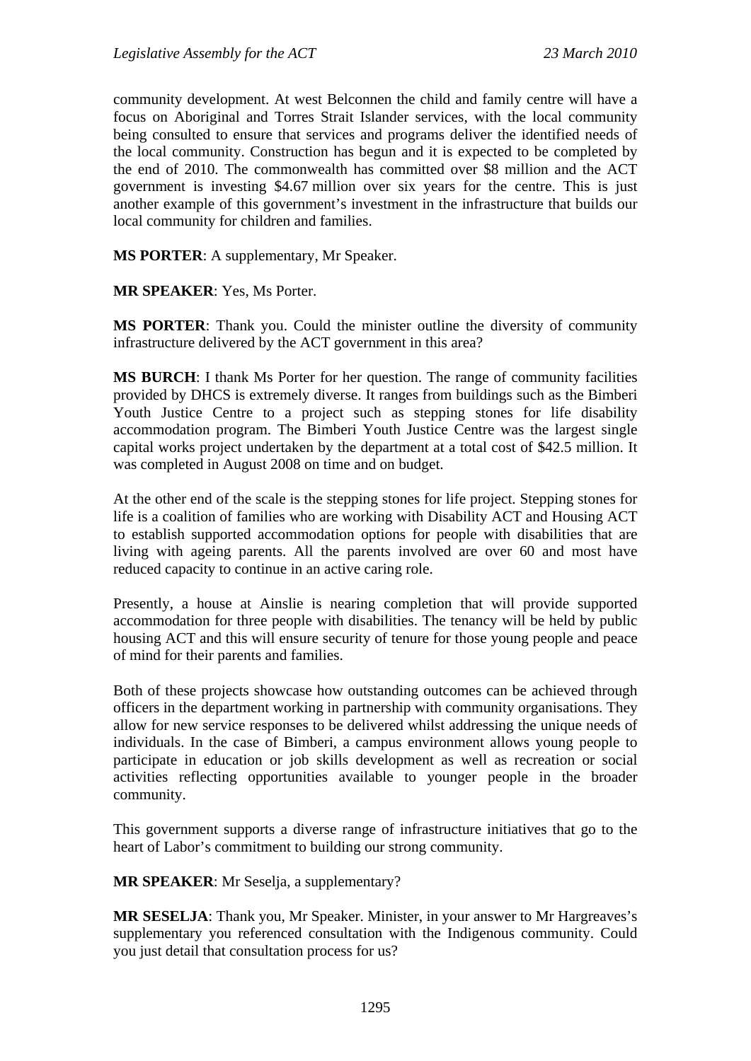community development. At west Belconnen the child and family centre will have a focus on Aboriginal and Torres Strait Islander services, with the local community being consulted to ensure that services and programs deliver the identified needs of the local community. Construction has begun and it is expected to be completed by the end of 2010. The commonwealth has committed over \$8 million and the ACT government is investing \$4.67 million over six years for the centre. This is just another example of this government's investment in the infrastructure that builds our local community for children and families.

**MS PORTER**: A supplementary, Mr Speaker.

**MR SPEAKER**: Yes, Ms Porter.

**MS PORTER**: Thank you. Could the minister outline the diversity of community infrastructure delivered by the ACT government in this area?

**MS BURCH**: I thank Ms Porter for her question. The range of community facilities provided by DHCS is extremely diverse. It ranges from buildings such as the Bimberi Youth Justice Centre to a project such as stepping stones for life disability accommodation program. The Bimberi Youth Justice Centre was the largest single capital works project undertaken by the department at a total cost of \$42.5 million. It was completed in August 2008 on time and on budget.

At the other end of the scale is the stepping stones for life project. Stepping stones for life is a coalition of families who are working with Disability ACT and Housing ACT to establish supported accommodation options for people with disabilities that are living with ageing parents. All the parents involved are over 60 and most have reduced capacity to continue in an active caring role.

Presently, a house at Ainslie is nearing completion that will provide supported accommodation for three people with disabilities. The tenancy will be held by public housing ACT and this will ensure security of tenure for those young people and peace of mind for their parents and families.

Both of these projects showcase how outstanding outcomes can be achieved through officers in the department working in partnership with community organisations. They allow for new service responses to be delivered whilst addressing the unique needs of individuals. In the case of Bimberi, a campus environment allows young people to participate in education or job skills development as well as recreation or social activities reflecting opportunities available to younger people in the broader community.

This government supports a diverse range of infrastructure initiatives that go to the heart of Labor's commitment to building our strong community.

**MR SPEAKER**: Mr Seselja, a supplementary?

**MR SESELJA**: Thank you, Mr Speaker. Minister, in your answer to Mr Hargreaves's supplementary you referenced consultation with the Indigenous community. Could you just detail that consultation process for us?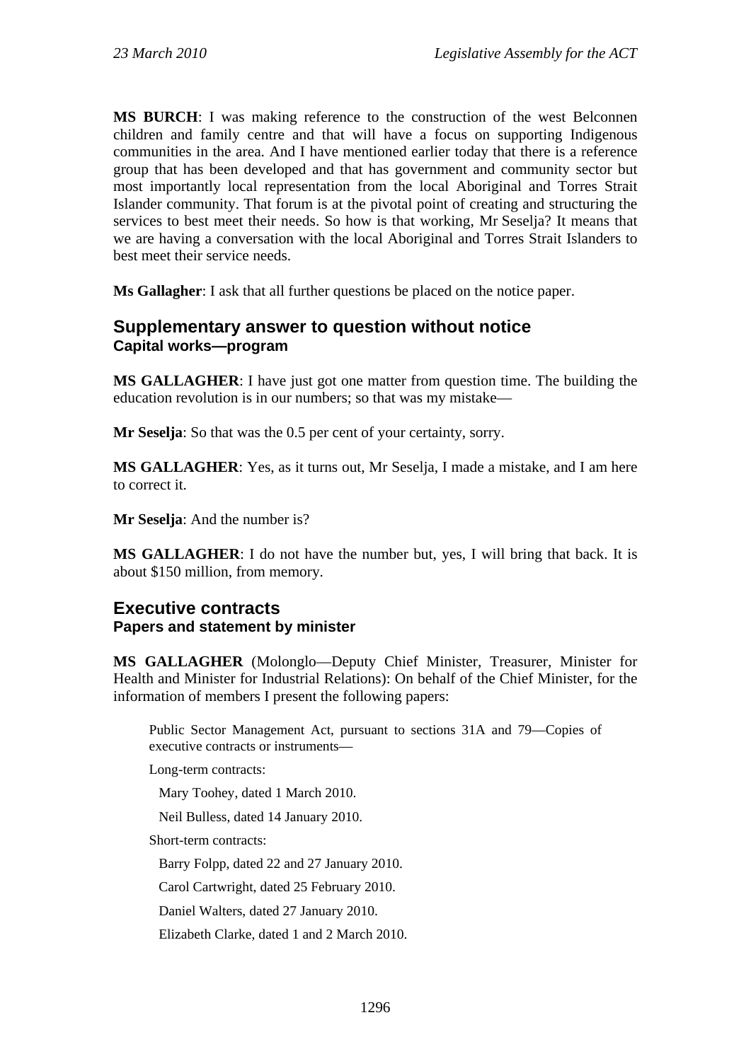**MS BURCH**: I was making reference to the construction of the west Belconnen children and family centre and that will have a focus on supporting Indigenous communities in the area. And I have mentioned earlier today that there is a reference group that has been developed and that has government and community sector but most importantly local representation from the local Aboriginal and Torres Strait Islander community. That forum is at the pivotal point of creating and structuring the services to best meet their needs. So how is that working, Mr Seselja? It means that we are having a conversation with the local Aboriginal and Torres Strait Islanders to best meet their service needs.

**Ms Gallagher**: I ask that all further questions be placed on the notice paper.

## **Supplementary answer to question without notice Capital works—program**

**MS GALLAGHER**: I have just got one matter from question time. The building the education revolution is in our numbers; so that was my mistake—

**Mr Seselja**: So that was the 0.5 per cent of your certainty, sorry.

**MS GALLAGHER**: Yes, as it turns out, Mr Seselja, I made a mistake, and I am here to correct it.

**Mr Seselja**: And the number is?

**MS GALLAGHER**: I do not have the number but, yes, I will bring that back. It is about \$150 million, from memory.

## **Executive contracts Papers and statement by minister**

**MS GALLAGHER** (Molonglo—Deputy Chief Minister, Treasurer, Minister for Health and Minister for Industrial Relations): On behalf of the Chief Minister, for the information of members I present the following papers:

Public Sector Management Act, pursuant to sections 31A and 79—Copies of executive contracts or instruments—

Long-term contracts:

Mary Toohey, dated 1 March 2010.

Neil Bulless, dated 14 January 2010.

Short-term contracts:

Barry Folpp, dated 22 and 27 January 2010.

Carol Cartwright, dated 25 February 2010.

Daniel Walters, dated 27 January 2010.

Elizabeth Clarke, dated 1 and 2 March 2010.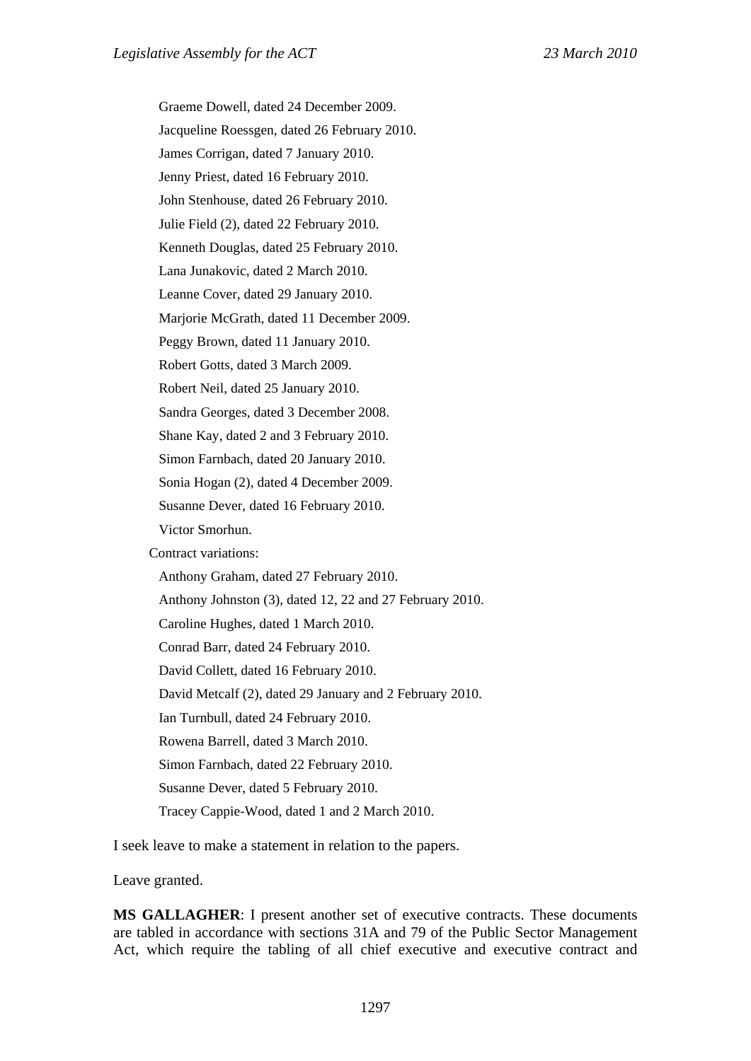Graeme Dowell, dated 24 December 2009. Jacqueline Roessgen, dated 26 February 2010. James Corrigan, dated 7 January 2010. Jenny Priest, dated 16 February 2010. John Stenhouse, dated 26 February 2010. Julie Field (2), dated 22 February 2010. Kenneth Douglas, dated 25 February 2010. Lana Junakovic, dated 2 March 2010. Leanne Cover, dated 29 January 2010. Marjorie McGrath, dated 11 December 2009. Peggy Brown, dated 11 January 2010. Robert Gotts, dated 3 March 2009. Robert Neil, dated 25 January 2010. Sandra Georges, dated 3 December 2008. Shane Kay, dated 2 and 3 February 2010. Simon Farnbach, dated 20 January 2010. Sonia Hogan (2), dated 4 December 2009. Susanne Dever, dated 16 February 2010. Victor Smorhun. Contract variations: Anthony Graham, dated 27 February 2010. Anthony Johnston (3), dated 12, 22 and 27 February 2010. Caroline Hughes, dated 1 March 2010. Conrad Barr, dated 24 February 2010. David Collett, dated 16 February 2010. David Metcalf (2), dated 29 January and 2 February 2010. Ian Turnbull, dated 24 February 2010. Rowena Barrell, dated 3 March 2010. Simon Farnbach, dated 22 February 2010. Susanne Dever, dated 5 February 2010. Tracey Cappie-Wood, dated 1 and 2 March 2010.

I seek leave to make a statement in relation to the papers.

Leave granted.

**MS GALLAGHER**: I present another set of executive contracts. These documents are tabled in accordance with sections 31A and 79 of the Public Sector Management Act, which require the tabling of all chief executive and executive contract and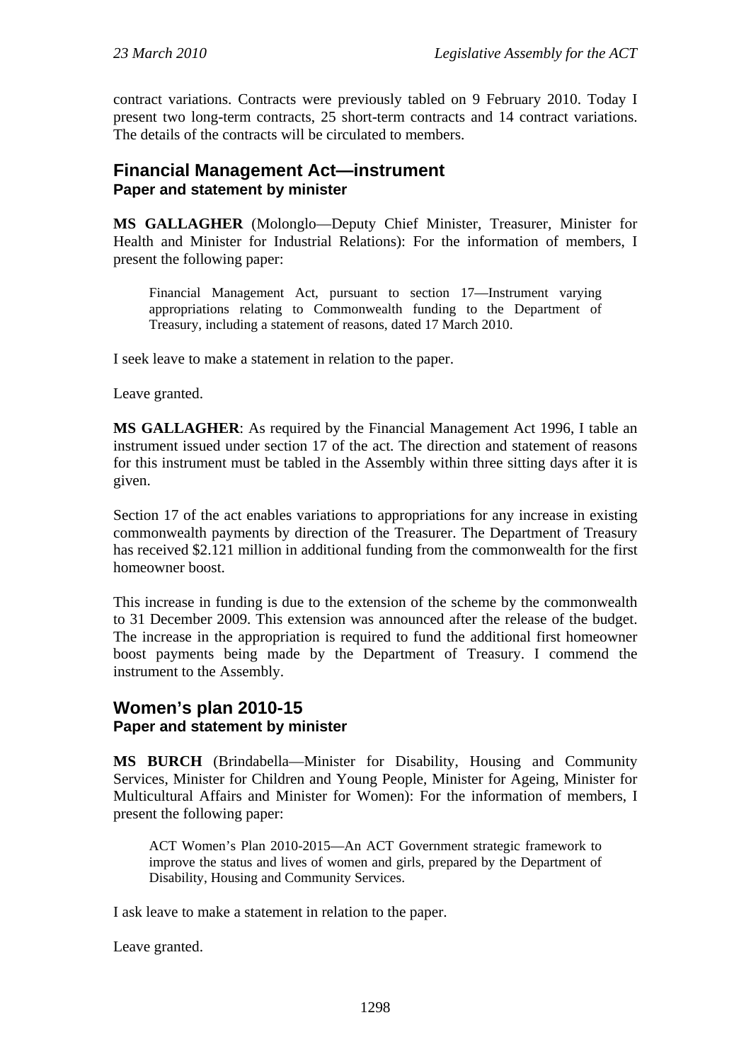contract variations. Contracts were previously tabled on 9 February 2010. Today I present two long-term contracts, 25 short-term contracts and 14 contract variations. The details of the contracts will be circulated to members.

## **Financial Management Act—instrument Paper and statement by minister**

**MS GALLAGHER** (Molonglo—Deputy Chief Minister, Treasurer, Minister for Health and Minister for Industrial Relations): For the information of members, I present the following paper:

Financial Management Act, pursuant to section 17—Instrument varying appropriations relating to Commonwealth funding to the Department of Treasury, including a statement of reasons, dated 17 March 2010.

I seek leave to make a statement in relation to the paper.

Leave granted.

**MS GALLAGHER**: As required by the Financial Management Act 1996, I table an instrument issued under section 17 of the act. The direction and statement of reasons for this instrument must be tabled in the Assembly within three sitting days after it is given.

Section 17 of the act enables variations to appropriations for any increase in existing commonwealth payments by direction of the Treasurer. The Department of Treasury has received \$2.121 million in additional funding from the commonwealth for the first homeowner boost.

This increase in funding is due to the extension of the scheme by the commonwealth to 31 December 2009. This extension was announced after the release of the budget. The increase in the appropriation is required to fund the additional first homeowner boost payments being made by the Department of Treasury. I commend the instrument to the Assembly.

## **Women's plan 2010-15 Paper and statement by minister**

**MS BURCH** (Brindabella—Minister for Disability, Housing and Community Services, Minister for Children and Young People, Minister for Ageing, Minister for Multicultural Affairs and Minister for Women): For the information of members, I present the following paper:

ACT Women's Plan 2010-2015—An ACT Government strategic framework to improve the status and lives of women and girls, prepared by the Department of Disability, Housing and Community Services.

I ask leave to make a statement in relation to the paper.

Leave granted.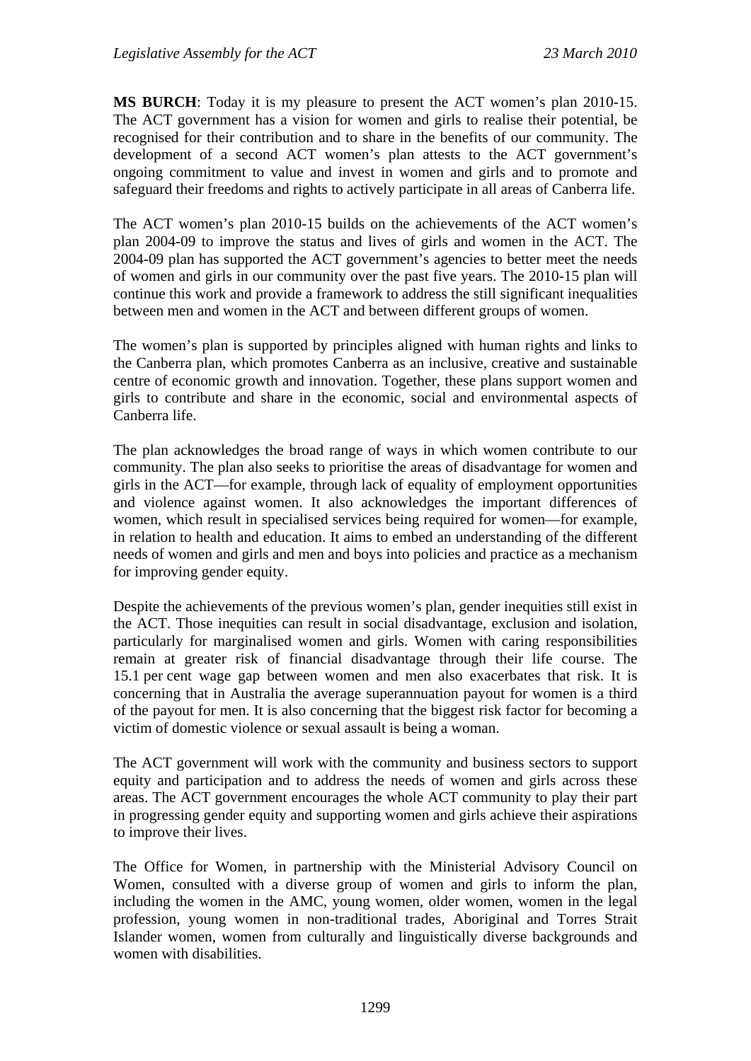**MS BURCH**: Today it is my pleasure to present the ACT women's plan 2010-15. The ACT government has a vision for women and girls to realise their potential, be recognised for their contribution and to share in the benefits of our community. The development of a second ACT women's plan attests to the ACT government's ongoing commitment to value and invest in women and girls and to promote and safeguard their freedoms and rights to actively participate in all areas of Canberra life.

The ACT women's plan 2010-15 builds on the achievements of the ACT women's plan 2004-09 to improve the status and lives of girls and women in the ACT. The 2004-09 plan has supported the ACT government's agencies to better meet the needs of women and girls in our community over the past five years. The 2010-15 plan will continue this work and provide a framework to address the still significant inequalities between men and women in the ACT and between different groups of women.

The women's plan is supported by principles aligned with human rights and links to the Canberra plan, which promotes Canberra as an inclusive, creative and sustainable centre of economic growth and innovation. Together, these plans support women and girls to contribute and share in the economic, social and environmental aspects of Canberra life.

The plan acknowledges the broad range of ways in which women contribute to our community. The plan also seeks to prioritise the areas of disadvantage for women and girls in the ACT—for example, through lack of equality of employment opportunities and violence against women. It also acknowledges the important differences of women, which result in specialised services being required for women—for example, in relation to health and education. It aims to embed an understanding of the different needs of women and girls and men and boys into policies and practice as a mechanism for improving gender equity.

Despite the achievements of the previous women's plan, gender inequities still exist in the ACT. Those inequities can result in social disadvantage, exclusion and isolation, particularly for marginalised women and girls. Women with caring responsibilities remain at greater risk of financial disadvantage through their life course. The 15.1 per cent wage gap between women and men also exacerbates that risk. It is concerning that in Australia the average superannuation payout for women is a third of the payout for men. It is also concerning that the biggest risk factor for becoming a victim of domestic violence or sexual assault is being a woman.

The ACT government will work with the community and business sectors to support equity and participation and to address the needs of women and girls across these areas. The ACT government encourages the whole ACT community to play their part in progressing gender equity and supporting women and girls achieve their aspirations to improve their lives.

The Office for Women, in partnership with the Ministerial Advisory Council on Women, consulted with a diverse group of women and girls to inform the plan, including the women in the AMC, young women, older women, women in the legal profession, young women in non-traditional trades, Aboriginal and Torres Strait Islander women, women from culturally and linguistically diverse backgrounds and women with disabilities.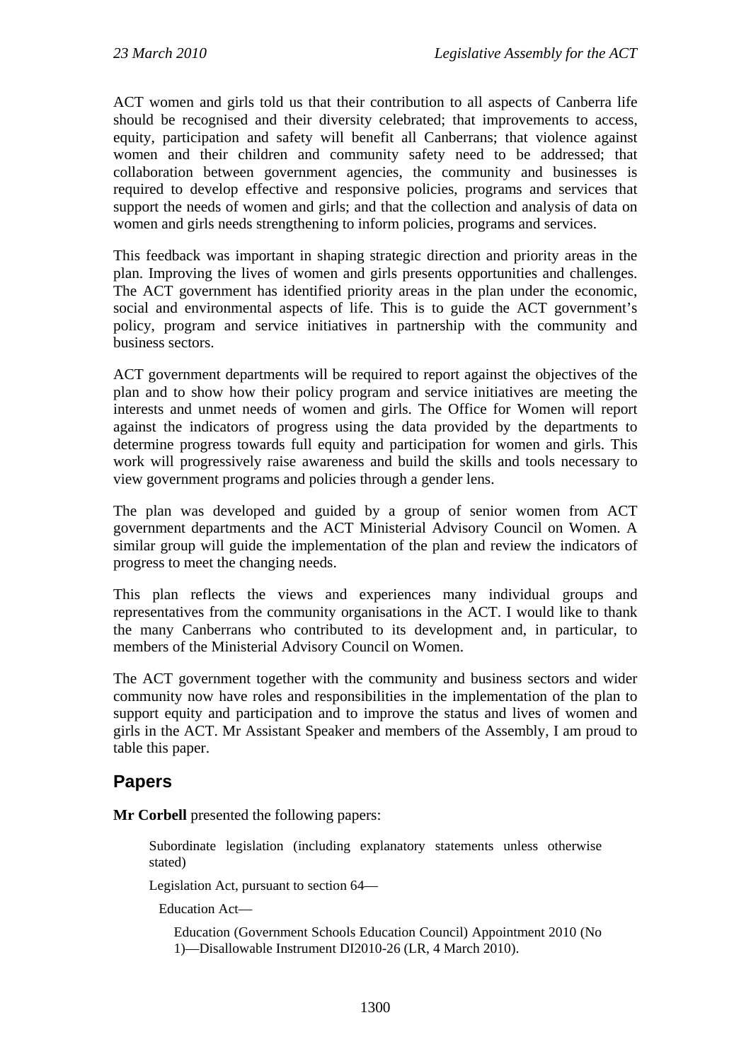ACT women and girls told us that their contribution to all aspects of Canberra life should be recognised and their diversity celebrated; that improvements to access, equity, participation and safety will benefit all Canberrans; that violence against women and their children and community safety need to be addressed; that collaboration between government agencies, the community and businesses is required to develop effective and responsive policies, programs and services that support the needs of women and girls; and that the collection and analysis of data on women and girls needs strengthening to inform policies, programs and services.

This feedback was important in shaping strategic direction and priority areas in the plan. Improving the lives of women and girls presents opportunities and challenges. The ACT government has identified priority areas in the plan under the economic, social and environmental aspects of life. This is to guide the ACT government's policy, program and service initiatives in partnership with the community and business sectors.

ACT government departments will be required to report against the objectives of the plan and to show how their policy program and service initiatives are meeting the interests and unmet needs of women and girls. The Office for Women will report against the indicators of progress using the data provided by the departments to determine progress towards full equity and participation for women and girls. This work will progressively raise awareness and build the skills and tools necessary to view government programs and policies through a gender lens.

The plan was developed and guided by a group of senior women from ACT government departments and the ACT Ministerial Advisory Council on Women. A similar group will guide the implementation of the plan and review the indicators of progress to meet the changing needs.

This plan reflects the views and experiences many individual groups and representatives from the community organisations in the ACT. I would like to thank the many Canberrans who contributed to its development and, in particular, to members of the Ministerial Advisory Council on Women.

The ACT government together with the community and business sectors and wider community now have roles and responsibilities in the implementation of the plan to support equity and participation and to improve the status and lives of women and girls in the ACT. Mr Assistant Speaker and members of the Assembly, I am proud to table this paper.

# **Papers**

**Mr Corbell** presented the following papers:

Subordinate legislation (including explanatory statements unless otherwise stated)

Legislation Act, pursuant to section 64—

Education Act—

Education (Government Schools Education Council) Appointment 2010 (No 1)—Disallowable Instrument DI2010-26 (LR, 4 March 2010).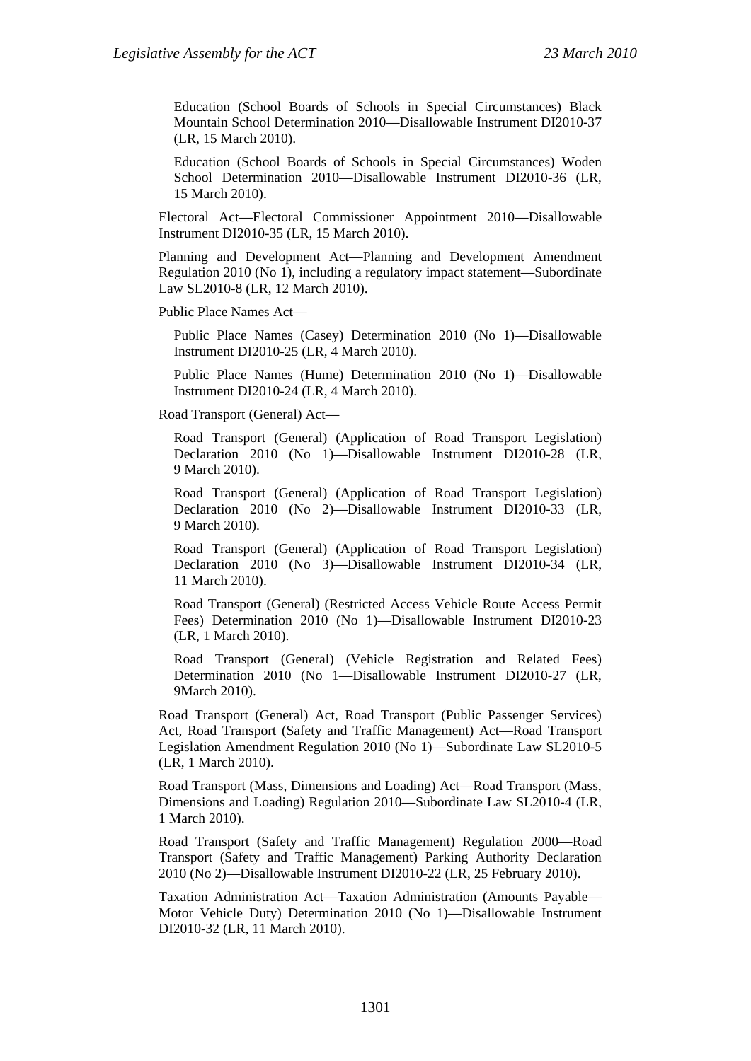Education (School Boards of Schools in Special Circumstances) Black Mountain School Determination 2010—Disallowable Instrument DI2010-37 (LR, 15 March 2010).

Education (School Boards of Schools in Special Circumstances) Woden School Determination 2010—Disallowable Instrument DI2010-36 (LR, 15 March 2010).

Electoral Act—Electoral Commissioner Appointment 2010—Disallowable Instrument DI2010-35 (LR, 15 March 2010).

Planning and Development Act—Planning and Development Amendment Regulation 2010 (No 1), including a regulatory impact statement—Subordinate Law SL2010-8 (LR, 12 March 2010).

Public Place Names Act—

Public Place Names (Casey) Determination 2010 (No 1)—Disallowable Instrument DI2010-25 (LR, 4 March 2010).

Public Place Names (Hume) Determination 2010 (No 1)—Disallowable Instrument DI2010-24 (LR, 4 March 2010).

Road Transport (General) Act—

Road Transport (General) (Application of Road Transport Legislation) Declaration 2010 (No 1)—Disallowable Instrument DI2010-28 (LR, 9 March 2010).

Road Transport (General) (Application of Road Transport Legislation) Declaration 2010 (No 2)—Disallowable Instrument DI2010-33 (LR, 9 March 2010).

Road Transport (General) (Application of Road Transport Legislation) Declaration 2010 (No 3)—Disallowable Instrument DI2010-34 (LR, 11 March 2010).

Road Transport (General) (Restricted Access Vehicle Route Access Permit Fees) Determination 2010 (No 1)—Disallowable Instrument DI2010-23 (LR, 1 March 2010).

Road Transport (General) (Vehicle Registration and Related Fees) Determination 2010 (No 1—Disallowable Instrument DI2010-27 (LR, 9March 2010).

Road Transport (General) Act, Road Transport (Public Passenger Services) Act, Road Transport (Safety and Traffic Management) Act—Road Transport Legislation Amendment Regulation 2010 (No 1)—Subordinate Law SL2010-5 (LR, 1 March 2010).

Road Transport (Mass, Dimensions and Loading) Act—Road Transport (Mass, Dimensions and Loading) Regulation 2010—Subordinate Law SL2010-4 (LR, 1 March 2010).

Road Transport (Safety and Traffic Management) Regulation 2000—Road Transport (Safety and Traffic Management) Parking Authority Declaration 2010 (No 2)—Disallowable Instrument DI2010-22 (LR, 25 February 2010).

Taxation Administration Act—Taxation Administration (Amounts Payable— Motor Vehicle Duty) Determination 2010 (No 1)—Disallowable Instrument DI2010-32 (LR, 11 March 2010).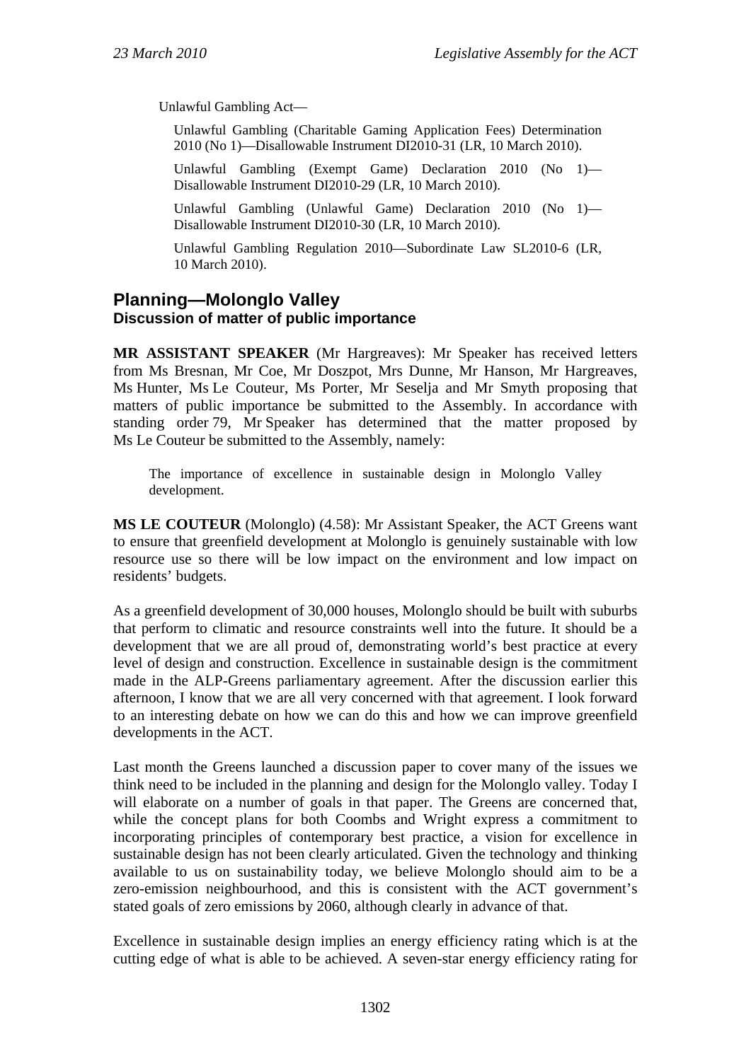Unlawful Gambling Act—

Unlawful Gambling (Charitable Gaming Application Fees) Determination 2010 (No 1)—Disallowable Instrument DI2010-31 (LR, 10 March 2010).

Unlawful Gambling (Exempt Game) Declaration 2010 (No 1)— Disallowable Instrument DI2010-29 (LR, 10 March 2010).

Unlawful Gambling (Unlawful Game) Declaration 2010 (No 1)— Disallowable Instrument DI2010-30 (LR, 10 March 2010).

Unlawful Gambling Regulation 2010—Subordinate Law SL2010-6 (LR, 10 March 2010).

## **Planning—Molonglo Valley Discussion of matter of public importance**

**MR ASSISTANT SPEAKER** (Mr Hargreaves): Mr Speaker has received letters from Ms Bresnan, Mr Coe, Mr Doszpot, Mrs Dunne, Mr Hanson, Mr Hargreaves, Ms Hunter, Ms Le Couteur, Ms Porter, Mr Seselja and Mr Smyth proposing that matters of public importance be submitted to the Assembly. In accordance with standing order 79, Mr Speaker has determined that the matter proposed by Ms Le Couteur be submitted to the Assembly, namely:

The importance of excellence in sustainable design in Molonglo Valley development.

**MS LE COUTEUR** (Molonglo) (4.58): Mr Assistant Speaker, the ACT Greens want to ensure that greenfield development at Molonglo is genuinely sustainable with low resource use so there will be low impact on the environment and low impact on residents' budgets.

As a greenfield development of 30,000 houses, Molonglo should be built with suburbs that perform to climatic and resource constraints well into the future. It should be a development that we are all proud of, demonstrating world's best practice at every level of design and construction. Excellence in sustainable design is the commitment made in the ALP-Greens parliamentary agreement. After the discussion earlier this afternoon, I know that we are all very concerned with that agreement. I look forward to an interesting debate on how we can do this and how we can improve greenfield developments in the ACT.

Last month the Greens launched a discussion paper to cover many of the issues we think need to be included in the planning and design for the Molonglo valley. Today I will elaborate on a number of goals in that paper. The Greens are concerned that, while the concept plans for both Coombs and Wright express a commitment to incorporating principles of contemporary best practice, a vision for excellence in sustainable design has not been clearly articulated. Given the technology and thinking available to us on sustainability today, we believe Molonglo should aim to be a zero-emission neighbourhood, and this is consistent with the ACT government's stated goals of zero emissions by 2060, although clearly in advance of that.

Excellence in sustainable design implies an energy efficiency rating which is at the cutting edge of what is able to be achieved. A seven-star energy efficiency rating for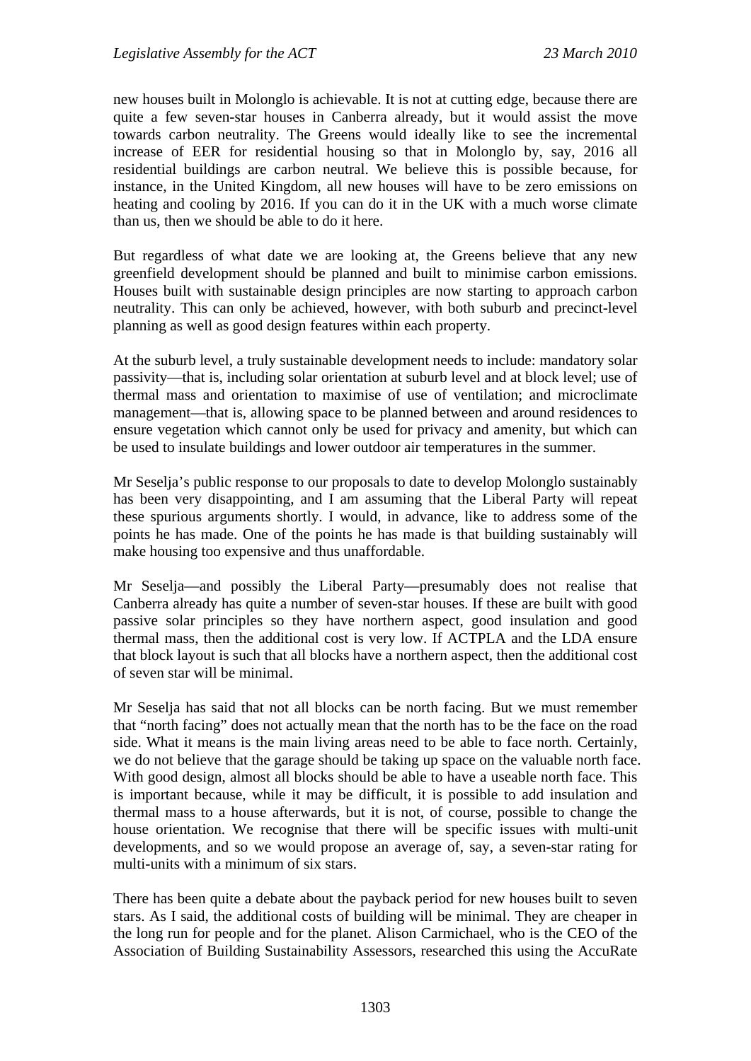new houses built in Molonglo is achievable. It is not at cutting edge, because there are quite a few seven-star houses in Canberra already, but it would assist the move towards carbon neutrality. The Greens would ideally like to see the incremental increase of EER for residential housing so that in Molonglo by, say, 2016 all residential buildings are carbon neutral. We believe this is possible because, for instance, in the United Kingdom, all new houses will have to be zero emissions on heating and cooling by 2016. If you can do it in the UK with a much worse climate than us, then we should be able to do it here.

But regardless of what date we are looking at, the Greens believe that any new greenfield development should be planned and built to minimise carbon emissions. Houses built with sustainable design principles are now starting to approach carbon neutrality. This can only be achieved, however, with both suburb and precinct-level planning as well as good design features within each property.

At the suburb level, a truly sustainable development needs to include: mandatory solar passivity—that is, including solar orientation at suburb level and at block level; use of thermal mass and orientation to maximise of use of ventilation; and microclimate management—that is, allowing space to be planned between and around residences to ensure vegetation which cannot only be used for privacy and amenity, but which can be used to insulate buildings and lower outdoor air temperatures in the summer.

Mr Seselja's public response to our proposals to date to develop Molonglo sustainably has been very disappointing, and I am assuming that the Liberal Party will repeat these spurious arguments shortly. I would, in advance, like to address some of the points he has made. One of the points he has made is that building sustainably will make housing too expensive and thus unaffordable.

Mr Seselja—and possibly the Liberal Party—presumably does not realise that Canberra already has quite a number of seven-star houses. If these are built with good passive solar principles so they have northern aspect, good insulation and good thermal mass, then the additional cost is very low. If ACTPLA and the LDA ensure that block layout is such that all blocks have a northern aspect, then the additional cost of seven star will be minimal.

Mr Seselja has said that not all blocks can be north facing. But we must remember that "north facing" does not actually mean that the north has to be the face on the road side. What it means is the main living areas need to be able to face north. Certainly, we do not believe that the garage should be taking up space on the valuable north face. With good design, almost all blocks should be able to have a useable north face. This is important because, while it may be difficult, it is possible to add insulation and thermal mass to a house afterwards, but it is not, of course, possible to change the house orientation. We recognise that there will be specific issues with multi-unit developments, and so we would propose an average of, say, a seven-star rating for multi-units with a minimum of six stars.

There has been quite a debate about the payback period for new houses built to seven stars. As I said, the additional costs of building will be minimal. They are cheaper in the long run for people and for the planet. Alison Carmichael, who is the CEO of the Association of Building Sustainability Assessors, researched this using the AccuRate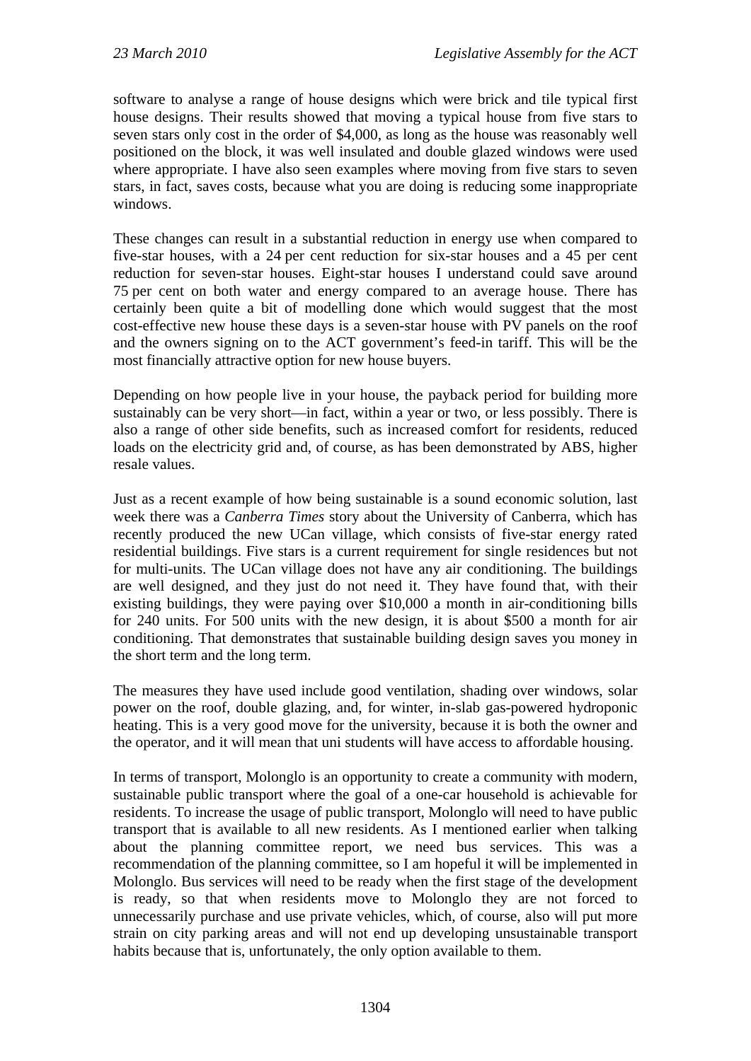software to analyse a range of house designs which were brick and tile typical first house designs. Their results showed that moving a typical house from five stars to seven stars only cost in the order of \$4,000, as long as the house was reasonably well positioned on the block, it was well insulated and double glazed windows were used where appropriate. I have also seen examples where moving from five stars to seven stars, in fact, saves costs, because what you are doing is reducing some inappropriate windows.

These changes can result in a substantial reduction in energy use when compared to five-star houses, with a 24 per cent reduction for six-star houses and a 45 per cent reduction for seven-star houses. Eight-star houses I understand could save around 75 per cent on both water and energy compared to an average house. There has certainly been quite a bit of modelling done which would suggest that the most cost-effective new house these days is a seven-star house with PV panels on the roof and the owners signing on to the ACT government's feed-in tariff. This will be the most financially attractive option for new house buyers.

Depending on how people live in your house, the payback period for building more sustainably can be very short—in fact, within a year or two, or less possibly. There is also a range of other side benefits, such as increased comfort for residents, reduced loads on the electricity grid and, of course, as has been demonstrated by ABS, higher resale values.

Just as a recent example of how being sustainable is a sound economic solution, last week there was a *Canberra Times* story about the University of Canberra, which has recently produced the new UCan village, which consists of five-star energy rated residential buildings. Five stars is a current requirement for single residences but not for multi-units. The UCan village does not have any air conditioning. The buildings are well designed, and they just do not need it. They have found that, with their existing buildings, they were paying over \$10,000 a month in air-conditioning bills for 240 units. For 500 units with the new design, it is about \$500 a month for air conditioning. That demonstrates that sustainable building design saves you money in the short term and the long term.

The measures they have used include good ventilation, shading over windows, solar power on the roof, double glazing, and, for winter, in-slab gas-powered hydroponic heating. This is a very good move for the university, because it is both the owner and the operator, and it will mean that uni students will have access to affordable housing.

In terms of transport, Molonglo is an opportunity to create a community with modern, sustainable public transport where the goal of a one-car household is achievable for residents. To increase the usage of public transport, Molonglo will need to have public transport that is available to all new residents. As I mentioned earlier when talking about the planning committee report, we need bus services. This was a recommendation of the planning committee, so I am hopeful it will be implemented in Molonglo. Bus services will need to be ready when the first stage of the development is ready, so that when residents move to Molonglo they are not forced to unnecessarily purchase and use private vehicles, which, of course, also will put more strain on city parking areas and will not end up developing unsustainable transport habits because that is, unfortunately, the only option available to them.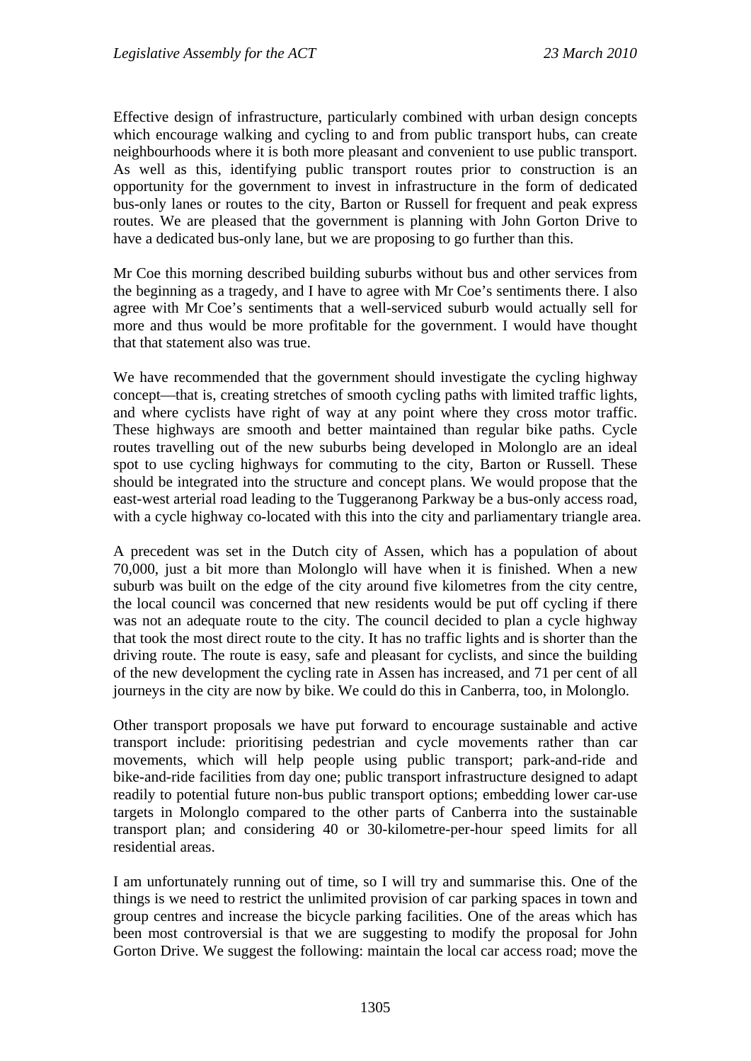Effective design of infrastructure, particularly combined with urban design concepts which encourage walking and cycling to and from public transport hubs, can create neighbourhoods where it is both more pleasant and convenient to use public transport. As well as this, identifying public transport routes prior to construction is an opportunity for the government to invest in infrastructure in the form of dedicated bus-only lanes or routes to the city, Barton or Russell for frequent and peak express routes. We are pleased that the government is planning with John Gorton Drive to have a dedicated bus-only lane, but we are proposing to go further than this.

Mr Coe this morning described building suburbs without bus and other services from the beginning as a tragedy, and I have to agree with Mr Coe's sentiments there. I also agree with Mr Coe's sentiments that a well-serviced suburb would actually sell for more and thus would be more profitable for the government. I would have thought that that statement also was true.

We have recommended that the government should investigate the cycling highway concept—that is, creating stretches of smooth cycling paths with limited traffic lights, and where cyclists have right of way at any point where they cross motor traffic. These highways are smooth and better maintained than regular bike paths. Cycle routes travelling out of the new suburbs being developed in Molonglo are an ideal spot to use cycling highways for commuting to the city, Barton or Russell. These should be integrated into the structure and concept plans. We would propose that the east-west arterial road leading to the Tuggeranong Parkway be a bus-only access road, with a cycle highway co-located with this into the city and parliamentary triangle area.

A precedent was set in the Dutch city of Assen, which has a population of about 70,000, just a bit more than Molonglo will have when it is finished. When a new suburb was built on the edge of the city around five kilometres from the city centre, the local council was concerned that new residents would be put off cycling if there was not an adequate route to the city. The council decided to plan a cycle highway that took the most direct route to the city. It has no traffic lights and is shorter than the driving route. The route is easy, safe and pleasant for cyclists, and since the building of the new development the cycling rate in Assen has increased, and 71 per cent of all journeys in the city are now by bike. We could do this in Canberra, too, in Molonglo.

Other transport proposals we have put forward to encourage sustainable and active transport include: prioritising pedestrian and cycle movements rather than car movements, which will help people using public transport; park-and-ride and bike-and-ride facilities from day one; public transport infrastructure designed to adapt readily to potential future non-bus public transport options; embedding lower car-use targets in Molonglo compared to the other parts of Canberra into the sustainable transport plan; and considering 40 or 30-kilometre-per-hour speed limits for all residential areas.

I am unfortunately running out of time, so I will try and summarise this. One of the things is we need to restrict the unlimited provision of car parking spaces in town and group centres and increase the bicycle parking facilities. One of the areas which has been most controversial is that we are suggesting to modify the proposal for John Gorton Drive. We suggest the following: maintain the local car access road; move the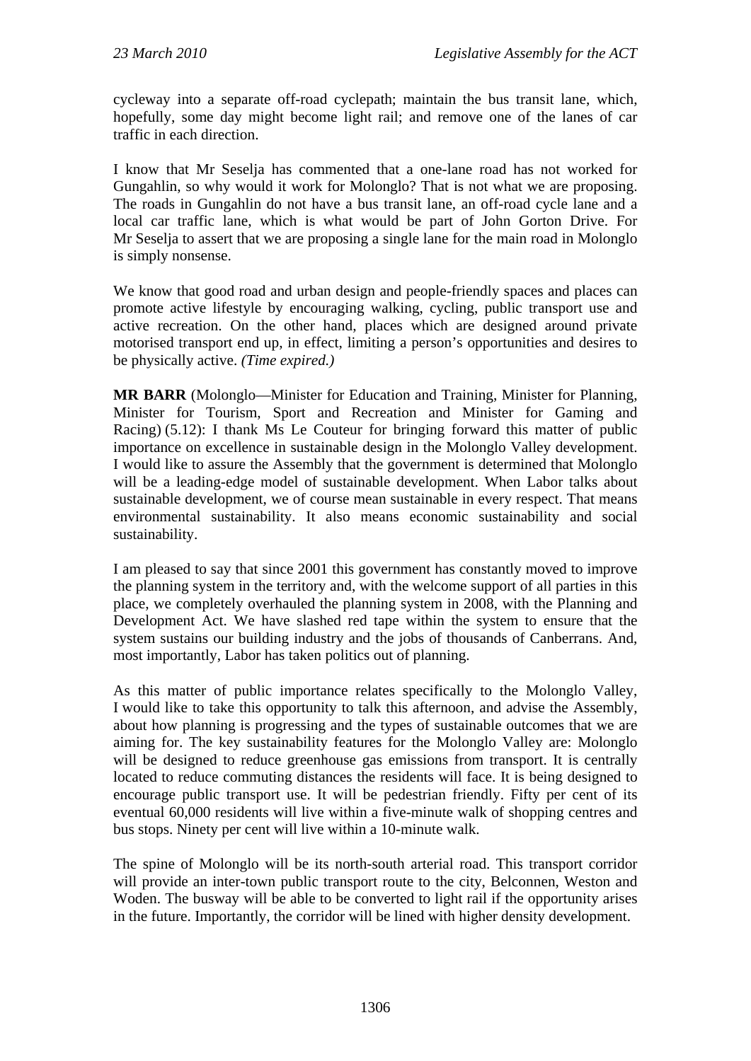cycleway into a separate off-road cyclepath; maintain the bus transit lane, which, hopefully, some day might become light rail; and remove one of the lanes of car traffic in each direction.

I know that Mr Seselja has commented that a one-lane road has not worked for Gungahlin, so why would it work for Molonglo? That is not what we are proposing. The roads in Gungahlin do not have a bus transit lane, an off-road cycle lane and a local car traffic lane, which is what would be part of John Gorton Drive. For Mr Seselja to assert that we are proposing a single lane for the main road in Molonglo is simply nonsense.

We know that good road and urban design and people-friendly spaces and places can promote active lifestyle by encouraging walking, cycling, public transport use and active recreation. On the other hand, places which are designed around private motorised transport end up, in effect, limiting a person's opportunities and desires to be physically active. *(Time expired.)*

**MR BARR** (Molonglo—Minister for Education and Training, Minister for Planning, Minister for Tourism, Sport and Recreation and Minister for Gaming and Racing) (5.12): I thank Ms Le Couteur for bringing forward this matter of public importance on excellence in sustainable design in the Molonglo Valley development. I would like to assure the Assembly that the government is determined that Molonglo will be a leading-edge model of sustainable development. When Labor talks about sustainable development, we of course mean sustainable in every respect. That means environmental sustainability. It also means economic sustainability and social sustainability.

I am pleased to say that since 2001 this government has constantly moved to improve the planning system in the territory and, with the welcome support of all parties in this place, we completely overhauled the planning system in 2008, with the Planning and Development Act. We have slashed red tape within the system to ensure that the system sustains our building industry and the jobs of thousands of Canberrans. And, most importantly, Labor has taken politics out of planning.

As this matter of public importance relates specifically to the Molonglo Valley, I would like to take this opportunity to talk this afternoon, and advise the Assembly, about how planning is progressing and the types of sustainable outcomes that we are aiming for. The key sustainability features for the Molonglo Valley are: Molonglo will be designed to reduce greenhouse gas emissions from transport. It is centrally located to reduce commuting distances the residents will face. It is being designed to encourage public transport use. It will be pedestrian friendly. Fifty per cent of its eventual 60,000 residents will live within a five-minute walk of shopping centres and bus stops. Ninety per cent will live within a 10-minute walk.

The spine of Molonglo will be its north-south arterial road. This transport corridor will provide an inter-town public transport route to the city, Belconnen, Weston and Woden. The busway will be able to be converted to light rail if the opportunity arises in the future. Importantly, the corridor will be lined with higher density development.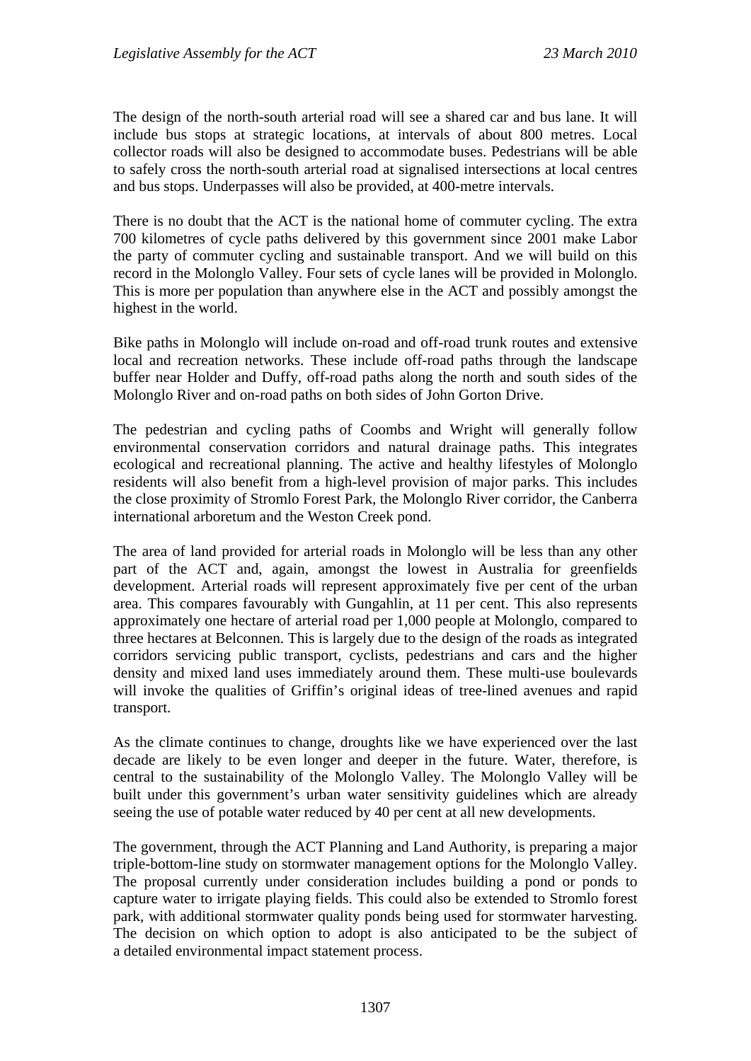The design of the north-south arterial road will see a shared car and bus lane. It will include bus stops at strategic locations, at intervals of about 800 metres. Local collector roads will also be designed to accommodate buses. Pedestrians will be able to safely cross the north-south arterial road at signalised intersections at local centres and bus stops. Underpasses will also be provided, at 400-metre intervals.

There is no doubt that the ACT is the national home of commuter cycling. The extra 700 kilometres of cycle paths delivered by this government since 2001 make Labor the party of commuter cycling and sustainable transport. And we will build on this record in the Molonglo Valley. Four sets of cycle lanes will be provided in Molonglo. This is more per population than anywhere else in the ACT and possibly amongst the highest in the world.

Bike paths in Molonglo will include on-road and off-road trunk routes and extensive local and recreation networks. These include off-road paths through the landscape buffer near Holder and Duffy, off-road paths along the north and south sides of the Molonglo River and on-road paths on both sides of John Gorton Drive.

The pedestrian and cycling paths of Coombs and Wright will generally follow environmental conservation corridors and natural drainage paths. This integrates ecological and recreational planning. The active and healthy lifestyles of Molonglo residents will also benefit from a high-level provision of major parks. This includes the close proximity of Stromlo Forest Park, the Molonglo River corridor, the Canberra international arboretum and the Weston Creek pond.

The area of land provided for arterial roads in Molonglo will be less than any other part of the ACT and, again, amongst the lowest in Australia for greenfields development. Arterial roads will represent approximately five per cent of the urban area. This compares favourably with Gungahlin, at 11 per cent. This also represents approximately one hectare of arterial road per 1,000 people at Molonglo, compared to three hectares at Belconnen. This is largely due to the design of the roads as integrated corridors servicing public transport, cyclists, pedestrians and cars and the higher density and mixed land uses immediately around them. These multi-use boulevards will invoke the qualities of Griffin's original ideas of tree-lined avenues and rapid transport.

As the climate continues to change, droughts like we have experienced over the last decade are likely to be even longer and deeper in the future. Water, therefore, is central to the sustainability of the Molonglo Valley. The Molonglo Valley will be built under this government's urban water sensitivity guidelines which are already seeing the use of potable water reduced by 40 per cent at all new developments.

The government, through the ACT Planning and Land Authority, is preparing a major triple-bottom-line study on stormwater management options for the Molonglo Valley. The proposal currently under consideration includes building a pond or ponds to capture water to irrigate playing fields. This could also be extended to Stromlo forest park, with additional stormwater quality ponds being used for stormwater harvesting. The decision on which option to adopt is also anticipated to be the subject of a detailed environmental impact statement process.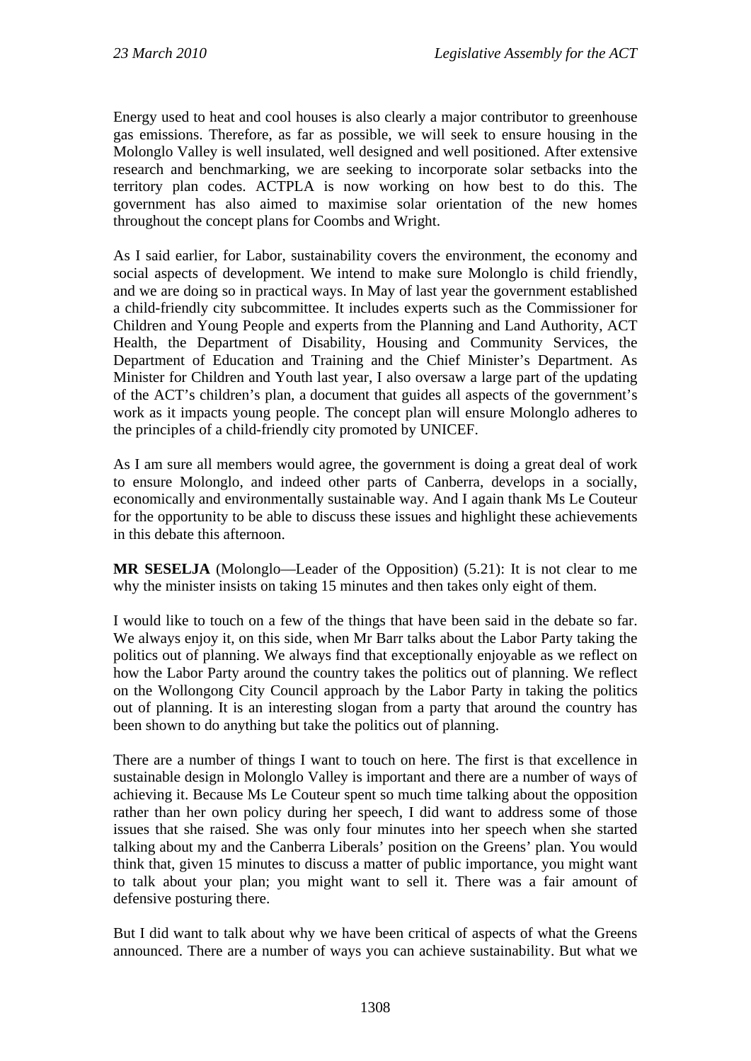Energy used to heat and cool houses is also clearly a major contributor to greenhouse gas emissions. Therefore, as far as possible, we will seek to ensure housing in the Molonglo Valley is well insulated, well designed and well positioned. After extensive research and benchmarking, we are seeking to incorporate solar setbacks into the territory plan codes. ACTPLA is now working on how best to do this. The government has also aimed to maximise solar orientation of the new homes throughout the concept plans for Coombs and Wright.

As I said earlier, for Labor, sustainability covers the environment, the economy and social aspects of development. We intend to make sure Molonglo is child friendly, and we are doing so in practical ways. In May of last year the government established a child-friendly city subcommittee. It includes experts such as the Commissioner for Children and Young People and experts from the Planning and Land Authority, ACT Health, the Department of Disability, Housing and Community Services, the Department of Education and Training and the Chief Minister's Department. As Minister for Children and Youth last year, I also oversaw a large part of the updating of the ACT's children's plan, a document that guides all aspects of the government's work as it impacts young people. The concept plan will ensure Molonglo adheres to the principles of a child-friendly city promoted by UNICEF.

As I am sure all members would agree, the government is doing a great deal of work to ensure Molonglo, and indeed other parts of Canberra, develops in a socially, economically and environmentally sustainable way. And I again thank Ms Le Couteur for the opportunity to be able to discuss these issues and highlight these achievements in this debate this afternoon.

**MR SESELJA** (Molonglo—Leader of the Opposition) (5.21): It is not clear to me why the minister insists on taking 15 minutes and then takes only eight of them.

I would like to touch on a few of the things that have been said in the debate so far. We always enjoy it, on this side, when Mr Barr talks about the Labor Party taking the politics out of planning. We always find that exceptionally enjoyable as we reflect on how the Labor Party around the country takes the politics out of planning. We reflect on the Wollongong City Council approach by the Labor Party in taking the politics out of planning. It is an interesting slogan from a party that around the country has been shown to do anything but take the politics out of planning.

There are a number of things I want to touch on here. The first is that excellence in sustainable design in Molonglo Valley is important and there are a number of ways of achieving it. Because Ms Le Couteur spent so much time talking about the opposition rather than her own policy during her speech, I did want to address some of those issues that she raised. She was only four minutes into her speech when she started talking about my and the Canberra Liberals' position on the Greens' plan. You would think that, given 15 minutes to discuss a matter of public importance, you might want to talk about your plan; you might want to sell it. There was a fair amount of defensive posturing there.

But I did want to talk about why we have been critical of aspects of what the Greens announced. There are a number of ways you can achieve sustainability. But what we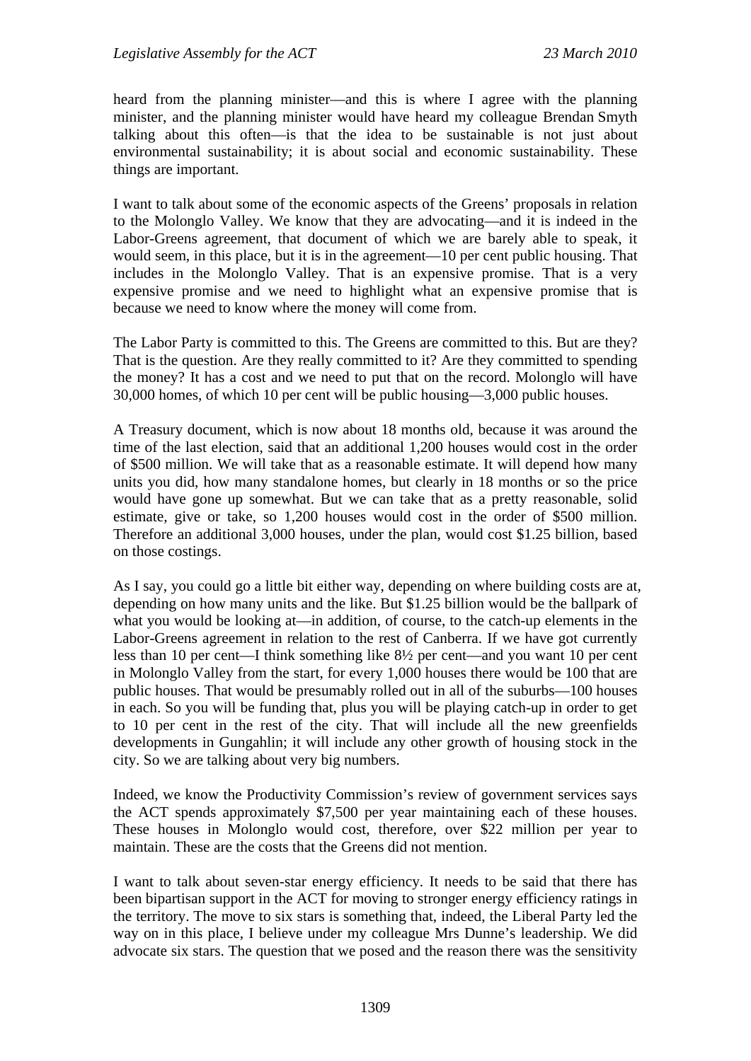heard from the planning minister—and this is where I agree with the planning minister, and the planning minister would have heard my colleague Brendan Smyth talking about this often—is that the idea to be sustainable is not just about environmental sustainability; it is about social and economic sustainability. These things are important.

I want to talk about some of the economic aspects of the Greens' proposals in relation to the Molonglo Valley. We know that they are advocating—and it is indeed in the Labor-Greens agreement, that document of which we are barely able to speak, it would seem, in this place, but it is in the agreement—10 per cent public housing. That includes in the Molonglo Valley. That is an expensive promise. That is a very expensive promise and we need to highlight what an expensive promise that is because we need to know where the money will come from.

The Labor Party is committed to this. The Greens are committed to this. But are they? That is the question. Are they really committed to it? Are they committed to spending the money? It has a cost and we need to put that on the record. Molonglo will have 30,000 homes, of which 10 per cent will be public housing—3,000 public houses.

A Treasury document, which is now about 18 months old, because it was around the time of the last election, said that an additional 1,200 houses would cost in the order of \$500 million. We will take that as a reasonable estimate. It will depend how many units you did, how many standalone homes, but clearly in 18 months or so the price would have gone up somewhat. But we can take that as a pretty reasonable, solid estimate, give or take, so 1,200 houses would cost in the order of \$500 million. Therefore an additional 3,000 houses, under the plan, would cost \$1.25 billion, based on those costings.

As I say, you could go a little bit either way, depending on where building costs are at, depending on how many units and the like. But \$1.25 billion would be the ballpark of what you would be looking at—in addition, of course, to the catch-up elements in the Labor-Greens agreement in relation to the rest of Canberra. If we have got currently less than 10 per cent—I think something like 8½ per cent—and you want 10 per cent in Molonglo Valley from the start, for every 1,000 houses there would be 100 that are public houses. That would be presumably rolled out in all of the suburbs—100 houses in each. So you will be funding that, plus you will be playing catch-up in order to get to 10 per cent in the rest of the city. That will include all the new greenfields developments in Gungahlin; it will include any other growth of housing stock in the city. So we are talking about very big numbers.

Indeed, we know the Productivity Commission's review of government services says the ACT spends approximately \$7,500 per year maintaining each of these houses. These houses in Molonglo would cost, therefore, over \$22 million per year to maintain. These are the costs that the Greens did not mention.

I want to talk about seven-star energy efficiency. It needs to be said that there has been bipartisan support in the ACT for moving to stronger energy efficiency ratings in the territory. The move to six stars is something that, indeed, the Liberal Party led the way on in this place, I believe under my colleague Mrs Dunne's leadership. We did advocate six stars. The question that we posed and the reason there was the sensitivity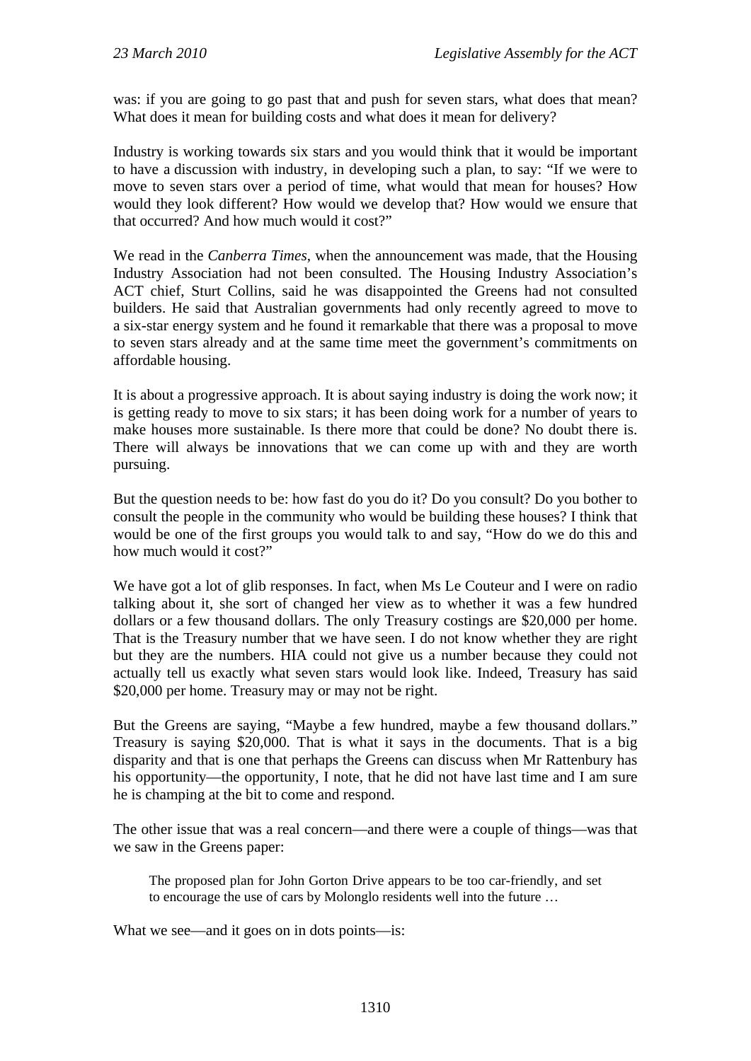was: if you are going to go past that and push for seven stars, what does that mean? What does it mean for building costs and what does it mean for delivery?

Industry is working towards six stars and you would think that it would be important to have a discussion with industry, in developing such a plan, to say: "If we were to move to seven stars over a period of time, what would that mean for houses? How would they look different? How would we develop that? How would we ensure that that occurred? And how much would it cost?"

We read in the *Canberra Times*, when the announcement was made, that the Housing Industry Association had not been consulted. The Housing Industry Association's ACT chief, Sturt Collins, said he was disappointed the Greens had not consulted builders. He said that Australian governments had only recently agreed to move to a six-star energy system and he found it remarkable that there was a proposal to move to seven stars already and at the same time meet the government's commitments on affordable housing.

It is about a progressive approach. It is about saying industry is doing the work now; it is getting ready to move to six stars; it has been doing work for a number of years to make houses more sustainable. Is there more that could be done? No doubt there is. There will always be innovations that we can come up with and they are worth pursuing.

But the question needs to be: how fast do you do it? Do you consult? Do you bother to consult the people in the community who would be building these houses? I think that would be one of the first groups you would talk to and say, "How do we do this and how much would it cost?"

We have got a lot of glib responses. In fact, when Ms Le Couteur and I were on radio talking about it, she sort of changed her view as to whether it was a few hundred dollars or a few thousand dollars. The only Treasury costings are \$20,000 per home. That is the Treasury number that we have seen. I do not know whether they are right but they are the numbers. HIA could not give us a number because they could not actually tell us exactly what seven stars would look like. Indeed, Treasury has said \$20,000 per home. Treasury may or may not be right.

But the Greens are saying, "Maybe a few hundred, maybe a few thousand dollars." Treasury is saying \$20,000. That is what it says in the documents. That is a big disparity and that is one that perhaps the Greens can discuss when Mr Rattenbury has his opportunity—the opportunity, I note, that he did not have last time and I am sure he is champing at the bit to come and respond.

The other issue that was a real concern—and there were a couple of things—was that we saw in the Greens paper:

The proposed plan for John Gorton Drive appears to be too car-friendly, and set to encourage the use of cars by Molonglo residents well into the future …

What we see—and it goes on in dots points—is: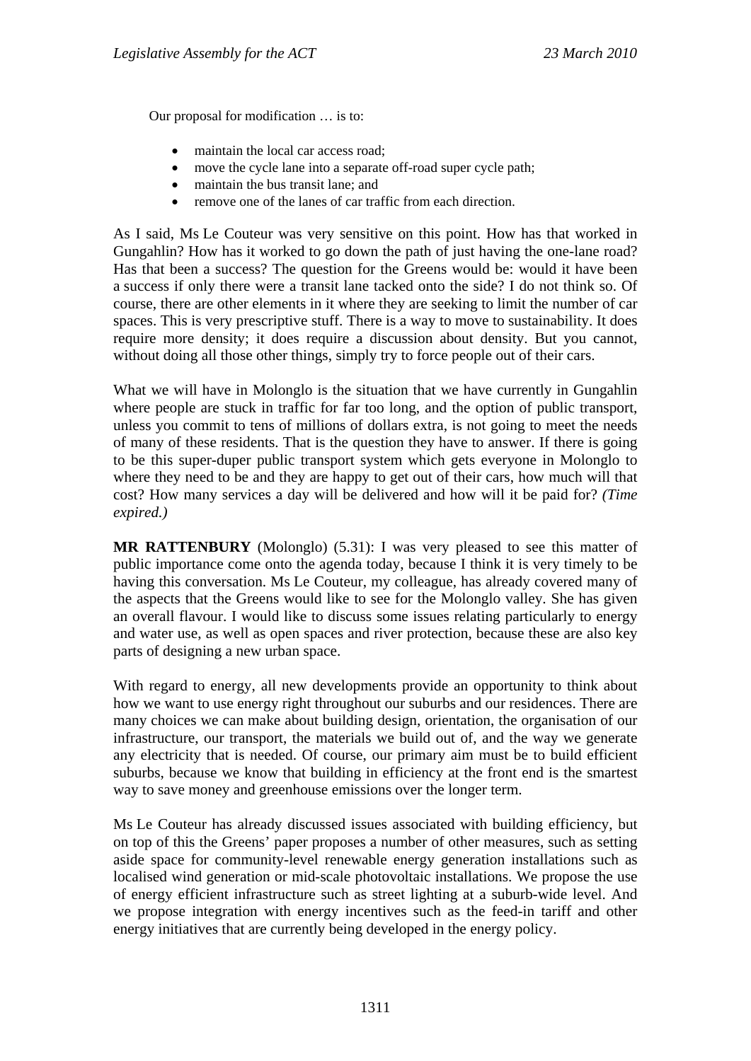Our proposal for modification … is to:

- maintain the local car access road;
- move the cycle lane into a separate off-road super cycle path;
- maintain the bus transit lane; and
- remove one of the lanes of car traffic from each direction.

As I said, Ms Le Couteur was very sensitive on this point. How has that worked in Gungahlin? How has it worked to go down the path of just having the one-lane road? Has that been a success? The question for the Greens would be: would it have been a success if only there were a transit lane tacked onto the side? I do not think so. Of course, there are other elements in it where they are seeking to limit the number of car spaces. This is very prescriptive stuff. There is a way to move to sustainability. It does require more density; it does require a discussion about density. But you cannot, without doing all those other things, simply try to force people out of their cars.

What we will have in Molonglo is the situation that we have currently in Gungahlin where people are stuck in traffic for far too long, and the option of public transport, unless you commit to tens of millions of dollars extra, is not going to meet the needs of many of these residents. That is the question they have to answer. If there is going to be this super-duper public transport system which gets everyone in Molonglo to where they need to be and they are happy to get out of their cars, how much will that cost? How many services a day will be delivered and how will it be paid for? *(Time expired.)* 

**MR RATTENBURY** (Molonglo) (5.31): I was very pleased to see this matter of public importance come onto the agenda today, because I think it is very timely to be having this conversation. Ms Le Couteur, my colleague, has already covered many of the aspects that the Greens would like to see for the Molonglo valley. She has given an overall flavour. I would like to discuss some issues relating particularly to energy and water use, as well as open spaces and river protection, because these are also key parts of designing a new urban space.

With regard to energy, all new developments provide an opportunity to think about how we want to use energy right throughout our suburbs and our residences. There are many choices we can make about building design, orientation, the organisation of our infrastructure, our transport, the materials we build out of, and the way we generate any electricity that is needed. Of course, our primary aim must be to build efficient suburbs, because we know that building in efficiency at the front end is the smartest way to save money and greenhouse emissions over the longer term.

Ms Le Couteur has already discussed issues associated with building efficiency, but on top of this the Greens' paper proposes a number of other measures, such as setting aside space for community-level renewable energy generation installations such as localised wind generation or mid-scale photovoltaic installations. We propose the use of energy efficient infrastructure such as street lighting at a suburb-wide level. And we propose integration with energy incentives such as the feed-in tariff and other energy initiatives that are currently being developed in the energy policy.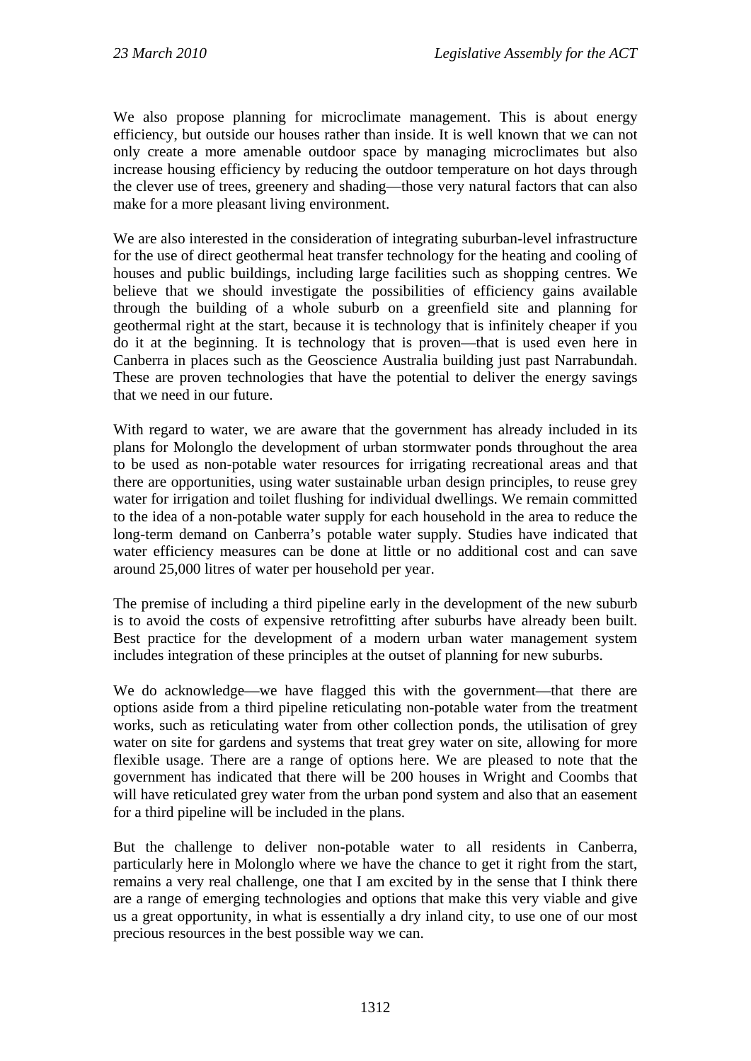We also propose planning for microclimate management. This is about energy efficiency, but outside our houses rather than inside. It is well known that we can not only create a more amenable outdoor space by managing microclimates but also increase housing efficiency by reducing the outdoor temperature on hot days through the clever use of trees, greenery and shading—those very natural factors that can also make for a more pleasant living environment.

We are also interested in the consideration of integrating suburban-level infrastructure for the use of direct geothermal heat transfer technology for the heating and cooling of houses and public buildings, including large facilities such as shopping centres. We believe that we should investigate the possibilities of efficiency gains available through the building of a whole suburb on a greenfield site and planning for geothermal right at the start, because it is technology that is infinitely cheaper if you do it at the beginning. It is technology that is proven—that is used even here in Canberra in places such as the Geoscience Australia building just past Narrabundah. These are proven technologies that have the potential to deliver the energy savings that we need in our future.

With regard to water, we are aware that the government has already included in its plans for Molonglo the development of urban stormwater ponds throughout the area to be used as non-potable water resources for irrigating recreational areas and that there are opportunities, using water sustainable urban design principles, to reuse grey water for irrigation and toilet flushing for individual dwellings. We remain committed to the idea of a non-potable water supply for each household in the area to reduce the long-term demand on Canberra's potable water supply. Studies have indicated that water efficiency measures can be done at little or no additional cost and can save around 25,000 litres of water per household per year.

The premise of including a third pipeline early in the development of the new suburb is to avoid the costs of expensive retrofitting after suburbs have already been built. Best practice for the development of a modern urban water management system includes integration of these principles at the outset of planning for new suburbs.

We do acknowledge—we have flagged this with the government—that there are options aside from a third pipeline reticulating non-potable water from the treatment works, such as reticulating water from other collection ponds, the utilisation of grey water on site for gardens and systems that treat grey water on site, allowing for more flexible usage. There are a range of options here. We are pleased to note that the government has indicated that there will be 200 houses in Wright and Coombs that will have reticulated grey water from the urban pond system and also that an easement for a third pipeline will be included in the plans.

But the challenge to deliver non-potable water to all residents in Canberra, particularly here in Molonglo where we have the chance to get it right from the start, remains a very real challenge, one that I am excited by in the sense that I think there are a range of emerging technologies and options that make this very viable and give us a great opportunity, in what is essentially a dry inland city, to use one of our most precious resources in the best possible way we can.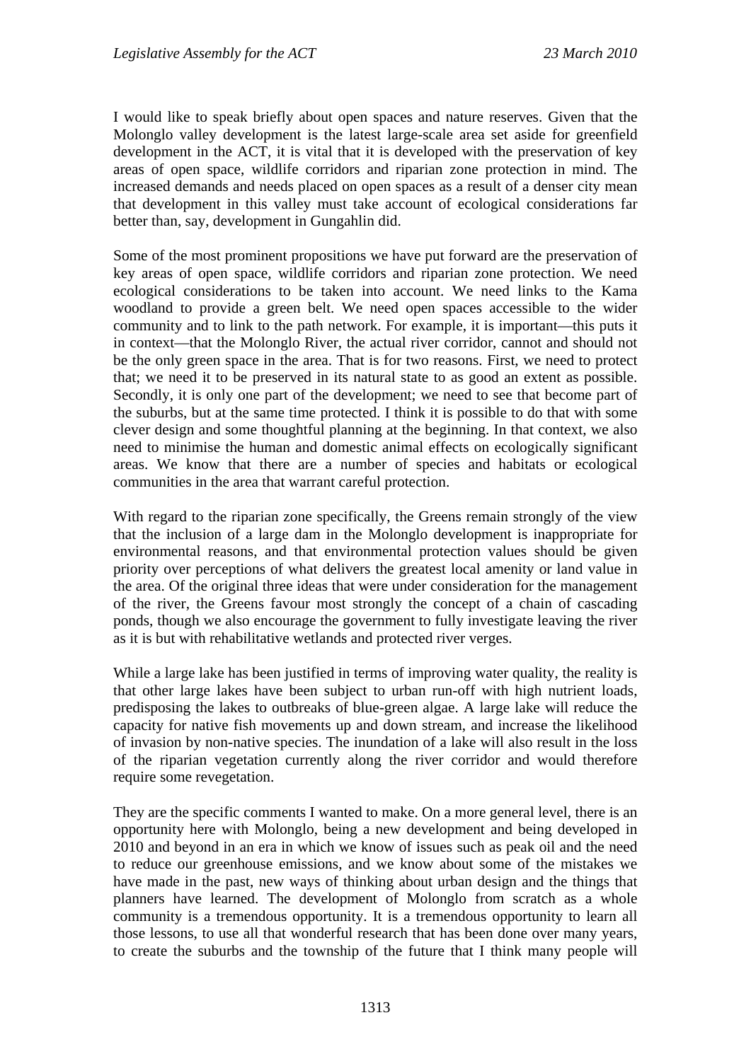I would like to speak briefly about open spaces and nature reserves. Given that the Molonglo valley development is the latest large-scale area set aside for greenfield development in the ACT, it is vital that it is developed with the preservation of key areas of open space, wildlife corridors and riparian zone protection in mind. The increased demands and needs placed on open spaces as a result of a denser city mean that development in this valley must take account of ecological considerations far better than, say, development in Gungahlin did.

Some of the most prominent propositions we have put forward are the preservation of key areas of open space, wildlife corridors and riparian zone protection. We need ecological considerations to be taken into account. We need links to the Kama woodland to provide a green belt. We need open spaces accessible to the wider community and to link to the path network. For example, it is important—this puts it in context—that the Molonglo River, the actual river corridor, cannot and should not be the only green space in the area. That is for two reasons. First, we need to protect that; we need it to be preserved in its natural state to as good an extent as possible. Secondly, it is only one part of the development; we need to see that become part of the suburbs, but at the same time protected. I think it is possible to do that with some clever design and some thoughtful planning at the beginning. In that context, we also need to minimise the human and domestic animal effects on ecologically significant areas. We know that there are a number of species and habitats or ecological communities in the area that warrant careful protection.

With regard to the riparian zone specifically, the Greens remain strongly of the view that the inclusion of a large dam in the Molonglo development is inappropriate for environmental reasons, and that environmental protection values should be given priority over perceptions of what delivers the greatest local amenity or land value in the area. Of the original three ideas that were under consideration for the management of the river, the Greens favour most strongly the concept of a chain of cascading ponds, though we also encourage the government to fully investigate leaving the river as it is but with rehabilitative wetlands and protected river verges.

While a large lake has been justified in terms of improving water quality, the reality is that other large lakes have been subject to urban run-off with high nutrient loads, predisposing the lakes to outbreaks of blue-green algae. A large lake will reduce the capacity for native fish movements up and down stream, and increase the likelihood of invasion by non-native species. The inundation of a lake will also result in the loss of the riparian vegetation currently along the river corridor and would therefore require some revegetation.

They are the specific comments I wanted to make. On a more general level, there is an opportunity here with Molonglo, being a new development and being developed in 2010 and beyond in an era in which we know of issues such as peak oil and the need to reduce our greenhouse emissions, and we know about some of the mistakes we have made in the past, new ways of thinking about urban design and the things that planners have learned. The development of Molonglo from scratch as a whole community is a tremendous opportunity. It is a tremendous opportunity to learn all those lessons, to use all that wonderful research that has been done over many years, to create the suburbs and the township of the future that I think many people will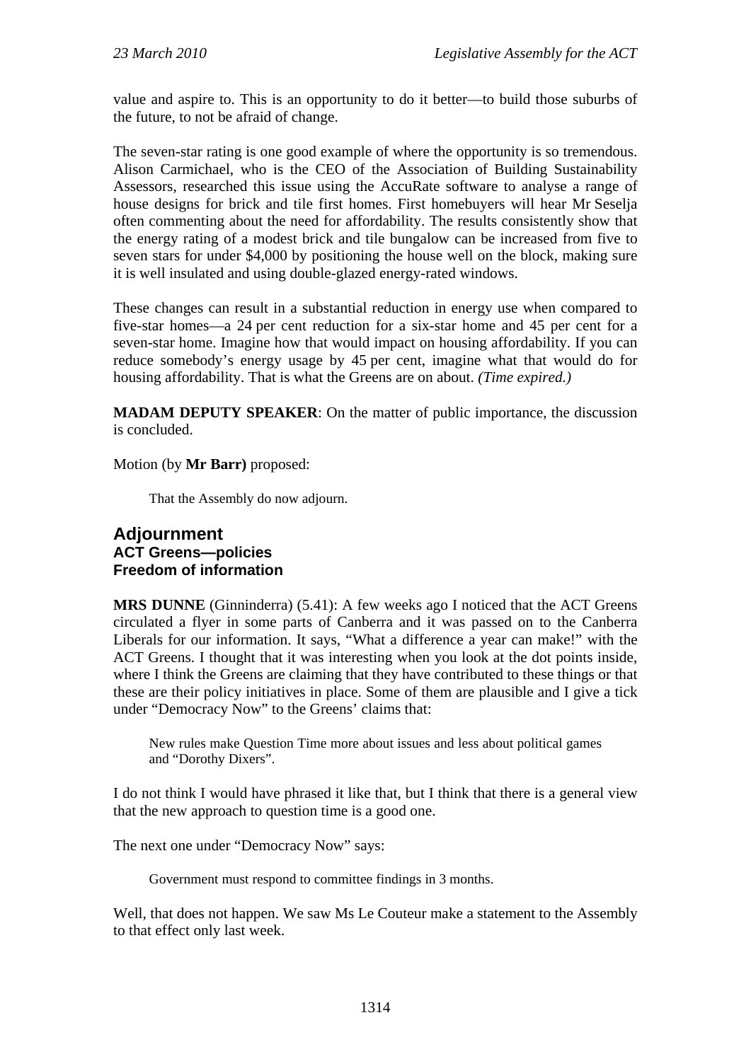value and aspire to. This is an opportunity to do it better—to build those suburbs of the future, to not be afraid of change.

The seven-star rating is one good example of where the opportunity is so tremendous. Alison Carmichael, who is the CEO of the Association of Building Sustainability Assessors, researched this issue using the AccuRate software to analyse a range of house designs for brick and tile first homes. First homebuyers will hear Mr Seselja often commenting about the need for affordability. The results consistently show that the energy rating of a modest brick and tile bungalow can be increased from five to seven stars for under \$4,000 by positioning the house well on the block, making sure it is well insulated and using double-glazed energy-rated windows.

These changes can result in a substantial reduction in energy use when compared to five-star homes—a 24 per cent reduction for a six-star home and 45 per cent for a seven-star home. Imagine how that would impact on housing affordability. If you can reduce somebody's energy usage by 45 per cent, imagine what that would do for housing affordability. That is what the Greens are on about. *(Time expired.)*

**MADAM DEPUTY SPEAKER**: On the matter of public importance, the discussion is concluded.

Motion (by **Mr Barr)** proposed:

That the Assembly do now adjourn.

#### **Adjournment ACT Greens—policies Freedom of information**

**MRS DUNNE** (Ginninderra) (5.41): A few weeks ago I noticed that the ACT Greens circulated a flyer in some parts of Canberra and it was passed on to the Canberra Liberals for our information. It says, "What a difference a year can make!" with the ACT Greens. I thought that it was interesting when you look at the dot points inside, where I think the Greens are claiming that they have contributed to these things or that these are their policy initiatives in place. Some of them are plausible and I give a tick under "Democracy Now" to the Greens' claims that:

New rules make Question Time more about issues and less about political games and "Dorothy Dixers".

I do not think I would have phrased it like that, but I think that there is a general view that the new approach to question time is a good one.

The next one under "Democracy Now" says:

Government must respond to committee findings in 3 months.

Well, that does not happen. We saw Ms Le Couteur make a statement to the Assembly to that effect only last week.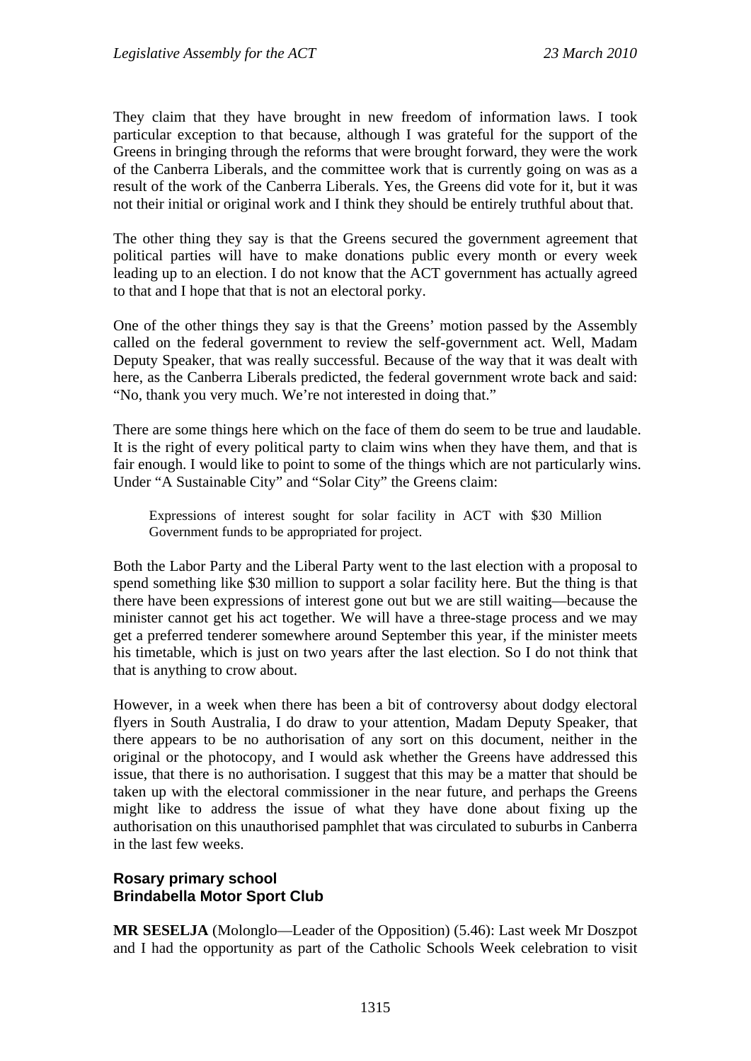They claim that they have brought in new freedom of information laws. I took particular exception to that because, although I was grateful for the support of the Greens in bringing through the reforms that were brought forward, they were the work of the Canberra Liberals, and the committee work that is currently going on was as a result of the work of the Canberra Liberals. Yes, the Greens did vote for it, but it was not their initial or original work and I think they should be entirely truthful about that.

The other thing they say is that the Greens secured the government agreement that political parties will have to make donations public every month or every week leading up to an election. I do not know that the ACT government has actually agreed to that and I hope that that is not an electoral porky.

One of the other things they say is that the Greens' motion passed by the Assembly called on the federal government to review the self-government act. Well, Madam Deputy Speaker, that was really successful. Because of the way that it was dealt with here, as the Canberra Liberals predicted, the federal government wrote back and said: "No, thank you very much. We're not interested in doing that."

There are some things here which on the face of them do seem to be true and laudable. It is the right of every political party to claim wins when they have them, and that is fair enough. I would like to point to some of the things which are not particularly wins. Under "A Sustainable City" and "Solar City" the Greens claim:

Expressions of interest sought for solar facility in ACT with \$30 Million Government funds to be appropriated for project.

Both the Labor Party and the Liberal Party went to the last election with a proposal to spend something like \$30 million to support a solar facility here. But the thing is that there have been expressions of interest gone out but we are still waiting—because the minister cannot get his act together. We will have a three-stage process and we may get a preferred tenderer somewhere around September this year, if the minister meets his timetable, which is just on two years after the last election. So I do not think that that is anything to crow about.

However, in a week when there has been a bit of controversy about dodgy electoral flyers in South Australia, I do draw to your attention, Madam Deputy Speaker, that there appears to be no authorisation of any sort on this document, neither in the original or the photocopy, and I would ask whether the Greens have addressed this issue, that there is no authorisation. I suggest that this may be a matter that should be taken up with the electoral commissioner in the near future, and perhaps the Greens might like to address the issue of what they have done about fixing up the authorisation on this unauthorised pamphlet that was circulated to suburbs in Canberra in the last few weeks.

## **Rosary primary school Brindabella Motor Sport Club**

**MR SESELJA** (Molonglo—Leader of the Opposition) (5.46): Last week Mr Doszpot and I had the opportunity as part of the Catholic Schools Week celebration to visit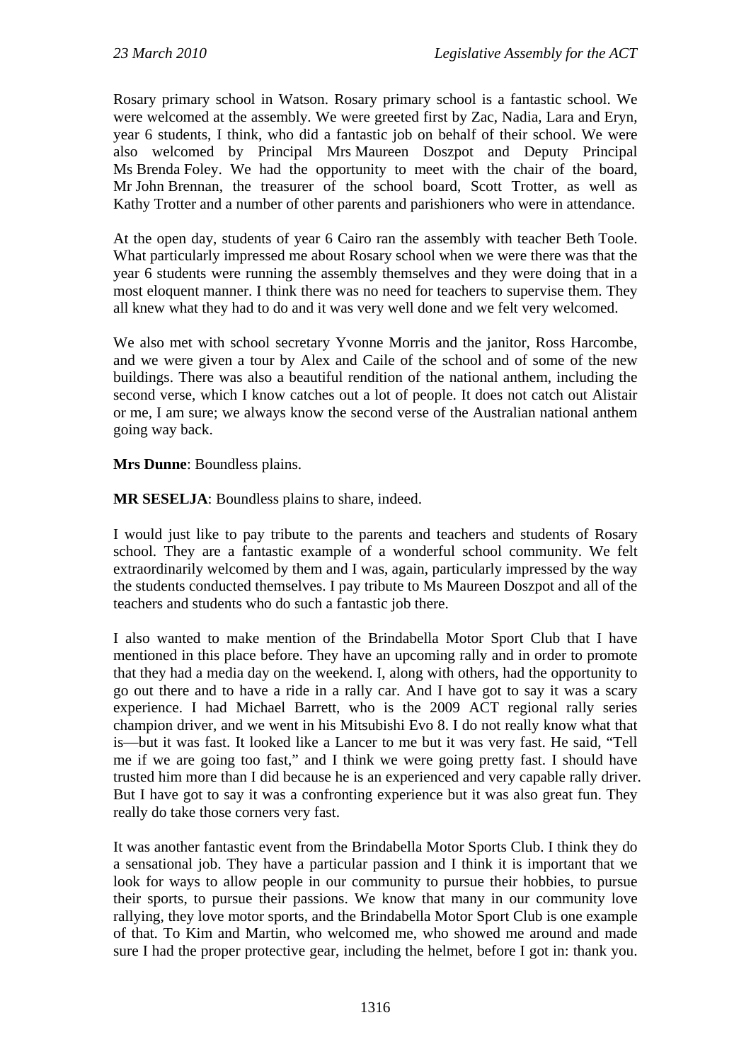Rosary primary school in Watson. Rosary primary school is a fantastic school. We were welcomed at the assembly. We were greeted first by Zac, Nadia, Lara and Eryn, year 6 students, I think, who did a fantastic job on behalf of their school. We were also welcomed by Principal Mrs Maureen Doszpot and Deputy Principal Ms Brenda Foley. We had the opportunity to meet with the chair of the board, Mr John Brennan, the treasurer of the school board, Scott Trotter, as well as Kathy Trotter and a number of other parents and parishioners who were in attendance.

At the open day, students of year 6 Cairo ran the assembly with teacher Beth Toole. What particularly impressed me about Rosary school when we were there was that the year 6 students were running the assembly themselves and they were doing that in a most eloquent manner. I think there was no need for teachers to supervise them. They all knew what they had to do and it was very well done and we felt very welcomed.

We also met with school secretary Yvonne Morris and the janitor, Ross Harcombe, and we were given a tour by Alex and Caile of the school and of some of the new buildings. There was also a beautiful rendition of the national anthem, including the second verse, which I know catches out a lot of people. It does not catch out Alistair or me, I am sure; we always know the second verse of the Australian national anthem going way back.

**Mrs Dunne**: Boundless plains.

**MR SESELJA**: Boundless plains to share, indeed.

I would just like to pay tribute to the parents and teachers and students of Rosary school. They are a fantastic example of a wonderful school community. We felt extraordinarily welcomed by them and I was, again, particularly impressed by the way the students conducted themselves. I pay tribute to Ms Maureen Doszpot and all of the teachers and students who do such a fantastic job there.

I also wanted to make mention of the Brindabella Motor Sport Club that I have mentioned in this place before. They have an upcoming rally and in order to promote that they had a media day on the weekend. I, along with others, had the opportunity to go out there and to have a ride in a rally car. And I have got to say it was a scary experience. I had Michael Barrett, who is the 2009 ACT regional rally series champion driver, and we went in his Mitsubishi Evo 8. I do not really know what that is—but it was fast. It looked like a Lancer to me but it was very fast. He said, "Tell me if we are going too fast," and I think we were going pretty fast. I should have trusted him more than I did because he is an experienced and very capable rally driver. But I have got to say it was a confronting experience but it was also great fun. They really do take those corners very fast.

It was another fantastic event from the Brindabella Motor Sports Club. I think they do a sensational job. They have a particular passion and I think it is important that we look for ways to allow people in our community to pursue their hobbies, to pursue their sports, to pursue their passions. We know that many in our community love rallying, they love motor sports, and the Brindabella Motor Sport Club is one example of that. To Kim and Martin, who welcomed me, who showed me around and made sure I had the proper protective gear, including the helmet, before I got in: thank you.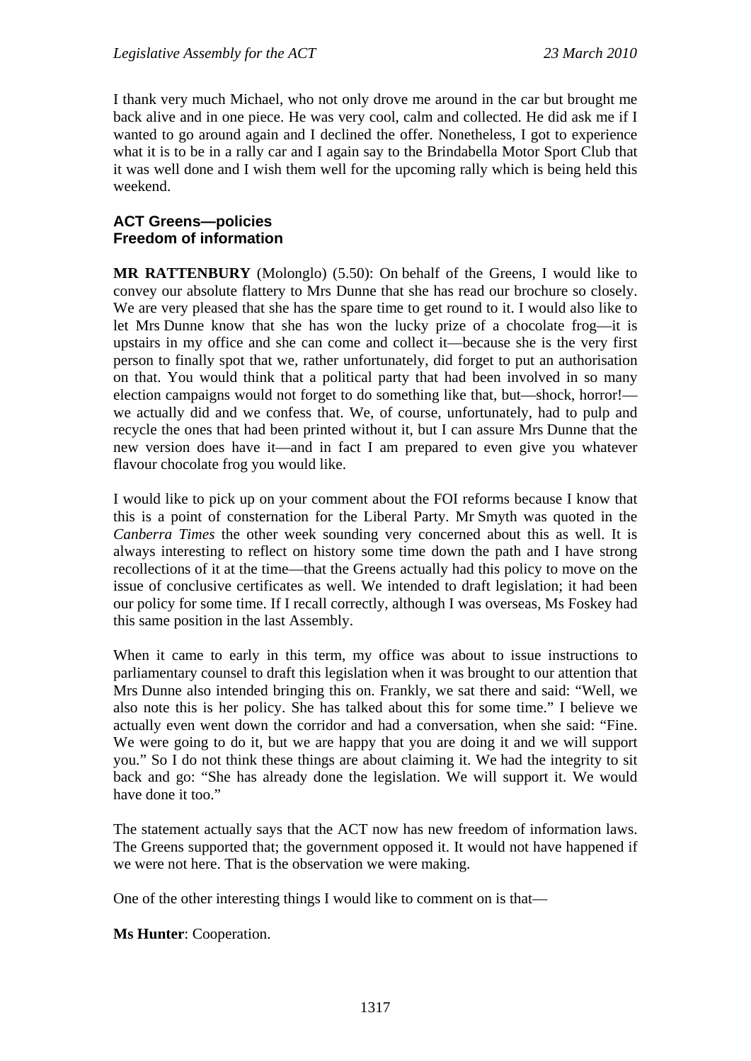I thank very much Michael, who not only drove me around in the car but brought me back alive and in one piece. He was very cool, calm and collected. He did ask me if I wanted to go around again and I declined the offer. Nonetheless, I got to experience what it is to be in a rally car and I again say to the Brindabella Motor Sport Club that it was well done and I wish them well for the upcoming rally which is being held this weekend.

#### **ACT Greens—policies Freedom of information**

**MR RATTENBURY** (Molonglo) (5.50): On behalf of the Greens, I would like to convey our absolute flattery to Mrs Dunne that she has read our brochure so closely. We are very pleased that she has the spare time to get round to it. I would also like to let Mrs Dunne know that she has won the lucky prize of a chocolate frog—it is upstairs in my office and she can come and collect it—because she is the very first person to finally spot that we, rather unfortunately, did forget to put an authorisation on that. You would think that a political party that had been involved in so many election campaigns would not forget to do something like that, but—shock, horror! we actually did and we confess that. We, of course, unfortunately, had to pulp and recycle the ones that had been printed without it, but I can assure Mrs Dunne that the new version does have it—and in fact I am prepared to even give you whatever flavour chocolate frog you would like.

I would like to pick up on your comment about the FOI reforms because I know that this is a point of consternation for the Liberal Party. Mr Smyth was quoted in the *Canberra Times* the other week sounding very concerned about this as well. It is always interesting to reflect on history some time down the path and I have strong recollections of it at the time—that the Greens actually had this policy to move on the issue of conclusive certificates as well. We intended to draft legislation; it had been our policy for some time. If I recall correctly, although I was overseas, Ms Foskey had this same position in the last Assembly.

When it came to early in this term, my office was about to issue instructions to parliamentary counsel to draft this legislation when it was brought to our attention that Mrs Dunne also intended bringing this on. Frankly, we sat there and said: "Well, we also note this is her policy. She has talked about this for some time." I believe we actually even went down the corridor and had a conversation, when she said: "Fine. We were going to do it, but we are happy that you are doing it and we will support you." So I do not think these things are about claiming it. We had the integrity to sit back and go: "She has already done the legislation. We will support it. We would have done it too."

The statement actually says that the ACT now has new freedom of information laws. The Greens supported that; the government opposed it. It would not have happened if we were not here. That is the observation we were making.

One of the other interesting things I would like to comment on is that—

**Ms Hunter**: Cooperation.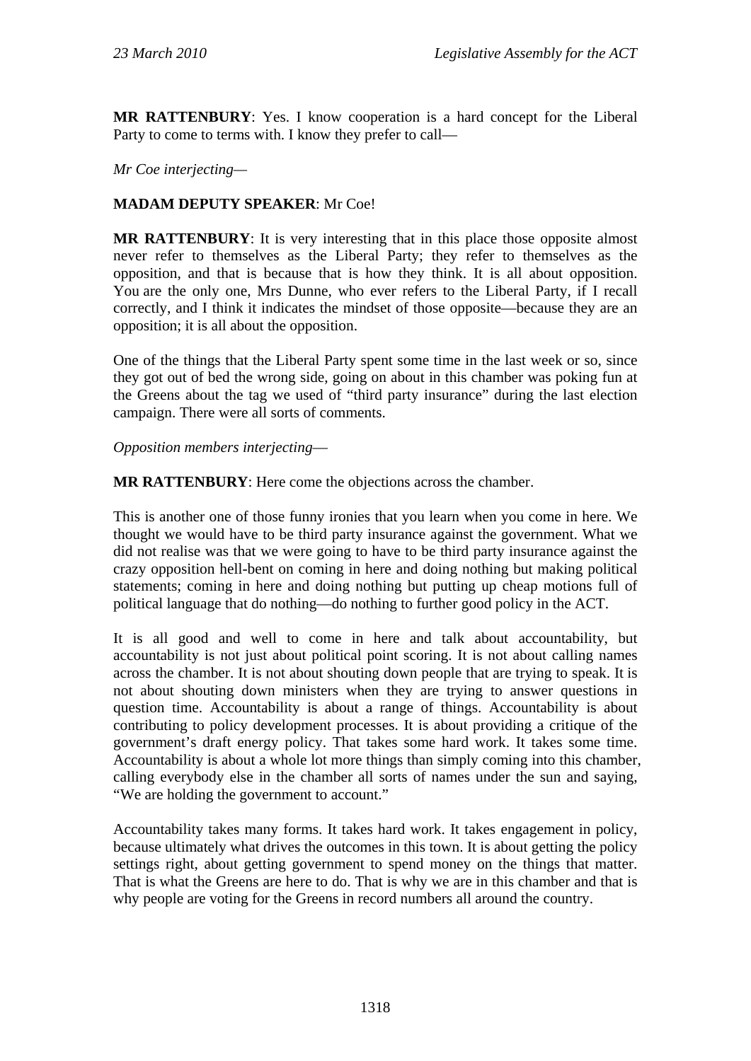**MR RATTENBURY**: Yes. I know cooperation is a hard concept for the Liberal Party to come to terms with. I know they prefer to call—

#### *Mr Coe interjecting—*

## **MADAM DEPUTY SPEAKER**: Mr Coe!

**MR RATTENBURY**: It is very interesting that in this place those opposite almost never refer to themselves as the Liberal Party; they refer to themselves as the opposition, and that is because that is how they think. It is all about opposition. You are the only one, Mrs Dunne, who ever refers to the Liberal Party, if I recall correctly, and I think it indicates the mindset of those opposite—because they are an opposition; it is all about the opposition.

One of the things that the Liberal Party spent some time in the last week or so, since they got out of bed the wrong side, going on about in this chamber was poking fun at the Greens about the tag we used of "third party insurance" during the last election campaign. There were all sorts of comments.

*Opposition members interjecting*—

**MR RATTENBURY**: Here come the objections across the chamber.

This is another one of those funny ironies that you learn when you come in here. We thought we would have to be third party insurance against the government. What we did not realise was that we were going to have to be third party insurance against the crazy opposition hell-bent on coming in here and doing nothing but making political statements; coming in here and doing nothing but putting up cheap motions full of political language that do nothing—do nothing to further good policy in the ACT.

It is all good and well to come in here and talk about accountability, but accountability is not just about political point scoring. It is not about calling names across the chamber. It is not about shouting down people that are trying to speak. It is not about shouting down ministers when they are trying to answer questions in question time. Accountability is about a range of things. Accountability is about contributing to policy development processes. It is about providing a critique of the government's draft energy policy. That takes some hard work. It takes some time. Accountability is about a whole lot more things than simply coming into this chamber, calling everybody else in the chamber all sorts of names under the sun and saying, "We are holding the government to account."

Accountability takes many forms. It takes hard work. It takes engagement in policy, because ultimately what drives the outcomes in this town. It is about getting the policy settings right, about getting government to spend money on the things that matter. That is what the Greens are here to do. That is why we are in this chamber and that is why people are voting for the Greens in record numbers all around the country.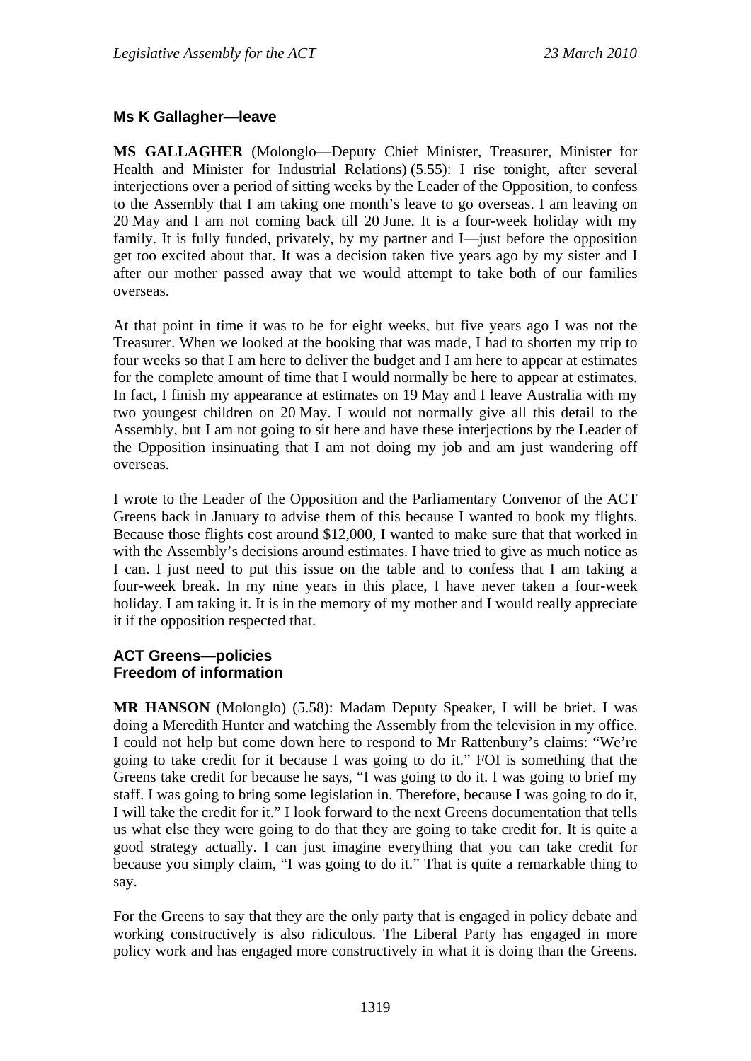## **Ms K Gallagher—leave**

**MS GALLAGHER** (Molonglo—Deputy Chief Minister, Treasurer, Minister for Health and Minister for Industrial Relations) (5.55): I rise tonight, after several interjections over a period of sitting weeks by the Leader of the Opposition, to confess to the Assembly that I am taking one month's leave to go overseas. I am leaving on 20 May and I am not coming back till 20 June. It is a four-week holiday with my family. It is fully funded, privately, by my partner and I—just before the opposition get too excited about that. It was a decision taken five years ago by my sister and I after our mother passed away that we would attempt to take both of our families overseas.

At that point in time it was to be for eight weeks, but five years ago I was not the Treasurer. When we looked at the booking that was made, I had to shorten my trip to four weeks so that I am here to deliver the budget and I am here to appear at estimates for the complete amount of time that I would normally be here to appear at estimates. In fact, I finish my appearance at estimates on 19 May and I leave Australia with my two youngest children on 20 May. I would not normally give all this detail to the Assembly, but I am not going to sit here and have these interjections by the Leader of the Opposition insinuating that I am not doing my job and am just wandering off overseas.

I wrote to the Leader of the Opposition and the Parliamentary Convenor of the ACT Greens back in January to advise them of this because I wanted to book my flights. Because those flights cost around \$12,000, I wanted to make sure that that worked in with the Assembly's decisions around estimates. I have tried to give as much notice as I can. I just need to put this issue on the table and to confess that I am taking a four-week break. In my nine years in this place, I have never taken a four-week holiday. I am taking it. It is in the memory of my mother and I would really appreciate it if the opposition respected that.

## **ACT Greens—policies Freedom of information**

**MR HANSON** (Molonglo) (5.58): Madam Deputy Speaker, I will be brief. I was doing a Meredith Hunter and watching the Assembly from the television in my office. I could not help but come down here to respond to Mr Rattenbury's claims: "We're going to take credit for it because I was going to do it." FOI is something that the Greens take credit for because he says, "I was going to do it. I was going to brief my staff. I was going to bring some legislation in. Therefore, because I was going to do it, I will take the credit for it." I look forward to the next Greens documentation that tells us what else they were going to do that they are going to take credit for. It is quite a good strategy actually. I can just imagine everything that you can take credit for because you simply claim, "I was going to do it." That is quite a remarkable thing to say.

For the Greens to say that they are the only party that is engaged in policy debate and working constructively is also ridiculous. The Liberal Party has engaged in more policy work and has engaged more constructively in what it is doing than the Greens.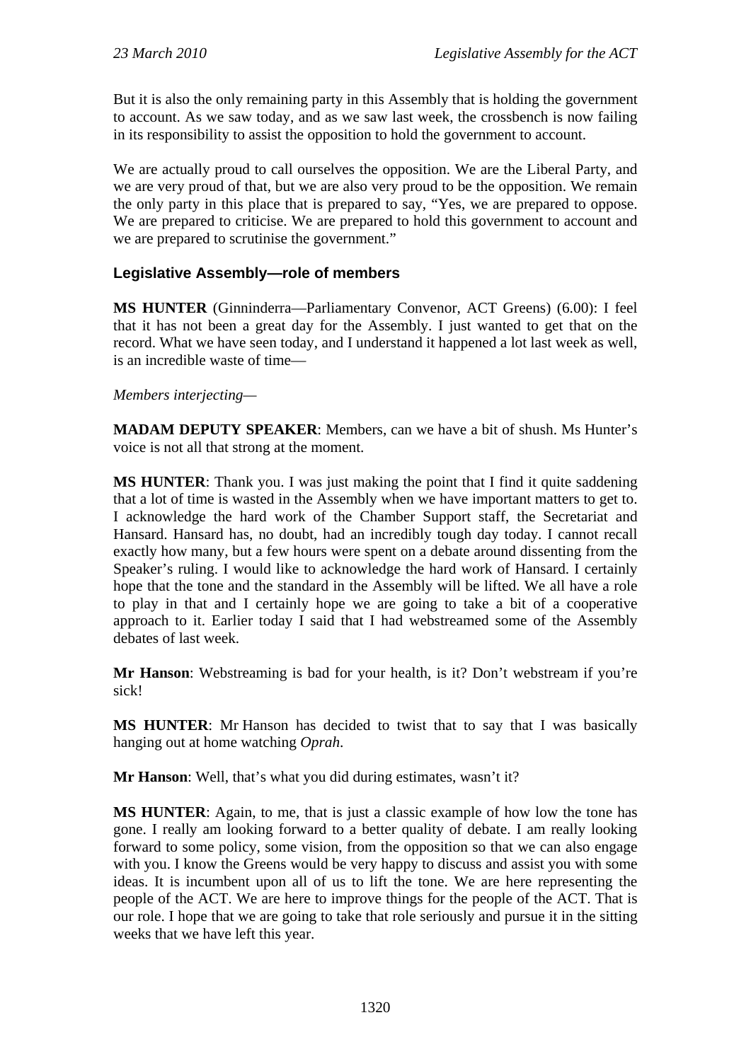But it is also the only remaining party in this Assembly that is holding the government to account. As we saw today, and as we saw last week, the crossbench is now failing in its responsibility to assist the opposition to hold the government to account.

We are actually proud to call ourselves the opposition. We are the Liberal Party, and we are very proud of that, but we are also very proud to be the opposition. We remain the only party in this place that is prepared to say, "Yes, we are prepared to oppose. We are prepared to criticise. We are prepared to hold this government to account and we are prepared to scrutinise the government."

# **Legislative Assembly—role of members**

**MS HUNTER** (Ginninderra—Parliamentary Convenor, ACT Greens) (6.00): I feel that it has not been a great day for the Assembly. I just wanted to get that on the record. What we have seen today, and I understand it happened a lot last week as well, is an incredible waste of time—

#### *Members interjecting—*

**MADAM DEPUTY SPEAKER**: Members, can we have a bit of shush. Ms Hunter's voice is not all that strong at the moment.

**MS HUNTER:** Thank you. I was just making the point that I find it quite saddening that a lot of time is wasted in the Assembly when we have important matters to get to. I acknowledge the hard work of the Chamber Support staff, the Secretariat and Hansard. Hansard has, no doubt, had an incredibly tough day today. I cannot recall exactly how many, but a few hours were spent on a debate around dissenting from the Speaker's ruling. I would like to acknowledge the hard work of Hansard. I certainly hope that the tone and the standard in the Assembly will be lifted. We all have a role to play in that and I certainly hope we are going to take a bit of a cooperative approach to it. Earlier today I said that I had webstreamed some of the Assembly debates of last week.

**Mr Hanson**: Webstreaming is bad for your health, is it? Don't webstream if you're sick!

**MS HUNTER**: Mr Hanson has decided to twist that to say that I was basically hanging out at home watching *Oprah*.

**Mr Hanson**: Well, that's what you did during estimates, wasn't it?

**MS HUNTER**: Again, to me, that is just a classic example of how low the tone has gone. I really am looking forward to a better quality of debate. I am really looking forward to some policy, some vision, from the opposition so that we can also engage with you. I know the Greens would be very happy to discuss and assist you with some ideas. It is incumbent upon all of us to lift the tone. We are here representing the people of the ACT. We are here to improve things for the people of the ACT. That is our role. I hope that we are going to take that role seriously and pursue it in the sitting weeks that we have left this year.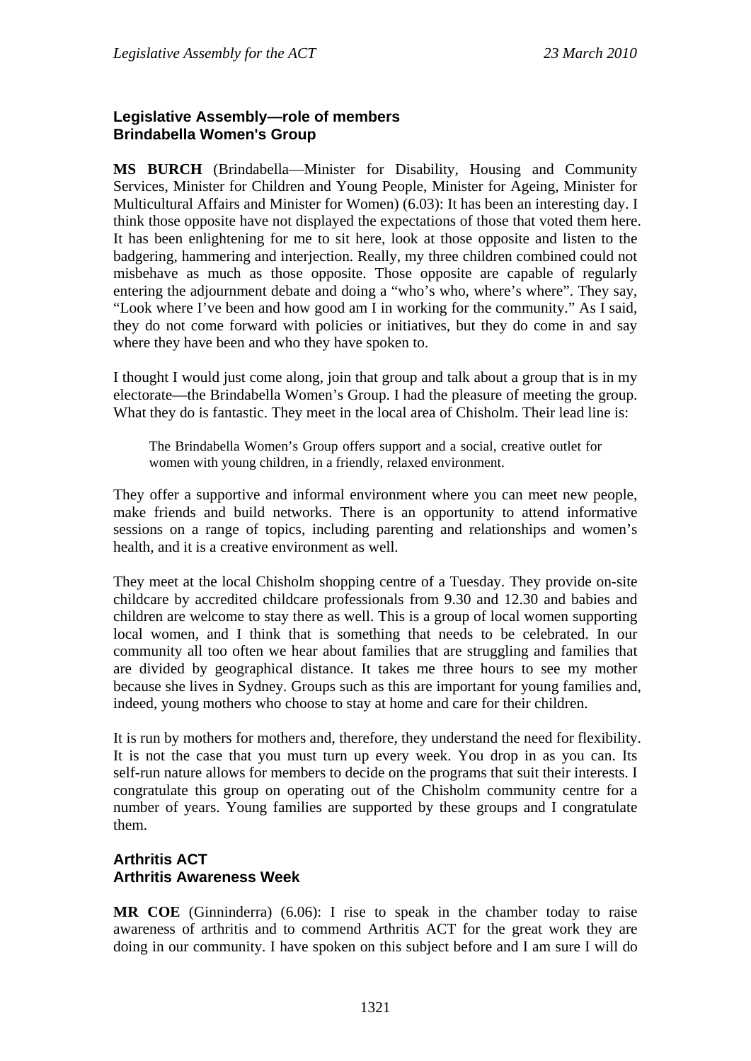## **Legislative Assembly—role of members Brindabella Women's Group**

**MS BURCH** (Brindabella—Minister for Disability, Housing and Community Services, Minister for Children and Young People, Minister for Ageing, Minister for Multicultural Affairs and Minister for Women) (6.03): It has been an interesting day. I think those opposite have not displayed the expectations of those that voted them here. It has been enlightening for me to sit here, look at those opposite and listen to the badgering, hammering and interjection. Really, my three children combined could not misbehave as much as those opposite. Those opposite are capable of regularly entering the adjournment debate and doing a "who's who, where's where". They say, "Look where I've been and how good am I in working for the community." As I said, they do not come forward with policies or initiatives, but they do come in and say where they have been and who they have spoken to.

I thought I would just come along, join that group and talk about a group that is in my electorate—the Brindabella Women's Group. I had the pleasure of meeting the group. What they do is fantastic. They meet in the local area of Chisholm. Their lead line is:

The Brindabella Women's Group offers support and a social, creative outlet for women with young children, in a friendly, relaxed environment.

They offer a supportive and informal environment where you can meet new people, make friends and build networks. There is an opportunity to attend informative sessions on a range of topics, including parenting and relationships and women's health, and it is a creative environment as well.

They meet at the local Chisholm shopping centre of a Tuesday. They provide on-site childcare by accredited childcare professionals from 9.30 and 12.30 and babies and children are welcome to stay there as well. This is a group of local women supporting local women, and I think that is something that needs to be celebrated. In our community all too often we hear about families that are struggling and families that are divided by geographical distance. It takes me three hours to see my mother because she lives in Sydney. Groups such as this are important for young families and, indeed, young mothers who choose to stay at home and care for their children.

It is run by mothers for mothers and, therefore, they understand the need for flexibility. It is not the case that you must turn up every week. You drop in as you can. Its self-run nature allows for members to decide on the programs that suit their interests. I congratulate this group on operating out of the Chisholm community centre for a number of years. Young families are supported by these groups and I congratulate them.

## **Arthritis ACT Arthritis Awareness Week**

**MR COE** (Ginninderra) (6.06): I rise to speak in the chamber today to raise awareness of arthritis and to commend Arthritis ACT for the great work they are doing in our community. I have spoken on this subject before and I am sure I will do